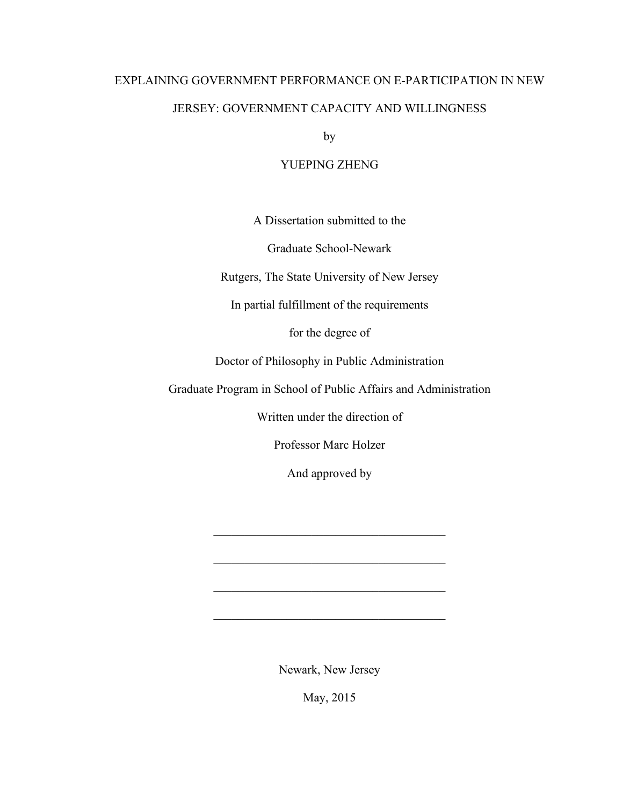# EXPLAINING GOVERNMENT PERFORMANCE ON E-PARTICIPATION IN NEW JERSEY: GOVERNMENT CAPACITY AND WILLINGNESS

by

## YUEPING ZHENG

A Dissertation submitted to the

Graduate School-Newark

Rutgers, The State University of New Jersey

In partial fulfillment of the requirements

for the degree of

Doctor of Philosophy in Public Administration

Graduate Program in School of Public Affairs and Administration

Written under the direction of

Professor Marc Holzer

And approved by

 $\mathcal{L}_\text{max}$  and  $\mathcal{L}_\text{max}$  and  $\mathcal{L}_\text{max}$  and  $\mathcal{L}_\text{max}$ 

 $\mathcal{L}_\text{max}$ 

 $\mathcal{L}_\text{max}$  and  $\mathcal{L}_\text{max}$  and  $\mathcal{L}_\text{max}$  and  $\mathcal{L}_\text{max}$ 

 $\mathcal{L}_\text{max}$  and  $\mathcal{L}_\text{max}$  and  $\mathcal{L}_\text{max}$  and  $\mathcal{L}_\text{max}$ 

Newark, New Jersey

May, 2015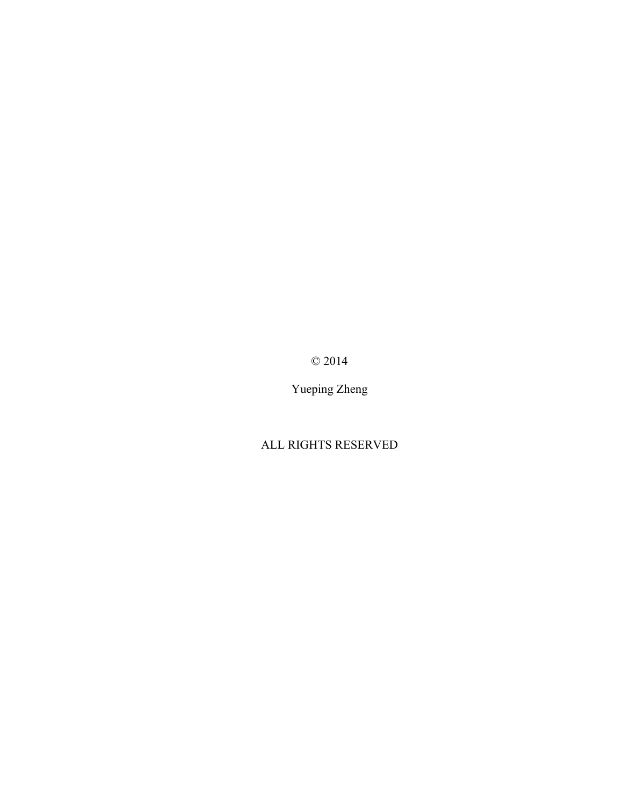© 2014

Yueping Zheng

# ALL RIGHTS RESERVED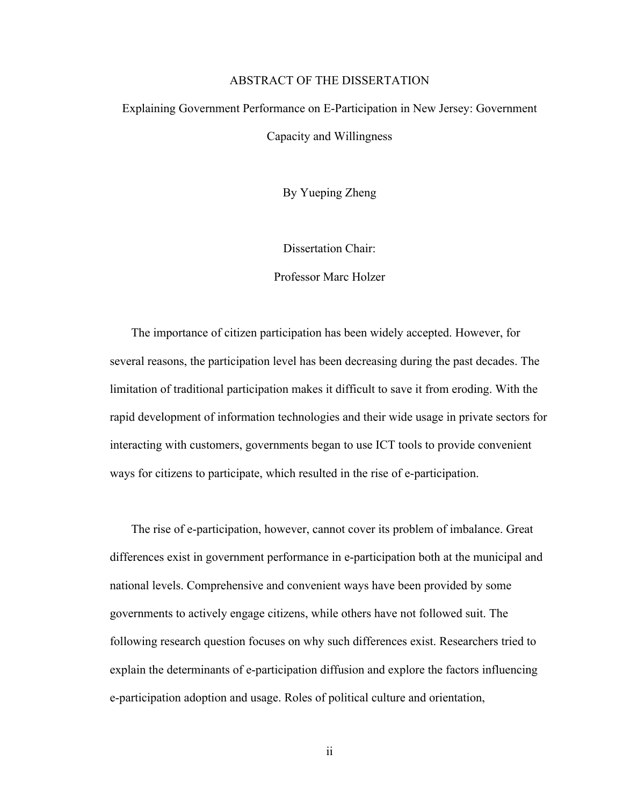### ABSTRACT OF THE DISSERTATION

# Explaining Government Performance on E-Participation in New Jersey: Government Capacity and Willingness

By Yueping Zheng

Dissertation Chair:

Professor Marc Holzer

The importance of citizen participation has been widely accepted. However, for several reasons, the participation level has been decreasing during the past decades. The limitation of traditional participation makes it difficult to save it from eroding. With the rapid development of information technologies and their wide usage in private sectors for interacting with customers, governments began to use ICT tools to provide convenient ways for citizens to participate, which resulted in the rise of e-participation.

The rise of e-participation, however, cannot cover its problem of imbalance. Great differences exist in government performance in e-participation both at the municipal and national levels. Comprehensive and convenient ways have been provided by some governments to actively engage citizens, while others have not followed suit. The following research question focuses on why such differences exist. Researchers tried to explain the determinants of e-participation diffusion and explore the factors influencing e-participation adoption and usage. Roles of political culture and orientation,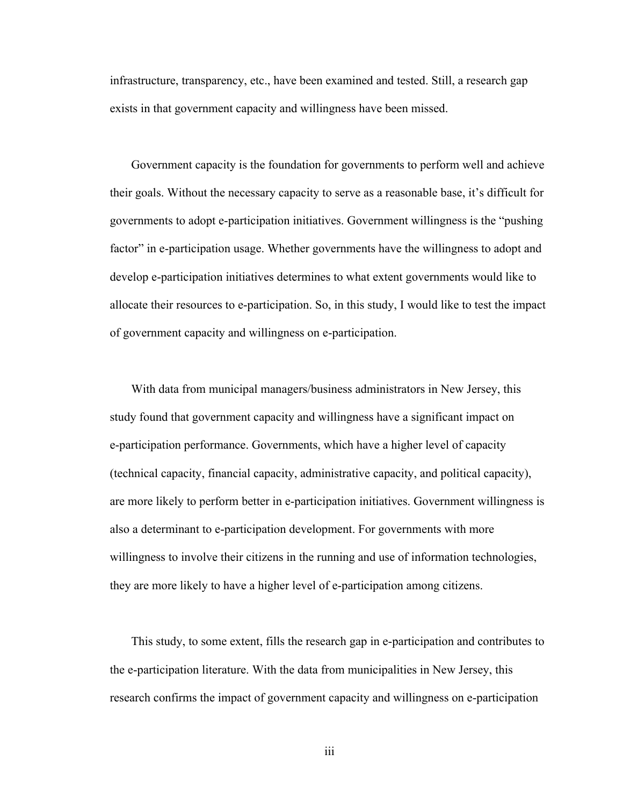infrastructure, transparency, etc., have been examined and tested. Still, a research gap exists in that government capacity and willingness have been missed.

Government capacity is the foundation for governments to perform well and achieve their goals. Without the necessary capacity to serve as a reasonable base, it's difficult for governments to adopt e-participation initiatives. Government willingness is the "pushing factor" in e-participation usage. Whether governments have the willingness to adopt and develop e-participation initiatives determines to what extent governments would like to allocate their resources to e-participation. So, in this study, I would like to test the impact of government capacity and willingness on e-participation.

With data from municipal managers/business administrators in New Jersey, this study found that government capacity and willingness have a significant impact on e-participation performance. Governments, which have a higher level of capacity (technical capacity, financial capacity, administrative capacity, and political capacity), are more likely to perform better in e-participation initiatives. Government willingness is also a determinant to e-participation development. For governments with more willingness to involve their citizens in the running and use of information technologies, they are more likely to have a higher level of e-participation among citizens.

This study, to some extent, fills the research gap in e-participation and contributes to the e-participation literature. With the data from municipalities in New Jersey, this research confirms the impact of government capacity and willingness on e-participation

iii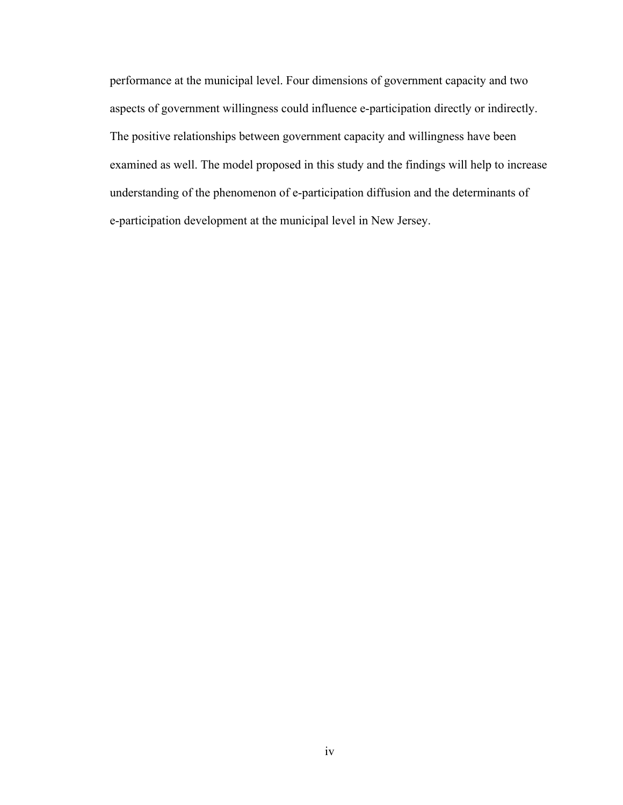performance at the municipal level. Four dimensions of government capacity and two aspects of government willingness could influence e-participation directly or indirectly. The positive relationships between government capacity and willingness have been examined as well. The model proposed in this study and the findings will help to increase understanding of the phenomenon of e-participation diffusion and the determinants of e-participation development at the municipal level in New Jersey.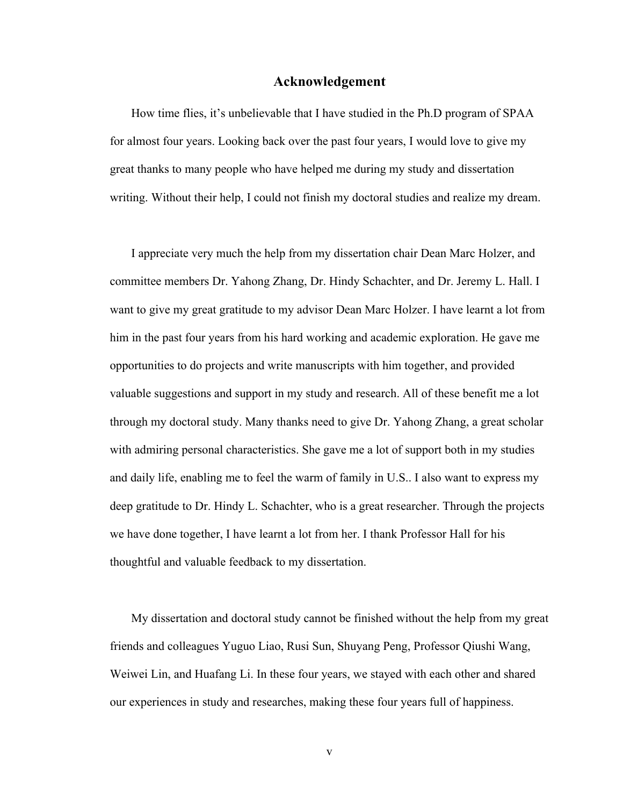### **Acknowledgement**

How time flies, it's unbelievable that I have studied in the Ph.D program of SPAA for almost four years. Looking back over the past four years, I would love to give my great thanks to many people who have helped me during my study and dissertation writing. Without their help, I could not finish my doctoral studies and realize my dream.

I appreciate very much the help from my dissertation chair Dean Marc Holzer, and committee members Dr. Yahong Zhang, Dr. Hindy Schachter, and Dr. Jeremy L. Hall. I want to give my great gratitude to my advisor Dean Marc Holzer. I have learnt a lot from him in the past four years from his hard working and academic exploration. He gave me opportunities to do projects and write manuscripts with him together, and provided valuable suggestions and support in my study and research. All of these benefit me a lot through my doctoral study. Many thanks need to give Dr. Yahong Zhang, a great scholar with admiring personal characteristics. She gave me a lot of support both in my studies and daily life, enabling me to feel the warm of family in U.S.. I also want to express my deep gratitude to Dr. Hindy L. Schachter, who is a great researcher. Through the projects we have done together, I have learnt a lot from her. I thank Professor Hall for his thoughtful and valuable feedback to my dissertation.

My dissertation and doctoral study cannot be finished without the help from my great friends and colleagues Yuguo Liao, Rusi Sun, Shuyang Peng, Professor Qiushi Wang, Weiwei Lin, and Huafang Li. In these four years, we stayed with each other and shared our experiences in study and researches, making these four years full of happiness.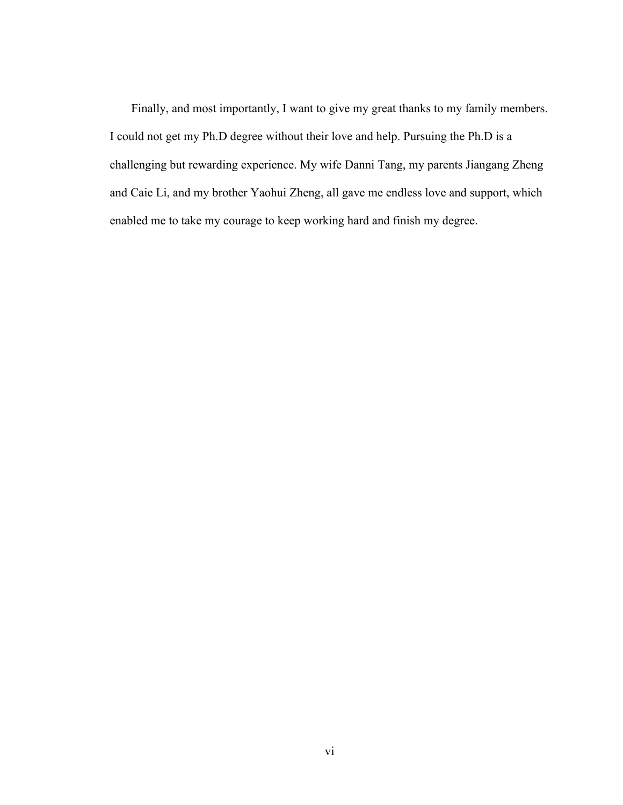Finally, and most importantly, I want to give my great thanks to my family members. I could not get my Ph.D degree without their love and help. Pursuing the Ph.D is a challenging but rewarding experience. My wife Danni Tang, my parents Jiangang Zheng and Caie Li, and my brother Yaohui Zheng, all gave me endless love and support, which enabled me to take my courage to keep working hard and finish my degree.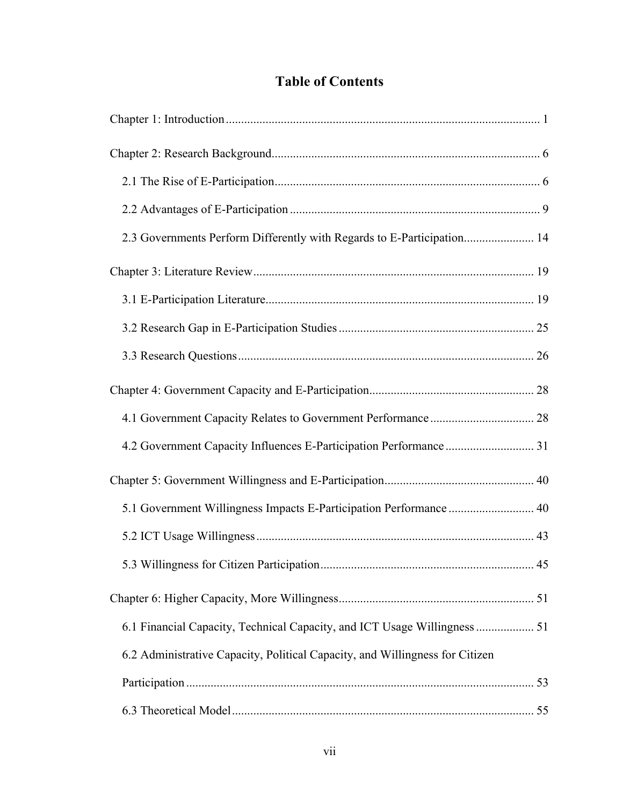# **Table of Contents**

| 2.3 Governments Perform Differently with Regards to E-Participation 14       |    |
|------------------------------------------------------------------------------|----|
|                                                                              |    |
|                                                                              |    |
|                                                                              |    |
|                                                                              |    |
|                                                                              |    |
|                                                                              |    |
|                                                                              |    |
|                                                                              |    |
| 5.1 Government Willingness Impacts E-Participation Performance  40           |    |
|                                                                              |    |
|                                                                              | 45 |
|                                                                              |    |
| 6.1 Financial Capacity, Technical Capacity, and ICT Usage Willingness  51    |    |
| 6.2 Administrative Capacity, Political Capacity, and Willingness for Citizen |    |
|                                                                              |    |
|                                                                              |    |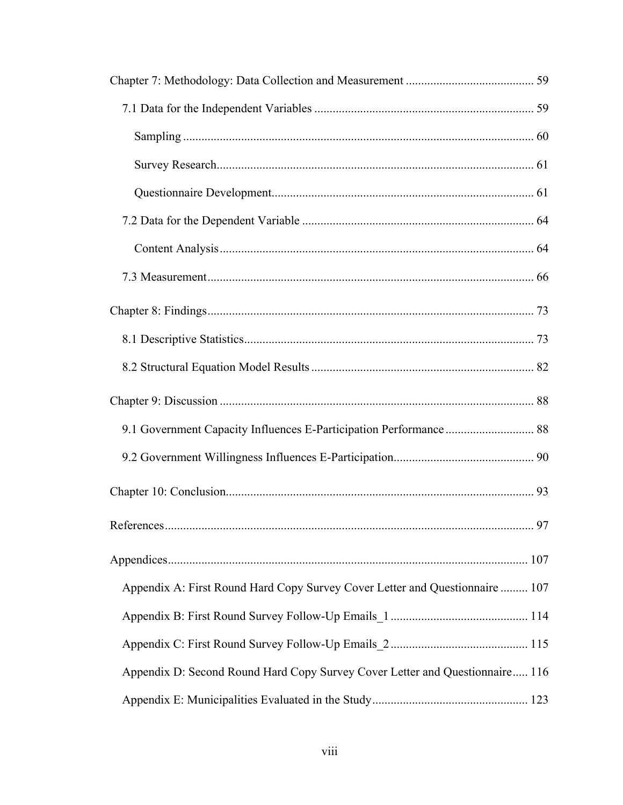| 9.1 Government Capacity Influences E-Participation Performance  88           |    |
|------------------------------------------------------------------------------|----|
|                                                                              |    |
|                                                                              |    |
|                                                                              | 97 |
|                                                                              |    |
| Appendix A: First Round Hard Copy Survey Cover Letter and Questionnaire  107 |    |
|                                                                              |    |
|                                                                              |    |
| Appendix D: Second Round Hard Copy Survey Cover Letter and Questionnaire 116 |    |
|                                                                              |    |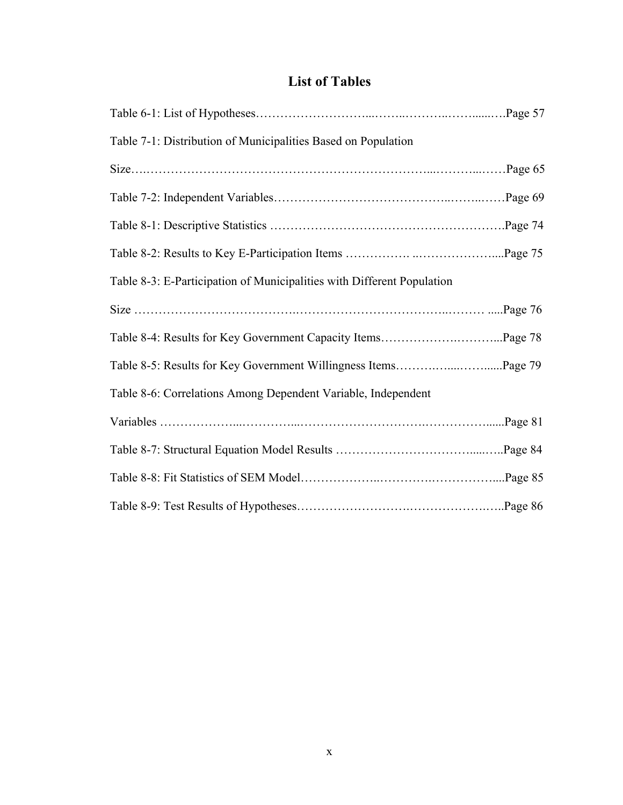## **List of Tables**

| Table 7-1: Distribution of Municipalities Based on Population          |         |
|------------------------------------------------------------------------|---------|
|                                                                        | Page 65 |
|                                                                        |         |
|                                                                        |         |
|                                                                        |         |
| Table 8-3: E-Participation of Municipalities with Different Population |         |
|                                                                        |         |
| Table 8-4: Results for Key Government Capacity ItemsPage 78            |         |
|                                                                        |         |
| Table 8-6: Correlations Among Dependent Variable, Independent          |         |
|                                                                        |         |
|                                                                        |         |
|                                                                        |         |
|                                                                        |         |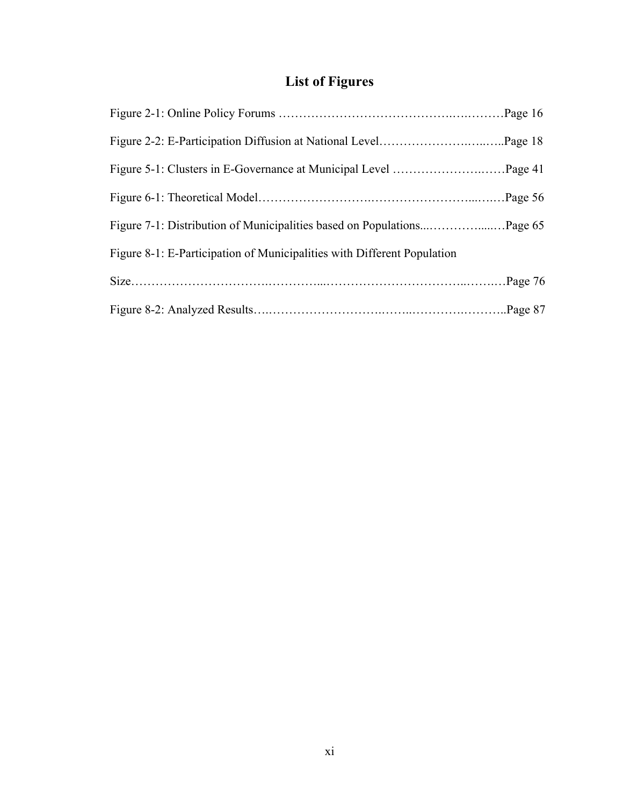# **List of Figures**

| Figure 8-1: E-Participation of Municipalities with Different Population |  |
|-------------------------------------------------------------------------|--|
|                                                                         |  |
|                                                                         |  |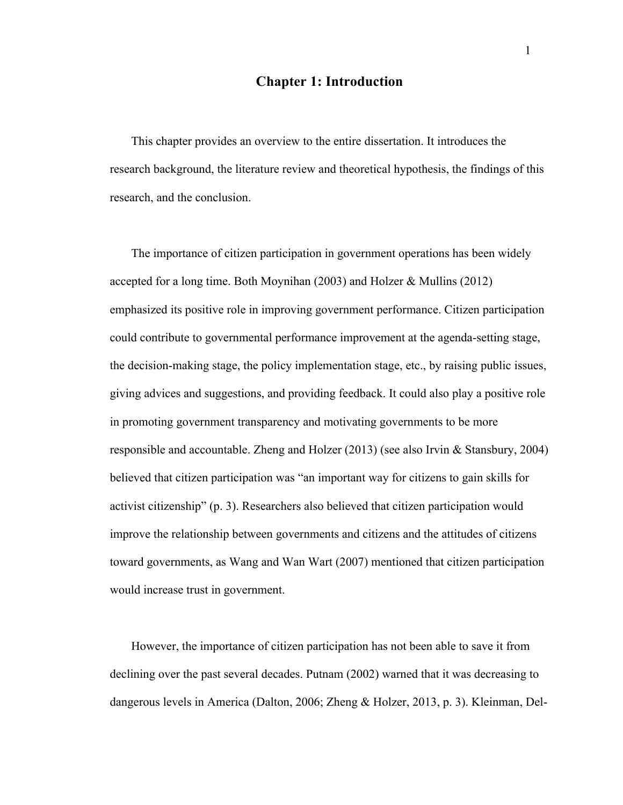## **Chapter 1: Introduction**

This chapter provides an overview to the entire dissertation. It introduces the research background, the literature review and theoretical hypothesis, the findings of this research, and the conclusion.

The importance of citizen participation in government operations has been widely accepted for a long time. Both Moynihan  $(2003)$  and Holzer & Mullins  $(2012)$ emphasized its positive role in improving government performance. Citizen participation could contribute to governmental performance improvement at the agenda-setting stage, the decision-making stage, the policy implementation stage, etc., by raising public issues, giving advices and suggestions, and providing feedback. It could also play a positive role in promoting government transparency and motivating governments to be more responsible and accountable. Zheng and Holzer (2013) (see also Irvin & Stansbury, 2004) believed that citizen participation was "an important way for citizens to gain skills for activist citizenship" (p. 3). Researchers also believed that citizen participation would improve the relationship between governments and citizens and the attitudes of citizens toward governments, as Wang and Wan Wart (2007) mentioned that citizen participation would increase trust in government.

However, the importance of citizen participation has not been able to save it from declining over the past several decades. Putnam (2002) warned that it was decreasing to dangerous levels in America (Dalton, 2006; Zheng & Holzer, 2013, p. 3). Kleinman, Del-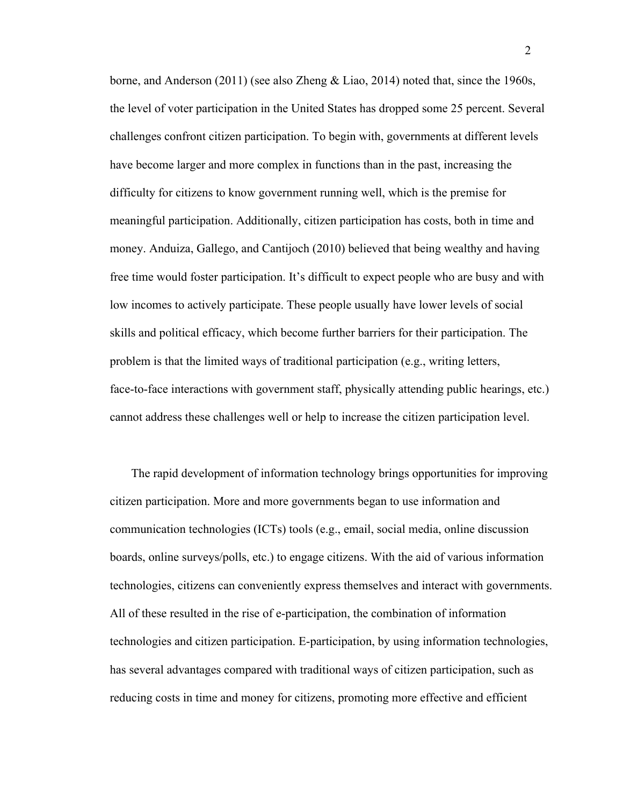borne, and Anderson (2011) (see also Zheng & Liao, 2014) noted that, since the 1960s, the level of voter participation in the United States has dropped some 25 percent. Several challenges confront citizen participation. To begin with, governments at different levels have become larger and more complex in functions than in the past, increasing the difficulty for citizens to know government running well, which is the premise for meaningful participation. Additionally, citizen participation has costs, both in time and money. Anduiza, Gallego, and Cantijoch (2010) believed that being wealthy and having free time would foster participation. It's difficult to expect people who are busy and with low incomes to actively participate. These people usually have lower levels of social skills and political efficacy, which become further barriers for their participation. The problem is that the limited ways of traditional participation (e.g., writing letters, face-to-face interactions with government staff, physically attending public hearings, etc.) cannot address these challenges well or help to increase the citizen participation level.

The rapid development of information technology brings opportunities for improving citizen participation. More and more governments began to use information and communication technologies (ICTs) tools (e.g., email, social media, online discussion boards, online surveys/polls, etc.) to engage citizens. With the aid of various information technologies, citizens can conveniently express themselves and interact with governments. All of these resulted in the rise of e-participation, the combination of information technologies and citizen participation. E-participation, by using information technologies, has several advantages compared with traditional ways of citizen participation, such as reducing costs in time and money for citizens, promoting more effective and efficient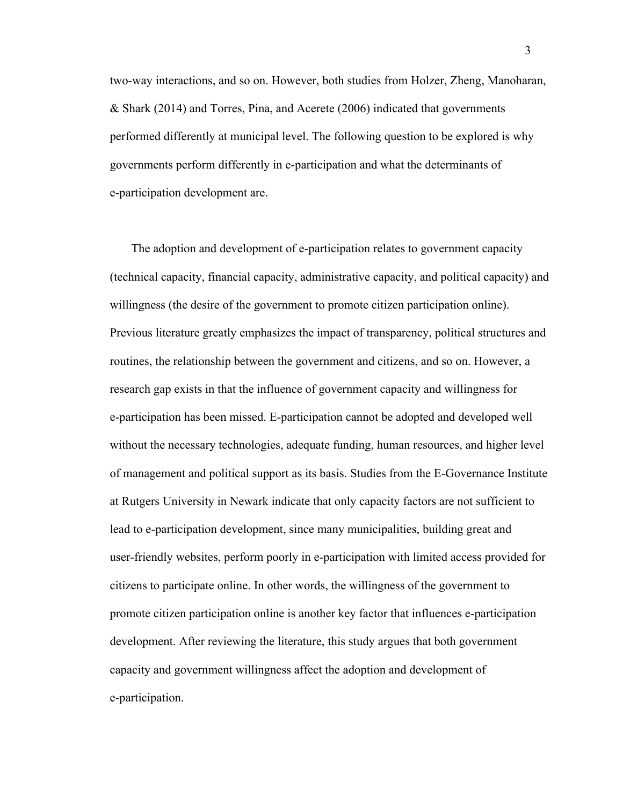two-way interactions, and so on. However, both studies from Holzer, Zheng, Manoharan, & Shark (2014) and Torres, Pina, and Acerete (2006) indicated that governments performed differently at municipal level. The following question to be explored is why governments perform differently in e-participation and what the determinants of e-participation development are.

The adoption and development of e-participation relates to government capacity (technical capacity, financial capacity, administrative capacity, and political capacity) and willingness (the desire of the government to promote citizen participation online). Previous literature greatly emphasizes the impact of transparency, political structures and routines, the relationship between the government and citizens, and so on. However, a research gap exists in that the influence of government capacity and willingness for e-participation has been missed. E-participation cannot be adopted and developed well without the necessary technologies, adequate funding, human resources, and higher level of management and political support as its basis. Studies from the E-Governance Institute at Rutgers University in Newark indicate that only capacity factors are not sufficient to lead to e-participation development, since many municipalities, building great and user-friendly websites, perform poorly in e-participation with limited access provided for citizens to participate online. In other words, the willingness of the government to promote citizen participation online is another key factor that influences e-participation development. After reviewing the literature, this study argues that both government capacity and government willingness affect the adoption and development of e-participation.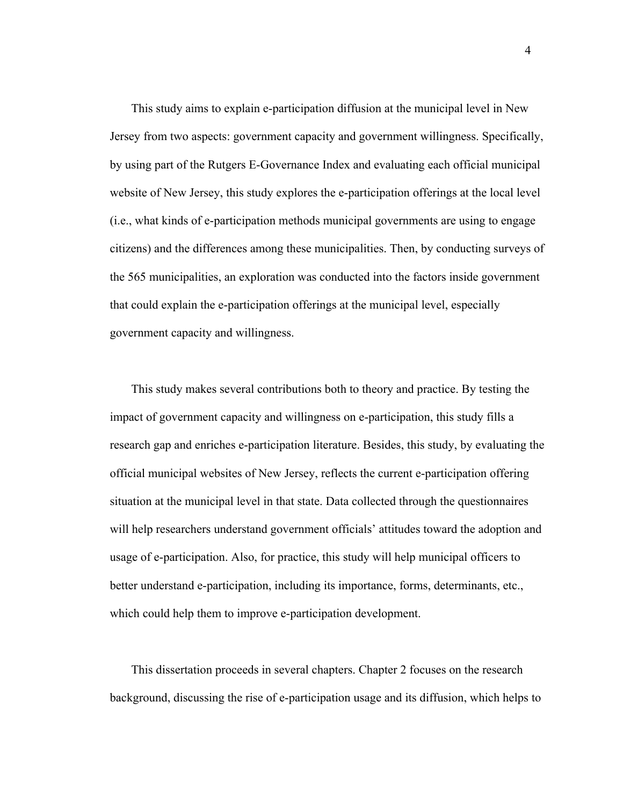This study aims to explain e-participation diffusion at the municipal level in New Jersey from two aspects: government capacity and government willingness. Specifically, by using part of the Rutgers E-Governance Index and evaluating each official municipal website of New Jersey, this study explores the e-participation offerings at the local level (i.e., what kinds of e-participation methods municipal governments are using to engage citizens) and the differences among these municipalities. Then, by conducting surveys of the 565 municipalities, an exploration was conducted into the factors inside government that could explain the e-participation offerings at the municipal level, especially government capacity and willingness.

This study makes several contributions both to theory and practice. By testing the impact of government capacity and willingness on e-participation, this study fills a research gap and enriches e-participation literature. Besides, this study, by evaluating the official municipal websites of New Jersey, reflects the current e-participation offering situation at the municipal level in that state. Data collected through the questionnaires will help researchers understand government officials' attitudes toward the adoption and usage of e-participation. Also, for practice, this study will help municipal officers to better understand e-participation, including its importance, forms, determinants, etc., which could help them to improve e-participation development.

This dissertation proceeds in several chapters. Chapter 2 focuses on the research background, discussing the rise of e-participation usage and its diffusion, which helps to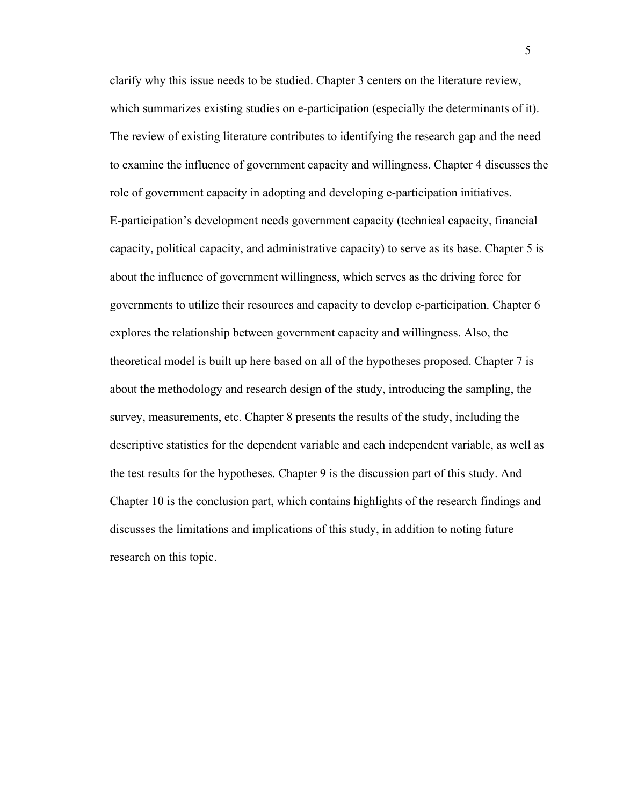clarify why this issue needs to be studied. Chapter 3 centers on the literature review, which summarizes existing studies on e-participation (especially the determinants of it). The review of existing literature contributes to identifying the research gap and the need to examine the influence of government capacity and willingness. Chapter 4 discusses the role of government capacity in adopting and developing e-participation initiatives. E-participation's development needs government capacity (technical capacity, financial capacity, political capacity, and administrative capacity) to serve as its base. Chapter 5 is about the influence of government willingness, which serves as the driving force for governments to utilize their resources and capacity to develop e-participation. Chapter 6 explores the relationship between government capacity and willingness. Also, the theoretical model is built up here based on all of the hypotheses proposed. Chapter 7 is about the methodology and research design of the study, introducing the sampling, the survey, measurements, etc. Chapter 8 presents the results of the study, including the descriptive statistics for the dependent variable and each independent variable, as well as the test results for the hypotheses. Chapter 9 is the discussion part of this study. And Chapter 10 is the conclusion part, which contains highlights of the research findings and discusses the limitations and implications of this study, in addition to noting future research on this topic.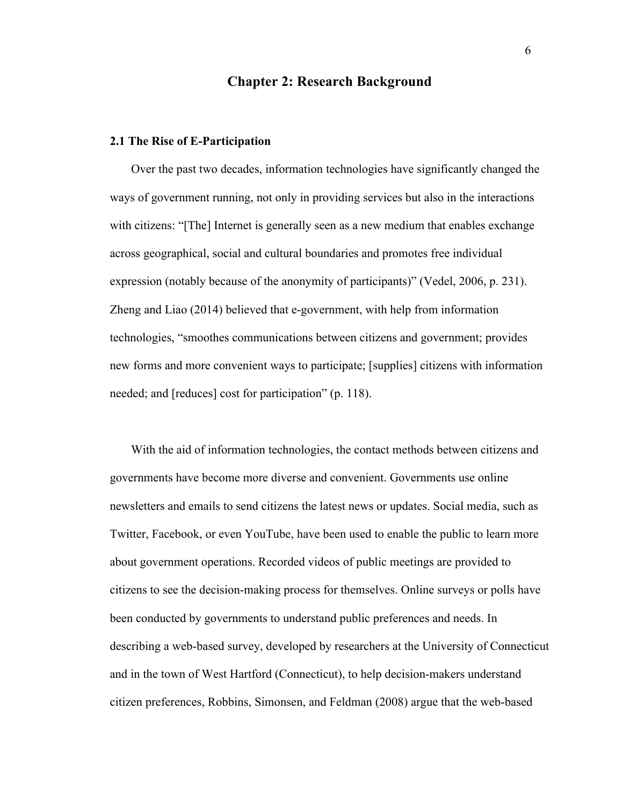## **Chapter 2: Research Background**

#### **2.1 The Rise of E-Participation**

Over the past two decades, information technologies have significantly changed the ways of government running, not only in providing services but also in the interactions with citizens: "[The] Internet is generally seen as a new medium that enables exchange across geographical, social and cultural boundaries and promotes free individual expression (notably because of the anonymity of participants)" (Vedel, 2006, p. 231). Zheng and Liao (2014) believed that e-government, with help from information technologies, "smoothes communications between citizens and government; provides new forms and more convenient ways to participate; [supplies] citizens with information needed; and [reduces] cost for participation" (p. 118).

With the aid of information technologies, the contact methods between citizens and governments have become more diverse and convenient. Governments use online newsletters and emails to send citizens the latest news or updates. Social media, such as Twitter, Facebook, or even YouTube, have been used to enable the public to learn more about government operations. Recorded videos of public meetings are provided to citizens to see the decision-making process for themselves. Online surveys or polls have been conducted by governments to understand public preferences and needs. In describing a web-based survey, developed by researchers at the University of Connecticut and in the town of West Hartford (Connecticut), to help decision-makers understand citizen preferences, Robbins, Simonsen, and Feldman (2008) argue that the web-based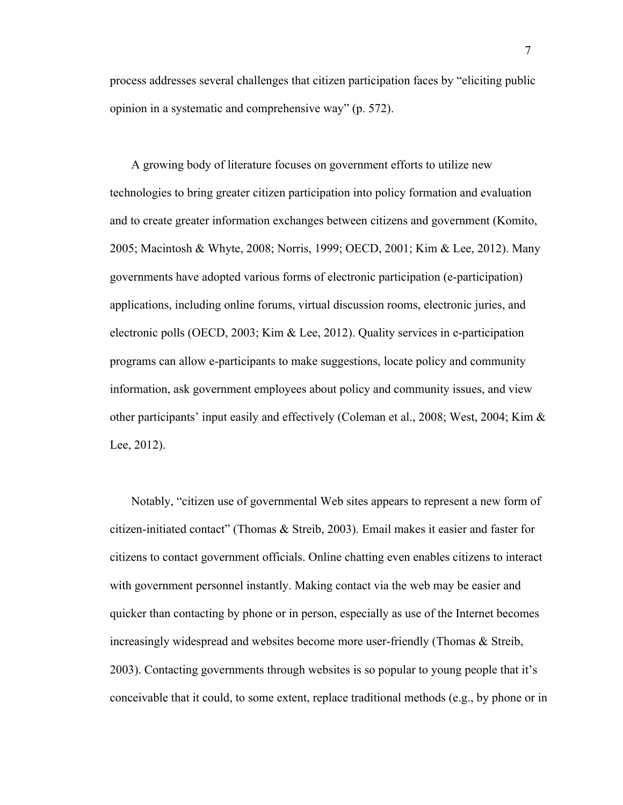process addresses several challenges that citizen participation faces by "eliciting public opinion in a systematic and comprehensive way" (p. 572).

A growing body of literature focuses on government efforts to utilize new technologies to bring greater citizen participation into policy formation and evaluation and to create greater information exchanges between citizens and government (Komito, 2005; Macintosh & Whyte, 2008; Norris, 1999; OECD, 2001; Kim & Lee, 2012). Many governments have adopted various forms of electronic participation (e-participation) applications, including online forums, virtual discussion rooms, electronic juries, and electronic polls (OECD, 2003; Kim & Lee, 2012). Quality services in e-participation programs can allow e-participants to make suggestions, locate policy and community information, ask government employees about policy and community issues, and view other participants' input easily and effectively (Coleman et al., 2008; West, 2004; Kim & Lee, 2012).

Notably, "citizen use of governmental Web sites appears to represent a new form of citizen-initiated contact" (Thomas & Streib, 2003). Email makes it easier and faster for citizens to contact government officials. Online chatting even enables citizens to interact with government personnel instantly. Making contact via the web may be easier and quicker than contacting by phone or in person, especially as use of the Internet becomes increasingly widespread and websites become more user-friendly (Thomas & Streib, 2003). Contacting governments through websites is so popular to young people that it's conceivable that it could, to some extent, replace traditional methods (e.g., by phone or in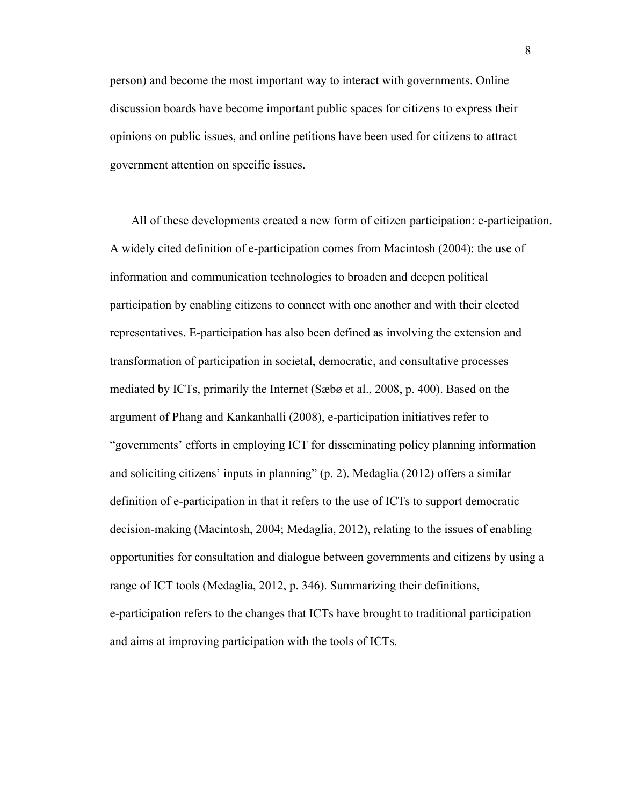person) and become the most important way to interact with governments. Online discussion boards have become important public spaces for citizens to express their opinions on public issues, and online petitions have been used for citizens to attract government attention on specific issues.

All of these developments created a new form of citizen participation: e-participation. A widely cited definition of e-participation comes from Macintosh (2004): the use of information and communication technologies to broaden and deepen political participation by enabling citizens to connect with one another and with their elected representatives. E-participation has also been defined as involving the extension and transformation of participation in societal, democratic, and consultative processes mediated by ICTs, primarily the Internet (Sæbø et al., 2008, p. 400). Based on the argument of Phang and Kankanhalli (2008), e-participation initiatives refer to "governments' efforts in employing ICT for disseminating policy planning information and soliciting citizens' inputs in planning" (p. 2). Medaglia (2012) offers a similar definition of e-participation in that it refers to the use of ICTs to support democratic decision-making (Macintosh, 2004; Medaglia, 2012), relating to the issues of enabling opportunities for consultation and dialogue between governments and citizens by using a range of ICT tools (Medaglia, 2012, p. 346). Summarizing their definitions, e-participation refers to the changes that ICTs have brought to traditional participation and aims at improving participation with the tools of ICTs.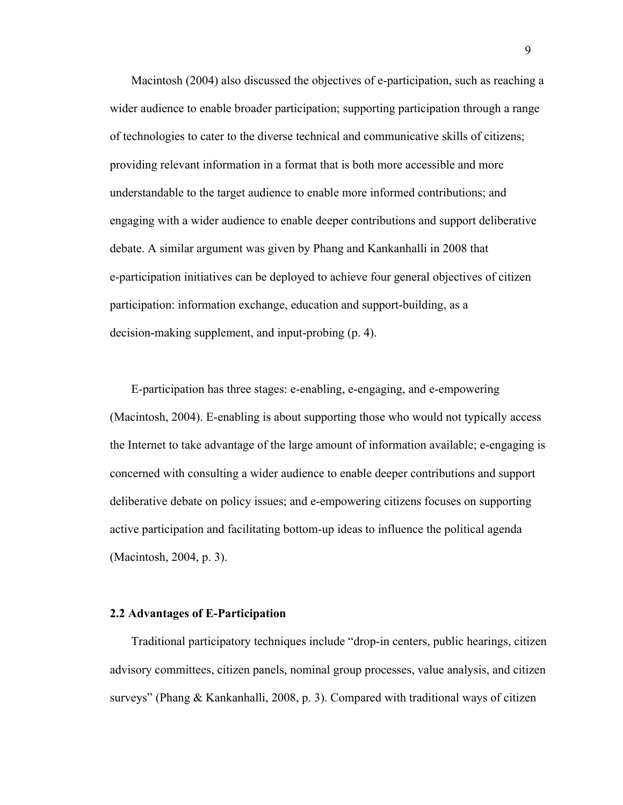Macintosh (2004) also discussed the objectives of e-participation, such as reaching a wider audience to enable broader participation; supporting participation through a range of technologies to cater to the diverse technical and communicative skills of citizens; providing relevant information in a format that is both more accessible and more understandable to the target audience to enable more informed contributions; and engaging with a wider audience to enable deeper contributions and support deliberative debate. A similar argument was given by Phang and Kankanhalli in 2008 that e-participation initiatives can be deployed to achieve four general objectives of citizen participation: information exchange, education and support-building, as a decision-making supplement, and input-probing (p. 4).

E-participation has three stages: e-enabling, e-engaging, and e-empowering (Macintosh, 2004). E-enabling is about supporting those who would not typically access the Internet to take advantage of the large amount of information available; e-engaging is concerned with consulting a wider audience to enable deeper contributions and support deliberative debate on policy issues; and e-empowering citizens focuses on supporting active participation and facilitating bottom-up ideas to influence the political agenda (Macintosh, 2004, p. 3).

#### **2.2 Advantages of E-Participation**

Traditional participatory techniques include "drop-in centers, public hearings, citizen advisory committees, citizen panels, nominal group processes, value analysis, and citizen surveys" (Phang & Kankanhalli, 2008, p. 3). Compared with traditional ways of citizen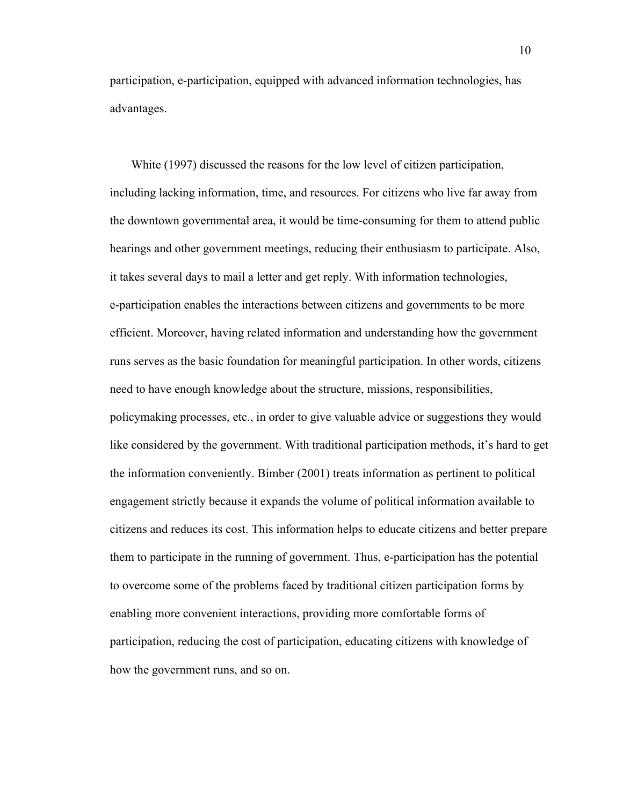participation, e-participation, equipped with advanced information technologies, has advantages.

White (1997) discussed the reasons for the low level of citizen participation, including lacking information, time, and resources. For citizens who live far away from the downtown governmental area, it would be time-consuming for them to attend public hearings and other government meetings, reducing their enthusiasm to participate. Also, it takes several days to mail a letter and get reply. With information technologies, e-participation enables the interactions between citizens and governments to be more efficient. Moreover, having related information and understanding how the government runs serves as the basic foundation for meaningful participation. In other words, citizens need to have enough knowledge about the structure, missions, responsibilities, policymaking processes, etc., in order to give valuable advice or suggestions they would like considered by the government. With traditional participation methods, it's hard to get the information conveniently. Bimber (2001) treats information as pertinent to political engagement strictly because it expands the volume of political information available to citizens and reduces its cost. This information helps to educate citizens and better prepare them to participate in the running of government. Thus, e-participation has the potential to overcome some of the problems faced by traditional citizen participation forms by enabling more convenient interactions, providing more comfortable forms of participation, reducing the cost of participation, educating citizens with knowledge of how the government runs, and so on.

10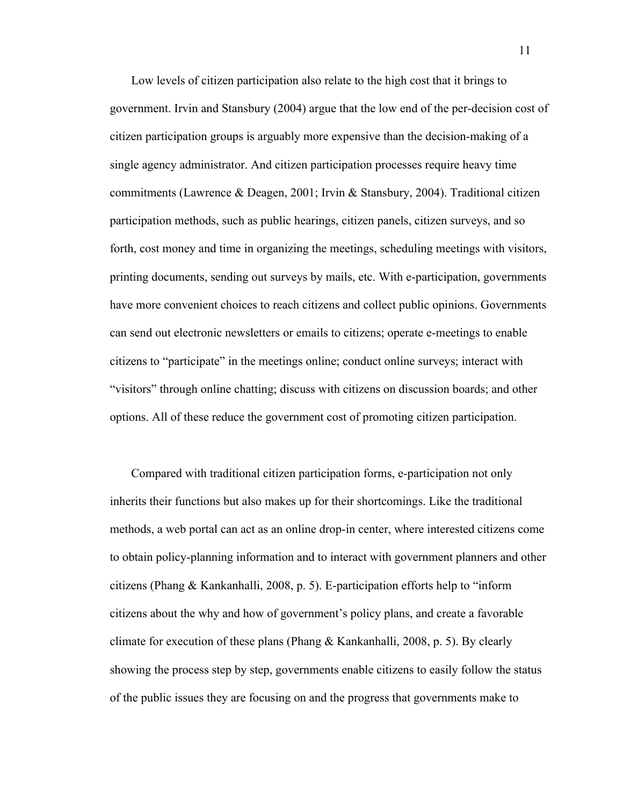Low levels of citizen participation also relate to the high cost that it brings to government. Irvin and Stansbury (2004) argue that the low end of the per-decision cost of citizen participation groups is arguably more expensive than the decision-making of a single agency administrator. And citizen participation processes require heavy time commitments (Lawrence & Deagen, 2001; Irvin & Stansbury, 2004). Traditional citizen participation methods, such as public hearings, citizen panels, citizen surveys, and so forth, cost money and time in organizing the meetings, scheduling meetings with visitors, printing documents, sending out surveys by mails, etc. With e-participation, governments have more convenient choices to reach citizens and collect public opinions. Governments can send out electronic newsletters or emails to citizens; operate e-meetings to enable citizens to "participate" in the meetings online; conduct online surveys; interact with "visitors" through online chatting; discuss with citizens on discussion boards; and other options. All of these reduce the government cost of promoting citizen participation.

Compared with traditional citizen participation forms, e-participation not only inherits their functions but also makes up for their shortcomings. Like the traditional methods, a web portal can act as an online drop-in center, where interested citizens come to obtain policy-planning information and to interact with government planners and other citizens (Phang & Kankanhalli, 2008, p. 5). E-participation efforts help to "inform citizens about the why and how of government's policy plans, and create a favorable climate for execution of these plans (Phang & Kankanhalli, 2008, p. 5). By clearly showing the process step by step, governments enable citizens to easily follow the status of the public issues they are focusing on and the progress that governments make to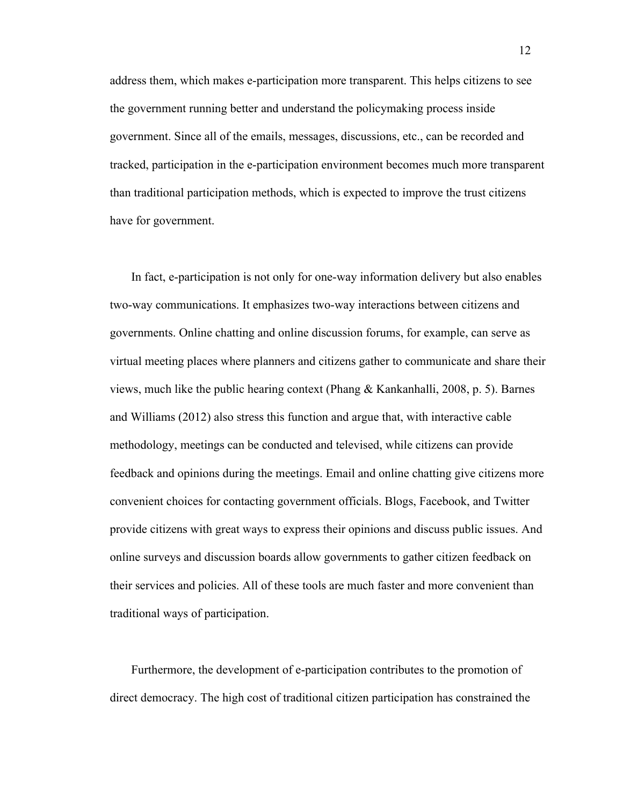address them, which makes e-participation more transparent. This helps citizens to see the government running better and understand the policymaking process inside government. Since all of the emails, messages, discussions, etc., can be recorded and tracked, participation in the e-participation environment becomes much more transparent than traditional participation methods, which is expected to improve the trust citizens have for government.

In fact, e-participation is not only for one-way information delivery but also enables two-way communications. It emphasizes two-way interactions between citizens and governments. Online chatting and online discussion forums, for example, can serve as virtual meeting places where planners and citizens gather to communicate and share their views, much like the public hearing context (Phang & Kankanhalli, 2008, p. 5). Barnes and Williams (2012) also stress this function and argue that, with interactive cable methodology, meetings can be conducted and televised, while citizens can provide feedback and opinions during the meetings. Email and online chatting give citizens more convenient choices for contacting government officials. Blogs, Facebook, and Twitter provide citizens with great ways to express their opinions and discuss public issues. And online surveys and discussion boards allow governments to gather citizen feedback on their services and policies. All of these tools are much faster and more convenient than traditional ways of participation.

Furthermore, the development of e-participation contributes to the promotion of direct democracy. The high cost of traditional citizen participation has constrained the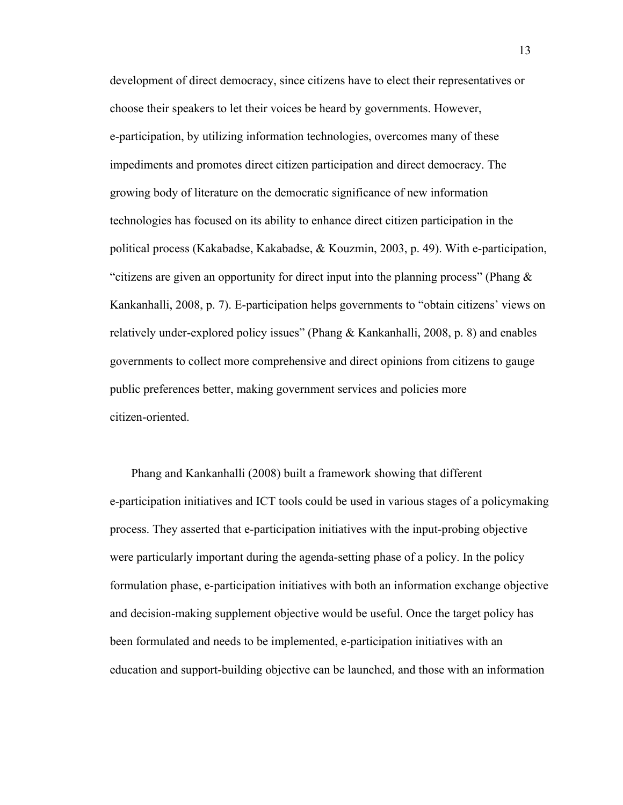development of direct democracy, since citizens have to elect their representatives or choose their speakers to let their voices be heard by governments. However, e-participation, by utilizing information technologies, overcomes many of these impediments and promotes direct citizen participation and direct democracy. The growing body of literature on the democratic significance of new information technologies has focused on its ability to enhance direct citizen participation in the political process (Kakabadse, Kakabadse, & Kouzmin, 2003, p. 49). With e-participation, "citizens are given an opportunity for direct input into the planning process" (Phang  $\&$ Kankanhalli, 2008, p. 7). E-participation helps governments to "obtain citizens' views on relatively under-explored policy issues" (Phang  $&$  Kankanhalli, 2008, p. 8) and enables governments to collect more comprehensive and direct opinions from citizens to gauge public preferences better, making government services and policies more citizen-oriented.

Phang and Kankanhalli (2008) built a framework showing that different e-participation initiatives and ICT tools could be used in various stages of a policymaking process. They asserted that e-participation initiatives with the input-probing objective were particularly important during the agenda-setting phase of a policy. In the policy formulation phase, e-participation initiatives with both an information exchange objective and decision-making supplement objective would be useful. Once the target policy has been formulated and needs to be implemented, e-participation initiatives with an education and support-building objective can be launched, and those with an information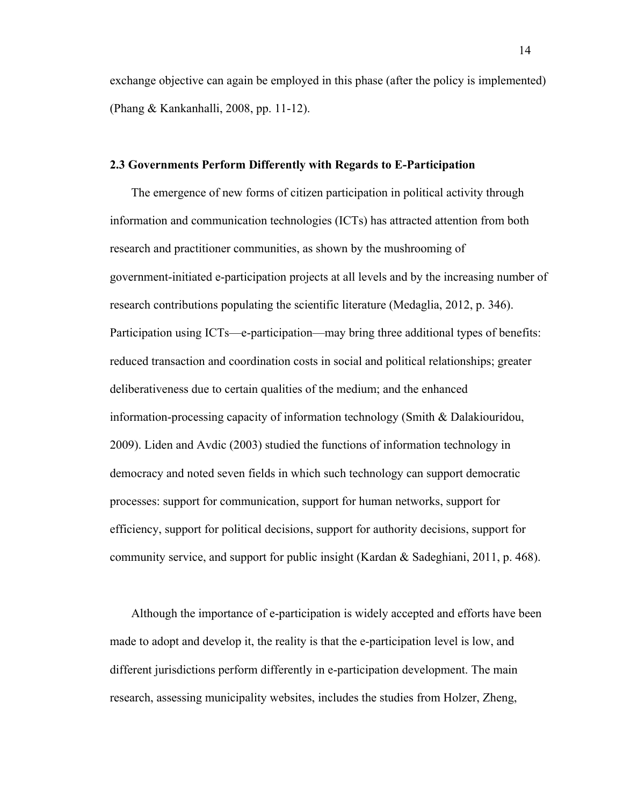exchange objective can again be employed in this phase (after the policy is implemented) (Phang & Kankanhalli, 2008, pp. 11-12).

### **2.3 Governments Perform Differently with Regards to E-Participation**

The emergence of new forms of citizen participation in political activity through information and communication technologies (ICTs) has attracted attention from both research and practitioner communities, as shown by the mushrooming of government-initiated e-participation projects at all levels and by the increasing number of research contributions populating the scientific literature (Medaglia, 2012, p. 346). Participation using ICTs—e-participation—may bring three additional types of benefits: reduced transaction and coordination costs in social and political relationships; greater deliberativeness due to certain qualities of the medium; and the enhanced information-processing capacity of information technology (Smith & Dalakiouridou, 2009). Liden and Avdic (2003) studied the functions of information technology in democracy and noted seven fields in which such technology can support democratic processes: support for communication, support for human networks, support for efficiency, support for political decisions, support for authority decisions, support for community service, and support for public insight (Kardan & Sadeghiani, 2011, p. 468).

Although the importance of e-participation is widely accepted and efforts have been made to adopt and develop it, the reality is that the e-participation level is low, and different jurisdictions perform differently in e-participation development. The main research, assessing municipality websites, includes the studies from Holzer, Zheng,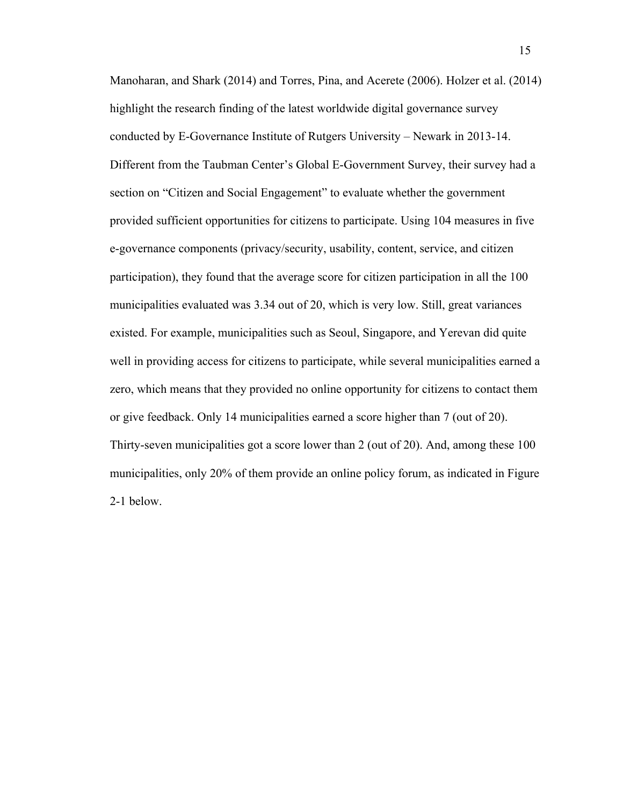Manoharan, and Shark (2014) and Torres, Pina, and Acerete (2006). Holzer et al. (2014) highlight the research finding of the latest worldwide digital governance survey conducted by E-Governance Institute of Rutgers University – Newark in 2013-14. Different from the Taubman Center's Global E-Government Survey, their survey had a section on "Citizen and Social Engagement" to evaluate whether the government provided sufficient opportunities for citizens to participate. Using 104 measures in five e-governance components (privacy/security, usability, content, service, and citizen participation), they found that the average score for citizen participation in all the 100 municipalities evaluated was 3.34 out of 20, which is very low. Still, great variances existed. For example, municipalities such as Seoul, Singapore, and Yerevan did quite well in providing access for citizens to participate, while several municipalities earned a zero, which means that they provided no online opportunity for citizens to contact them or give feedback. Only 14 municipalities earned a score higher than 7 (out of 20). Thirty-seven municipalities got a score lower than 2 (out of 20). And, among these 100 municipalities, only 20% of them provide an online policy forum, as indicated in Figure 2-1 below.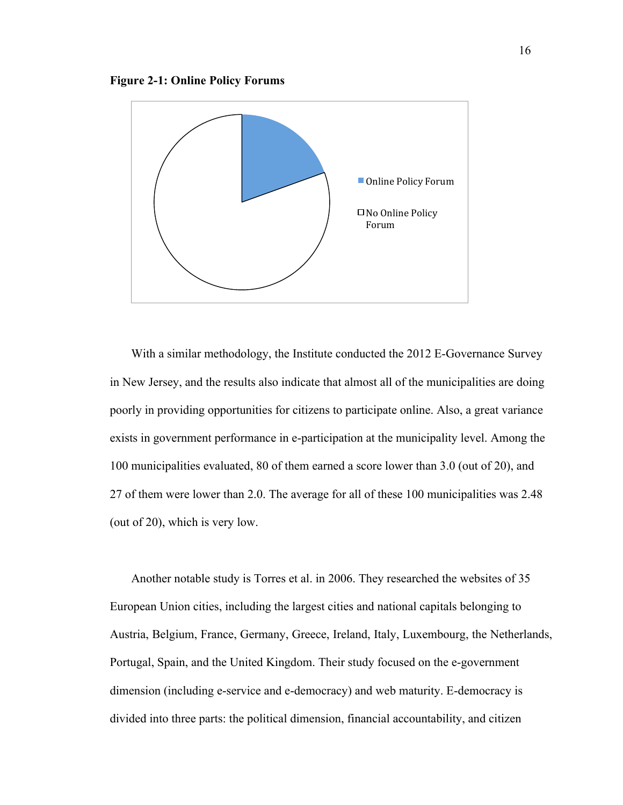

With a similar methodology, the Institute conducted the 2012 E-Governance Survey in New Jersey, and the results also indicate that almost all of the municipalities are doing poorly in providing opportunities for citizens to participate online. Also, a great variance exists in government performance in e-participation at the municipality level. Among the 100 municipalities evaluated, 80 of them earned a score lower than 3.0 (out of 20), and 27 of them were lower than 2.0. The average for all of these 100 municipalities was 2.48 (out of 20), which is very low.

Another notable study is Torres et al. in 2006. They researched the websites of 35 European Union cities, including the largest cities and national capitals belonging to Austria, Belgium, France, Germany, Greece, Ireland, Italy, Luxembourg, the Netherlands, Portugal, Spain, and the United Kingdom. Their study focused on the e-government dimension (including e-service and e-democracy) and web maturity. E-democracy is divided into three parts: the political dimension, financial accountability, and citizen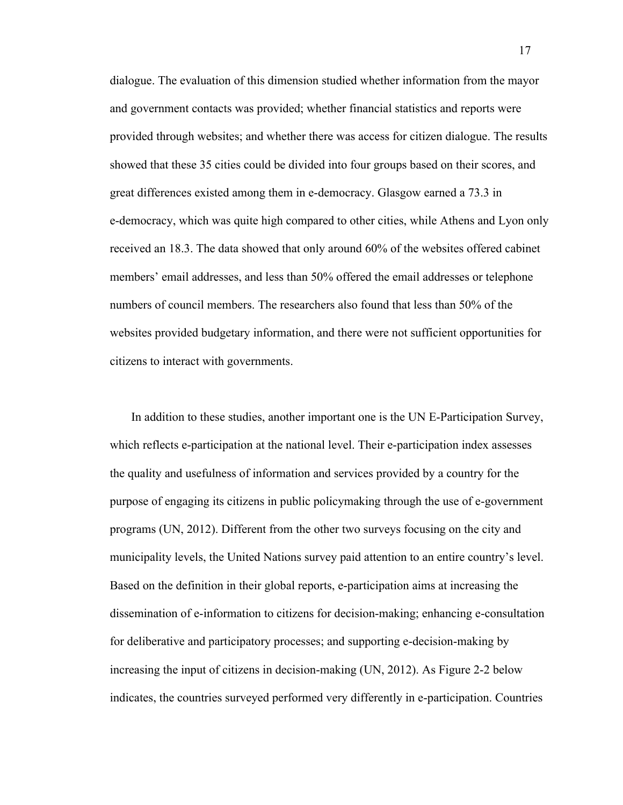dialogue. The evaluation of this dimension studied whether information from the mayor and government contacts was provided; whether financial statistics and reports were provided through websites; and whether there was access for citizen dialogue. The results showed that these 35 cities could be divided into four groups based on their scores, and great differences existed among them in e-democracy. Glasgow earned a 73.3 in e-democracy, which was quite high compared to other cities, while Athens and Lyon only received an 18.3. The data showed that only around 60% of the websites offered cabinet members' email addresses, and less than 50% offered the email addresses or telephone numbers of council members. The researchers also found that less than 50% of the websites provided budgetary information, and there were not sufficient opportunities for citizens to interact with governments.

In addition to these studies, another important one is the UN E-Participation Survey, which reflects e-participation at the national level. Their e-participation index assesses the quality and usefulness of information and services provided by a country for the purpose of engaging its citizens in public policymaking through the use of e-government programs (UN, 2012). Different from the other two surveys focusing on the city and municipality levels, the United Nations survey paid attention to an entire country's level. Based on the definition in their global reports, e-participation aims at increasing the dissemination of e-information to citizens for decision-making; enhancing e-consultation for deliberative and participatory processes; and supporting e-decision-making by increasing the input of citizens in decision-making (UN, 2012). As Figure 2-2 below indicates, the countries surveyed performed very differently in e-participation. Countries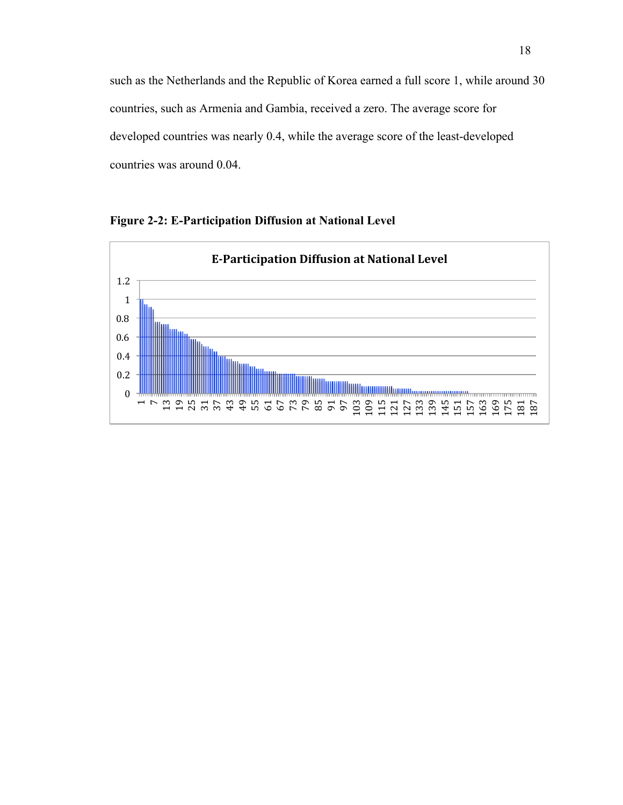such as the Netherlands and the Republic of Korea earned a full score 1, while around 30 countries, such as Armenia and Gambia, received a zero. The average score for developed countries was nearly 0.4, while the average score of the least-developed countries was around 0.04.

**Figure 2-2: E-Participation Diffusion at National Level**

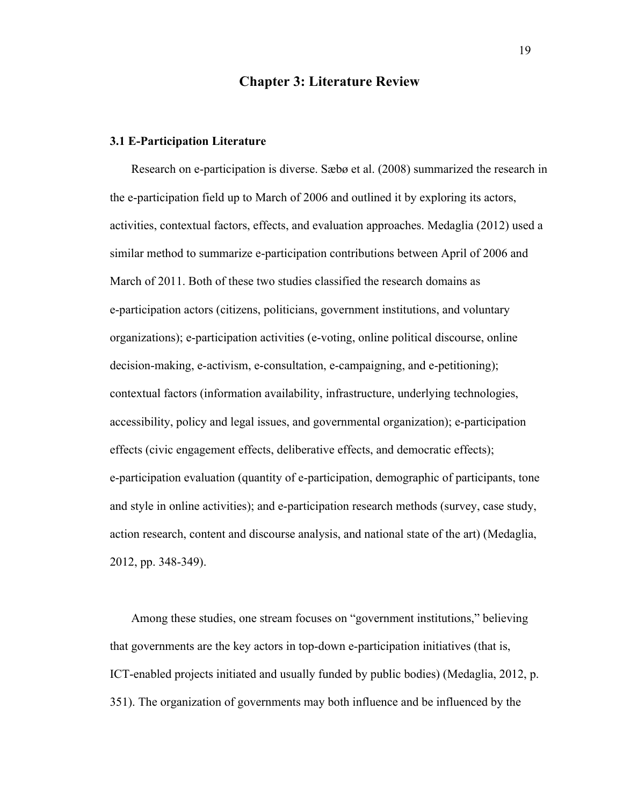## **Chapter 3: Literature Review**

### **3.1 E-Participation Literature**

Research on e-participation is diverse. Sæbø et al. (2008) summarized the research in the e-participation field up to March of 2006 and outlined it by exploring its actors, activities, contextual factors, effects, and evaluation approaches. Medaglia (2012) used a similar method to summarize e-participation contributions between April of 2006 and March of 2011. Both of these two studies classified the research domains as e-participation actors (citizens, politicians, government institutions, and voluntary organizations); e-participation activities (e-voting, online political discourse, online decision-making, e-activism, e-consultation, e-campaigning, and e-petitioning); contextual factors (information availability, infrastructure, underlying technologies, accessibility, policy and legal issues, and governmental organization); e-participation effects (civic engagement effects, deliberative effects, and democratic effects); e-participation evaluation (quantity of e-participation, demographic of participants, tone and style in online activities); and e-participation research methods (survey, case study, action research, content and discourse analysis, and national state of the art) (Medaglia, 2012, pp. 348-349).

Among these studies, one stream focuses on "government institutions," believing that governments are the key actors in top-down e-participation initiatives (that is, ICT-enabled projects initiated and usually funded by public bodies) (Medaglia, 2012, p. 351). The organization of governments may both influence and be influenced by the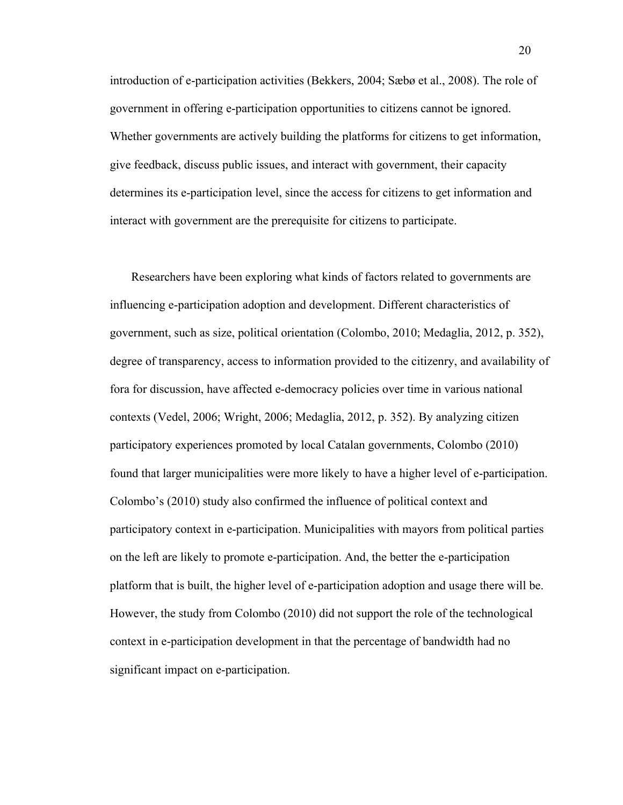introduction of e-participation activities (Bekkers, 2004; Sæbø et al., 2008). The role of government in offering e-participation opportunities to citizens cannot be ignored. Whether governments are actively building the platforms for citizens to get information, give feedback, discuss public issues, and interact with government, their capacity determines its e-participation level, since the access for citizens to get information and interact with government are the prerequisite for citizens to participate.

Researchers have been exploring what kinds of factors related to governments are influencing e-participation adoption and development. Different characteristics of government, such as size, political orientation (Colombo, 2010; Medaglia, 2012, p. 352), degree of transparency, access to information provided to the citizenry, and availability of fora for discussion, have affected e-democracy policies over time in various national contexts (Vedel, 2006; Wright, 2006; Medaglia, 2012, p. 352). By analyzing citizen participatory experiences promoted by local Catalan governments, Colombo (2010) found that larger municipalities were more likely to have a higher level of e-participation. Colombo's (2010) study also confirmed the influence of political context and participatory context in e-participation. Municipalities with mayors from political parties on the left are likely to promote e-participation. And, the better the e-participation platform that is built, the higher level of e-participation adoption and usage there will be. However, the study from Colombo (2010) did not support the role of the technological context in e-participation development in that the percentage of bandwidth had no significant impact on e-participation.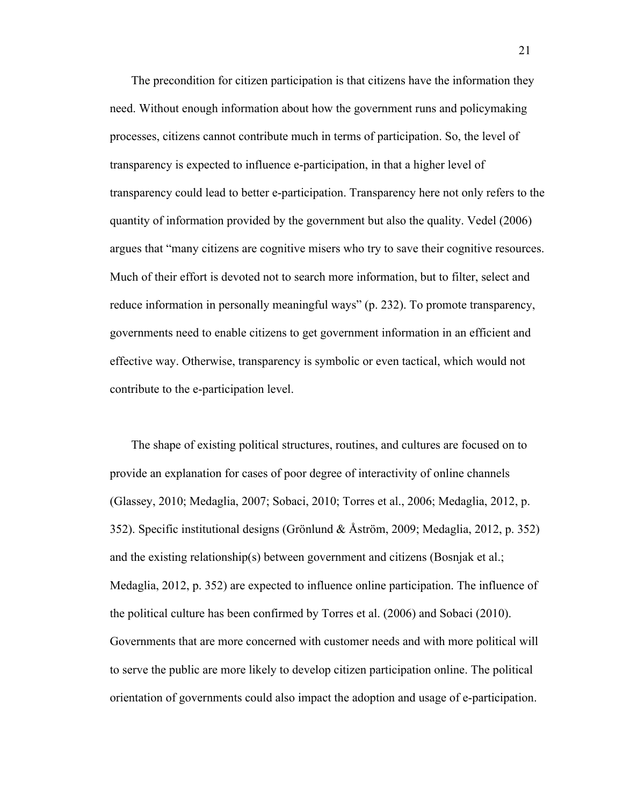The precondition for citizen participation is that citizens have the information they need. Without enough information about how the government runs and policymaking processes, citizens cannot contribute much in terms of participation. So, the level of transparency is expected to influence e-participation, in that a higher level of transparency could lead to better e-participation. Transparency here not only refers to the quantity of information provided by the government but also the quality. Vedel (2006) argues that "many citizens are cognitive misers who try to save their cognitive resources. Much of their effort is devoted not to search more information, but to filter, select and reduce information in personally meaningful ways" (p. 232). To promote transparency, governments need to enable citizens to get government information in an efficient and effective way. Otherwise, transparency is symbolic or even tactical, which would not contribute to the e-participation level.

The shape of existing political structures, routines, and cultures are focused on to provide an explanation for cases of poor degree of interactivity of online channels (Glassey, 2010; Medaglia, 2007; Sobaci, 2010; Torres et al., 2006; Medaglia, 2012, p. 352). Specific institutional designs (Grönlund & Åström, 2009; Medaglia, 2012, p. 352) and the existing relationship(s) between government and citizens (Bosnjak et al.; Medaglia, 2012, p. 352) are expected to influence online participation. The influence of the political culture has been confirmed by Torres et al. (2006) and Sobaci (2010). Governments that are more concerned with customer needs and with more political will to serve the public are more likely to develop citizen participation online. The political orientation of governments could also impact the adoption and usage of e-participation.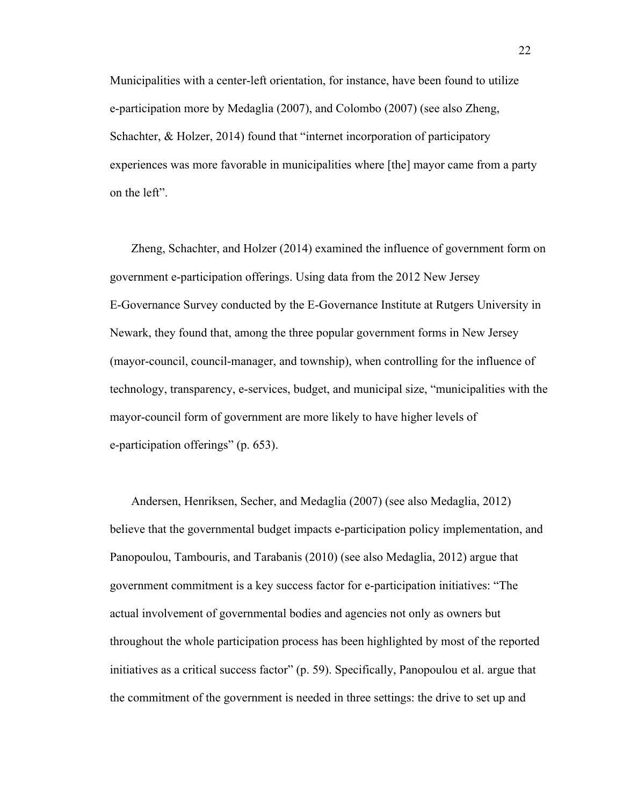Municipalities with a center-left orientation, for instance, have been found to utilize e-participation more by Medaglia (2007), and Colombo (2007) (see also Zheng, Schachter, & Holzer, 2014) found that "internet incorporation of participatory experiences was more favorable in municipalities where [the] mayor came from a party on the left".

Zheng, Schachter, and Holzer (2014) examined the influence of government form on government e-participation offerings. Using data from the 2012 New Jersey E-Governance Survey conducted by the E-Governance Institute at Rutgers University in Newark, they found that, among the three popular government forms in New Jersey (mayor-council, council-manager, and township), when controlling for the influence of technology, transparency, e-services, budget, and municipal size, "municipalities with the mayor-council form of government are more likely to have higher levels of e-participation offerings" (p. 653).

Andersen, Henriksen, Secher, and Medaglia (2007) (see also Medaglia, 2012) believe that the governmental budget impacts e-participation policy implementation, and Panopoulou, Tambouris, and Tarabanis (2010) (see also Medaglia, 2012) argue that government commitment is a key success factor for e-participation initiatives: "The actual involvement of governmental bodies and agencies not only as owners but throughout the whole participation process has been highlighted by most of the reported initiatives as a critical success factor" (p. 59). Specifically, Panopoulou et al. argue that the commitment of the government is needed in three settings: the drive to set up and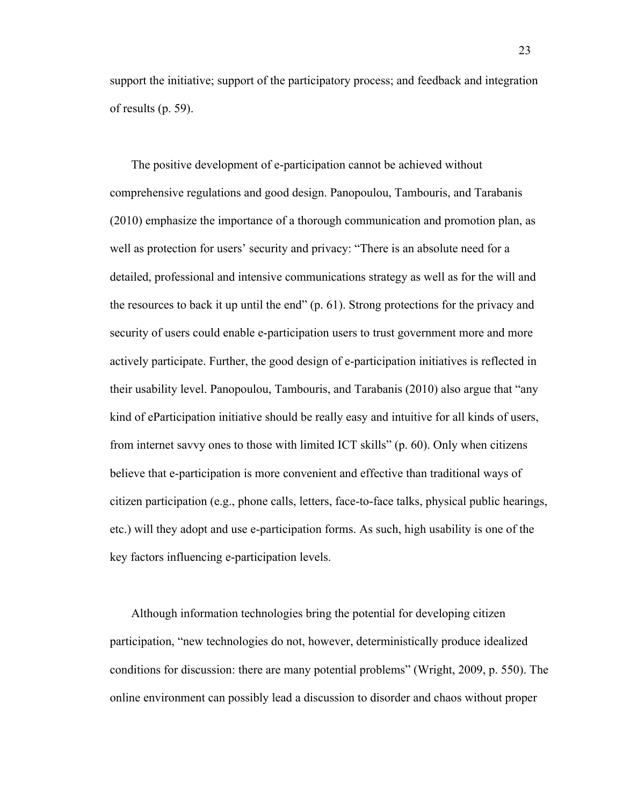support the initiative; support of the participatory process; and feedback and integration of results (p. 59).

The positive development of e-participation cannot be achieved without comprehensive regulations and good design. Panopoulou, Tambouris, and Tarabanis (2010) emphasize the importance of a thorough communication and promotion plan, as well as protection for users' security and privacy: "There is an absolute need for a detailed, professional and intensive communications strategy as well as for the will and the resources to back it up until the end" (p. 61). Strong protections for the privacy and security of users could enable e-participation users to trust government more and more actively participate. Further, the good design of e-participation initiatives is reflected in their usability level. Panopoulou, Tambouris, and Tarabanis (2010) also argue that "any kind of eParticipation initiative should be really easy and intuitive for all kinds of users, from internet savvy ones to those with limited ICT skills" (p. 60). Only when citizens believe that e-participation is more convenient and effective than traditional ways of citizen participation (e.g., phone calls, letters, face-to-face talks, physical public hearings, etc.) will they adopt and use e-participation forms. As such, high usability is one of the key factors influencing e-participation levels.

Although information technologies bring the potential for developing citizen participation, "new technologies do not, however, deterministically produce idealized conditions for discussion: there are many potential problems" (Wright, 2009, p. 550). The online environment can possibly lead a discussion to disorder and chaos without proper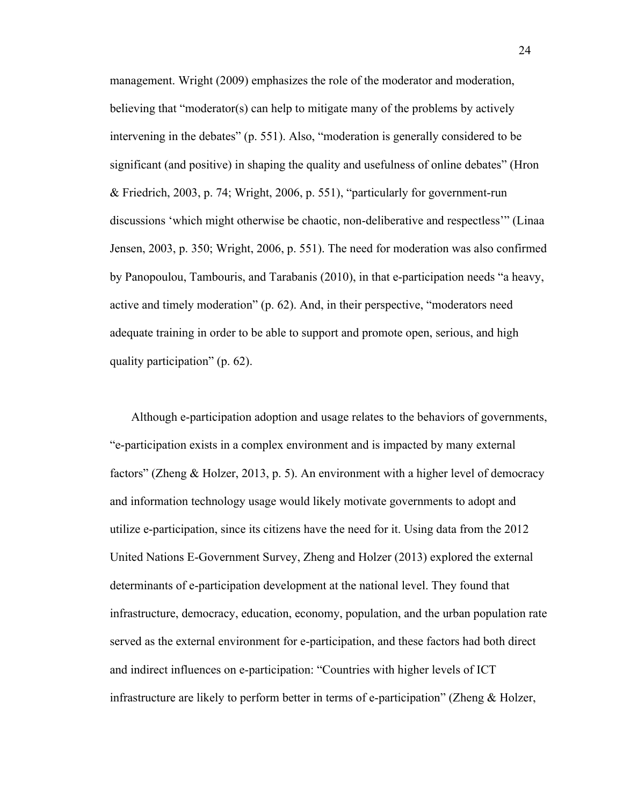management. Wright (2009) emphasizes the role of the moderator and moderation, believing that "moderator(s) can help to mitigate many of the problems by actively intervening in the debates" (p. 551). Also, "moderation is generally considered to be significant (and positive) in shaping the quality and usefulness of online debates" (Hron & Friedrich, 2003, p. 74; Wright, 2006, p. 551), "particularly for government-run discussions 'which might otherwise be chaotic, non-deliberative and respectless'" (Linaa Jensen, 2003, p. 350; Wright, 2006, p. 551). The need for moderation was also confirmed by Panopoulou, Tambouris, and Tarabanis (2010), in that e-participation needs "a heavy, active and timely moderation" (p. 62). And, in their perspective, "moderators need adequate training in order to be able to support and promote open, serious, and high quality participation" (p. 62).

Although e-participation adoption and usage relates to the behaviors of governments, "e-participation exists in a complex environment and is impacted by many external factors" (Zheng & Holzer, 2013, p. 5). An environment with a higher level of democracy and information technology usage would likely motivate governments to adopt and utilize e-participation, since its citizens have the need for it. Using data from the 2012 United Nations E-Government Survey, Zheng and Holzer (2013) explored the external determinants of e-participation development at the national level. They found that infrastructure, democracy, education, economy, population, and the urban population rate served as the external environment for e-participation, and these factors had both direct and indirect influences on e-participation: "Countries with higher levels of ICT infrastructure are likely to perform better in terms of e-participation" (Zheng & Holzer,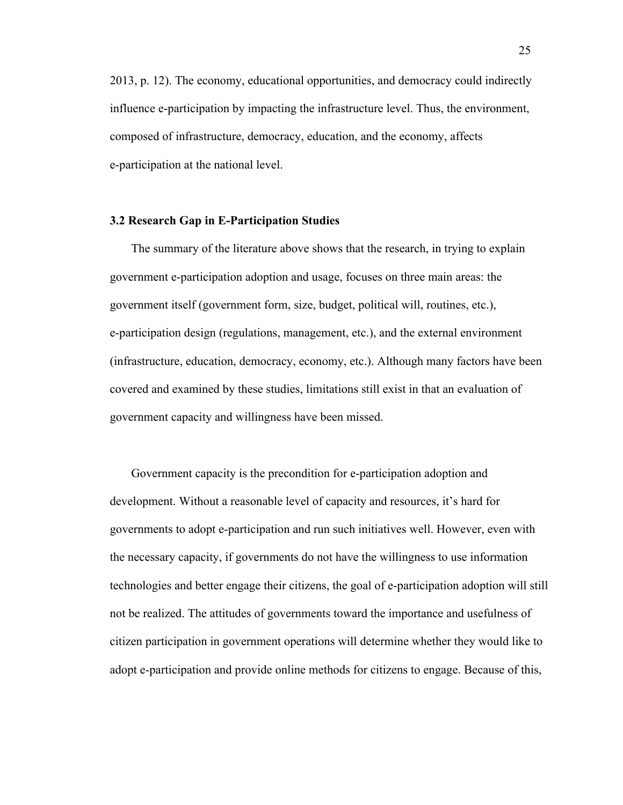2013, p. 12). The economy, educational opportunities, and democracy could indirectly influence e-participation by impacting the infrastructure level. Thus, the environment, composed of infrastructure, democracy, education, and the economy, affects e-participation at the national level.

### **3.2 Research Gap in E-Participation Studies**

The summary of the literature above shows that the research, in trying to explain government e-participation adoption and usage, focuses on three main areas: the government itself (government form, size, budget, political will, routines, etc.), e-participation design (regulations, management, etc.), and the external environment (infrastructure, education, democracy, economy, etc.). Although many factors have been covered and examined by these studies, limitations still exist in that an evaluation of government capacity and willingness have been missed.

Government capacity is the precondition for e-participation adoption and development. Without a reasonable level of capacity and resources, it's hard for governments to adopt e-participation and run such initiatives well. However, even with the necessary capacity, if governments do not have the willingness to use information technologies and better engage their citizens, the goal of e-participation adoption will still not be realized. The attitudes of governments toward the importance and usefulness of citizen participation in government operations will determine whether they would like to adopt e-participation and provide online methods for citizens to engage. Because of this,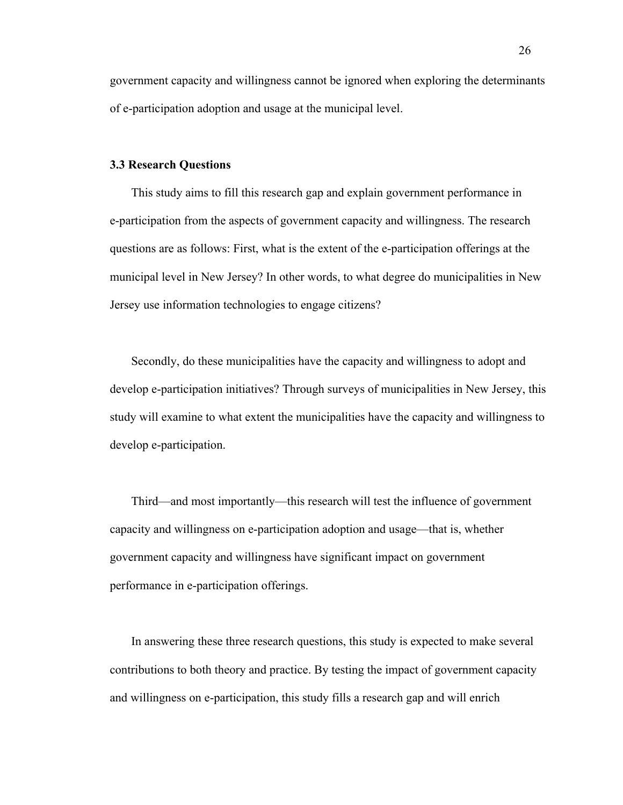government capacity and willingness cannot be ignored when exploring the determinants of e-participation adoption and usage at the municipal level.

#### **3.3 Research Questions**

This study aims to fill this research gap and explain government performance in e-participation from the aspects of government capacity and willingness. The research questions are as follows: First, what is the extent of the e-participation offerings at the municipal level in New Jersey? In other words, to what degree do municipalities in New Jersey use information technologies to engage citizens?

Secondly, do these municipalities have the capacity and willingness to adopt and develop e-participation initiatives? Through surveys of municipalities in New Jersey, this study will examine to what extent the municipalities have the capacity and willingness to develop e-participation.

Third—and most importantly—this research will test the influence of government capacity and willingness on e-participation adoption and usage—that is, whether government capacity and willingness have significant impact on government performance in e-participation offerings.

In answering these three research questions, this study is expected to make several contributions to both theory and practice. By testing the impact of government capacity and willingness on e-participation, this study fills a research gap and will enrich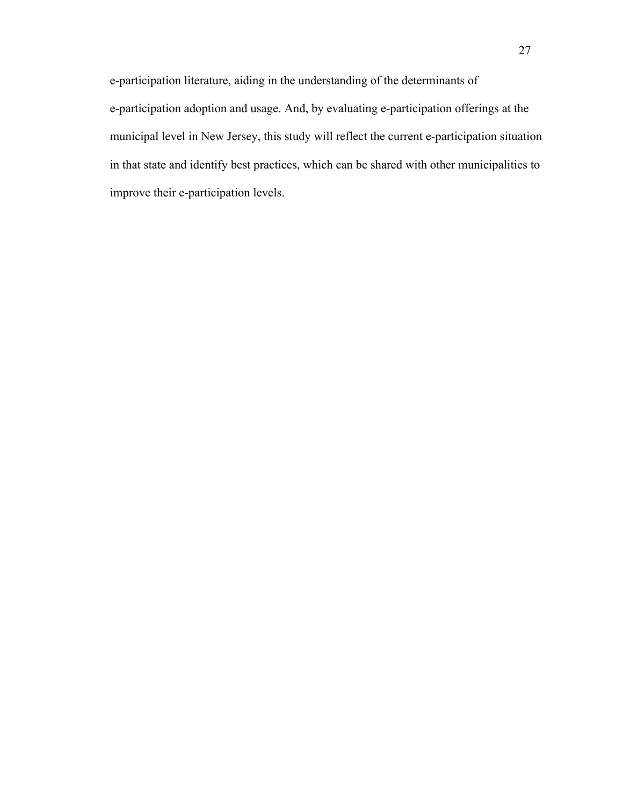e-participation literature, aiding in the understanding of the determinants of e-participation adoption and usage. And, by evaluating e-participation offerings at the municipal level in New Jersey, this study will reflect the current e-participation situation in that state and identify best practices, which can be shared with other municipalities to improve their e-participation levels.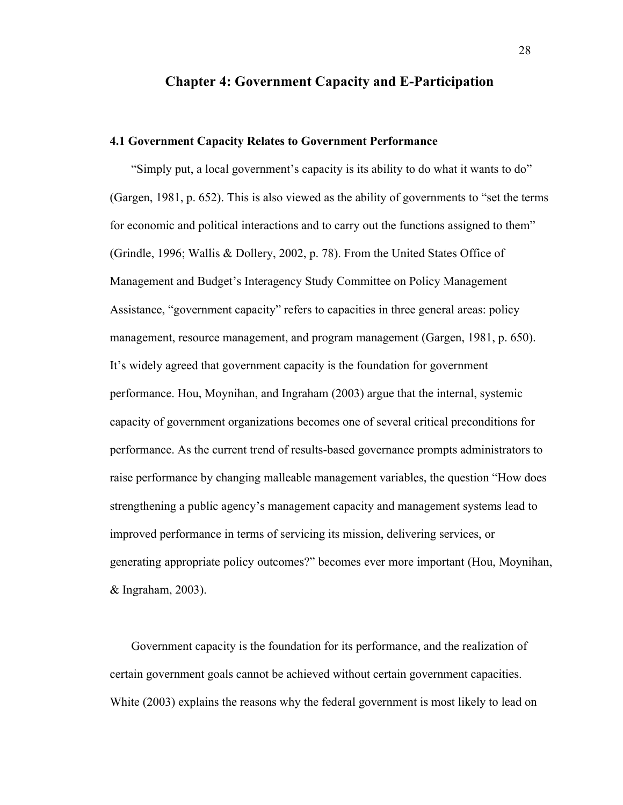## **Chapter 4: Government Capacity and E-Participation**

#### **4.1 Government Capacity Relates to Government Performance**

"Simply put, a local government's capacity is its ability to do what it wants to do" (Gargen, 1981, p. 652). This is also viewed as the ability of governments to "set the terms for economic and political interactions and to carry out the functions assigned to them" (Grindle, 1996; Wallis & Dollery, 2002, p. 78). From the United States Office of Management and Budget's Interagency Study Committee on Policy Management Assistance, "government capacity" refers to capacities in three general areas: policy management, resource management, and program management (Gargen, 1981, p. 650). It's widely agreed that government capacity is the foundation for government performance. Hou, Moynihan, and Ingraham (2003) argue that the internal, systemic capacity of government organizations becomes one of several critical preconditions for performance. As the current trend of results-based governance prompts administrators to raise performance by changing malleable management variables, the question "How does strengthening a public agency's management capacity and management systems lead to improved performance in terms of servicing its mission, delivering services, or generating appropriate policy outcomes?" becomes ever more important (Hou, Moynihan, & Ingraham, 2003).

Government capacity is the foundation for its performance, and the realization of certain government goals cannot be achieved without certain government capacities. White (2003) explains the reasons why the federal government is most likely to lead on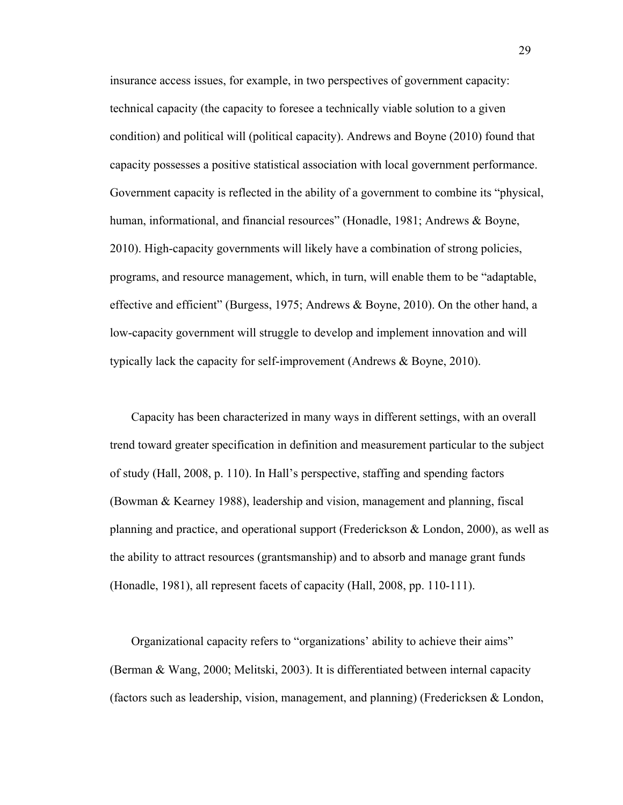insurance access issues, for example, in two perspectives of government capacity: technical capacity (the capacity to foresee a technically viable solution to a given condition) and political will (political capacity). Andrews and Boyne (2010) found that capacity possesses a positive statistical association with local government performance. Government capacity is reflected in the ability of a government to combine its "physical, human, informational, and financial resources" (Honadle, 1981; Andrews & Boyne, 2010). High-capacity governments will likely have a combination of strong policies, programs, and resource management, which, in turn, will enable them to be "adaptable, effective and efficient" (Burgess, 1975; Andrews & Boyne, 2010). On the other hand, a low-capacity government will struggle to develop and implement innovation and will typically lack the capacity for self-improvement (Andrews & Boyne, 2010).

Capacity has been characterized in many ways in different settings, with an overall trend toward greater specification in definition and measurement particular to the subject of study (Hall, 2008, p. 110). In Hall's perspective, staffing and spending factors (Bowman & Kearney 1988), leadership and vision, management and planning, fiscal planning and practice, and operational support (Frederickson & London, 2000), as well as the ability to attract resources (grantsmanship) and to absorb and manage grant funds (Honadle, 1981), all represent facets of capacity (Hall, 2008, pp. 110-111).

Organizational capacity refers to "organizations' ability to achieve their aims" (Berman & Wang, 2000; Melitski, 2003). It is differentiated between internal capacity (factors such as leadership, vision, management, and planning) (Fredericksen & London,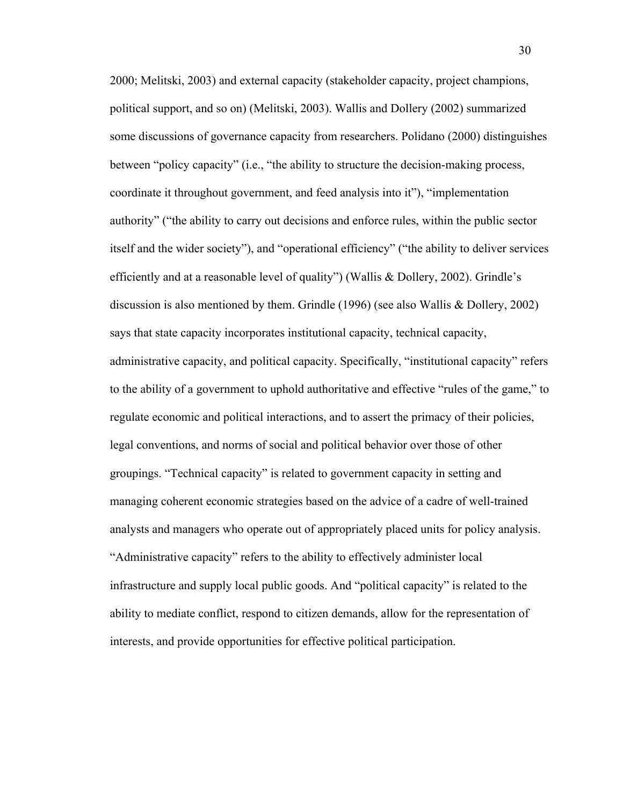2000; Melitski, 2003) and external capacity (stakeholder capacity, project champions, political support, and so on) (Melitski, 2003). Wallis and Dollery (2002) summarized some discussions of governance capacity from researchers. Polidano (2000) distinguishes between "policy capacity" (i.e., "the ability to structure the decision-making process, coordinate it throughout government, and feed analysis into it"), "implementation authority" ("the ability to carry out decisions and enforce rules, within the public sector itself and the wider society"), and "operational efficiency" ("the ability to deliver services efficiently and at a reasonable level of quality") (Wallis & Dollery, 2002). Grindle's discussion is also mentioned by them. Grindle (1996) (see also Wallis & Dollery, 2002) says that state capacity incorporates institutional capacity, technical capacity, administrative capacity, and political capacity. Specifically, "institutional capacity" refers to the ability of a government to uphold authoritative and effective "rules of the game," to regulate economic and political interactions, and to assert the primacy of their policies, legal conventions, and norms of social and political behavior over those of other groupings. "Technical capacity" is related to government capacity in setting and managing coherent economic strategies based on the advice of a cadre of well-trained analysts and managers who operate out of appropriately placed units for policy analysis. "Administrative capacity" refers to the ability to effectively administer local infrastructure and supply local public goods. And "political capacity" is related to the ability to mediate conflict, respond to citizen demands, allow for the representation of interests, and provide opportunities for effective political participation.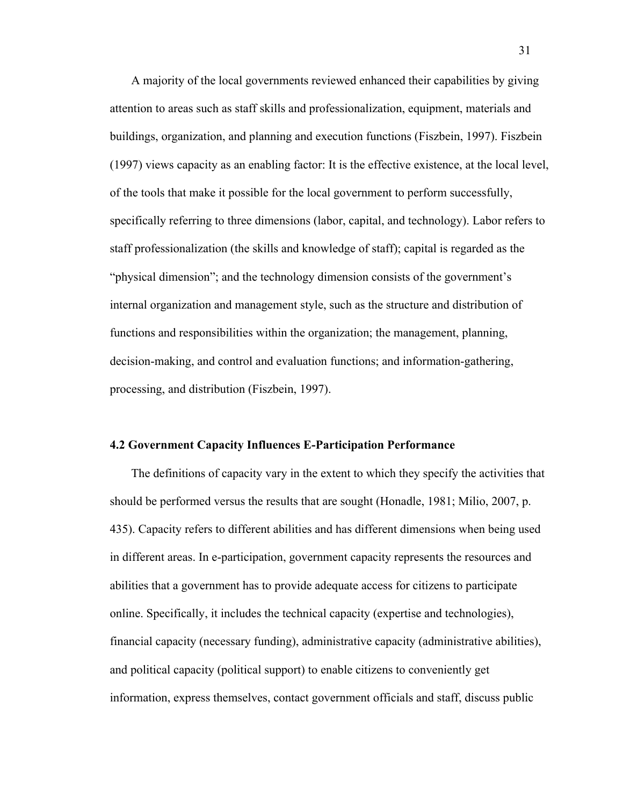A majority of the local governments reviewed enhanced their capabilities by giving attention to areas such as staff skills and professionalization, equipment, materials and buildings, organization, and planning and execution functions (Fiszbein, 1997). Fiszbein (1997) views capacity as an enabling factor: It is the effective existence, at the local level, of the tools that make it possible for the local government to perform successfully, specifically referring to three dimensions (labor, capital, and technology). Labor refers to staff professionalization (the skills and knowledge of staff); capital is regarded as the "physical dimension"; and the technology dimension consists of the government's internal organization and management style, such as the structure and distribution of functions and responsibilities within the organization; the management, planning, decision-making, and control and evaluation functions; and information-gathering, processing, and distribution (Fiszbein, 1997).

#### **4.2 Government Capacity Influences E-Participation Performance**

The definitions of capacity vary in the extent to which they specify the activities that should be performed versus the results that are sought (Honadle, 1981; Milio, 2007, p. 435). Capacity refers to different abilities and has different dimensions when being used in different areas. In e-participation, government capacity represents the resources and abilities that a government has to provide adequate access for citizens to participate online. Specifically, it includes the technical capacity (expertise and technologies), financial capacity (necessary funding), administrative capacity (administrative abilities), and political capacity (political support) to enable citizens to conveniently get information, express themselves, contact government officials and staff, discuss public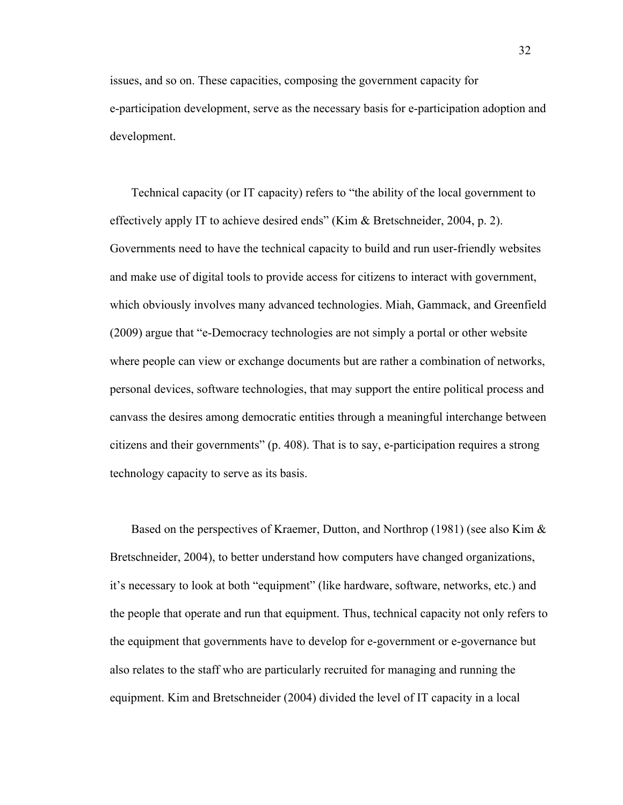issues, and so on. These capacities, composing the government capacity for e-participation development, serve as the necessary basis for e-participation adoption and development.

Technical capacity (or IT capacity) refers to "the ability of the local government to effectively apply IT to achieve desired ends" (Kim & Bretschneider, 2004, p. 2). Governments need to have the technical capacity to build and run user-friendly websites and make use of digital tools to provide access for citizens to interact with government, which obviously involves many advanced technologies. Miah, Gammack, and Greenfield (2009) argue that "e-Democracy technologies are not simply a portal or other website where people can view or exchange documents but are rather a combination of networks, personal devices, software technologies, that may support the entire political process and canvass the desires among democratic entities through a meaningful interchange between citizens and their governments" (p. 408). That is to say, e-participation requires a strong technology capacity to serve as its basis.

Based on the perspectives of Kraemer, Dutton, and Northrop (1981) (see also Kim & Bretschneider, 2004), to better understand how computers have changed organizations, it's necessary to look at both "equipment" (like hardware, software, networks, etc.) and the people that operate and run that equipment. Thus, technical capacity not only refers to the equipment that governments have to develop for e-government or e-governance but also relates to the staff who are particularly recruited for managing and running the equipment. Kim and Bretschneider (2004) divided the level of IT capacity in a local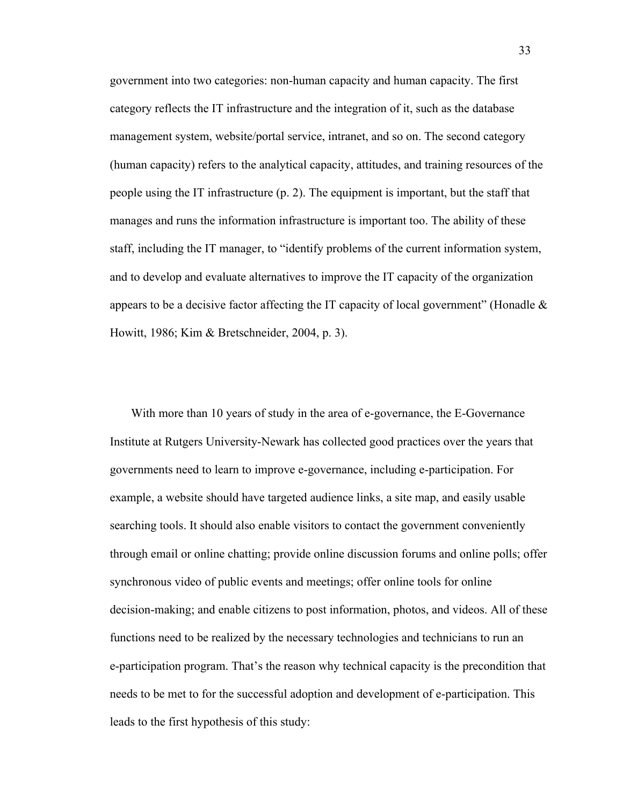government into two categories: non-human capacity and human capacity. The first category reflects the IT infrastructure and the integration of it, such as the database management system, website/portal service, intranet, and so on. The second category (human capacity) refers to the analytical capacity, attitudes, and training resources of the people using the IT infrastructure (p. 2). The equipment is important, but the staff that manages and runs the information infrastructure is important too. The ability of these staff, including the IT manager, to "identify problems of the current information system, and to develop and evaluate alternatives to improve the IT capacity of the organization appears to be a decisive factor affecting the IT capacity of local government" (Honadle  $\&$ Howitt, 1986; Kim & Bretschneider, 2004, p. 3).

With more than 10 years of study in the area of e-governance, the E-Governance Institute at Rutgers University-Newark has collected good practices over the years that governments need to learn to improve e-governance, including e-participation. For example, a website should have targeted audience links, a site map, and easily usable searching tools. It should also enable visitors to contact the government conveniently through email or online chatting; provide online discussion forums and online polls; offer synchronous video of public events and meetings; offer online tools for online decision-making; and enable citizens to post information, photos, and videos. All of these functions need to be realized by the necessary technologies and technicians to run an e-participation program. That's the reason why technical capacity is the precondition that needs to be met to for the successful adoption and development of e-participation. This leads to the first hypothesis of this study: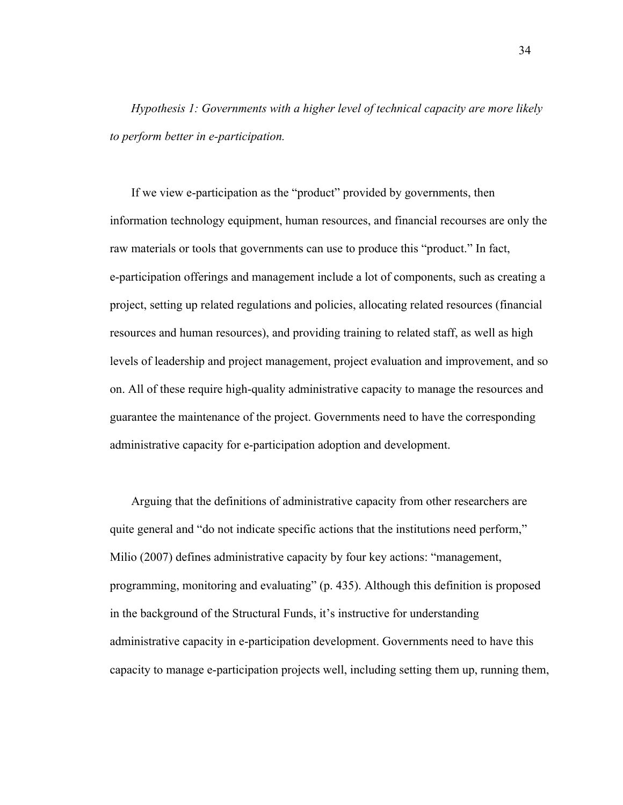*Hypothesis 1: Governments with a higher level of technical capacity are more likely to perform better in e-participation.*

If we view e-participation as the "product" provided by governments, then information technology equipment, human resources, and financial recourses are only the raw materials or tools that governments can use to produce this "product." In fact, e-participation offerings and management include a lot of components, such as creating a project, setting up related regulations and policies, allocating related resources (financial resources and human resources), and providing training to related staff, as well as high levels of leadership and project management, project evaluation and improvement, and so on. All of these require high-quality administrative capacity to manage the resources and guarantee the maintenance of the project. Governments need to have the corresponding administrative capacity for e-participation adoption and development.

Arguing that the definitions of administrative capacity from other researchers are quite general and "do not indicate specific actions that the institutions need perform," Milio (2007) defines administrative capacity by four key actions: "management, programming, monitoring and evaluating" (p. 435). Although this definition is proposed in the background of the Structural Funds, it's instructive for understanding administrative capacity in e-participation development. Governments need to have this capacity to manage e-participation projects well, including setting them up, running them,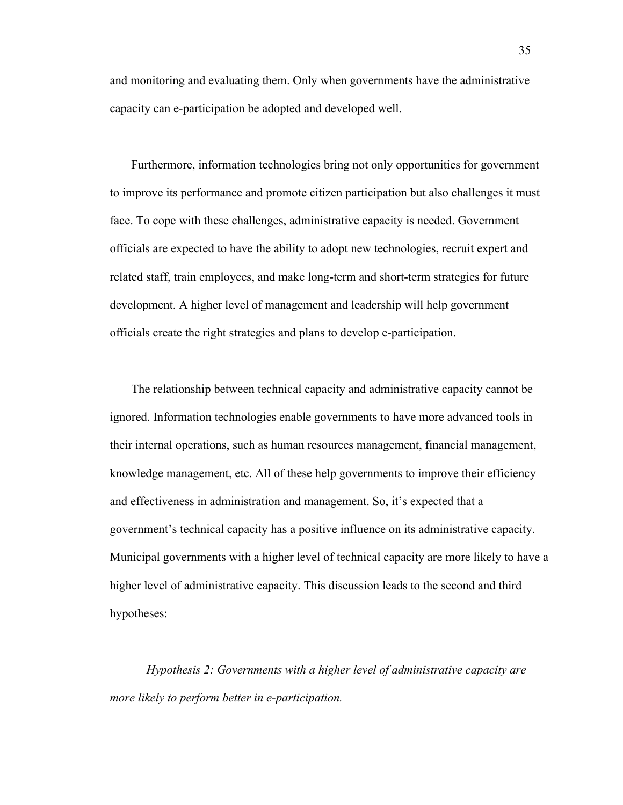and monitoring and evaluating them. Only when governments have the administrative capacity can e-participation be adopted and developed well.

Furthermore, information technologies bring not only opportunities for government to improve its performance and promote citizen participation but also challenges it must face. To cope with these challenges, administrative capacity is needed. Government officials are expected to have the ability to adopt new technologies, recruit expert and related staff, train employees, and make long-term and short-term strategies for future development. A higher level of management and leadership will help government officials create the right strategies and plans to develop e-participation.

The relationship between technical capacity and administrative capacity cannot be ignored. Information technologies enable governments to have more advanced tools in their internal operations, such as human resources management, financial management, knowledge management, etc. All of these help governments to improve their efficiency and effectiveness in administration and management. So, it's expected that a government's technical capacity has a positive influence on its administrative capacity. Municipal governments with a higher level of technical capacity are more likely to have a higher level of administrative capacity. This discussion leads to the second and third hypotheses:

*Hypothesis 2: Governments with a higher level of administrative capacity are more likely to perform better in e-participation.*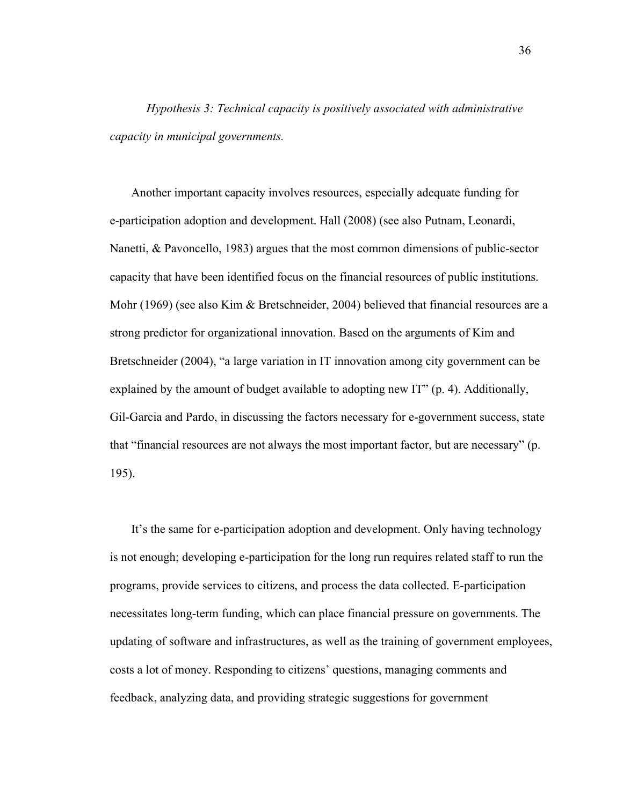*Hypothesis 3: Technical capacity is positively associated with administrative capacity in municipal governments.*

Another important capacity involves resources, especially adequate funding for e-participation adoption and development. Hall (2008) (see also Putnam, Leonardi, Nanetti, & Pavoncello, 1983) argues that the most common dimensions of public-sector capacity that have been identified focus on the financial resources of public institutions. Mohr (1969) (see also Kim & Bretschneider, 2004) believed that financial resources are a strong predictor for organizational innovation. Based on the arguments of Kim and Bretschneider (2004), "a large variation in IT innovation among city government can be explained by the amount of budget available to adopting new IT" (p. 4). Additionally, Gil-Garcia and Pardo, in discussing the factors necessary for e-government success, state that "financial resources are not always the most important factor, but are necessary" (p. 195).

It's the same for e-participation adoption and development. Only having technology is not enough; developing e-participation for the long run requires related staff to run the programs, provide services to citizens, and process the data collected. E-participation necessitates long-term funding, which can place financial pressure on governments. The updating of software and infrastructures, as well as the training of government employees, costs a lot of money. Responding to citizens' questions, managing comments and feedback, analyzing data, and providing strategic suggestions for government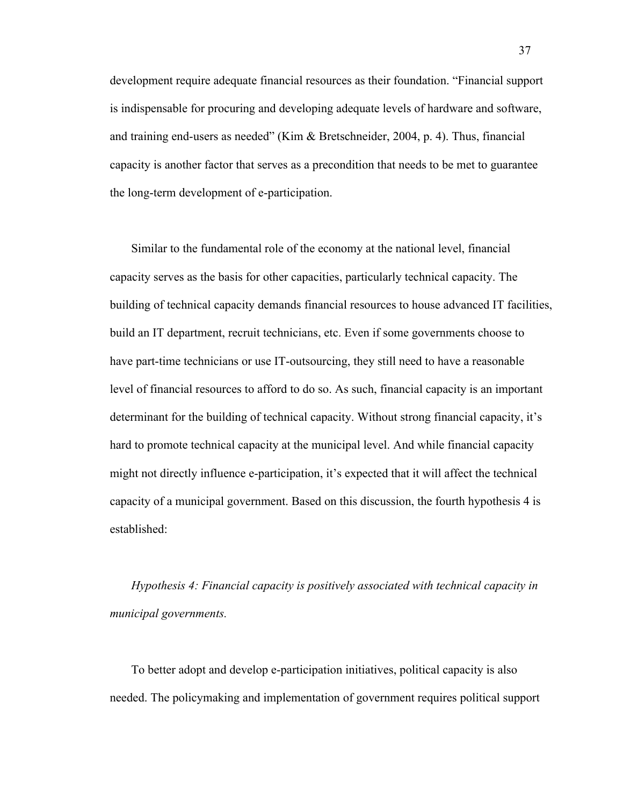development require adequate financial resources as their foundation. "Financial support is indispensable for procuring and developing adequate levels of hardware and software, and training end-users as needed" (Kim & Bretschneider, 2004, p. 4). Thus, financial capacity is another factor that serves as a precondition that needs to be met to guarantee the long-term development of e-participation.

Similar to the fundamental role of the economy at the national level, financial capacity serves as the basis for other capacities, particularly technical capacity. The building of technical capacity demands financial resources to house advanced IT facilities, build an IT department, recruit technicians, etc. Even if some governments choose to have part-time technicians or use IT-outsourcing, they still need to have a reasonable level of financial resources to afford to do so. As such, financial capacity is an important determinant for the building of technical capacity. Without strong financial capacity, it's hard to promote technical capacity at the municipal level. And while financial capacity might not directly influence e-participation, it's expected that it will affect the technical capacity of a municipal government. Based on this discussion, the fourth hypothesis 4 is established:

*Hypothesis 4: Financial capacity is positively associated with technical capacity in municipal governments.*

To better adopt and develop e-participation initiatives, political capacity is also needed. The policymaking and implementation of government requires political support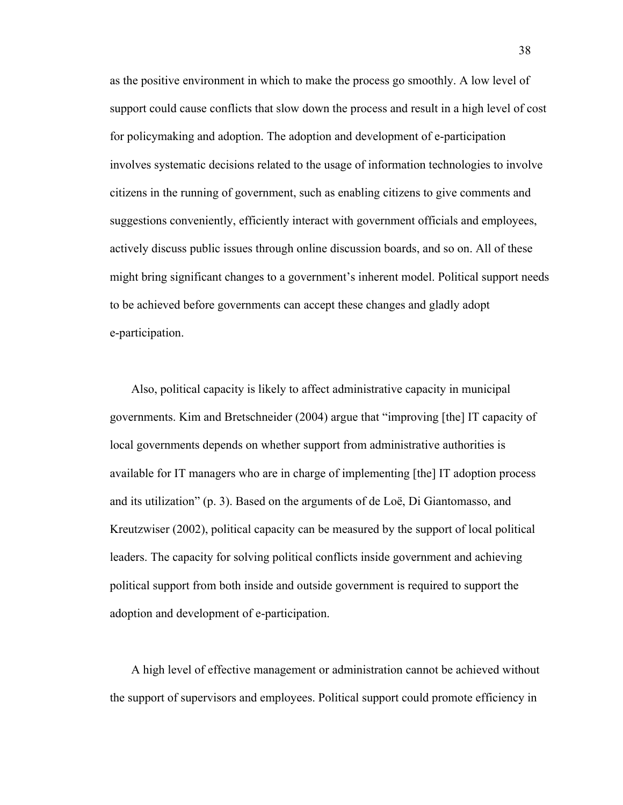as the positive environment in which to make the process go smoothly. A low level of support could cause conflicts that slow down the process and result in a high level of cost for policymaking and adoption. The adoption and development of e-participation involves systematic decisions related to the usage of information technologies to involve citizens in the running of government, such as enabling citizens to give comments and suggestions conveniently, efficiently interact with government officials and employees, actively discuss public issues through online discussion boards, and so on. All of these might bring significant changes to a government's inherent model. Political support needs to be achieved before governments can accept these changes and gladly adopt e-participation.

Also, political capacity is likely to affect administrative capacity in municipal governments. Kim and Bretschneider (2004) argue that "improving [the] IT capacity of local governments depends on whether support from administrative authorities is available for IT managers who are in charge of implementing [the] IT adoption process and its utilization" (p. 3). Based on the arguments of de Loë, Di Giantomasso, and Kreutzwiser (2002), political capacity can be measured by the support of local political leaders. The capacity for solving political conflicts inside government and achieving political support from both inside and outside government is required to support the adoption and development of e-participation.

A high level of effective management or administration cannot be achieved without the support of supervisors and employees. Political support could promote efficiency in

38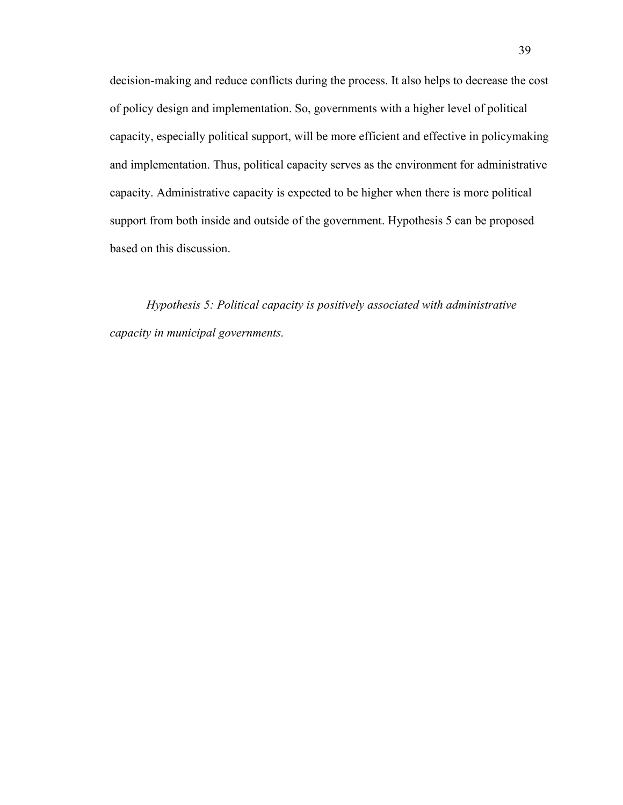decision-making and reduce conflicts during the process. It also helps to decrease the cost of policy design and implementation. So, governments with a higher level of political capacity, especially political support, will be more efficient and effective in policymaking and implementation. Thus, political capacity serves as the environment for administrative capacity. Administrative capacity is expected to be higher when there is more political support from both inside and outside of the government. Hypothesis 5 can be proposed based on this discussion.

*Hypothesis 5: Political capacity is positively associated with administrative capacity in municipal governments.*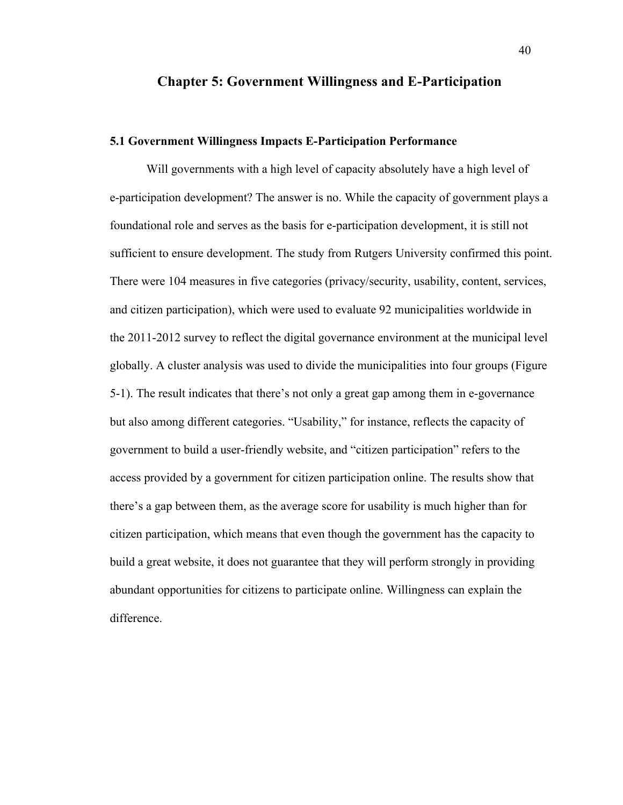## **Chapter 5: Government Willingness and E-Participation**

#### **5.1 Government Willingness Impacts E-Participation Performance**

Will governments with a high level of capacity absolutely have a high level of e-participation development? The answer is no. While the capacity of government plays a foundational role and serves as the basis for e-participation development, it is still not sufficient to ensure development. The study from Rutgers University confirmed this point. There were 104 measures in five categories (privacy/security, usability, content, services, and citizen participation), which were used to evaluate 92 municipalities worldwide in the 2011-2012 survey to reflect the digital governance environment at the municipal level globally. A cluster analysis was used to divide the municipalities into four groups (Figure 5-1). The result indicates that there's not only a great gap among them in e-governance but also among different categories. "Usability," for instance, reflects the capacity of government to build a user-friendly website, and "citizen participation" refers to the access provided by a government for citizen participation online. The results show that there's a gap between them, as the average score for usability is much higher than for citizen participation, which means that even though the government has the capacity to build a great website, it does not guarantee that they will perform strongly in providing abundant opportunities for citizens to participate online. Willingness can explain the difference.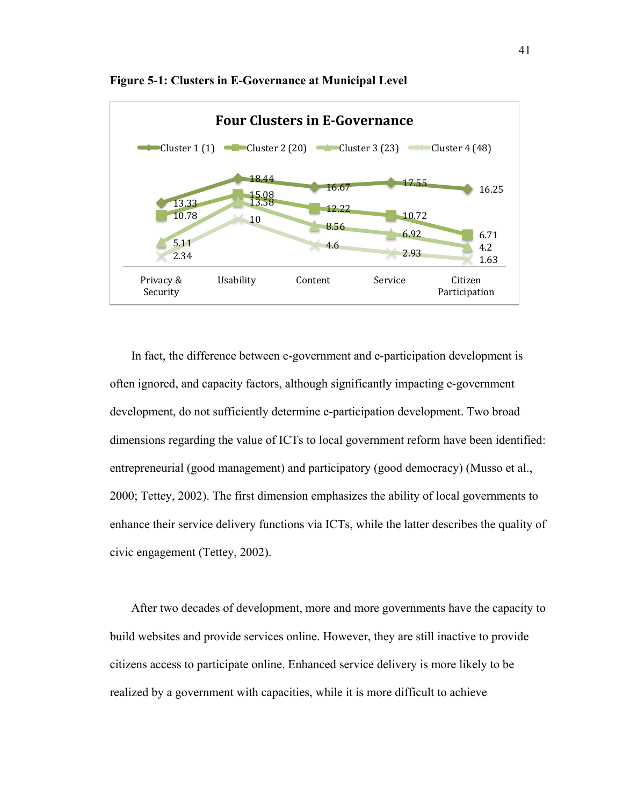

**Figure 5-1: Clusters in E-Governance at Municipal Level**

In fact, the difference between e-government and e-participation development is often ignored, and capacity factors, although significantly impacting e-government development, do not sufficiently determine e-participation development. Two broad dimensions regarding the value of ICTs to local government reform have been identified: entrepreneurial (good management) and participatory (good democracy) (Musso et al., 2000; Tettey, 2002). The first dimension emphasizes the ability of local governments to enhance their service delivery functions via ICTs, while the latter describes the quality of civic engagement (Tettey, 2002).

After two decades of development, more and more governments have the capacity to build websites and provide services online. However, they are still inactive to provide citizens access to participate online. Enhanced service delivery is more likely to be realized by a government with capacities, while it is more difficult to achieve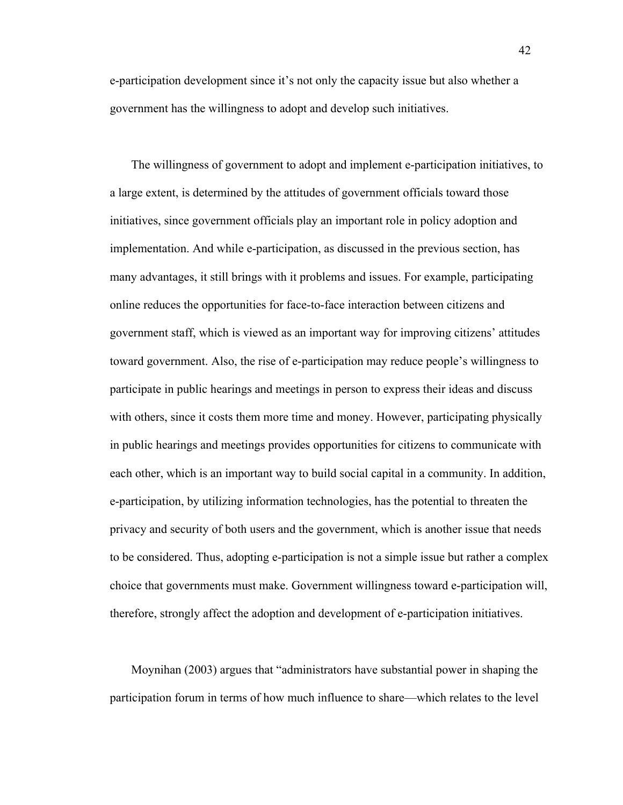e-participation development since it's not only the capacity issue but also whether a government has the willingness to adopt and develop such initiatives.

The willingness of government to adopt and implement e-participation initiatives, to a large extent, is determined by the attitudes of government officials toward those initiatives, since government officials play an important role in policy adoption and implementation. And while e-participation, as discussed in the previous section, has many advantages, it still brings with it problems and issues. For example, participating online reduces the opportunities for face-to-face interaction between citizens and government staff, which is viewed as an important way for improving citizens' attitudes toward government. Also, the rise of e-participation may reduce people's willingness to participate in public hearings and meetings in person to express their ideas and discuss with others, since it costs them more time and money. However, participating physically in public hearings and meetings provides opportunities for citizens to communicate with each other, which is an important way to build social capital in a community. In addition, e-participation, by utilizing information technologies, has the potential to threaten the privacy and security of both users and the government, which is another issue that needs to be considered. Thus, adopting e-participation is not a simple issue but rather a complex choice that governments must make. Government willingness toward e-participation will, therefore, strongly affect the adoption and development of e-participation initiatives.

Moynihan (2003) argues that "administrators have substantial power in shaping the participation forum in terms of how much influence to share—which relates to the level

42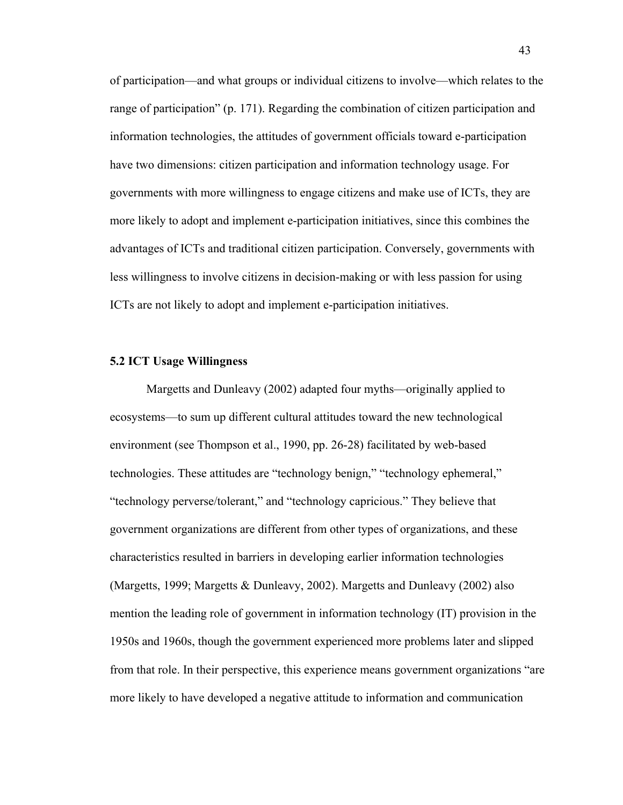of participation—and what groups or individual citizens to involve—which relates to the range of participation" (p. 171). Regarding the combination of citizen participation and information technologies, the attitudes of government officials toward e-participation have two dimensions: citizen participation and information technology usage. For governments with more willingness to engage citizens and make use of ICTs, they are more likely to adopt and implement e-participation initiatives, since this combines the advantages of ICTs and traditional citizen participation. Conversely, governments with less willingness to involve citizens in decision-making or with less passion for using ICTs are not likely to adopt and implement e-participation initiatives.

#### **5.2 ICT Usage Willingness**

Margetts and Dunleavy (2002) adapted four myths—originally applied to ecosystems—to sum up different cultural attitudes toward the new technological environment (see Thompson et al., 1990, pp. 26-28) facilitated by web-based technologies. These attitudes are "technology benign," "technology ephemeral," "technology perverse/tolerant," and "technology capricious." They believe that government organizations are different from other types of organizations, and these characteristics resulted in barriers in developing earlier information technologies (Margetts, 1999; Margetts & Dunleavy, 2002). Margetts and Dunleavy (2002) also mention the leading role of government in information technology (IT) provision in the 1950s and 1960s, though the government experienced more problems later and slipped from that role. In their perspective, this experience means government organizations "are more likely to have developed a negative attitude to information and communication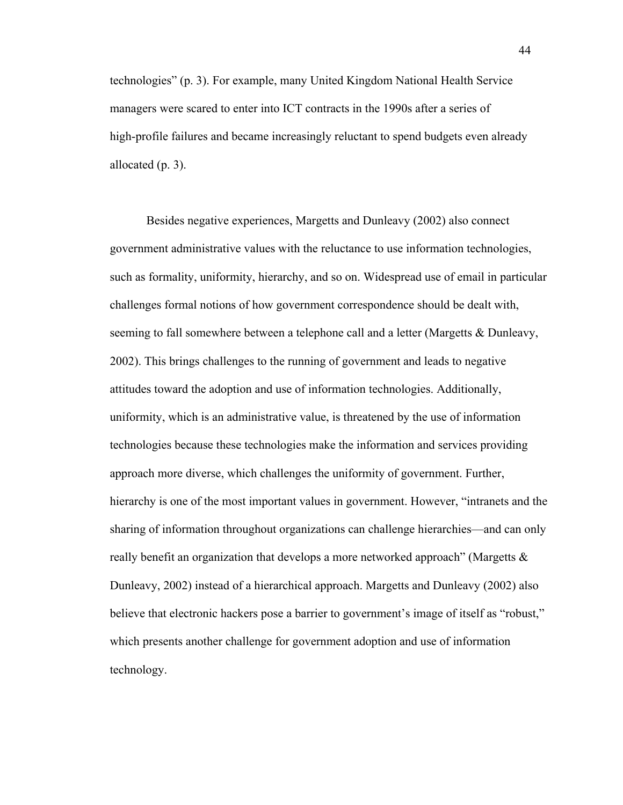technologies" (p. 3). For example, many United Kingdom National Health Service managers were scared to enter into ICT contracts in the 1990s after a series of high-profile failures and became increasingly reluctant to spend budgets even already allocated (p. 3).

Besides negative experiences, Margetts and Dunleavy (2002) also connect government administrative values with the reluctance to use information technologies, such as formality, uniformity, hierarchy, and so on. Widespread use of email in particular challenges formal notions of how government correspondence should be dealt with, seeming to fall somewhere between a telephone call and a letter (Margetts & Dunleavy, 2002). This brings challenges to the running of government and leads to negative attitudes toward the adoption and use of information technologies. Additionally, uniformity, which is an administrative value, is threatened by the use of information technologies because these technologies make the information and services providing approach more diverse, which challenges the uniformity of government. Further, hierarchy is one of the most important values in government. However, "intranets and the sharing of information throughout organizations can challenge hierarchies—and can only really benefit an organization that develops a more networked approach" (Margetts  $\&$ Dunleavy, 2002) instead of a hierarchical approach. Margetts and Dunleavy (2002) also believe that electronic hackers pose a barrier to government's image of itself as "robust," which presents another challenge for government adoption and use of information technology.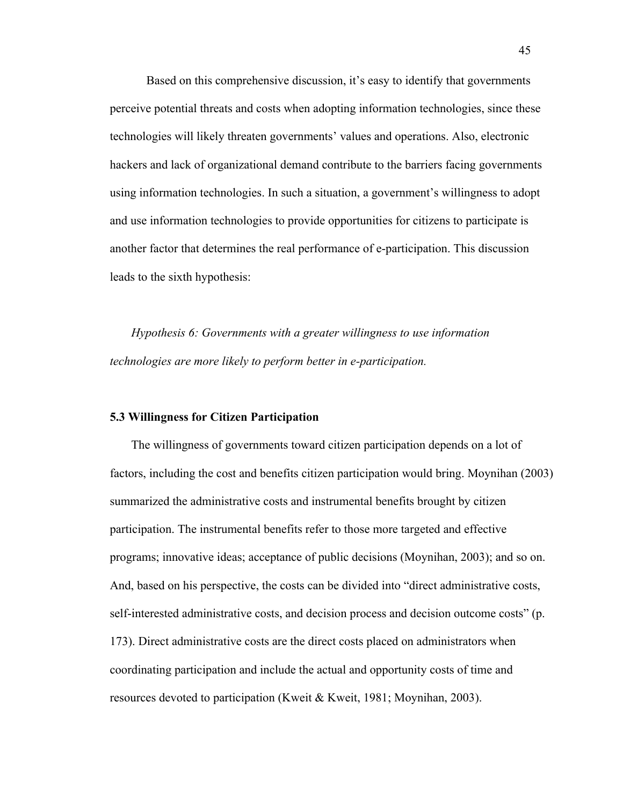Based on this comprehensive discussion, it's easy to identify that governments perceive potential threats and costs when adopting information technologies, since these technologies will likely threaten governments' values and operations. Also, electronic hackers and lack of organizational demand contribute to the barriers facing governments using information technologies. In such a situation, a government's willingness to adopt and use information technologies to provide opportunities for citizens to participate is another factor that determines the real performance of e-participation. This discussion leads to the sixth hypothesis:

*Hypothesis 6: Governments with a greater willingness to use information technologies are more likely to perform better in e-participation.*

## **5.3 Willingness for Citizen Participation**

The willingness of governments toward citizen participation depends on a lot of factors, including the cost and benefits citizen participation would bring. Moynihan (2003) summarized the administrative costs and instrumental benefits brought by citizen participation. The instrumental benefits refer to those more targeted and effective programs; innovative ideas; acceptance of public decisions (Moynihan, 2003); and so on. And, based on his perspective, the costs can be divided into "direct administrative costs, self-interested administrative costs, and decision process and decision outcome costs" (p. 173). Direct administrative costs are the direct costs placed on administrators when coordinating participation and include the actual and opportunity costs of time and resources devoted to participation (Kweit & Kweit, 1981; Moynihan, 2003).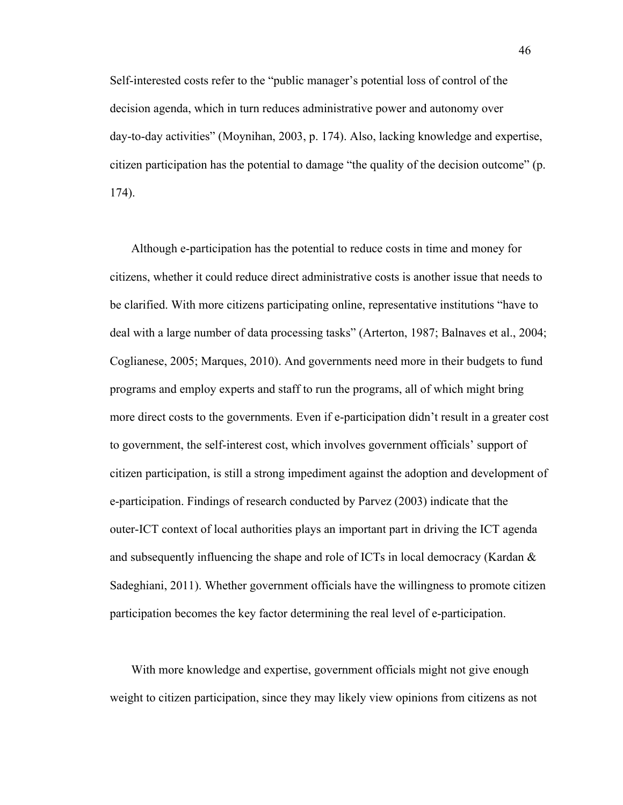Self-interested costs refer to the "public manager's potential loss of control of the decision agenda, which in turn reduces administrative power and autonomy over day-to-day activities" (Moynihan, 2003, p. 174). Also, lacking knowledge and expertise, citizen participation has the potential to damage "the quality of the decision outcome" (p. 174).

Although e-participation has the potential to reduce costs in time and money for citizens, whether it could reduce direct administrative costs is another issue that needs to be clarified. With more citizens participating online, representative institutions "have to deal with a large number of data processing tasks" (Arterton, 1987; Balnaves et al., 2004; Coglianese, 2005; Marques, 2010). And governments need more in their budgets to fund programs and employ experts and staff to run the programs, all of which might bring more direct costs to the governments. Even if e-participation didn't result in a greater cost to government, the self-interest cost, which involves government officials' support of citizen participation, is still a strong impediment against the adoption and development of e-participation. Findings of research conducted by Parvez (2003) indicate that the outer-ICT context of local authorities plays an important part in driving the ICT agenda and subsequently influencing the shape and role of ICTs in local democracy (Kardan  $\&$ Sadeghiani, 2011). Whether government officials have the willingness to promote citizen participation becomes the key factor determining the real level of e-participation.

With more knowledge and expertise, government officials might not give enough weight to citizen participation, since they may likely view opinions from citizens as not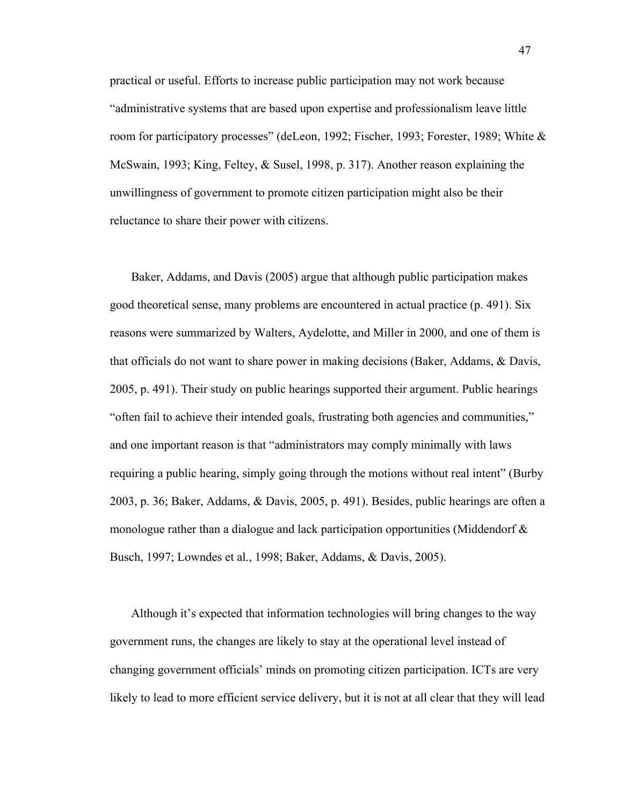practical or useful. Efforts to increase public participation may not work because "administrative systems that are based upon expertise and professionalism leave little room for participatory processes" (deLeon, 1992; Fischer, 1993; Forester, 1989; White & McSwain, 1993; King, Feltey, & Susel, 1998, p. 317). Another reason explaining the unwillingness of government to promote citizen participation might also be their reluctance to share their power with citizens.

Baker, Addams, and Davis (2005) argue that although public participation makes good theoretical sense, many problems are encountered in actual practice (p. 491). Six reasons were summarized by Walters, Aydelotte, and Miller in 2000, and one of them is that officials do not want to share power in making decisions (Baker, Addams, & Davis, 2005, p. 491). Their study on public hearings supported their argument. Public hearings "often fail to achieve their intended goals, frustrating both agencies and communities," and one important reason is that "administrators may comply minimally with laws requiring a public hearing, simply going through the motions without real intent" (Burby 2003, p. 36; Baker, Addams, & Davis, 2005, p. 491). Besides, public hearings are often a monologue rather than a dialogue and lack participation opportunities (Middendorf  $\&$ Busch, 1997; Lowndes et al., 1998; Baker, Addams, & Davis, 2005).

Although it's expected that information technologies will bring changes to the way government runs, the changes are likely to stay at the operational level instead of changing government officials' minds on promoting citizen participation. ICTs are very likely to lead to more efficient service delivery, but it is not at all clear that they will lead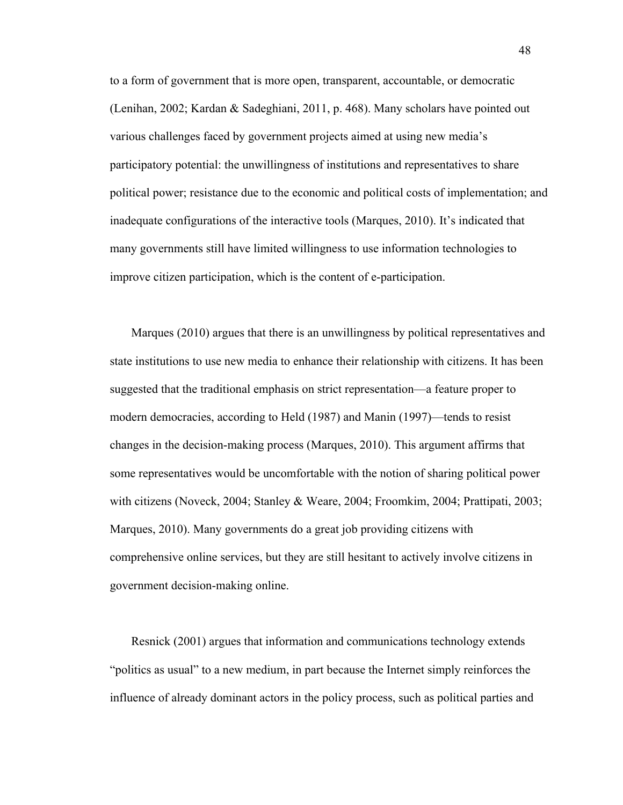to a form of government that is more open, transparent, accountable, or democratic (Lenihan, 2002; Kardan & Sadeghiani, 2011, p. 468). Many scholars have pointed out various challenges faced by government projects aimed at using new media's participatory potential: the unwillingness of institutions and representatives to share political power; resistance due to the economic and political costs of implementation; and inadequate configurations of the interactive tools (Marques, 2010). It's indicated that many governments still have limited willingness to use information technologies to improve citizen participation, which is the content of e-participation.

Marques (2010) argues that there is an unwillingness by political representatives and state institutions to use new media to enhance their relationship with citizens. It has been suggested that the traditional emphasis on strict representation—a feature proper to modern democracies, according to Held (1987) and Manin (1997)—tends to resist changes in the decision-making process (Marques, 2010). This argument affirms that some representatives would be uncomfortable with the notion of sharing political power with citizens (Noveck, 2004; Stanley & Weare, 2004; Froomkim, 2004; Prattipati, 2003; Marques, 2010). Many governments do a great job providing citizens with comprehensive online services, but they are still hesitant to actively involve citizens in government decision-making online.

Resnick (2001) argues that information and communications technology extends "politics as usual" to a new medium, in part because the Internet simply reinforces the influence of already dominant actors in the policy process, such as political parties and

48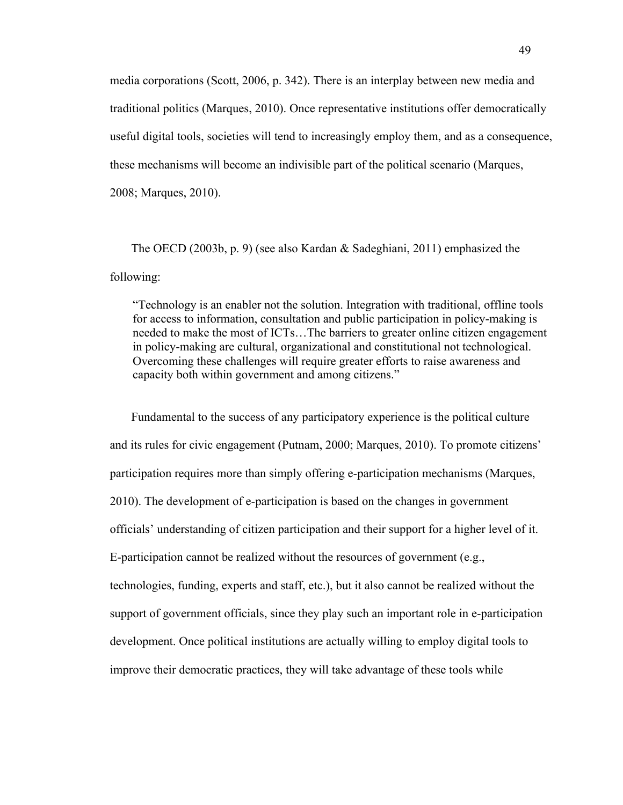media corporations (Scott, 2006, p. 342). There is an interplay between new media and traditional politics (Marques, 2010). Once representative institutions offer democratically useful digital tools, societies will tend to increasingly employ them, and as a consequence, these mechanisms will become an indivisible part of the political scenario (Marques, 2008; Marques, 2010).

The OECD (2003b, p. 9) (see also Kardan & Sadeghiani, 2011) emphasized the following:

"Technology is an enabler not the solution. Integration with traditional, offline tools for access to information, consultation and public participation in policy-making is needed to make the most of ICTs…The barriers to greater online citizen engagement in policy-making are cultural, organizational and constitutional not technological. Overcoming these challenges will require greater efforts to raise awareness and capacity both within government and among citizens."

Fundamental to the success of any participatory experience is the political culture and its rules for civic engagement (Putnam, 2000; Marques, 2010). To promote citizens' participation requires more than simply offering e-participation mechanisms (Marques, 2010). The development of e-participation is based on the changes in government officials' understanding of citizen participation and their support for a higher level of it. E-participation cannot be realized without the resources of government (e.g., technologies, funding, experts and staff, etc.), but it also cannot be realized without the support of government officials, since they play such an important role in e-participation development. Once political institutions are actually willing to employ digital tools to improve their democratic practices, they will take advantage of these tools while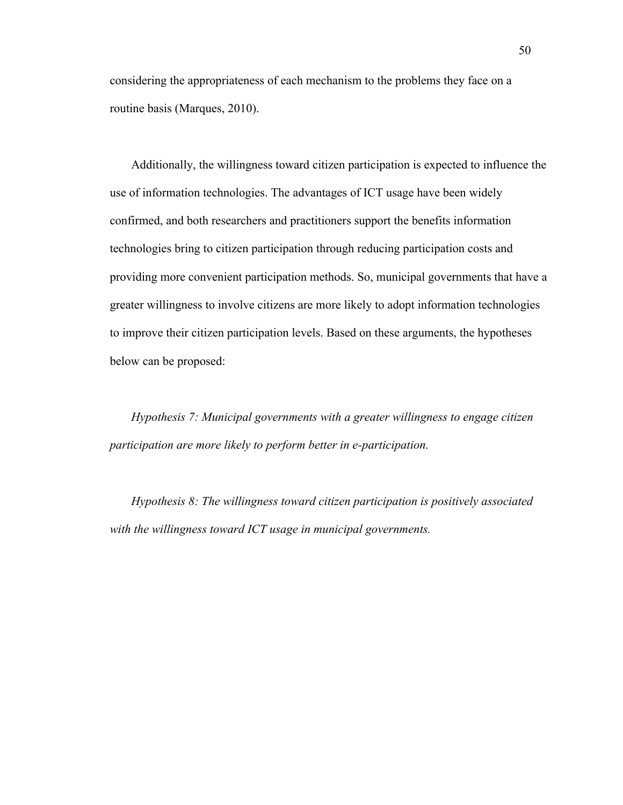considering the appropriateness of each mechanism to the problems they face on a routine basis (Marques, 2010).

Additionally, the willingness toward citizen participation is expected to influence the use of information technologies. The advantages of ICT usage have been widely confirmed, and both researchers and practitioners support the benefits information technologies bring to citizen participation through reducing participation costs and providing more convenient participation methods. So, municipal governments that have a greater willingness to involve citizens are more likely to adopt information technologies to improve their citizen participation levels. Based on these arguments, the hypotheses below can be proposed:

*Hypothesis 7: Municipal governments with a greater willingness to engage citizen participation are more likely to perform better in e-participation.*

*Hypothesis 8: The willingness toward citizen participation is positively associated with the willingness toward ICT usage in municipal governments.*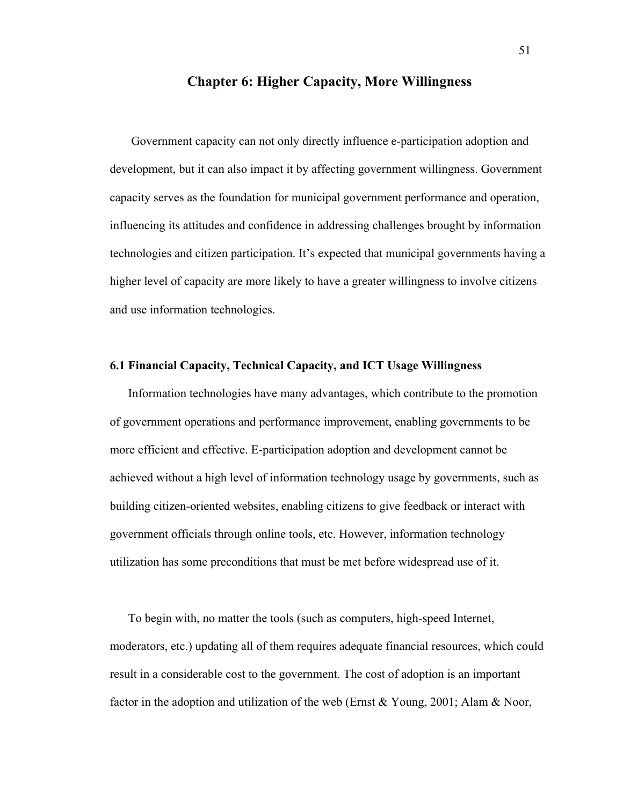## **Chapter 6: Higher Capacity, More Willingness**

Government capacity can not only directly influence e-participation adoption and development, but it can also impact it by affecting government willingness. Government capacity serves as the foundation for municipal government performance and operation, influencing its attitudes and confidence in addressing challenges brought by information technologies and citizen participation. It's expected that municipal governments having a higher level of capacity are more likely to have a greater willingness to involve citizens and use information technologies.

## **6.1 Financial Capacity, Technical Capacity, and ICT Usage Willingness**

Information technologies have many advantages, which contribute to the promotion of government operations and performance improvement, enabling governments to be more efficient and effective. E-participation adoption and development cannot be achieved without a high level of information technology usage by governments, such as building citizen-oriented websites, enabling citizens to give feedback or interact with government officials through online tools, etc. However, information technology utilization has some preconditions that must be met before widespread use of it.

To begin with, no matter the tools (such as computers, high-speed Internet, moderators, etc.) updating all of them requires adequate financial resources, which could result in a considerable cost to the government. The cost of adoption is an important factor in the adoption and utilization of the web (Ernst & Young, 2001; Alam & Noor,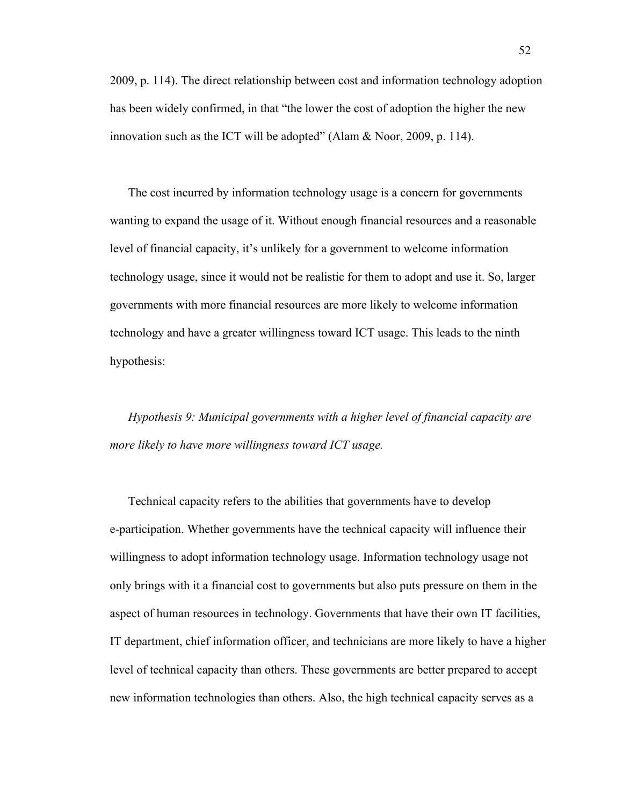2009, p. 114). The direct relationship between cost and information technology adoption has been widely confirmed, in that "the lower the cost of adoption the higher the new innovation such as the ICT will be adopted" (Alam & Noor, 2009, p. 114).

The cost incurred by information technology usage is a concern for governments wanting to expand the usage of it. Without enough financial resources and a reasonable level of financial capacity, it's unlikely for a government to welcome information technology usage, since it would not be realistic for them to adopt and use it. So, larger governments with more financial resources are more likely to welcome information technology and have a greater willingness toward ICT usage. This leads to the ninth hypothesis:

*Hypothesis 9: Municipal governments with a higher level of financial capacity are more likely to have more willingness toward ICT usage.*

Technical capacity refers to the abilities that governments have to develop e-participation. Whether governments have the technical capacity will influence their willingness to adopt information technology usage. Information technology usage not only brings with it a financial cost to governments but also puts pressure on them in the aspect of human resources in technology. Governments that have their own IT facilities, IT department, chief information officer, and technicians are more likely to have a higher level of technical capacity than others. These governments are better prepared to accept new information technologies than others. Also, the high technical capacity serves as a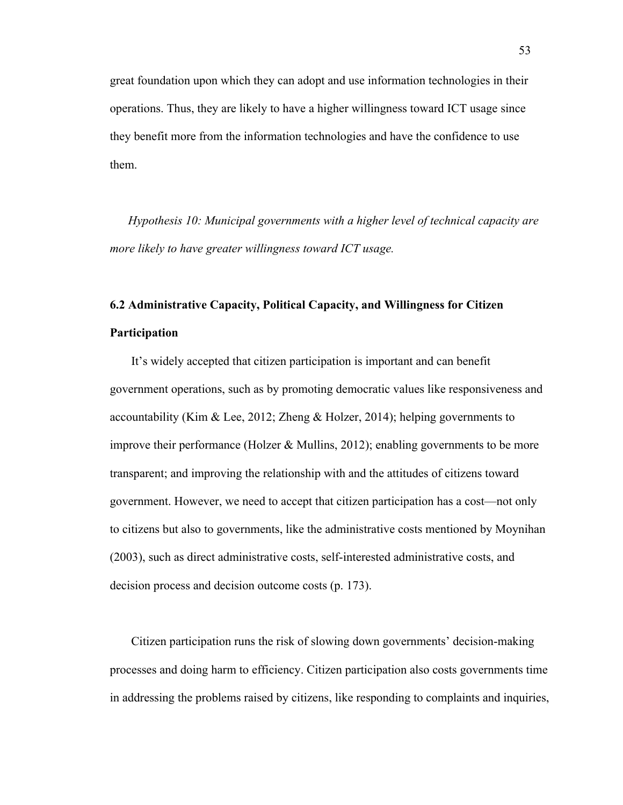great foundation upon which they can adopt and use information technologies in their operations. Thus, they are likely to have a higher willingness toward ICT usage since they benefit more from the information technologies and have the confidence to use them.

*Hypothesis 10: Municipal governments with a higher level of technical capacity are more likely to have greater willingness toward ICT usage.*

# **6.2 Administrative Capacity, Political Capacity, and Willingness for Citizen Participation**

It's widely accepted that citizen participation is important and can benefit government operations, such as by promoting democratic values like responsiveness and accountability (Kim & Lee, 2012; Zheng & Holzer, 2014); helping governments to improve their performance (Holzer & Mullins, 2012); enabling governments to be more transparent; and improving the relationship with and the attitudes of citizens toward government. However, we need to accept that citizen participation has a cost—not only to citizens but also to governments, like the administrative costs mentioned by Moynihan (2003), such as direct administrative costs, self-interested administrative costs, and decision process and decision outcome costs (p. 173).

Citizen participation runs the risk of slowing down governments' decision-making processes and doing harm to efficiency. Citizen participation also costs governments time in addressing the problems raised by citizens, like responding to complaints and inquiries,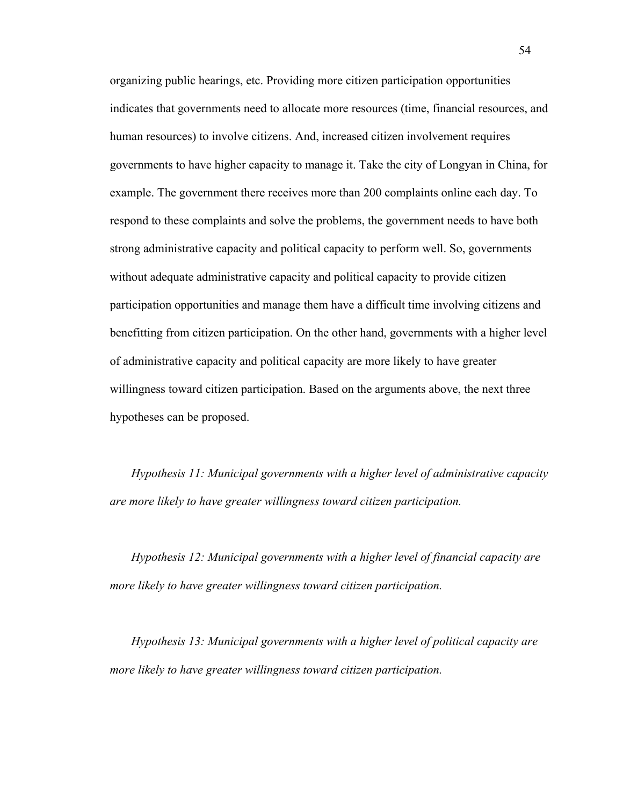organizing public hearings, etc. Providing more citizen participation opportunities indicates that governments need to allocate more resources (time, financial resources, and human resources) to involve citizens. And, increased citizen involvement requires governments to have higher capacity to manage it. Take the city of Longyan in China, for example. The government there receives more than 200 complaints online each day. To respond to these complaints and solve the problems, the government needs to have both strong administrative capacity and political capacity to perform well. So, governments without adequate administrative capacity and political capacity to provide citizen participation opportunities and manage them have a difficult time involving citizens and benefitting from citizen participation. On the other hand, governments with a higher level of administrative capacity and political capacity are more likely to have greater willingness toward citizen participation. Based on the arguments above, the next three hypotheses can be proposed.

*Hypothesis 11: Municipal governments with a higher level of administrative capacity are more likely to have greater willingness toward citizen participation.*

*Hypothesis 12: Municipal governments with a higher level of financial capacity are more likely to have greater willingness toward citizen participation.*

*Hypothesis 13: Municipal governments with a higher level of political capacity are more likely to have greater willingness toward citizen participation.*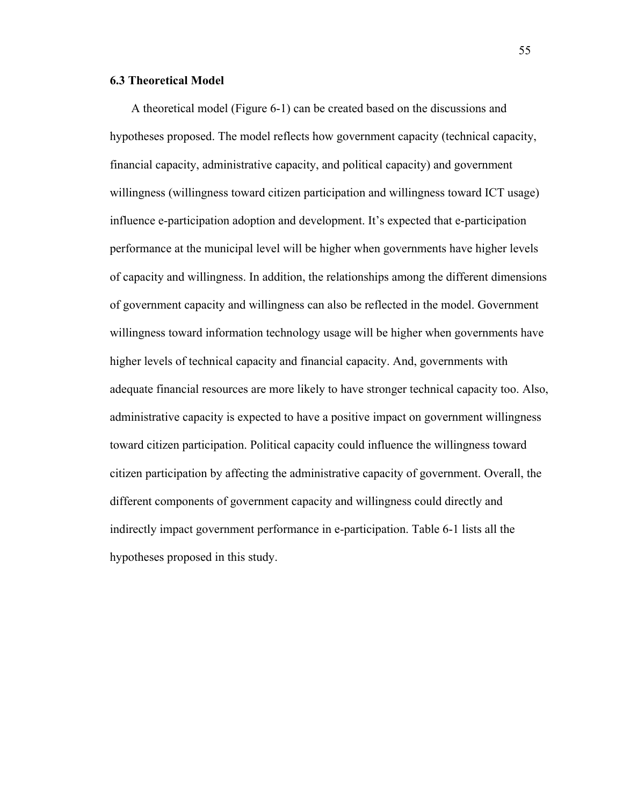## **6.3 Theoretical Model**

A theoretical model (Figure 6-1) can be created based on the discussions and hypotheses proposed. The model reflects how government capacity (technical capacity, financial capacity, administrative capacity, and political capacity) and government willingness (willingness toward citizen participation and willingness toward ICT usage) influence e-participation adoption and development. It's expected that e-participation performance at the municipal level will be higher when governments have higher levels of capacity and willingness. In addition, the relationships among the different dimensions of government capacity and willingness can also be reflected in the model. Government willingness toward information technology usage will be higher when governments have higher levels of technical capacity and financial capacity. And, governments with adequate financial resources are more likely to have stronger technical capacity too. Also, administrative capacity is expected to have a positive impact on government willingness toward citizen participation. Political capacity could influence the willingness toward citizen participation by affecting the administrative capacity of government. Overall, the different components of government capacity and willingness could directly and indirectly impact government performance in e-participation. Table 6-1 lists all the hypotheses proposed in this study.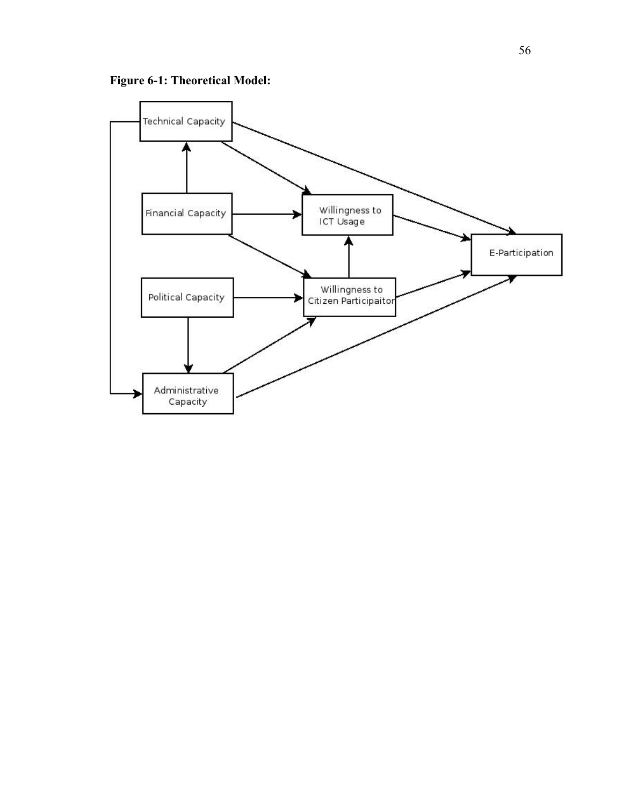

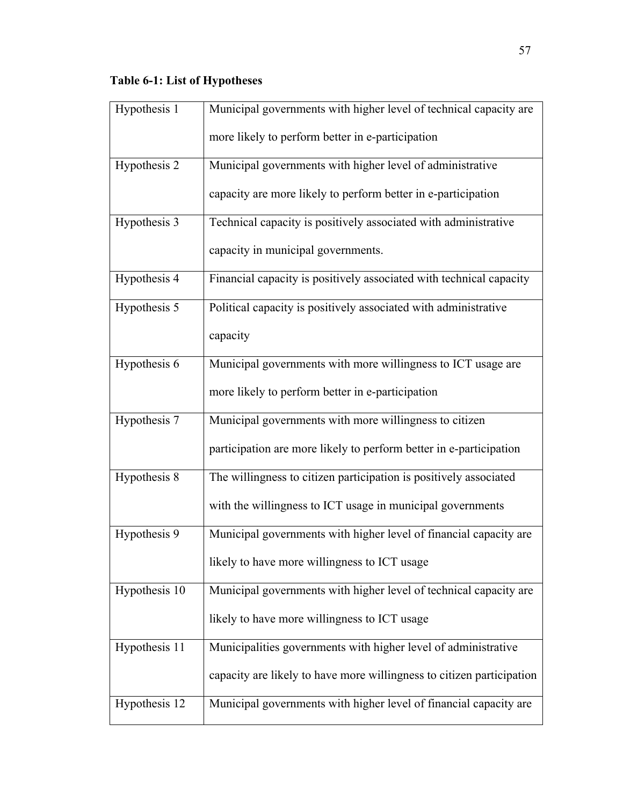## **Table 6-1: List of Hypotheses**

| Hypothesis 1   | Municipal governments with higher level of technical capacity are     |
|----------------|-----------------------------------------------------------------------|
|                | more likely to perform better in e-participation                      |
| Hypothesis $2$ | Municipal governments with higher level of administrative             |
|                | capacity are more likely to perform better in e-participation         |
| Hypothesis 3   | Technical capacity is positively associated with administrative       |
|                | capacity in municipal governments.                                    |
| Hypothesis 4   | Financial capacity is positively associated with technical capacity   |
| Hypothesis 5   | Political capacity is positively associated with administrative       |
|                | capacity                                                              |
| Hypothesis 6   | Municipal governments with more willingness to ICT usage are          |
|                | more likely to perform better in e-participation                      |
| Hypothesis 7   | Municipal governments with more willingness to citizen                |
|                | participation are more likely to perform better in e-participation    |
| Hypothesis 8   | The willingness to citizen participation is positively associated     |
|                | with the willingness to ICT usage in municipal governments            |
| Hypothesis 9   | Municipal governments with higher level of financial capacity are     |
|                | likely to have more willingness to ICT usage                          |
| Hypothesis 10  | Municipal governments with higher level of technical capacity are     |
|                | likely to have more willingness to ICT usage                          |
| Hypothesis 11  | Municipalities governments with higher level of administrative        |
|                | capacity are likely to have more willingness to citizen participation |
| Hypothesis 12  | Municipal governments with higher level of financial capacity are     |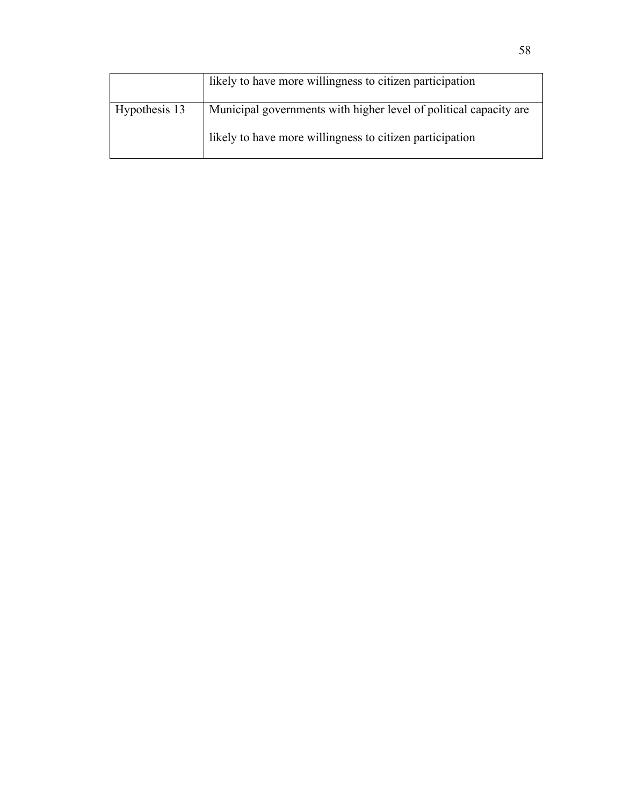|               | likely to have more willingness to citizen participation          |
|---------------|-------------------------------------------------------------------|
| Hypothesis 13 | Municipal governments with higher level of political capacity are |
|               | likely to have more willingness to citizen participation          |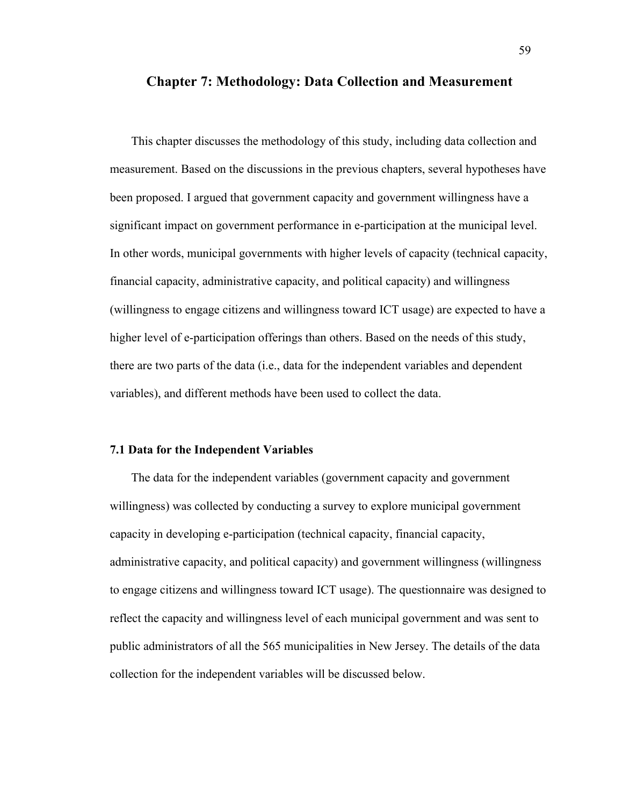### **Chapter 7: Methodology: Data Collection and Measurement**

This chapter discusses the methodology of this study, including data collection and measurement. Based on the discussions in the previous chapters, several hypotheses have been proposed. I argued that government capacity and government willingness have a significant impact on government performance in e-participation at the municipal level. In other words, municipal governments with higher levels of capacity (technical capacity, financial capacity, administrative capacity, and political capacity) and willingness (willingness to engage citizens and willingness toward ICT usage) are expected to have a higher level of e-participation offerings than others. Based on the needs of this study, there are two parts of the data (i.e., data for the independent variables and dependent variables), and different methods have been used to collect the data.

## **7.1 Data for the Independent Variables**

The data for the independent variables (government capacity and government willingness) was collected by conducting a survey to explore municipal government capacity in developing e-participation (technical capacity, financial capacity, administrative capacity, and political capacity) and government willingness (willingness to engage citizens and willingness toward ICT usage). The questionnaire was designed to reflect the capacity and willingness level of each municipal government and was sent to public administrators of all the 565 municipalities in New Jersey. The details of the data collection for the independent variables will be discussed below.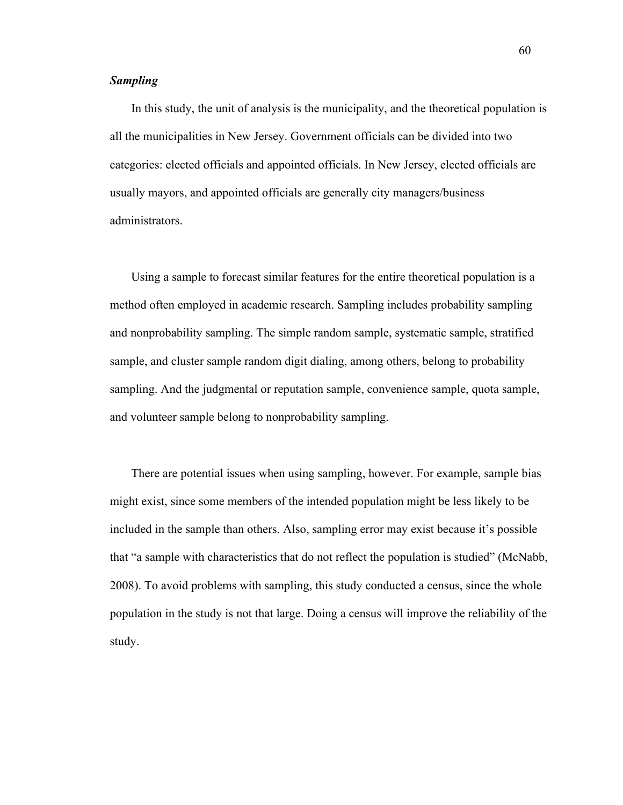## *Sampling*

In this study, the unit of analysis is the municipality, and the theoretical population is all the municipalities in New Jersey. Government officials can be divided into two categories: elected officials and appointed officials. In New Jersey, elected officials are usually mayors, and appointed officials are generally city managers/business administrators.

Using a sample to forecast similar features for the entire theoretical population is a method often employed in academic research. Sampling includes probability sampling and nonprobability sampling. The simple random sample, systematic sample, stratified sample, and cluster sample random digit dialing, among others, belong to probability sampling. And the judgmental or reputation sample, convenience sample, quota sample, and volunteer sample belong to nonprobability sampling.

There are potential issues when using sampling, however. For example, sample bias might exist, since some members of the intended population might be less likely to be included in the sample than others. Also, sampling error may exist because it's possible that "a sample with characteristics that do not reflect the population is studied" (McNabb, 2008). To avoid problems with sampling, this study conducted a census, since the whole population in the study is not that large. Doing a census will improve the reliability of the study.

60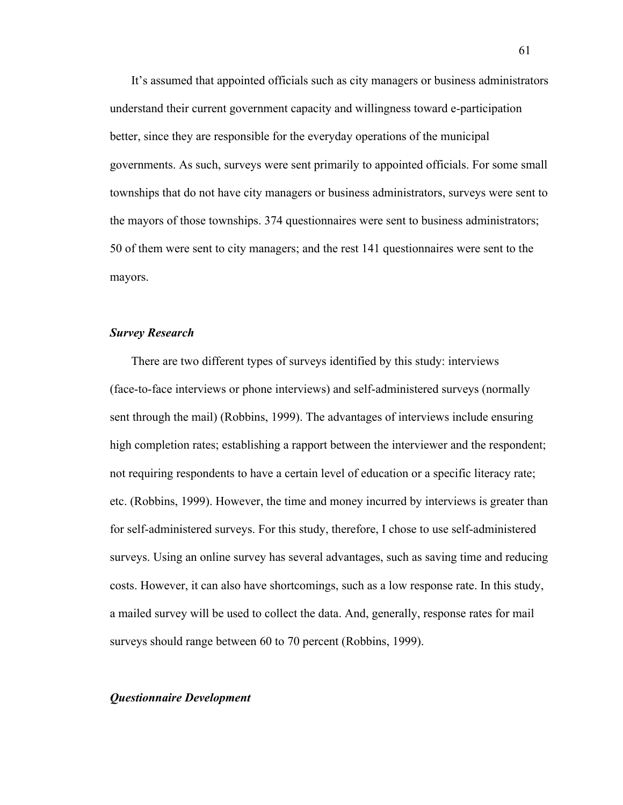It's assumed that appointed officials such as city managers or business administrators understand their current government capacity and willingness toward e-participation better, since they are responsible for the everyday operations of the municipal governments. As such, surveys were sent primarily to appointed officials. For some small townships that do not have city managers or business administrators, surveys were sent to the mayors of those townships. 374 questionnaires were sent to business administrators; 50 of them were sent to city managers; and the rest 141 questionnaires were sent to the mayors.

# *Survey Research*

There are two different types of surveys identified by this study: interviews (face-to-face interviews or phone interviews) and self-administered surveys (normally sent through the mail) (Robbins, 1999). The advantages of interviews include ensuring high completion rates; establishing a rapport between the interviewer and the respondent; not requiring respondents to have a certain level of education or a specific literacy rate; etc. (Robbins, 1999). However, the time and money incurred by interviews is greater than for self-administered surveys. For this study, therefore, I chose to use self-administered surveys. Using an online survey has several advantages, such as saving time and reducing costs. However, it can also have shortcomings, such as a low response rate. In this study, a mailed survey will be used to collect the data. And, generally, response rates for mail surveys should range between 60 to 70 percent (Robbins, 1999).

## *Questionnaire Development*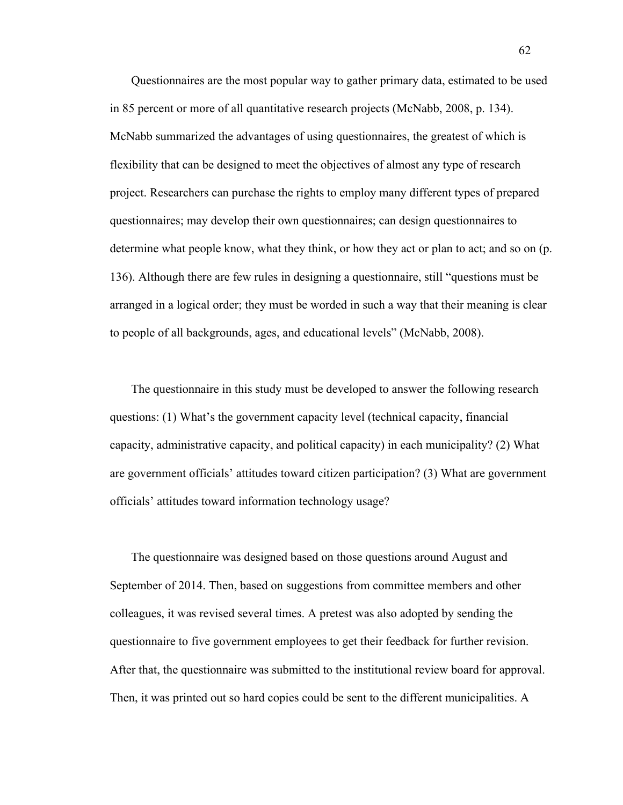Questionnaires are the most popular way to gather primary data, estimated to be used in 85 percent or more of all quantitative research projects (McNabb, 2008, p. 134). McNabb summarized the advantages of using questionnaires, the greatest of which is flexibility that can be designed to meet the objectives of almost any type of research project. Researchers can purchase the rights to employ many different types of prepared questionnaires; may develop their own questionnaires; can design questionnaires to determine what people know, what they think, or how they act or plan to act; and so on (p. 136). Although there are few rules in designing a questionnaire, still "questions must be arranged in a logical order; they must be worded in such a way that their meaning is clear to people of all backgrounds, ages, and educational levels" (McNabb, 2008).

The questionnaire in this study must be developed to answer the following research questions: (1) What's the government capacity level (technical capacity, financial capacity, administrative capacity, and political capacity) in each municipality? (2) What are government officials' attitudes toward citizen participation? (3) What are government officials' attitudes toward information technology usage?

The questionnaire was designed based on those questions around August and September of 2014. Then, based on suggestions from committee members and other colleagues, it was revised several times. A pretest was also adopted by sending the questionnaire to five government employees to get their feedback for further revision. After that, the questionnaire was submitted to the institutional review board for approval. Then, it was printed out so hard copies could be sent to the different municipalities. A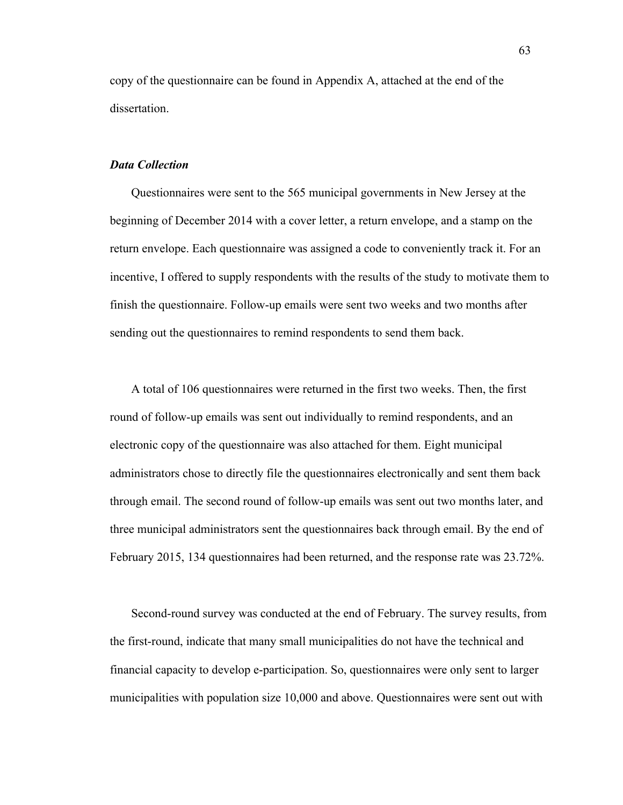copy of the questionnaire can be found in Appendix A, attached at the end of the dissertation.

## *Data Collection*

Questionnaires were sent to the 565 municipal governments in New Jersey at the beginning of December 2014 with a cover letter, a return envelope, and a stamp on the return envelope. Each questionnaire was assigned a code to conveniently track it. For an incentive, I offered to supply respondents with the results of the study to motivate them to finish the questionnaire. Follow-up emails were sent two weeks and two months after sending out the questionnaires to remind respondents to send them back.

A total of 106 questionnaires were returned in the first two weeks. Then, the first round of follow-up emails was sent out individually to remind respondents, and an electronic copy of the questionnaire was also attached for them. Eight municipal administrators chose to directly file the questionnaires electronically and sent them back through email. The second round of follow-up emails was sent out two months later, and three municipal administrators sent the questionnaires back through email. By the end of February 2015, 134 questionnaires had been returned, and the response rate was 23.72%.

Second-round survey was conducted at the end of February. The survey results, from the first-round, indicate that many small municipalities do not have the technical and financial capacity to develop e-participation. So, questionnaires were only sent to larger municipalities with population size 10,000 and above. Questionnaires were sent out with

63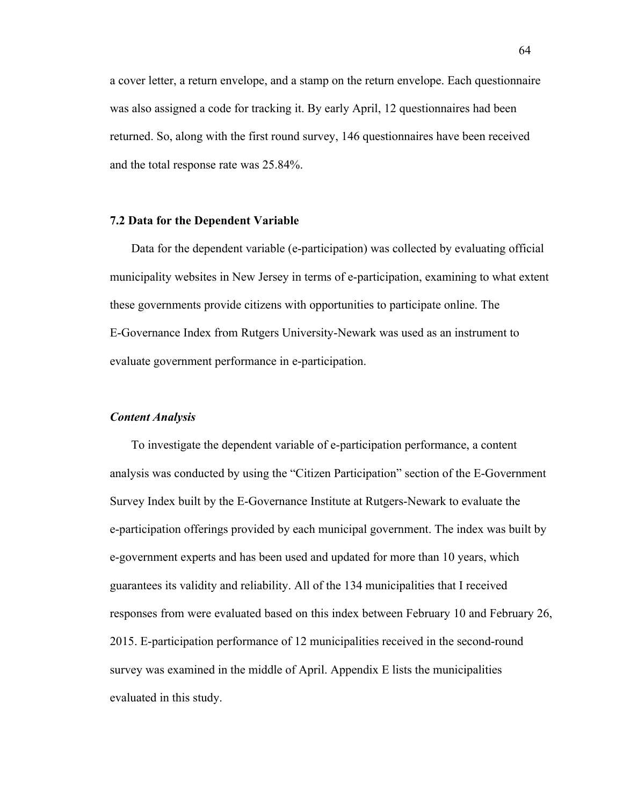a cover letter, a return envelope, and a stamp on the return envelope. Each questionnaire was also assigned a code for tracking it. By early April, 12 questionnaires had been returned. So, along with the first round survey, 146 questionnaires have been received and the total response rate was 25.84%.

## **7.2 Data for the Dependent Variable**

Data for the dependent variable (e-participation) was collected by evaluating official municipality websites in New Jersey in terms of e-participation, examining to what extent these governments provide citizens with opportunities to participate online. The E-Governance Index from Rutgers University-Newark was used as an instrument to evaluate government performance in e-participation.

### *Content Analysis*

To investigate the dependent variable of e-participation performance, a content analysis was conducted by using the "Citizen Participation" section of the E-Government Survey Index built by the E-Governance Institute at Rutgers-Newark to evaluate the e-participation offerings provided by each municipal government. The index was built by e-government experts and has been used and updated for more than 10 years, which guarantees its validity and reliability. All of the 134 municipalities that I received responses from were evaluated based on this index between February 10 and February 26, 2015. E-participation performance of 12 municipalities received in the second-round survey was examined in the middle of April. Appendix E lists the municipalities evaluated in this study.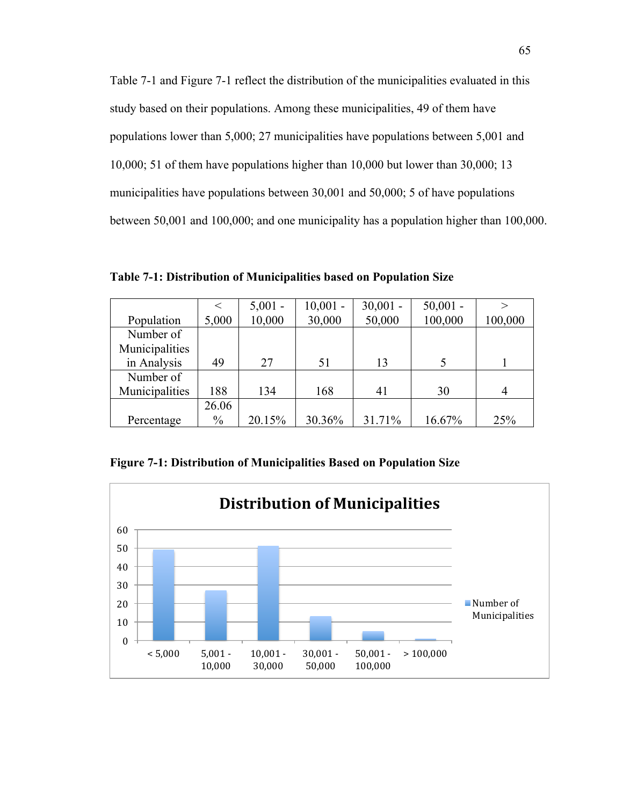Table 7-1 and Figure 7-1 reflect the distribution of the municipalities evaluated in this study based on their populations. Among these municipalities, 49 of them have populations lower than 5,000; 27 municipalities have populations between 5,001 and 10,000; 51 of them have populations higher than 10,000 but lower than 30,000; 13 municipalities have populations between 30,001 and 50,000; 5 of have populations between 50,001 and 100,000; and one municipality has a population higher than 100,000.

**Table 7-1: Distribution of Municipalities based on Population Size**

|                |               | $5,001 -$ | $10,001 -$ | $30,001 -$ | $50,001 -$ | $\gt$   |
|----------------|---------------|-----------|------------|------------|------------|---------|
| Population     | 5,000         | 10,000    | 30,000     | 50,000     | 100,000    | 100,000 |
| Number of      |               |           |            |            |            |         |
| Municipalities |               |           |            |            |            |         |
| in Analysis    | 49            | 27        | 51         | 13         | 5          |         |
| Number of      |               |           |            |            |            |         |
| Municipalities | 188           | 134       | 168        | 41         | 30         |         |
|                | 26.06         |           |            |            |            |         |
| Percentage     | $\frac{0}{0}$ | 20.15%    | 30.36%     | 31.71%     | 16.67%     | 25%     |

**Figure 7-1: Distribution of Municipalities Based on Population Size**

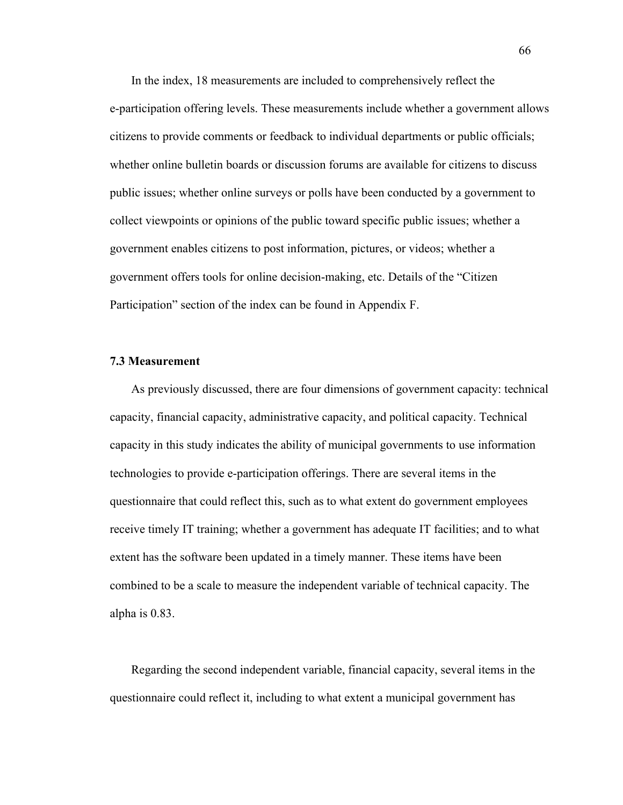In the index, 18 measurements are included to comprehensively reflect the e-participation offering levels. These measurements include whether a government allows citizens to provide comments or feedback to individual departments or public officials; whether online bulletin boards or discussion forums are available for citizens to discuss public issues; whether online surveys or polls have been conducted by a government to collect viewpoints or opinions of the public toward specific public issues; whether a government enables citizens to post information, pictures, or videos; whether a government offers tools for online decision-making, etc. Details of the "Citizen Participation" section of the index can be found in Appendix F.

# **7.3 Measurement**

As previously discussed, there are four dimensions of government capacity: technical capacity, financial capacity, administrative capacity, and political capacity. Technical capacity in this study indicates the ability of municipal governments to use information technologies to provide e-participation offerings. There are several items in the questionnaire that could reflect this, such as to what extent do government employees receive timely IT training; whether a government has adequate IT facilities; and to what extent has the software been updated in a timely manner. These items have been combined to be a scale to measure the independent variable of technical capacity. The alpha is 0.83.

Regarding the second independent variable, financial capacity, several items in the questionnaire could reflect it, including to what extent a municipal government has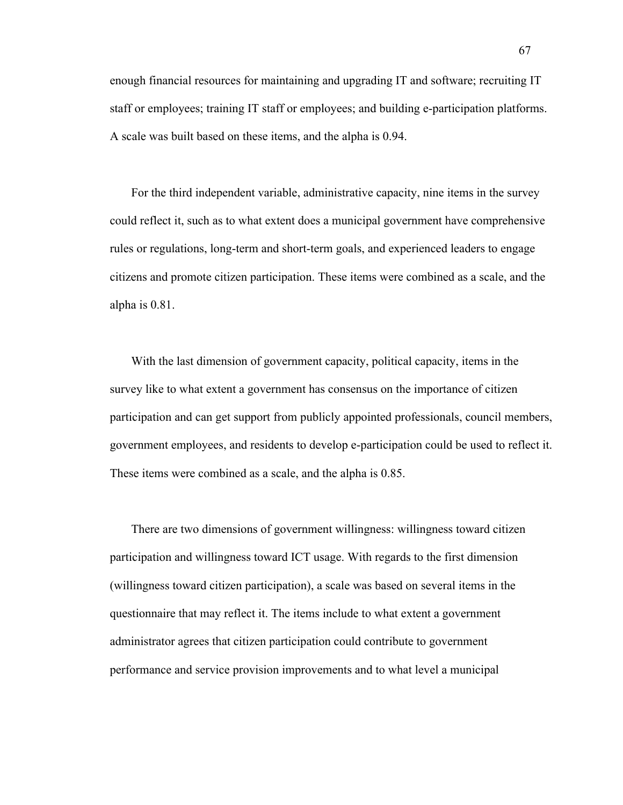enough financial resources for maintaining and upgrading IT and software; recruiting IT staff or employees; training IT staff or employees; and building e-participation platforms. A scale was built based on these items, and the alpha is 0.94.

For the third independent variable, administrative capacity, nine items in the survey could reflect it, such as to what extent does a municipal government have comprehensive rules or regulations, long-term and short-term goals, and experienced leaders to engage citizens and promote citizen participation. These items were combined as a scale, and the alpha is 0.81.

With the last dimension of government capacity, political capacity, items in the survey like to what extent a government has consensus on the importance of citizen participation and can get support from publicly appointed professionals, council members, government employees, and residents to develop e-participation could be used to reflect it. These items were combined as a scale, and the alpha is 0.85.

There are two dimensions of government willingness: willingness toward citizen participation and willingness toward ICT usage. With regards to the first dimension (willingness toward citizen participation), a scale was based on several items in the questionnaire that may reflect it. The items include to what extent a government administrator agrees that citizen participation could contribute to government performance and service provision improvements and to what level a municipal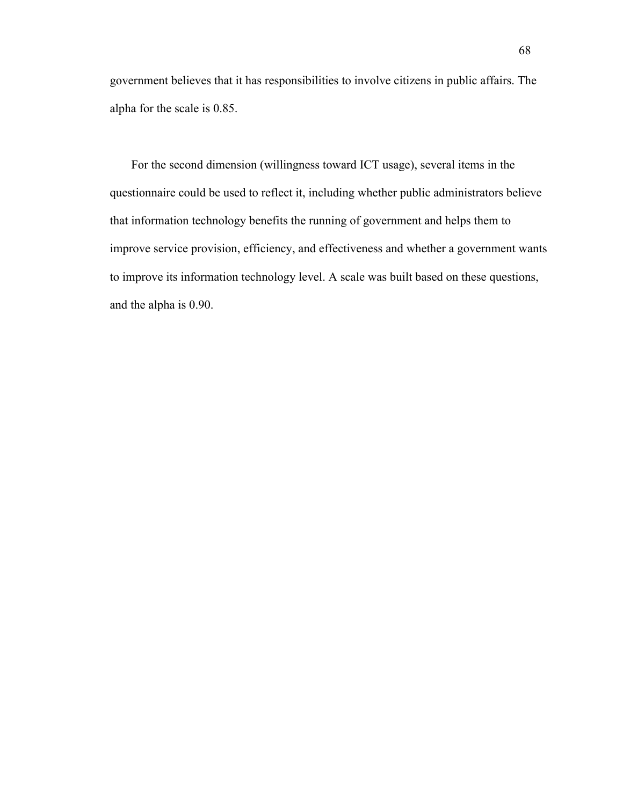government believes that it has responsibilities to involve citizens in public affairs. The alpha for the scale is 0.85.

For the second dimension (willingness toward ICT usage), several items in the questionnaire could be used to reflect it, including whether public administrators believe that information technology benefits the running of government and helps them to improve service provision, efficiency, and effectiveness and whether a government wants to improve its information technology level. A scale was built based on these questions, and the alpha is 0.90.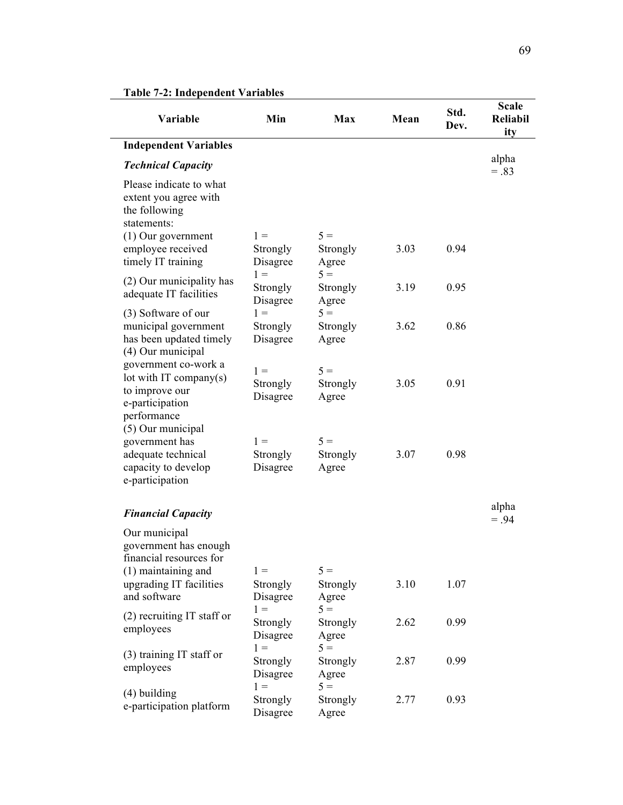| Variable                                                                                                                                            | Min                           | Max                        | Mean | Std.<br>Dev. | <b>Scale</b><br><b>Reliabil</b><br>ity |
|-----------------------------------------------------------------------------------------------------------------------------------------------------|-------------------------------|----------------------------|------|--------------|----------------------------------------|
| <b>Independent Variables</b>                                                                                                                        |                               |                            |      |              |                                        |
| <b>Technical Capacity</b>                                                                                                                           |                               |                            |      |              | alpha<br>$=.83$                        |
| Please indicate to what<br>extent you agree with<br>the following<br>statements:<br>$(1)$ Our government<br>employee received<br>timely IT training | $1 =$<br>Strongly<br>Disagree | $5 =$<br>Strongly<br>Agree | 3.03 | 0.94         |                                        |
| (2) Our municipality has<br>adequate IT facilities                                                                                                  | $1 =$<br>Strongly<br>Disagree | $5 =$<br>Strongly<br>Agree | 3.19 | 0.95         |                                        |
| (3) Software of our<br>municipal government<br>has been updated timely<br>(4) Our municipal                                                         | $1 =$<br>Strongly<br>Disagree | $5 =$<br>Strongly<br>Agree | 3.62 | 0.86         |                                        |
| government co-work a<br>lot with IT company(s)<br>to improve our<br>e-participation<br>performance                                                  | $1 =$<br>Strongly<br>Disagree | $5 =$<br>Strongly<br>Agree | 3.05 | 0.91         |                                        |
| (5) Our municipal<br>government has<br>adequate technical<br>capacity to develop<br>e-participation                                                 | $1 =$<br>Strongly<br>Disagree | $5 =$<br>Strongly<br>Agree | 3.07 | 0.98         |                                        |
| <b>Financial Capacity</b>                                                                                                                           |                               |                            |      |              | alpha<br>$=.94$                        |
| Our municipal<br>government has enough<br>financial resources for<br>$(1)$ maintaining and<br>upgrading IT facilities<br>and software               | $1 =$<br>Strongly<br>Disagree | $5 =$<br>Strongly<br>Agree | 3.10 | 1.07         |                                        |
| $(2)$ recruiting IT staff or<br>employees                                                                                                           | $1 =$<br>Strongly<br>Disagree | $5 =$<br>Strongly<br>Agree | 2.62 | 0.99         |                                        |
| (3) training IT staff or<br>employees                                                                                                               | $1 =$<br>Strongly<br>Disagree | $5 =$<br>Strongly<br>Agree | 2.87 | 0.99         |                                        |
| $(4)$ building<br>e-participation platform                                                                                                          | $1 =$<br>Strongly<br>Disagree | $5 =$<br>Strongly<br>Agree | 2.77 | 0.93         |                                        |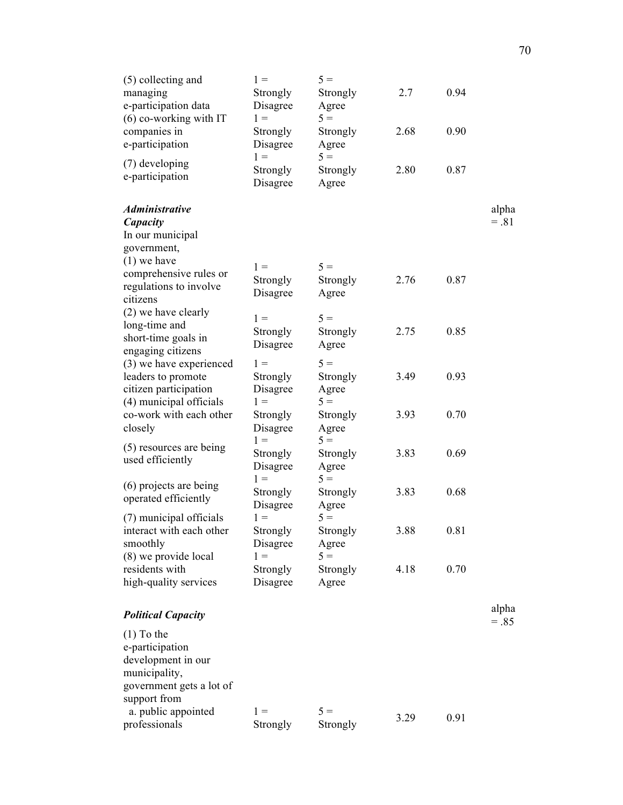| (5) collecting and<br>managing<br>e-participation data<br>$(6)$ co-working with IT<br>companies in | $1 =$<br>Strongly<br>Disagree<br>$1 =$<br>Strongly | $5 =$<br>Strongly<br>Agree<br>$5 =$<br>Strongly | 2.7<br>2.68 | 0.94<br>0.90 |                 |
|----------------------------------------------------------------------------------------------------|----------------------------------------------------|-------------------------------------------------|-------------|--------------|-----------------|
| e-participation<br>(7) developing<br>e-participation                                               | Disagree<br>$1 =$<br>Strongly<br>Disagree          | Agree<br>$5 =$<br>Strongly<br>Agree             | 2.80        | 0.87         |                 |
| <b>Administrative</b>                                                                              |                                                    |                                                 |             |              | alpha           |
| Capacity<br>In our municipal                                                                       |                                                    |                                                 |             |              | $=.81$          |
| government,                                                                                        |                                                    |                                                 |             |              |                 |
| $(1)$ we have                                                                                      |                                                    |                                                 |             |              |                 |
| comprehensive rules or                                                                             | $1 =$                                              | $5 =$                                           |             |              |                 |
| regulations to involve                                                                             | Strongly                                           | Strongly                                        | 2.76        | 0.87         |                 |
| citizens                                                                                           | Disagree                                           | Agree                                           |             |              |                 |
| (2) we have clearly                                                                                | $1 =$                                              | $5 =$                                           |             |              |                 |
| long-time and                                                                                      | Strongly                                           | Strongly                                        | 2.75        | 0.85         |                 |
| short-time goals in                                                                                | Disagree                                           | Agree                                           |             |              |                 |
| engaging citizens                                                                                  |                                                    |                                                 |             |              |                 |
| (3) we have experienced                                                                            | $1 =$                                              | $5 =$                                           |             |              |                 |
| leaders to promote                                                                                 | Strongly                                           | Strongly                                        | 3.49        | 0.93         |                 |
| citizen participation<br>(4) municipal officials                                                   | Disagree<br>$1 =$                                  | Agree<br>$5 =$                                  |             |              |                 |
| co-work with each other                                                                            | Strongly                                           | Strongly                                        | 3.93        | 0.70         |                 |
| closely                                                                                            | Disagree<br>$1 =$                                  | Agree<br>$5 =$                                  |             |              |                 |
| (5) resources are being<br>used efficiently                                                        | Strongly<br>Disagree                               | Strongly<br>Agree                               | 3.83        | 0.69         |                 |
| (6) projects are being                                                                             | $1 =$                                              | $5 =$                                           |             |              |                 |
| operated efficiently                                                                               | Strongly<br>Disagree                               | Strongly<br>Agree                               | 3.83        | 0.68         |                 |
| (7) municipal officials                                                                            | $1 =$                                              | $5 =$                                           |             |              |                 |
| interact with each other<br>smoothly<br>(8) we provide local                                       | Strongly<br>Disagree<br>$1 =$                      | Strongly<br>Agree<br>$5 =$                      | 3.88        | 0.81         |                 |
| residents with                                                                                     | Strongly                                           | Strongly                                        | 4.18        | 0.70         |                 |
| high-quality services                                                                              | Disagree                                           | Agree                                           |             |              |                 |
| <b>Political Capacity</b>                                                                          |                                                    |                                                 |             |              | alpha<br>$=.85$ |
| $(1)$ To the<br>e-participation<br>development in our<br>municipality,<br>government gets a lot of |                                                    |                                                 |             |              |                 |
| support from<br>a. public appointed<br>professionals                                               | $1 =$<br>Strongly                                  | $5 =$<br>Strongly                               | 3.29        | 0.91         |                 |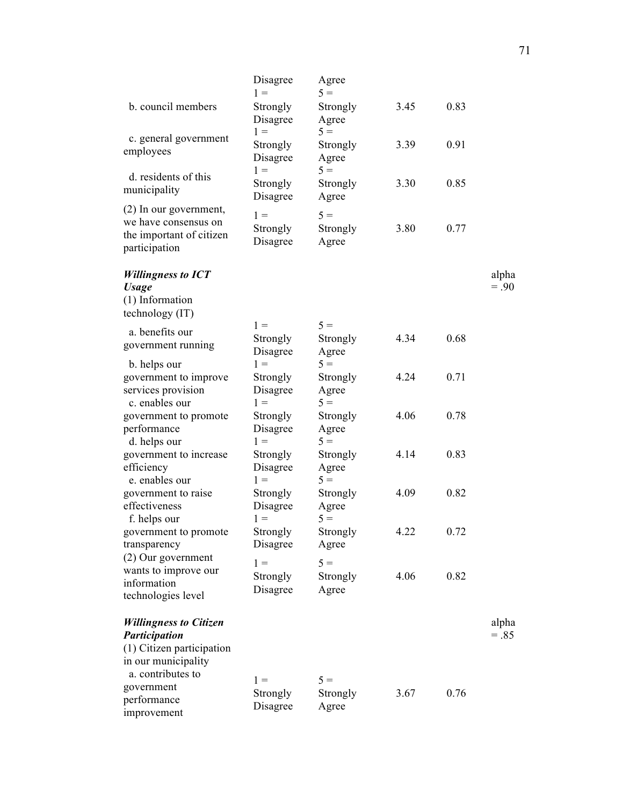| b. council members                                                                                        | Disagree<br>$1 =$<br>Strongly<br>Disagree | Agree<br>$5 =$<br>Strongly<br>Agree | 3.45 | 0.83 |                 |
|-----------------------------------------------------------------------------------------------------------|-------------------------------------------|-------------------------------------|------|------|-----------------|
| c. general government<br>employees                                                                        | $1 =$<br>Strongly<br>Disagree             | $5 =$<br>Strongly<br>Agree          | 3.39 | 0.91 |                 |
| d. residents of this<br>municipality                                                                      | $1 =$<br>Strongly<br>Disagree             | $5 =$<br>Strongly<br>Agree          | 3.30 | 0.85 |                 |
| (2) In our government,<br>we have consensus on<br>the important of citizen<br>participation               | $1 =$<br>Strongly<br>Disagree             | $5 =$<br>Strongly<br>Agree          | 3.80 | 0.77 |                 |
| <b>Willingness to ICT</b><br><b>Usage</b>                                                                 |                                           |                                     |      |      | alpha<br>$=.90$ |
| (1) Information<br>technology (IT)                                                                        |                                           |                                     |      |      |                 |
| a. benefits our<br>government running                                                                     | $1 =$<br>Strongly<br>Disagree             | $5 =$<br>Strongly<br>Agree          | 4.34 | 0.68 |                 |
| b. helps our<br>government to improve<br>services provision<br>c. enables our                             | $1 =$<br>Strongly<br>Disagree<br>$1 =$    | $5 =$<br>Strongly<br>Agree<br>$5 =$ | 4.24 | 0.71 |                 |
| government to promote<br>performance<br>d. helps our                                                      | Strongly<br>Disagree<br>$1 =$             | Strongly<br>Agree<br>$5 =$          | 4.06 | 0.78 |                 |
| government to increase<br>efficiency<br>e. enables our                                                    | Strongly<br>Disagree<br>$1 =$             | Strongly<br>Agree<br>$5 =$          | 4.14 | 0.83 |                 |
| government to raise<br>effectiveness<br>f. helps our                                                      | Strongly<br>Disagree<br>$1 =$             | Strongly<br>Agree<br>$5 =$          | 4.09 | 0.82 |                 |
| government to promote<br>transparency<br>(2) Our government                                               | Strongly<br>Disagree                      | Strongly<br>Agree                   | 4.22 | 0.72 |                 |
| wants to improve our<br>information<br>technologies level                                                 | $1 =$<br>Strongly<br>Disagree             | $5 =$<br>Strongly<br>Agree          | 4.06 | 0.82 |                 |
| <b>Willingness to Citizen</b><br><b>Participation</b><br>(1) Citizen participation<br>in our municipality |                                           |                                     |      |      | alpha<br>$=.85$ |
| a. contributes to<br>government<br>performance<br>improvement                                             | $1 =$<br>Strongly<br>Disagree             | $5 =$<br>Strongly<br>Agree          | 3.67 | 0.76 |                 |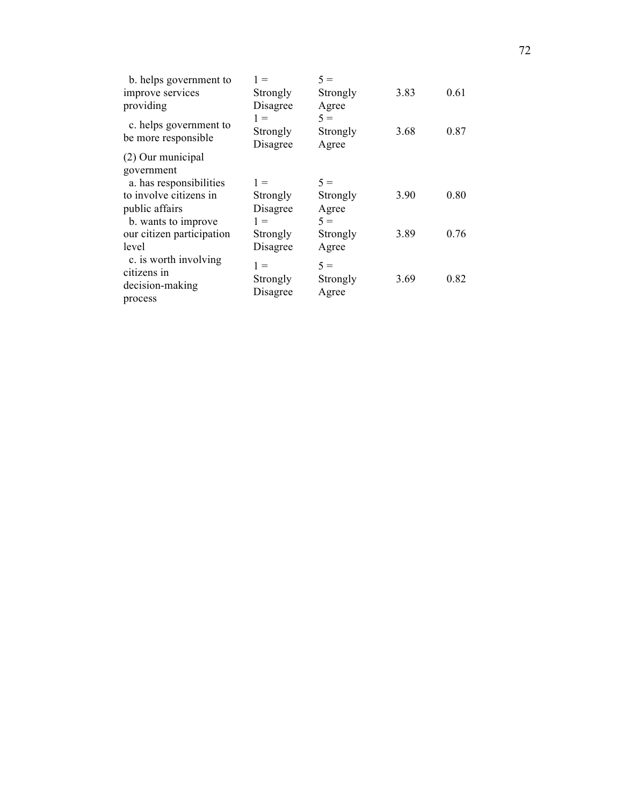| b. helps government to                | $1 =$                | $5 =$             |      |      |
|---------------------------------------|----------------------|-------------------|------|------|
| improve services                      | Strongly             | Strongly          | 3.83 | 0.61 |
| providing<br>c. helps government to   | Disagree<br>$1 =$    | Agree<br>$5 =$    |      |      |
| be more responsible                   | Strongly<br>Disagree | Strongly<br>Agree | 3.68 | 0.87 |
| (2) Our municipal                     |                      |                   |      |      |
| government<br>a. has responsibilities | $1 =$                | $5 =$             |      |      |
| to involve citizens in                | Strongly             | Strongly          | 3.90 | 0.80 |
| public affairs<br>b. wants to improve | Disagree<br>$1 =$    | Agree<br>$5 =$    |      |      |
| our citizen participation             | Strongly             | Strongly          | 3.89 | 0.76 |
| level                                 | Disagree             | Agree             |      |      |
| c. is worth involving<br>citizens in  | $1 =$                | $5 =$             |      |      |
| decision-making                       | Strongly             | Strongly          | 3.69 | 0.82 |
| process                               | Disagree             | Agree             |      |      |
|                                       |                      |                   |      |      |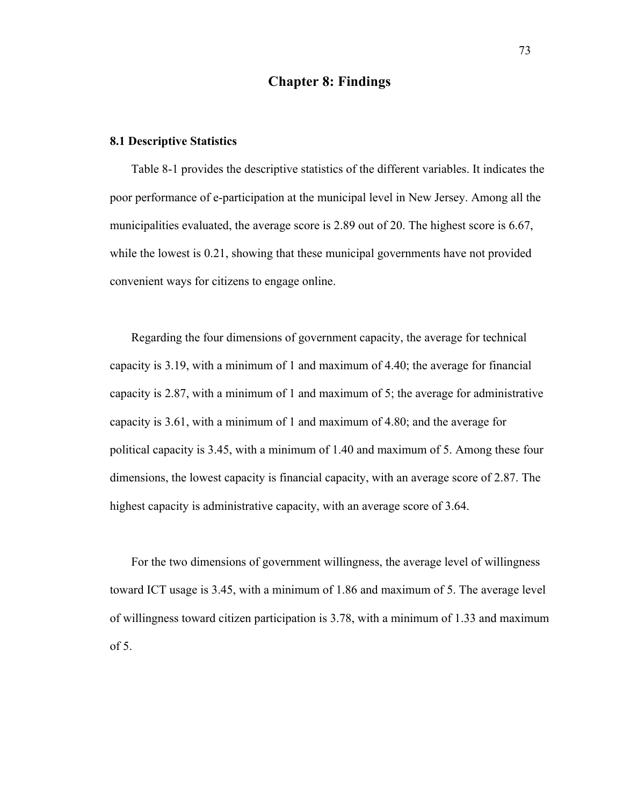# **Chapter 8: Findings**

## **8.1 Descriptive Statistics**

Table 8-1 provides the descriptive statistics of the different variables. It indicates the poor performance of e-participation at the municipal level in New Jersey. Among all the municipalities evaluated, the average score is 2.89 out of 20. The highest score is 6.67, while the lowest is 0.21, showing that these municipal governments have not provided convenient ways for citizens to engage online.

Regarding the four dimensions of government capacity, the average for technical capacity is 3.19, with a minimum of 1 and maximum of 4.40; the average for financial capacity is 2.87, with a minimum of 1 and maximum of 5; the average for administrative capacity is 3.61, with a minimum of 1 and maximum of 4.80; and the average for political capacity is 3.45, with a minimum of 1.40 and maximum of 5. Among these four dimensions, the lowest capacity is financial capacity, with an average score of 2.87. The highest capacity is administrative capacity, with an average score of 3.64.

For the two dimensions of government willingness, the average level of willingness toward ICT usage is 3.45, with a minimum of 1.86 and maximum of 5. The average level of willingness toward citizen participation is 3.78, with a minimum of 1.33 and maximum of 5.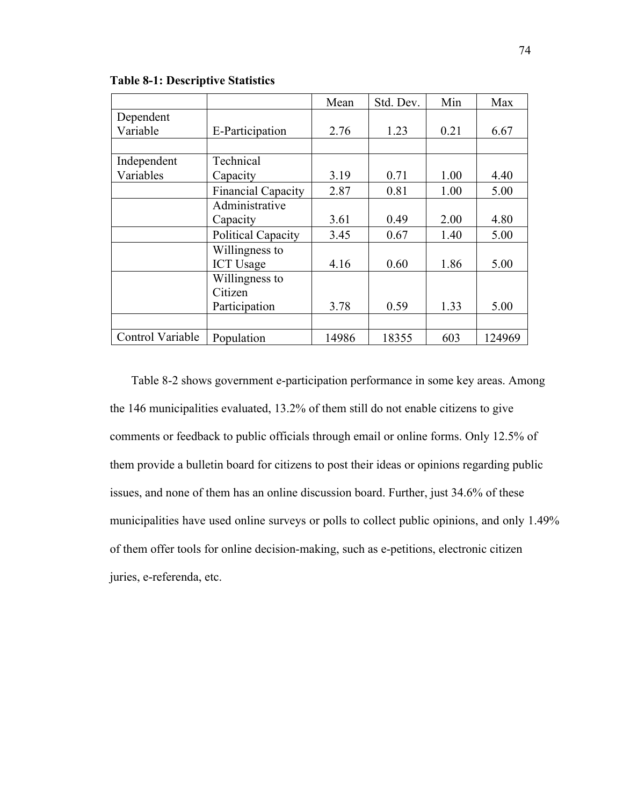|                  |                           | Mean  | Std. Dev. | Min  | Max    |
|------------------|---------------------------|-------|-----------|------|--------|
| Dependent        |                           |       |           |      |        |
| Variable         | E-Participation           | 2.76  | 1.23      | 0.21 | 6.67   |
|                  |                           |       |           |      |        |
| Independent      | Technical                 |       |           |      |        |
| Variables        | Capacity                  | 3.19  | 0.71      | 1.00 | 4.40   |
|                  | <b>Financial Capacity</b> | 2.87  | 0.81      | 1.00 | 5.00   |
|                  | Administrative            |       |           |      |        |
|                  | Capacity                  | 3.61  | 0.49      | 2.00 | 4.80   |
|                  | Political Capacity        | 3.45  | 0.67      | 1.40 | 5.00   |
|                  | Willingness to            |       |           |      |        |
|                  | <b>ICT Usage</b>          | 4.16  | 0.60      | 1.86 | 5.00   |
|                  | Willingness to            |       |           |      |        |
|                  | Citizen                   |       |           |      |        |
|                  | Participation             | 3.78  | 0.59      | 1.33 | 5.00   |
|                  |                           |       |           |      |        |
| Control Variable | Population                | 14986 | 18355     | 603  | 124969 |

**Table 8-1: Descriptive Statistics**

Table 8-2 shows government e-participation performance in some key areas. Among the 146 municipalities evaluated, 13.2% of them still do not enable citizens to give comments or feedback to public officials through email or online forms. Only 12.5% of them provide a bulletin board for citizens to post their ideas or opinions regarding public issues, and none of them has an online discussion board. Further, just 34.6% of these municipalities have used online surveys or polls to collect public opinions, and only 1.49% of them offer tools for online decision-making, such as e-petitions, electronic citizen juries, e-referenda, etc.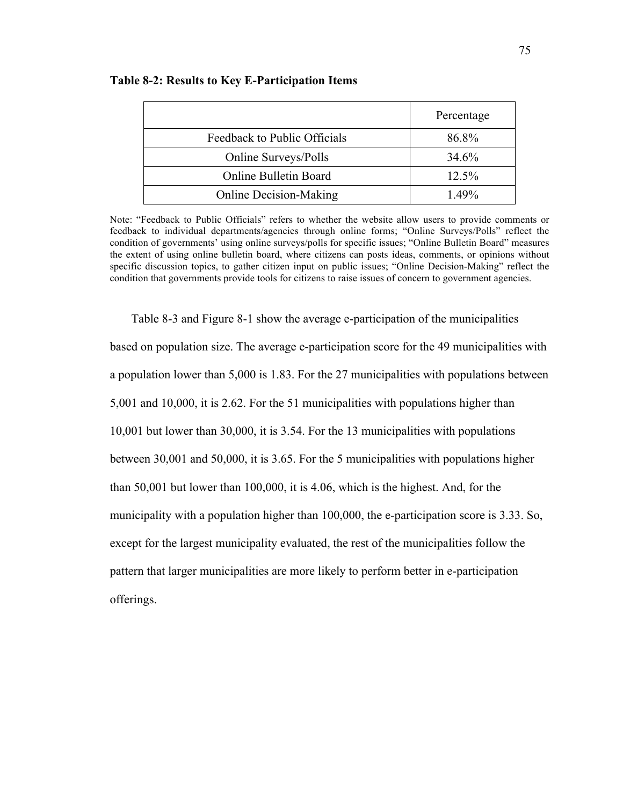|                               | Percentage |
|-------------------------------|------------|
| Feedback to Public Officials  | 86.8%      |
| Online Surveys/Polls          | 34.6%      |
| <b>Online Bulletin Board</b>  | 12.5%      |
| <b>Online Decision-Making</b> | $1.49\%$   |

#### **Table 8-2: Results to Key E-Participation Items**

Note: "Feedback to Public Officials" refers to whether the website allow users to provide comments or feedback to individual departments/agencies through online forms; "Online Surveys/Polls" reflect the condition of governments' using online surveys/polls for specific issues; "Online Bulletin Board" measures the extent of using online bulletin board, where citizens can posts ideas, comments, or opinions without specific discussion topics, to gather citizen input on public issues; "Online Decision-Making" reflect the condition that governments provide tools for citizens to raise issues of concern to government agencies.

Table 8-3 and Figure 8-1 show the average e-participation of the municipalities based on population size. The average e-participation score for the 49 municipalities with a population lower than 5,000 is 1.83. For the 27 municipalities with populations between 5,001 and 10,000, it is 2.62. For the 51 municipalities with populations higher than 10,001 but lower than 30,000, it is 3.54. For the 13 municipalities with populations between 30,001 and 50,000, it is 3.65. For the 5 municipalities with populations higher than 50,001 but lower than 100,000, it is 4.06, which is the highest. And, for the municipality with a population higher than 100,000, the e-participation score is 3.33. So, except for the largest municipality evaluated, the rest of the municipalities follow the pattern that larger municipalities are more likely to perform better in e-participation offerings.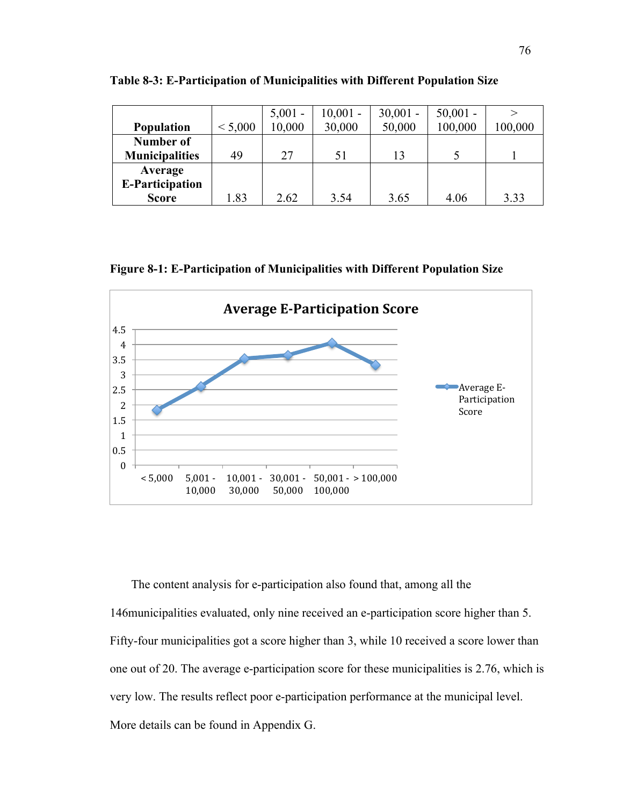|                        |         | $5,001 -$ | $10,001 -$ | $30,001 -$ | $50,001 -$ | ↘       |
|------------------------|---------|-----------|------------|------------|------------|---------|
| <b>Population</b>      | < 5,000 | 10,000    | 30,000     | 50,000     | 100,000    | 100,000 |
| Number of              |         |           |            |            |            |         |
| <b>Municipalities</b>  | 49      | 27        | 51         | 13         |            |         |
| Average                |         |           |            |            |            |         |
| <b>E-Participation</b> |         |           |            |            |            |         |
| <b>Score</b>           | 1.83    | 2.62      | 3.54       | 3.65       | 4.06       | 3.33    |

**Table 8-3: E-Participation of Municipalities with Different Population Size**

**Figure 8-1: E-Participation of Municipalities with Different Population Size**



The content analysis for e-participation also found that, among all the 146municipalities evaluated, only nine received an e-participation score higher than 5. Fifty-four municipalities got a score higher than 3, while 10 received a score lower than one out of 20. The average e-participation score for these municipalities is 2.76, which is very low. The results reflect poor e-participation performance at the municipal level. More details can be found in Appendix G.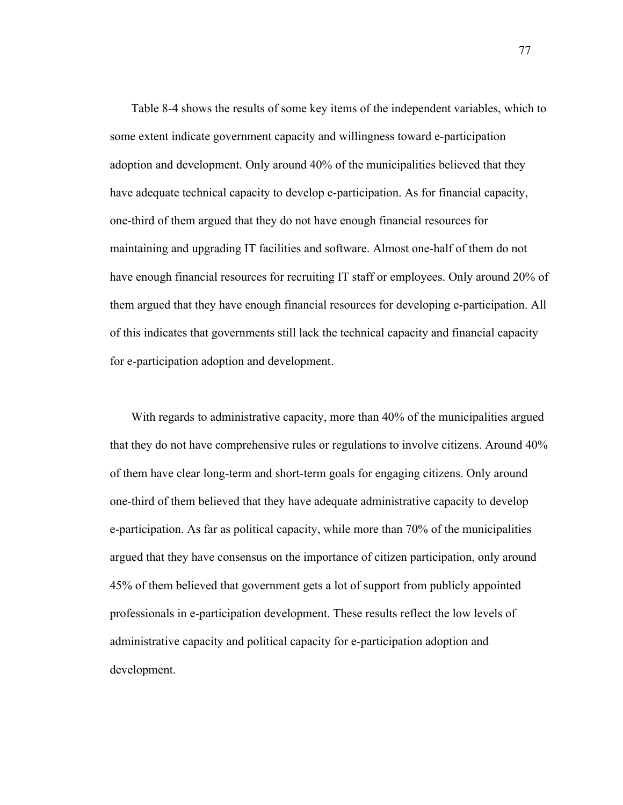Table 8-4 shows the results of some key items of the independent variables, which to some extent indicate government capacity and willingness toward e-participation adoption and development. Only around 40% of the municipalities believed that they have adequate technical capacity to develop e-participation. As for financial capacity, one-third of them argued that they do not have enough financial resources for maintaining and upgrading IT facilities and software. Almost one-half of them do not have enough financial resources for recruiting IT staff or employees. Only around 20% of them argued that they have enough financial resources for developing e-participation. All of this indicates that governments still lack the technical capacity and financial capacity for e-participation adoption and development.

With regards to administrative capacity, more than 40% of the municipalities argued that they do not have comprehensive rules or regulations to involve citizens. Around 40% of them have clear long-term and short-term goals for engaging citizens. Only around one-third of them believed that they have adequate administrative capacity to develop e-participation. As far as political capacity, while more than 70% of the municipalities argued that they have consensus on the importance of citizen participation, only around 45% of them believed that government gets a lot of support from publicly appointed professionals in e-participation development. These results reflect the low levels of administrative capacity and political capacity for e-participation adoption and development.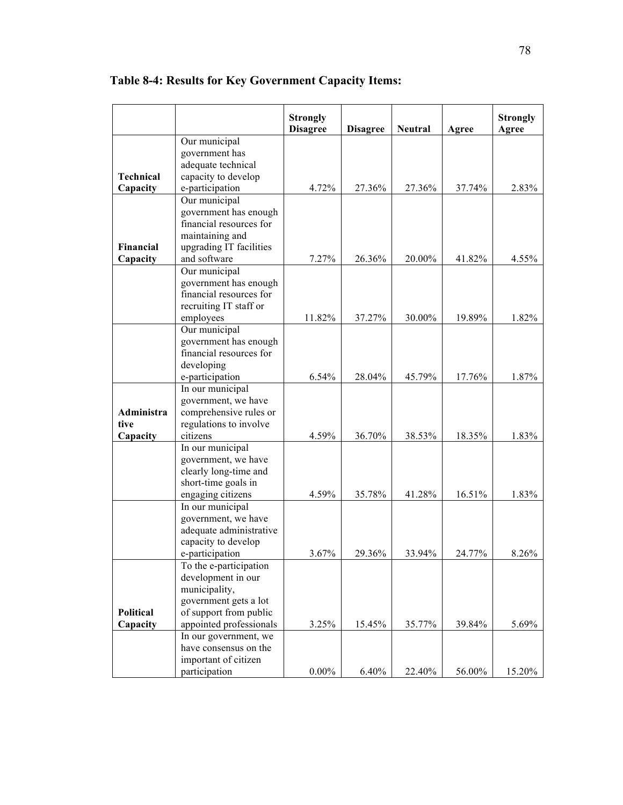|                       |                                                  | <b>Strongly</b><br><b>Disagree</b> | <b>Disagree</b> | <b>Neutral</b> | Agree  | <b>Strongly</b><br>Agree |
|-----------------------|--------------------------------------------------|------------------------------------|-----------------|----------------|--------|--------------------------|
|                       | Our municipal<br>government has                  |                                    |                 |                |        |                          |
| <b>Technical</b>      | adequate technical<br>capacity to develop        |                                    |                 |                |        |                          |
| Capacity              | e-participation                                  | 4.72%                              | 27.36%          | 27.36%         | 37.74% | 2.83%                    |
|                       | Our municipal<br>government has enough           |                                    |                 |                |        |                          |
|                       | financial resources for                          |                                    |                 |                |        |                          |
|                       | maintaining and                                  |                                    |                 |                |        |                          |
| Financial<br>Capacity | upgrading IT facilities<br>and software          | 7.27%                              | 26.36%          | 20.00%         | 41.82% | 4.55%                    |
|                       | Our municipal                                    |                                    |                 |                |        |                          |
|                       | government has enough                            |                                    |                 |                |        |                          |
|                       | financial resources for                          |                                    |                 |                |        |                          |
|                       | recruiting IT staff or                           |                                    |                 |                |        |                          |
|                       | employees                                        | 11.82%                             | 37.27%          | 30.00%         | 19.89% | 1.82%                    |
|                       | Our municipal                                    |                                    |                 |                |        |                          |
|                       | government has enough<br>financial resources for |                                    |                 |                |        |                          |
|                       | developing                                       |                                    |                 |                |        |                          |
|                       | e-participation                                  | 6.54%                              | 28.04%          | 45.79%         | 17.76% | 1.87%                    |
|                       | In our municipal                                 |                                    |                 |                |        |                          |
|                       | government, we have                              |                                    |                 |                |        |                          |
| Administra            | comprehensive rules or                           |                                    |                 |                |        |                          |
| tive                  | regulations to involve                           |                                    |                 |                |        |                          |
| Capacity              | citizens                                         | 4.59%                              | 36.70%          | 38.53%         | 18.35% | 1.83%                    |
|                       | In our municipal                                 |                                    |                 |                |        |                          |
|                       | government, we have<br>clearly long-time and     |                                    |                 |                |        |                          |
|                       | short-time goals in                              |                                    |                 |                |        |                          |
|                       | engaging citizens                                | 4.59%                              | 35.78%          | 41.28%         | 16.51% | 1.83%                    |
|                       | In our municipal                                 |                                    |                 |                |        |                          |
|                       | government, we have                              |                                    |                 |                |        |                          |
|                       | adequate administrative                          |                                    |                 |                |        |                          |
|                       | capacity to develop                              |                                    |                 |                |        |                          |
|                       | e-participation                                  | 3.67%                              | 29.36%          | 33.94%         | 24.77% | 8.26%                    |
|                       | To the e-participation<br>development in our     |                                    |                 |                |        |                          |
|                       | municipality,                                    |                                    |                 |                |        |                          |
|                       | government gets a lot                            |                                    |                 |                |        |                          |
| <b>Political</b>      | of support from public                           |                                    |                 |                |        |                          |
| Capacity              | appointed professionals                          | 3.25%                              | 15.45%          | 35.77%         | 39.84% | 5.69%                    |
|                       | In our government, we                            |                                    |                 |                |        |                          |
|                       | have consensus on the                            |                                    |                 |                |        |                          |
|                       | important of citizen                             |                                    |                 |                |        |                          |
|                       | participation                                    | $0.00\%$                           | 6.40%           | 22.40%         | 56.00% | 15.20%                   |

**Table 8-4: Results for Key Government Capacity Items:**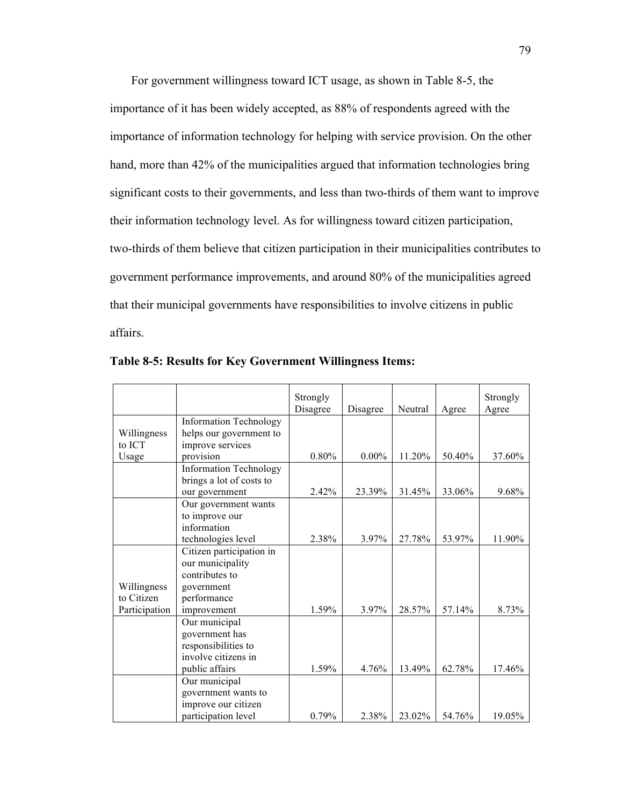For government willingness toward ICT usage, as shown in Table 8-5, the importance of it has been widely accepted, as 88% of respondents agreed with the importance of information technology for helping with service provision. On the other hand, more than 42% of the municipalities argued that information technologies bring significant costs to their governments, and less than two-thirds of them want to improve their information technology level. As for willingness toward citizen participation, two-thirds of them believe that citizen participation in their municipalities contributes to government performance improvements, and around 80% of the municipalities agreed that their municipal governments have responsibilities to involve citizens in public affairs.

|               |                               | Strongly |          |         |        | Strongly |
|---------------|-------------------------------|----------|----------|---------|--------|----------|
|               |                               | Disagree | Disagree | Neutral | Agree  | Agree    |
|               | <b>Information Technology</b> |          |          |         |        |          |
| Willingness   | helps our government to       |          |          |         |        |          |
| to ICT        | improve services              |          |          |         |        |          |
| Usage         | provision                     | 0.80%    | $0.00\%$ | 11.20%  | 50.40% | 37.60%   |
|               | <b>Information Technology</b> |          |          |         |        |          |
|               | brings a lot of costs to      |          |          |         |        |          |
|               | our government                | 2.42%    | 23.39%   | 31.45%  | 33.06% | 9.68%    |
|               | Our government wants          |          |          |         |        |          |
|               | to improve our                |          |          |         |        |          |
|               | information                   |          |          |         |        |          |
|               | technologies level            | 2.38%    | 3.97%    | 27.78%  | 53.97% | 11.90%   |
|               | Citizen participation in      |          |          |         |        |          |
|               | our municipality              |          |          |         |        |          |
|               | contributes to                |          |          |         |        |          |
| Willingness   | government                    |          |          |         |        |          |
| to Citizen    | performance                   |          |          |         |        |          |
| Participation | improvement                   | 1.59%    | 3.97%    | 28.57%  | 57.14% | 8.73%    |
|               | Our municipal                 |          |          |         |        |          |
|               | government has                |          |          |         |        |          |
|               | responsibilities to           |          |          |         |        |          |
|               | involve citizens in           |          |          |         |        |          |
|               | public affairs                | 1.59%    | 4.76%    | 13.49%  | 62.78% | 17.46%   |
|               | Our municipal                 |          |          |         |        |          |
|               | government wants to           |          |          |         |        |          |
|               | improve our citizen           |          |          |         |        |          |
|               | participation level           | 0.79%    | 2.38%    | 23.02%  | 54.76% | 19.05%   |

**Table 8-5: Results for Key Government Willingness Items:**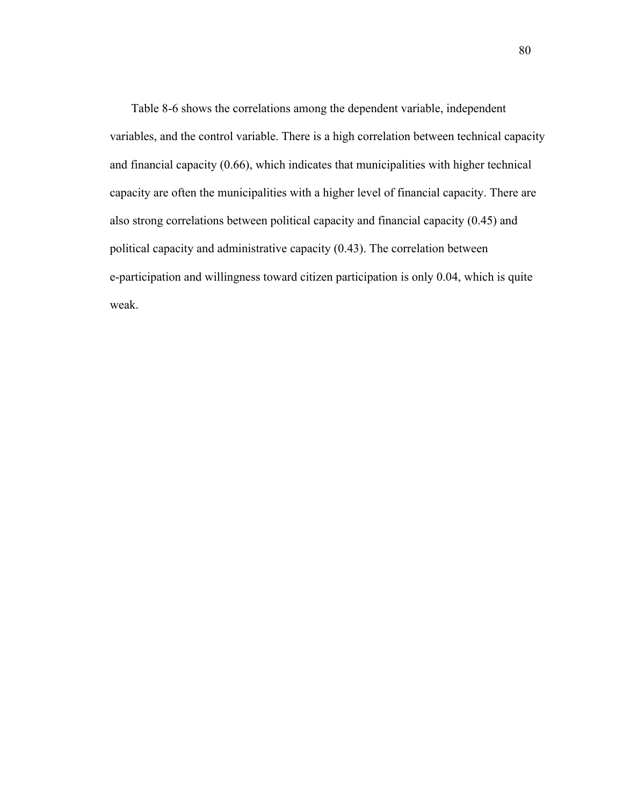Table 8-6 shows the correlations among the dependent variable, independent variables, and the control variable. There is a high correlation between technical capacity and financial capacity (0.66), which indicates that municipalities with higher technical capacity are often the municipalities with a higher level of financial capacity. There are also strong correlations between political capacity and financial capacity (0.45) and political capacity and administrative capacity (0.43). The correlation between e-participation and willingness toward citizen participation is only 0.04, which is quite weak.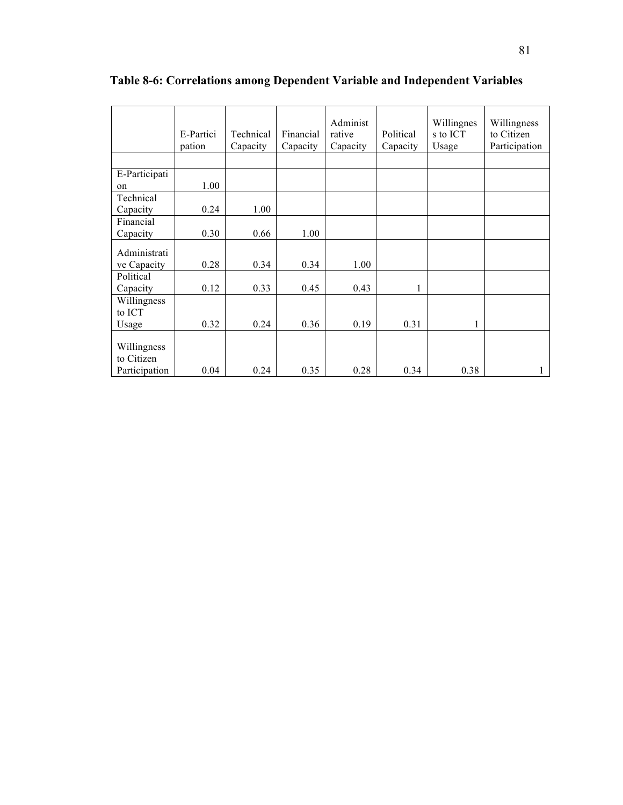| Capacity<br>Capacity<br>pation<br>E-Participati<br>1.00<br>on              | s to ICT<br>rative<br>Political<br>to Citizen  |
|----------------------------------------------------------------------------|------------------------------------------------|
|                                                                            | Participation<br>Usage<br>Capacity<br>Capacity |
|                                                                            |                                                |
|                                                                            |                                                |
|                                                                            |                                                |
| Technical                                                                  |                                                |
| 0.24<br>1.00<br>Capacity                                                   |                                                |
| Financial                                                                  |                                                |
| 0.30<br>0.66<br>1.00<br>Capacity                                           |                                                |
| Administrati                                                               |                                                |
| 0.28<br>0.34<br>0.34<br>ve Capacity                                        | 1.00                                           |
| Political                                                                  |                                                |
| 0.33<br>0.45<br>0.12<br>Capacity                                           | 0.43<br>1                                      |
| Willingness<br>to ICT                                                      |                                                |
| 0.32<br>0.36<br>0.24<br>Usage                                              | 0.19<br>0.31                                   |
| Willingness<br>to Citizen<br>0.35<br>0.24<br>0.28<br>Participation<br>0.04 |                                                |

**Table 8-6: Correlations among Dependent Variable and Independent Variables**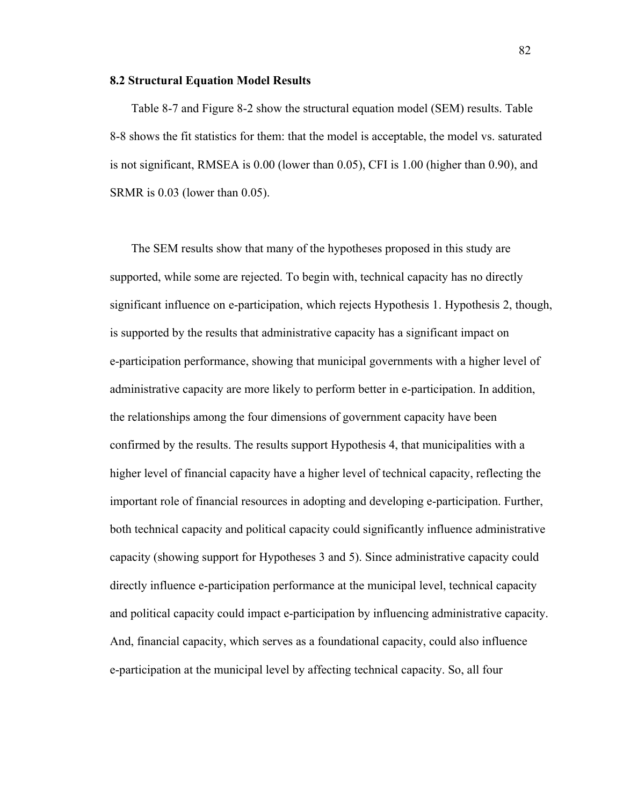## **8.2 Structural Equation Model Results**

Table 8-7 and Figure 8-2 show the structural equation model (SEM) results. Table 8-8 shows the fit statistics for them: that the model is acceptable, the model vs. saturated is not significant, RMSEA is 0.00 (lower than 0.05), CFI is 1.00 (higher than 0.90), and SRMR is 0.03 (lower than 0.05).

The SEM results show that many of the hypotheses proposed in this study are supported, while some are rejected. To begin with, technical capacity has no directly significant influence on e-participation, which rejects Hypothesis 1. Hypothesis 2, though, is supported by the results that administrative capacity has a significant impact on e-participation performance, showing that municipal governments with a higher level of administrative capacity are more likely to perform better in e-participation. In addition, the relationships among the four dimensions of government capacity have been confirmed by the results. The results support Hypothesis 4, that municipalities with a higher level of financial capacity have a higher level of technical capacity, reflecting the important role of financial resources in adopting and developing e-participation. Further, both technical capacity and political capacity could significantly influence administrative capacity (showing support for Hypotheses 3 and 5). Since administrative capacity could directly influence e-participation performance at the municipal level, technical capacity and political capacity could impact e-participation by influencing administrative capacity. And, financial capacity, which serves as a foundational capacity, could also influence e-participation at the municipal level by affecting technical capacity. So, all four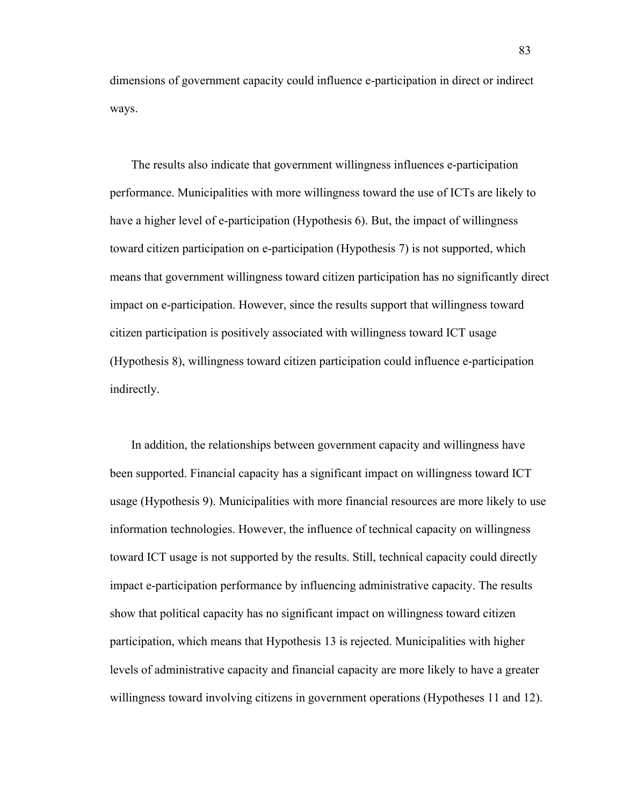dimensions of government capacity could influence e-participation in direct or indirect ways.

The results also indicate that government willingness influences e-participation performance. Municipalities with more willingness toward the use of ICTs are likely to have a higher level of e-participation (Hypothesis 6). But, the impact of willingness toward citizen participation on e-participation (Hypothesis 7) is not supported, which means that government willingness toward citizen participation has no significantly direct impact on e-participation. However, since the results support that willingness toward citizen participation is positively associated with willingness toward ICT usage (Hypothesis 8), willingness toward citizen participation could influence e-participation indirectly.

In addition, the relationships between government capacity and willingness have been supported. Financial capacity has a significant impact on willingness toward ICT usage (Hypothesis 9). Municipalities with more financial resources are more likely to use information technologies. However, the influence of technical capacity on willingness toward ICT usage is not supported by the results. Still, technical capacity could directly impact e-participation performance by influencing administrative capacity. The results show that political capacity has no significant impact on willingness toward citizen participation, which means that Hypothesis 13 is rejected. Municipalities with higher levels of administrative capacity and financial capacity are more likely to have a greater willingness toward involving citizens in government operations (Hypotheses 11 and 12).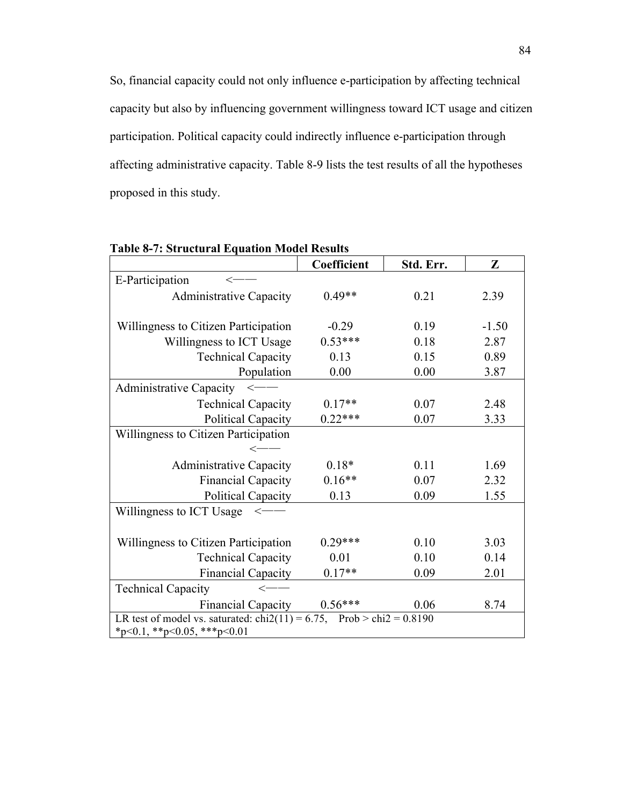So, financial capacity could not only influence e-participation by affecting technical capacity but also by influencing government willingness toward ICT usage and citizen participation. Political capacity could indirectly influence e-participation through affecting administrative capacity. Table 8-9 lists the test results of all the hypotheses proposed in this study.

|                                                                                              | Coefficient | Std. Err. | Z       |  |  |
|----------------------------------------------------------------------------------------------|-------------|-----------|---------|--|--|
| E-Participation                                                                              |             |           |         |  |  |
| <b>Administrative Capacity</b>                                                               | $0.49**$    | 0.21      | 2.39    |  |  |
|                                                                                              |             |           |         |  |  |
| Willingness to Citizen Participation                                                         | $-0.29$     | 0.19      | $-1.50$ |  |  |
| Willingness to ICT Usage                                                                     | $0.53***$   | 0.18      | 2.87    |  |  |
| <b>Technical Capacity</b>                                                                    | 0.13        | 0.15      | 0.89    |  |  |
| Population                                                                                   | 0.00        | 0.00      | 3.87    |  |  |
| Administrative Capacity <-                                                                   |             |           |         |  |  |
| <b>Technical Capacity</b>                                                                    | $0.17**$    | 0.07      | 2.48    |  |  |
| <b>Political Capacity</b>                                                                    | $0.22***$   | 0.07      | 3.33    |  |  |
| Willingness to Citizen Participation                                                         |             |           |         |  |  |
|                                                                                              |             |           |         |  |  |
| <b>Administrative Capacity</b>                                                               | $0.18*$     | 0.11      | 1.69    |  |  |
| <b>Financial Capacity</b>                                                                    | $0.16**$    | 0.07      | 2.32    |  |  |
| <b>Political Capacity</b>                                                                    | 0.13        | 0.09      | 1.55    |  |  |
| Willingness to ICT Usage<br>$\hspace{-2pt}\relax\hspace{-2pt}\leftharpoondown\hspace{-2pt}-$ |             |           |         |  |  |
|                                                                                              |             |           |         |  |  |
| Willingness to Citizen Participation                                                         | $0.29***$   | 0.10      | 3.03    |  |  |
| <b>Technical Capacity</b>                                                                    | 0.01        | 0.10      | 0.14    |  |  |
| <b>Financial Capacity</b>                                                                    | $0.17**$    | 0.09      | 2.01    |  |  |
| <b>Technical Capacity</b><br>$\operatorname{<}$                                              |             |           |         |  |  |
| <b>Financial Capacity</b>                                                                    | $0.56***$   | 0.06      | 8.74    |  |  |
| LR test of model vs. saturated: $\text{chi}(11) = 6.75$ , Prob > $\text{chi}(2) = 0.8190$    |             |           |         |  |  |
| *p<0.1, **p<0.05, ***p<0.01                                                                  |             |           |         |  |  |

**Table 8-7: Structural Equation Model Results**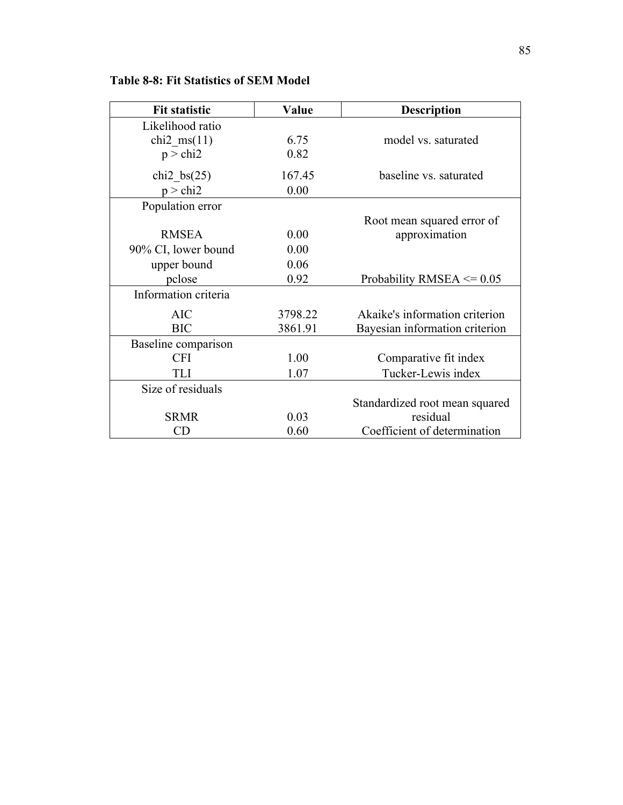| <b>Fit statistic</b> | Value   | <b>Description</b>             |  |
|----------------------|---------|--------------------------------|--|
| Likelihood ratio     |         |                                |  |
| chi2 $ms(11)$        | 6.75    | model vs. saturated            |  |
| $p >$ chi2           | 0.82    |                                |  |
| chi2 bs $(25)$       | 167.45  | baseline vs. saturated         |  |
| $p >$ chi2           | 0.00    |                                |  |
| Population error     |         |                                |  |
|                      |         | Root mean squared error of     |  |
| <b>RMSEA</b>         | 0.00    | approximation                  |  |
| 90% CI, lower bound  | 0.00    |                                |  |
| upper bound          | 0.06    |                                |  |
| pclose               | 0.92    | Probability RMSEA $\leq$ 0.05  |  |
| Information criteria |         |                                |  |
| <b>AIC</b>           | 3798.22 | Akaike's information criterion |  |
| <b>BIC</b>           | 3861.91 | Bayesian information criterion |  |
| Baseline comparison  |         |                                |  |
| <b>CFI</b>           | 1.00    | Comparative fit index          |  |
| <b>TLI</b>           | 1.07    | Tucker-Lewis index             |  |
| Size of residuals    |         |                                |  |
|                      |         | Standardized root mean squared |  |
| <b>SRMR</b>          | 0.03    | residual                       |  |
| CD                   | 0.60    | Coefficient of determination   |  |

**Table 8-8: Fit Statistics of SEM Model**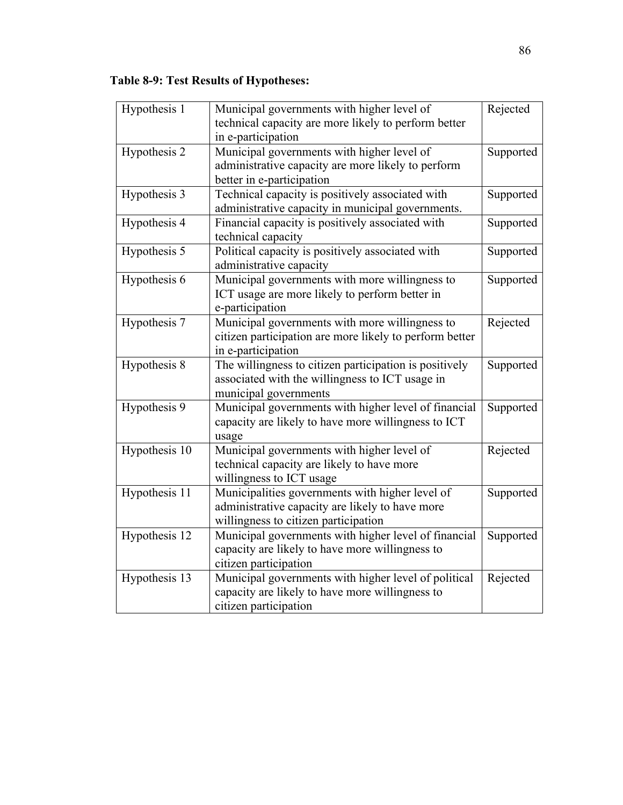# **Table 8-9: Test Results of Hypotheses:**

| Hypothesis 1               | Municipal governments with higher level of              | Rejected  |
|----------------------------|---------------------------------------------------------|-----------|
|                            | technical capacity are more likely to perform better    |           |
|                            | in e-participation                                      |           |
| Hypothesis 2               | Municipal governments with higher level of              | Supported |
|                            | administrative capacity are more likely to perform      |           |
|                            | better in e-participation                               |           |
| Hypothesis 3               | Technical capacity is positively associated with        | Supported |
|                            | administrative capacity in municipal governments.       |           |
| Hypothesis 4               | Financial capacity is positively associated with        | Supported |
|                            | technical capacity                                      |           |
| Hypothesis 5               | Political capacity is positively associated with        | Supported |
|                            | administrative capacity                                 |           |
| Hypothesis 6               | Municipal governments with more willingness to          | Supported |
|                            | ICT usage are more likely to perform better in          |           |
|                            | e-participation                                         |           |
| Hypothesis 7               | Municipal governments with more willingness to          | Rejected  |
|                            | citizen participation are more likely to perform better |           |
|                            | in e-participation                                      |           |
| Hypothesis 8               | The willingness to citizen participation is positively  | Supported |
|                            | associated with the willingness to ICT usage in         |           |
|                            | municipal governments                                   |           |
| Hypothesis 9               | Municipal governments with higher level of financial    | Supported |
|                            | capacity are likely to have more willingness to ICT     |           |
|                            | usage                                                   |           |
| Hypothesis $\overline{10}$ | Municipal governments with higher level of              | Rejected  |
|                            | technical capacity are likely to have more              |           |
|                            | willingness to ICT usage                                |           |
| Hypothesis 11              | Municipalities governments with higher level of         | Supported |
|                            | administrative capacity are likely to have more         |           |
|                            | willingness to citizen participation                    |           |
| Hypothesis 12              | Municipal governments with higher level of financial    | Supported |
|                            | capacity are likely to have more willingness to         |           |
|                            | citizen participation                                   |           |
| Hypothesis 13              | Municipal governments with higher level of political    | Rejected  |
|                            | capacity are likely to have more willingness to         |           |
|                            | citizen participation                                   |           |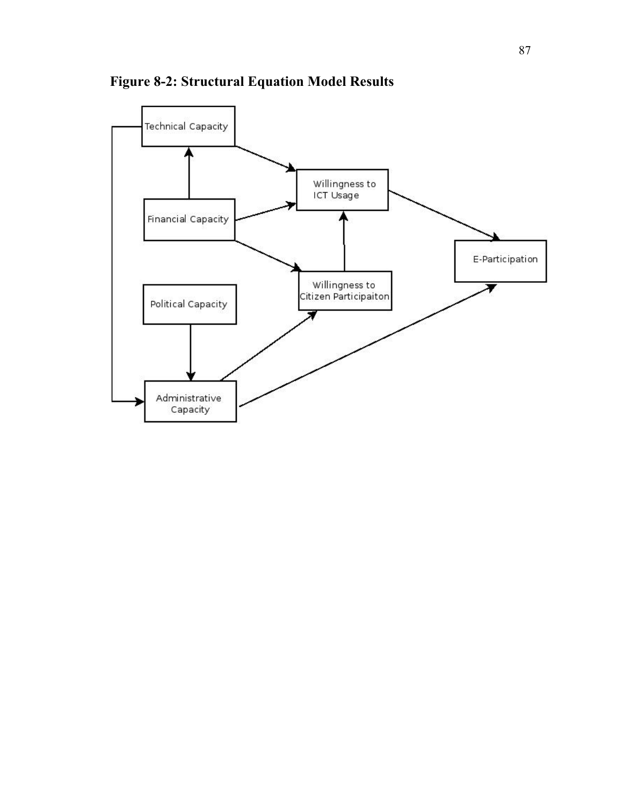

**Figure 8-2: Structural Equation Model Results**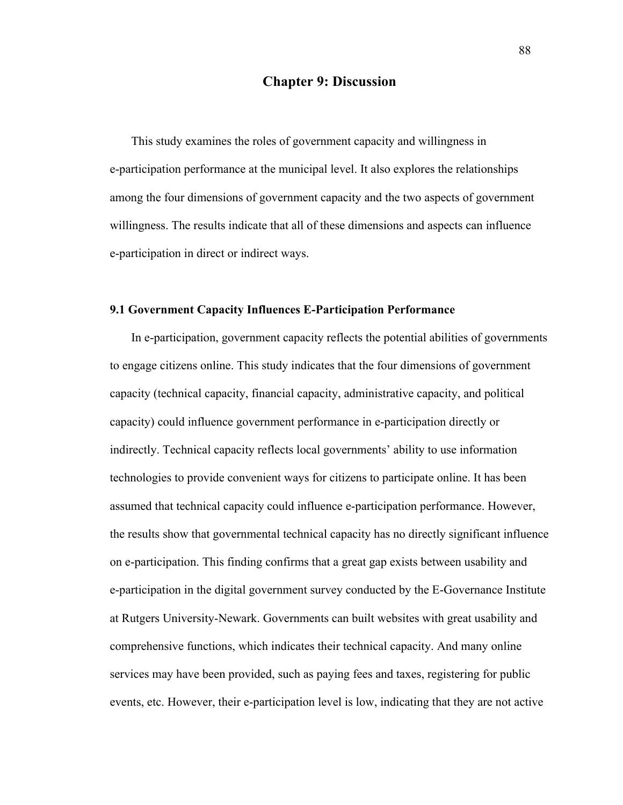# **Chapter 9: Discussion**

This study examines the roles of government capacity and willingness in e-participation performance at the municipal level. It also explores the relationships among the four dimensions of government capacity and the two aspects of government willingness. The results indicate that all of these dimensions and aspects can influence e-participation in direct or indirect ways.

## **9.1 Government Capacity Influences E-Participation Performance**

In e-participation, government capacity reflects the potential abilities of governments to engage citizens online. This study indicates that the four dimensions of government capacity (technical capacity, financial capacity, administrative capacity, and political capacity) could influence government performance in e-participation directly or indirectly. Technical capacity reflects local governments' ability to use information technologies to provide convenient ways for citizens to participate online. It has been assumed that technical capacity could influence e-participation performance. However, the results show that governmental technical capacity has no directly significant influence on e-participation. This finding confirms that a great gap exists between usability and e-participation in the digital government survey conducted by the E-Governance Institute at Rutgers University-Newark. Governments can built websites with great usability and comprehensive functions, which indicates their technical capacity. And many online services may have been provided, such as paying fees and taxes, registering for public events, etc. However, their e-participation level is low, indicating that they are not active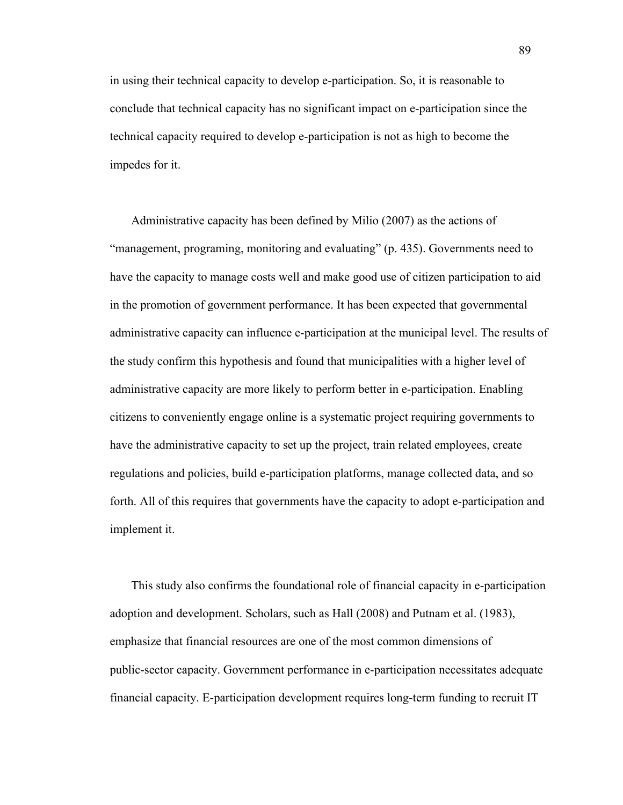in using their technical capacity to develop e-participation. So, it is reasonable to conclude that technical capacity has no significant impact on e-participation since the technical capacity required to develop e-participation is not as high to become the impedes for it.

Administrative capacity has been defined by Milio (2007) as the actions of "management, programing, monitoring and evaluating" (p. 435). Governments need to have the capacity to manage costs well and make good use of citizen participation to aid in the promotion of government performance. It has been expected that governmental administrative capacity can influence e-participation at the municipal level. The results of the study confirm this hypothesis and found that municipalities with a higher level of administrative capacity are more likely to perform better in e-participation. Enabling citizens to conveniently engage online is a systematic project requiring governments to have the administrative capacity to set up the project, train related employees, create regulations and policies, build e-participation platforms, manage collected data, and so forth. All of this requires that governments have the capacity to adopt e-participation and implement it.

This study also confirms the foundational role of financial capacity in e-participation adoption and development. Scholars, such as Hall (2008) and Putnam et al. (1983), emphasize that financial resources are one of the most common dimensions of public-sector capacity. Government performance in e-participation necessitates adequate financial capacity. E-participation development requires long-term funding to recruit IT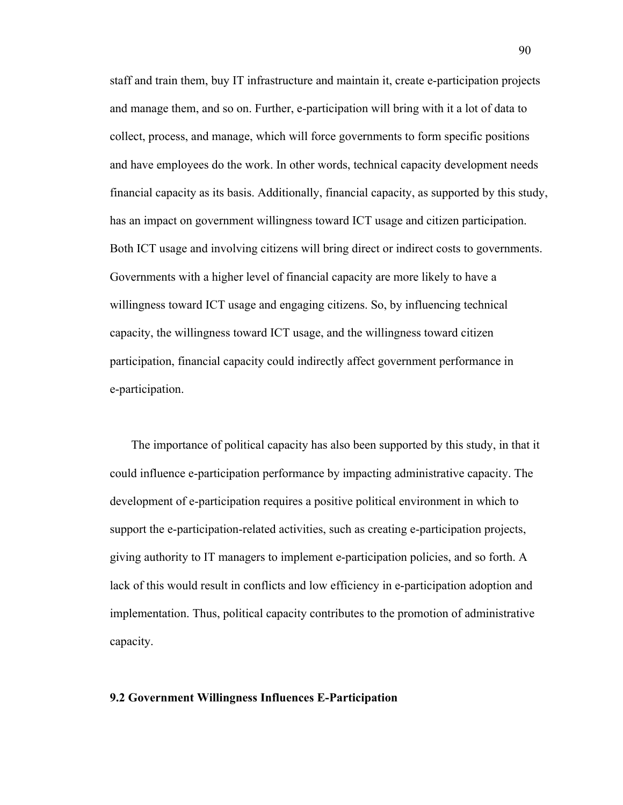staff and train them, buy IT infrastructure and maintain it, create e-participation projects and manage them, and so on. Further, e-participation will bring with it a lot of data to collect, process, and manage, which will force governments to form specific positions and have employees do the work. In other words, technical capacity development needs financial capacity as its basis. Additionally, financial capacity, as supported by this study, has an impact on government willingness toward ICT usage and citizen participation. Both ICT usage and involving citizens will bring direct or indirect costs to governments. Governments with a higher level of financial capacity are more likely to have a willingness toward ICT usage and engaging citizens. So, by influencing technical capacity, the willingness toward ICT usage, and the willingness toward citizen participation, financial capacity could indirectly affect government performance in e-participation.

The importance of political capacity has also been supported by this study, in that it could influence e-participation performance by impacting administrative capacity. The development of e-participation requires a positive political environment in which to support the e-participation-related activities, such as creating e-participation projects, giving authority to IT managers to implement e-participation policies, and so forth. A lack of this would result in conflicts and low efficiency in e-participation adoption and implementation. Thus, political capacity contributes to the promotion of administrative capacity.

#### **9.2 Government Willingness Influences E-Participation**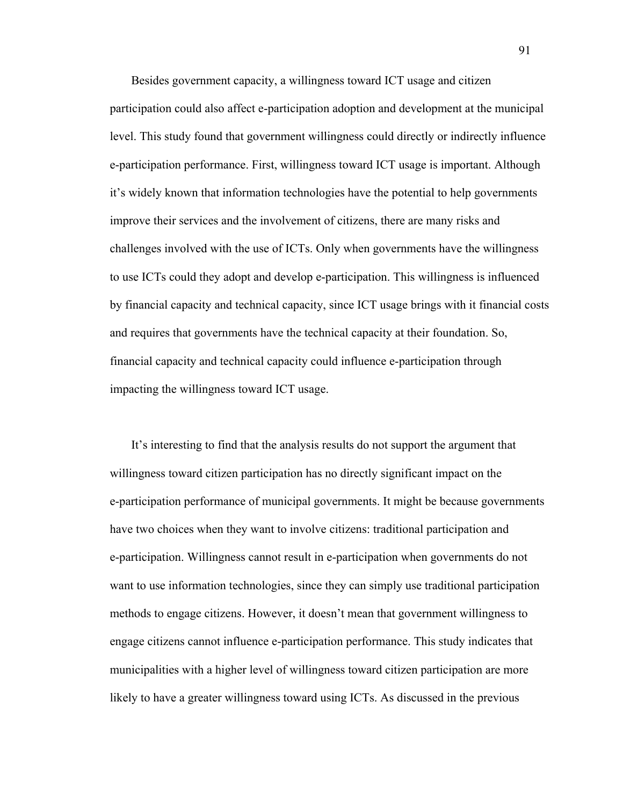Besides government capacity, a willingness toward ICT usage and citizen participation could also affect e-participation adoption and development at the municipal level. This study found that government willingness could directly or indirectly influence e-participation performance. First, willingness toward ICT usage is important. Although it's widely known that information technologies have the potential to help governments improve their services and the involvement of citizens, there are many risks and challenges involved with the use of ICTs. Only when governments have the willingness to use ICTs could they adopt and develop e-participation. This willingness is influenced by financial capacity and technical capacity, since ICT usage brings with it financial costs and requires that governments have the technical capacity at their foundation. So, financial capacity and technical capacity could influence e-participation through impacting the willingness toward ICT usage.

It's interesting to find that the analysis results do not support the argument that willingness toward citizen participation has no directly significant impact on the e-participation performance of municipal governments. It might be because governments have two choices when they want to involve citizens: traditional participation and e-participation. Willingness cannot result in e-participation when governments do not want to use information technologies, since they can simply use traditional participation methods to engage citizens. However, it doesn't mean that government willingness to engage citizens cannot influence e-participation performance. This study indicates that municipalities with a higher level of willingness toward citizen participation are more likely to have a greater willingness toward using ICTs. As discussed in the previous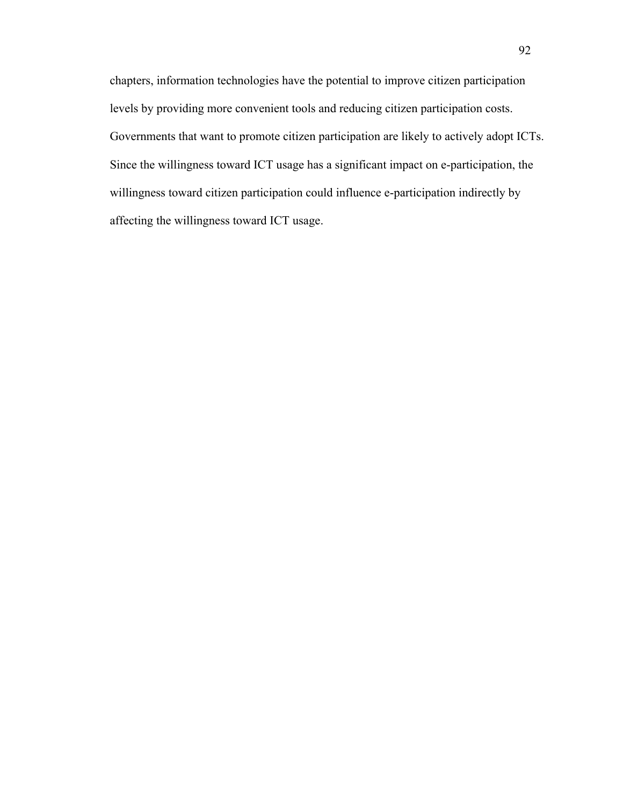chapters, information technologies have the potential to improve citizen participation levels by providing more convenient tools and reducing citizen participation costs. Governments that want to promote citizen participation are likely to actively adopt ICTs. Since the willingness toward ICT usage has a significant impact on e-participation, the willingness toward citizen participation could influence e-participation indirectly by affecting the willingness toward ICT usage.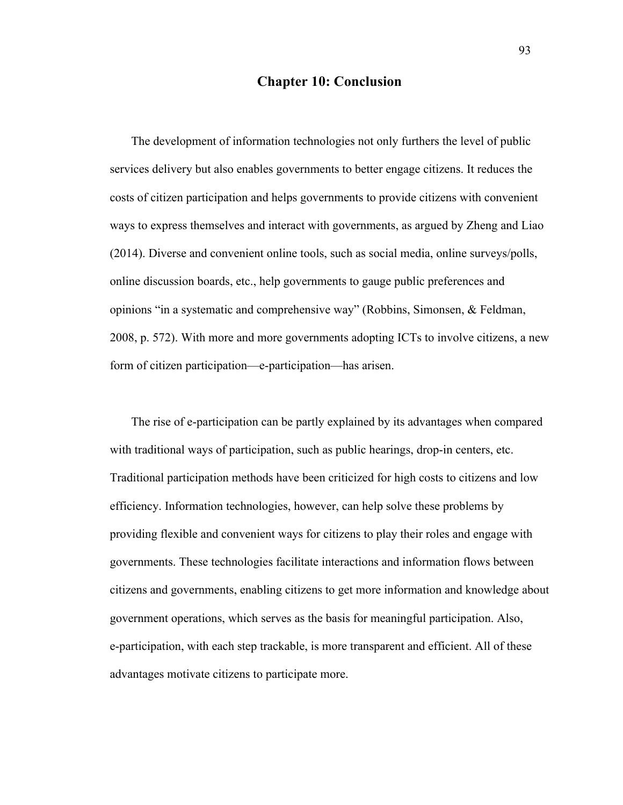# **Chapter 10: Conclusion**

The development of information technologies not only furthers the level of public services delivery but also enables governments to better engage citizens. It reduces the costs of citizen participation and helps governments to provide citizens with convenient ways to express themselves and interact with governments, as argued by Zheng and Liao (2014). Diverse and convenient online tools, such as social media, online surveys/polls, online discussion boards, etc., help governments to gauge public preferences and opinions "in a systematic and comprehensive way" (Robbins, Simonsen, & Feldman, 2008, p. 572). With more and more governments adopting ICTs to involve citizens, a new form of citizen participation—e-participation—has arisen.

The rise of e-participation can be partly explained by its advantages when compared with traditional ways of participation, such as public hearings, drop-in centers, etc. Traditional participation methods have been criticized for high costs to citizens and low efficiency. Information technologies, however, can help solve these problems by providing flexible and convenient ways for citizens to play their roles and engage with governments. These technologies facilitate interactions and information flows between citizens and governments, enabling citizens to get more information and knowledge about government operations, which serves as the basis for meaningful participation. Also, e-participation, with each step trackable, is more transparent and efficient. All of these advantages motivate citizens to participate more.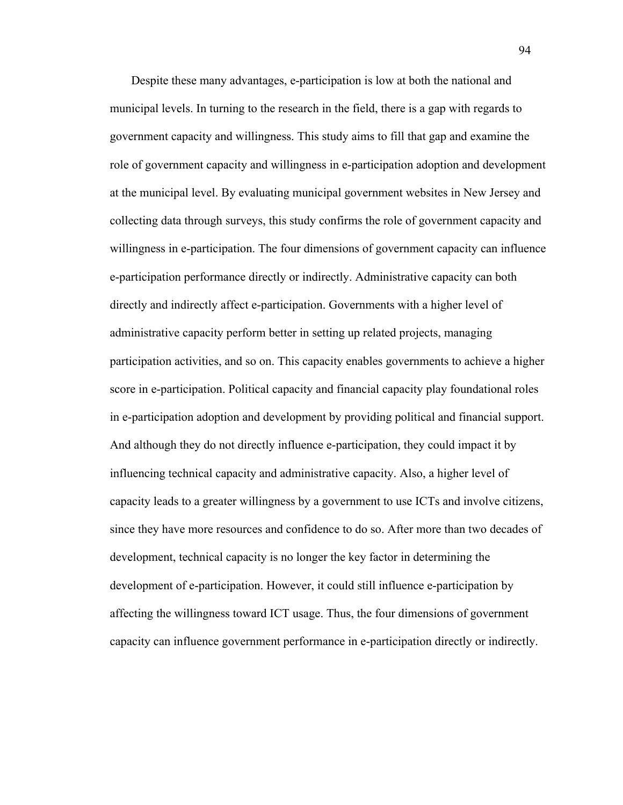Despite these many advantages, e-participation is low at both the national and municipal levels. In turning to the research in the field, there is a gap with regards to government capacity and willingness. This study aims to fill that gap and examine the role of government capacity and willingness in e-participation adoption and development at the municipal level. By evaluating municipal government websites in New Jersey and collecting data through surveys, this study confirms the role of government capacity and willingness in e-participation. The four dimensions of government capacity can influence e-participation performance directly or indirectly. Administrative capacity can both directly and indirectly affect e-participation. Governments with a higher level of administrative capacity perform better in setting up related projects, managing participation activities, and so on. This capacity enables governments to achieve a higher score in e-participation. Political capacity and financial capacity play foundational roles in e-participation adoption and development by providing political and financial support. And although they do not directly influence e-participation, they could impact it by influencing technical capacity and administrative capacity. Also, a higher level of capacity leads to a greater willingness by a government to use ICTs and involve citizens, since they have more resources and confidence to do so. After more than two decades of development, technical capacity is no longer the key factor in determining the development of e-participation. However, it could still influence e-participation by affecting the willingness toward ICT usage. Thus, the four dimensions of government capacity can influence government performance in e-participation directly or indirectly.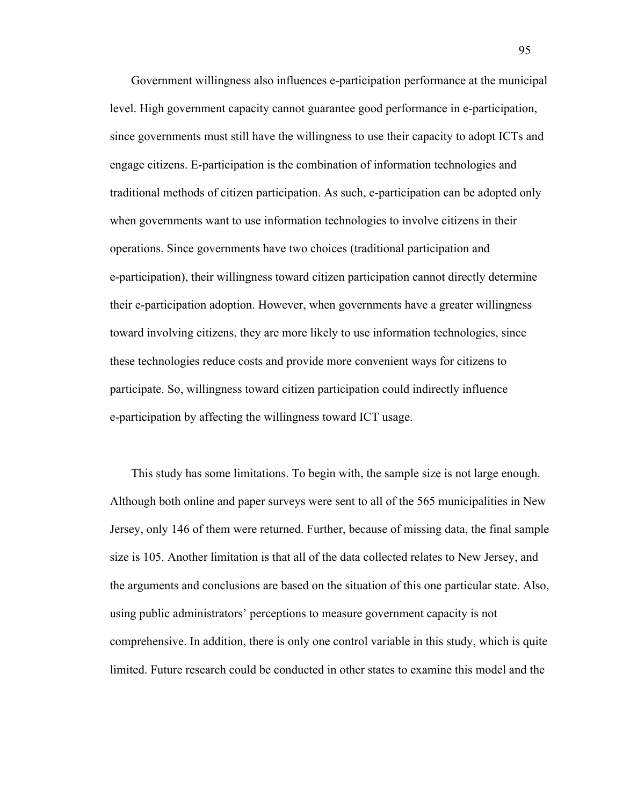Government willingness also influences e-participation performance at the municipal level. High government capacity cannot guarantee good performance in e-participation, since governments must still have the willingness to use their capacity to adopt ICTs and engage citizens. E-participation is the combination of information technologies and traditional methods of citizen participation. As such, e-participation can be adopted only when governments want to use information technologies to involve citizens in their operations. Since governments have two choices (traditional participation and e-participation), their willingness toward citizen participation cannot directly determine their e-participation adoption. However, when governments have a greater willingness toward involving citizens, they are more likely to use information technologies, since these technologies reduce costs and provide more convenient ways for citizens to participate. So, willingness toward citizen participation could indirectly influence e-participation by affecting the willingness toward ICT usage.

This study has some limitations. To begin with, the sample size is not large enough. Although both online and paper surveys were sent to all of the 565 municipalities in New Jersey, only 146 of them were returned. Further, because of missing data, the final sample size is 105. Another limitation is that all of the data collected relates to New Jersey, and the arguments and conclusions are based on the situation of this one particular state. Also, using public administrators' perceptions to measure government capacity is not comprehensive. In addition, there is only one control variable in this study, which is quite limited. Future research could be conducted in other states to examine this model and the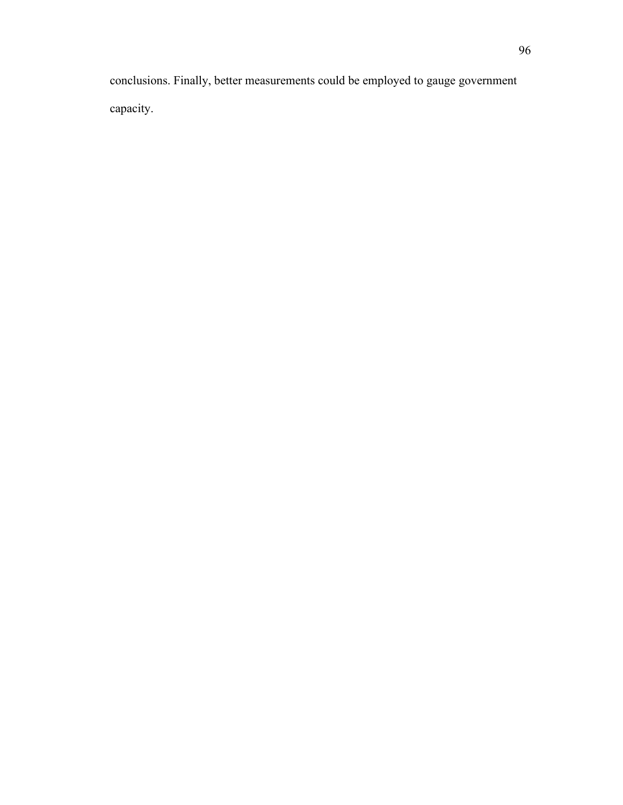conclusions. Finally, better measurements could be employed to gauge government capacity.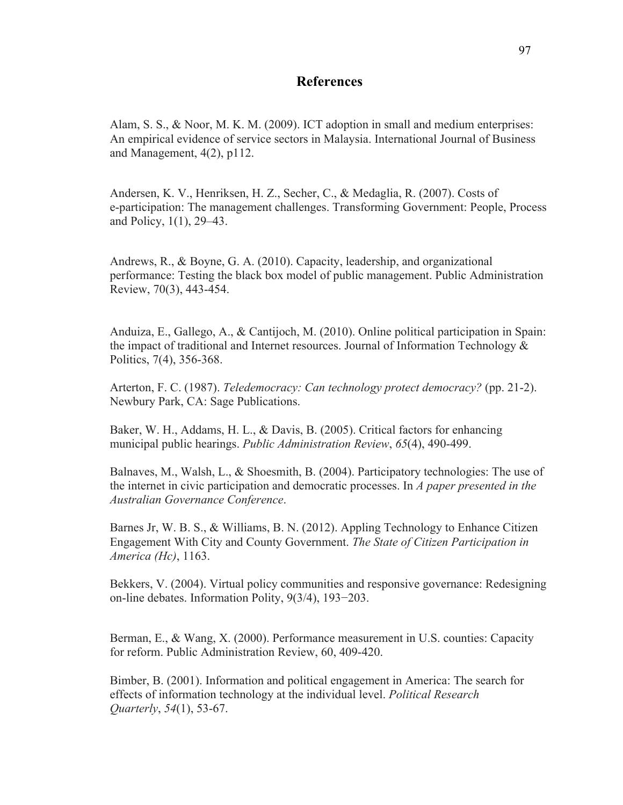## **References**

Alam, S. S., & Noor, M. K. M. (2009). ICT adoption in small and medium enterprises: An empirical evidence of service sectors in Malaysia. International Journal of Business and Management, 4(2), p112.

Andersen, K. V., Henriksen, H. Z., Secher, C., & Medaglia, R. (2007). Costs of e-participation: The management challenges. Transforming Government: People, Process and Policy, 1(1), 29–43.

Andrews, R., & Boyne, G. A. (2010). Capacity, leadership, and organizational performance: Testing the black box model of public management. Public Administration Review, 70(3), 443-454.

Anduiza, E., Gallego, A., & Cantijoch, M. (2010). Online political participation in Spain: the impact of traditional and Internet resources. Journal of Information Technology  $\&$ Politics, 7(4), 356-368.

Arterton, F. C. (1987). *Teledemocracy: Can technology protect democracy?* (pp. 21-2). Newbury Park, CA: Sage Publications.

Baker, W. H., Addams, H. L., & Davis, B. (2005). Critical factors for enhancing municipal public hearings. *Public Administration Review*, *65*(4), 490-499.

Balnaves, M., Walsh, L., & Shoesmith, B. (2004). Participatory technologies: The use of the internet in civic participation and democratic processes. In *A paper presented in the Australian Governance Conference*.

Barnes Jr, W. B. S., & Williams, B. N. (2012). Appling Technology to Enhance Citizen Engagement With City and County Government. *The State of Citizen Participation in America (Hc)*, 1163.

Bekkers, V. (2004). Virtual policy communities and responsive governance: Redesigning on-line debates. Information Polity, 9(3/4), 193−203.

Berman, E., & Wang, X. (2000). Performance measurement in U.S. counties: Capacity for reform. Public Administration Review, 60, 409-420.

Bimber, B. (2001). Information and political engagement in America: The search for effects of information technology at the individual level. *Political Research Quarterly*, *54*(1), 53-67.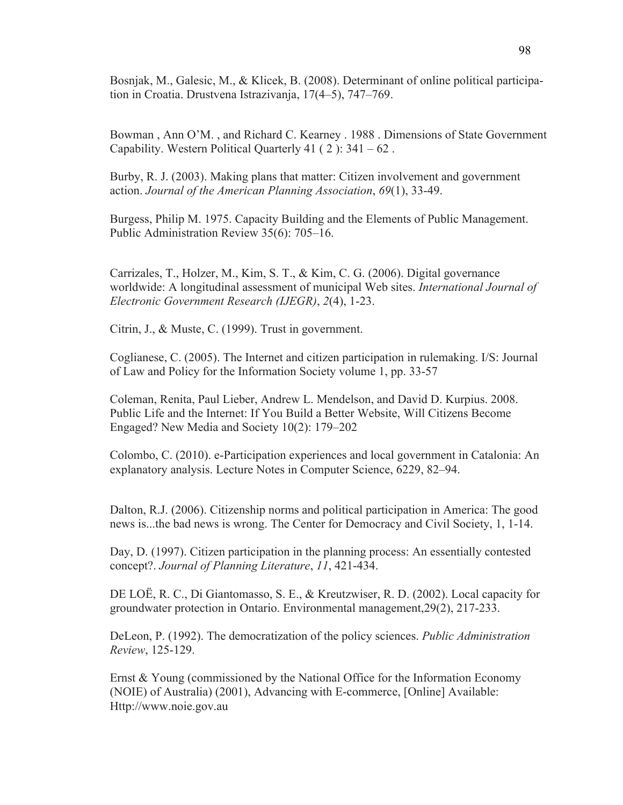Bosnjak, M., Galesic, M., & Klicek, B. (2008). Determinant of online political participation in Croatia. Drustvena Istrazivanja, 17(4–5), 747–769.

Bowman , Ann O'M. , and Richard C. Kearney . 1988 . Dimensions of State Government Capability. Western Political Quarterly  $41$  (2):  $341 - 62$ .

Burby, R. J. (2003). Making plans that matter: Citizen involvement and government action. *Journal of the American Planning Association*, *69*(1), 33-49.

Burgess, Philip M. 1975. Capacity Building and the Elements of Public Management. Public Administration Review 35(6): 705–16.

Carrizales, T., Holzer, M., Kim, S. T., & Kim, C. G. (2006). Digital governance worldwide: A longitudinal assessment of municipal Web sites. *International Journal of Electronic Government Research (IJEGR)*, *2*(4), 1-23.

Citrin, J., & Muste, C. (1999). Trust in government.

Coglianese, C. (2005). The Internet and citizen participation in rulemaking. I/S: Journal of Law and Policy for the Information Society volume 1, pp. 33-57

Coleman, Renita, Paul Lieber, Andrew L. Mendelson, and David D. Kurpius. 2008. Public Life and the Internet: If You Build a Better Website, Will Citizens Become Engaged? New Media and Society 10(2): 179–202

Colombo, C. (2010). e-Participation experiences and local government in Catalonia: An explanatory analysis. Lecture Notes in Computer Science, 6229, 82–94.

Dalton, R.J. (2006). Citizenship norms and political participation in America: The good news is...the bad news is wrong. The Center for Democracy and Civil Society, 1, 1-14.

Day, D. (1997). Citizen participation in the planning process: An essentially contested concept?. *Journal of Planning Literature*, *11*, 421-434.

DE LOË, R. C., Di Giantomasso, S. E., & Kreutzwiser, R. D. (2002). Local capacity for groundwater protection in Ontario. Environmental management,29(2), 217-233.

DeLeon, P. (1992). The democratization of the policy sciences. *Public Administration Review*, 125-129.

Ernst & Young (commissioned by the National Office for the Information Economy (NOIE) of Australia) (2001), Advancing with E-commerce, [Online] Available: Http://www.noie.gov.au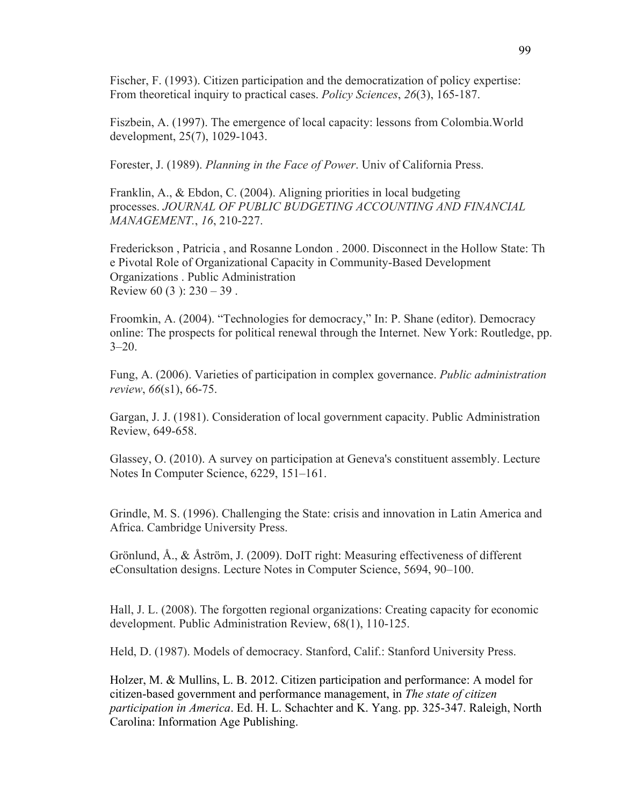Fischer, F. (1993). Citizen participation and the democratization of policy expertise: From theoretical inquiry to practical cases. *Policy Sciences*, *26*(3), 165-187.

Fiszbein, A. (1997). The emergence of local capacity: lessons from Colombia.World development, 25(7), 1029-1043.

Forester, J. (1989). *Planning in the Face of Power*. Univ of California Press.

Franklin, A., & Ebdon, C. (2004). Aligning priorities in local budgeting processes. *JOURNAL OF PUBLIC BUDGETING ACCOUNTING AND FINANCIAL MANAGEMENT.*, *16*, 210-227.

Frederickson , Patricia , and Rosanne London . 2000. Disconnect in the Hollow State: Th e Pivotal Role of Organizational Capacity in Community-Based Development Organizations . Public Administration Review 60 (3):  $230 - 39$ .

Froomkin, A. (2004). "Technologies for democracy," In: P. Shane (editor). Democracy online: The prospects for political renewal through the Internet. New York: Routledge, pp.  $3 - 20$ .

Fung, A. (2006). Varieties of participation in complex governance. *Public administration review*, *66*(s1), 66-75.

Gargan, J. J. (1981). Consideration of local government capacity. Public Administration Review, 649-658.

Glassey, O. (2010). A survey on participation at Geneva's constituent assembly. Lecture Notes In Computer Science, 6229, 151–161.

Grindle, M. S. (1996). Challenging the State: crisis and innovation in Latin America and Africa. Cambridge University Press.

Grönlund, Å., & Åström, J. (2009). DoIT right: Measuring effectiveness of different eConsultation designs. Lecture Notes in Computer Science, 5694, 90–100.

Hall, J. L. (2008). The forgotten regional organizations: Creating capacity for economic development. Public Administration Review, 68(1), 110-125.

Held, D. (1987). Models of democracy. Stanford, Calif.: Stanford University Press.

Holzer, M. & Mullins, L. B. 2012. Citizen participation and performance: A model for citizen-based government and performance management, in *The state of citizen participation in America*. Ed. H. L. Schachter and K. Yang. pp. 325-347. Raleigh, North Carolina: Information Age Publishing.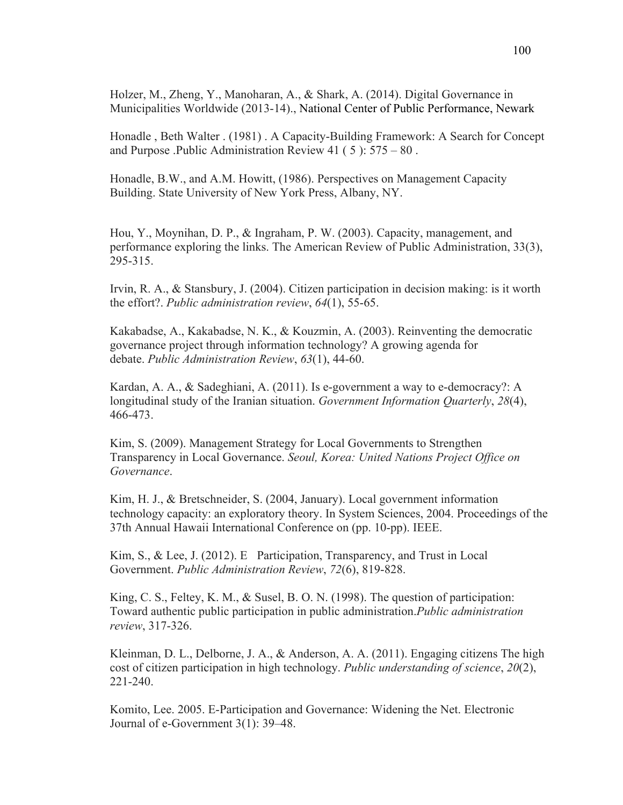Holzer, M., Zheng, Y., Manoharan, A., & Shark, A. (2014). Digital Governance in Municipalities Worldwide (2013-14)., National Center of Public Performance, Newark

Honadle , Beth Walter . (1981) . A Capacity-Building Framework: A Search for Concept and Purpose .Public Administration Review 41 ( 5 ): 575 – 80 .

Honadle, B.W., and A.M. Howitt, (1986). Perspectives on Management Capacity Building. State University of New York Press, Albany, NY.

Hou, Y., Moynihan, D. P., & Ingraham, P. W. (2003). Capacity, management, and performance exploring the links. The American Review of Public Administration, 33(3), 295-315.

Irvin, R. A., & Stansbury, J. (2004). Citizen participation in decision making: is it worth the effort?. *Public administration review*, *64*(1), 55-65.

Kakabadse, A., Kakabadse, N. K., & Kouzmin, A. (2003). Reinventing the democratic governance project through information technology? A growing agenda for debate. *Public Administration Review*, *63*(1), 44-60.

Kardan, A. A., & Sadeghiani, A. (2011). Is e-government a way to e-democracy?: A longitudinal study of the Iranian situation. *Government Information Quarterly*, *28*(4), 466-473.

Kim, S. (2009). Management Strategy for Local Governments to Strengthen Transparency in Local Governance. *Seoul, Korea: United Nations Project Office on Governance*.

Kim, H. J., & Bretschneider, S. (2004, January). Local government information technology capacity: an exploratory theory. In System Sciences, 2004. Proceedings of the 37th Annual Hawaii International Conference on (pp. 10-pp). IEEE.

Kim, S., & Lee, J. (2012). E Participation, Transparency, and Trust in Local Government. *Public Administration Review*, *72*(6), 819-828.

King, C. S., Feltey, K. M., & Susel, B. O. N. (1998). The question of participation: Toward authentic public participation in public administration.*Public administration review*, 317-326.

Kleinman, D. L., Delborne, J. A., & Anderson, A. A. (2011). Engaging citizens The high cost of citizen participation in high technology. *Public understanding of science*, *20*(2), 221-240.

Komito, Lee. 2005. E-Participation and Governance: Widening the Net. Electronic Journal of e-Government 3(1): 39–48.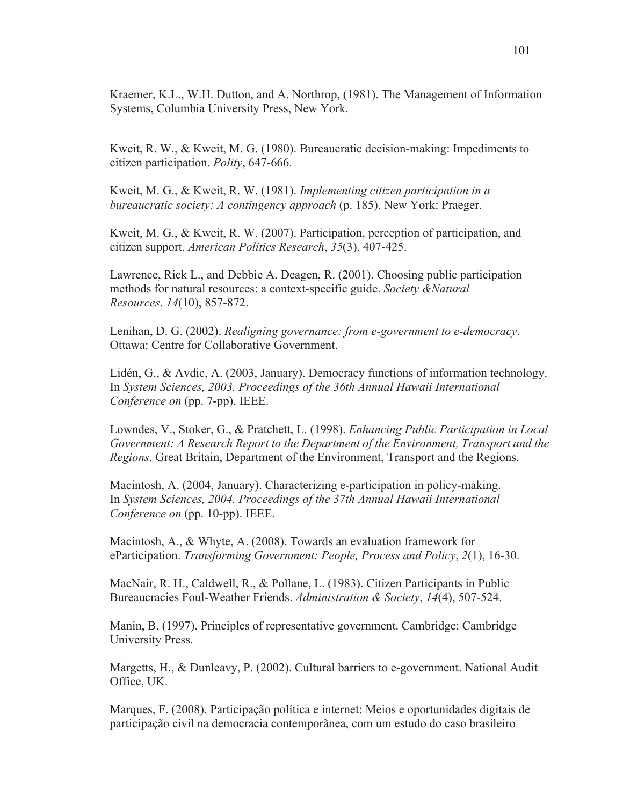Kraemer, K.L., W.H. Dutton, and A. Northrop, (1981). The Management of Information Systems, Columbia University Press, New York.

Kweit, R. W., & Kweit, M. G. (1980). Bureaucratic decision-making: Impediments to citizen participation. *Polity*, 647-666.

Kweit, M. G., & Kweit, R. W. (1981). *Implementing citizen participation in a bureaucratic society: A contingency approach* (p. 185). New York: Praeger.

Kweit, M. G., & Kweit, R. W. (2007). Participation, perception of participation, and citizen support. *American Politics Research*, *35*(3), 407-425.

Lawrence, Rick L., and Debbie A. Deagen, R. (2001). Choosing public participation methods for natural resources: a context-specific guide. *Society &Natural Resources*, *14*(10), 857-872.

Lenihan, D. G. (2002). *Realigning governance: from e-government to e-democracy*. Ottawa: Centre for Collaborative Government.

Lidén, G., & Avdic, A. (2003, January). Democracy functions of information technology. In *System Sciences, 2003. Proceedings of the 36th Annual Hawaii International Conference on* (pp. 7-pp). IEEE.

Lowndes, V., Stoker, G., & Pratchett, L. (1998). *Enhancing Public Participation in Local Government: A Research Report to the Department of the Environment, Transport and the Regions*. Great Britain, Department of the Environment, Transport and the Regions.

Macintosh, A. (2004, January). Characterizing e-participation in policy-making. In *System Sciences, 2004. Proceedings of the 37th Annual Hawaii International Conference on* (pp. 10-pp). IEEE.

Macintosh, A., & Whyte, A. (2008). Towards an evaluation framework for eParticipation. *Transforming Government: People, Process and Policy*, *2*(1), 16-30.

MacNair, R. H., Caldwell, R., & Pollane, L. (1983). Citizen Participants in Public Bureaucracies Foul-Weather Friends. *Administration & Society*, *14*(4), 507-524.

Manin, B. (1997). Principles of representative government. Cambridge: Cambridge University Press.

Margetts, H., & Dunleavy, P. (2002). Cultural barriers to e-government. National Audit Office, UK.

Marques, F. (2008). Participação política e internet: Meios e oportunidades digitais de participação civil na democracia contemporãnea, com um estudo do caso brasileiro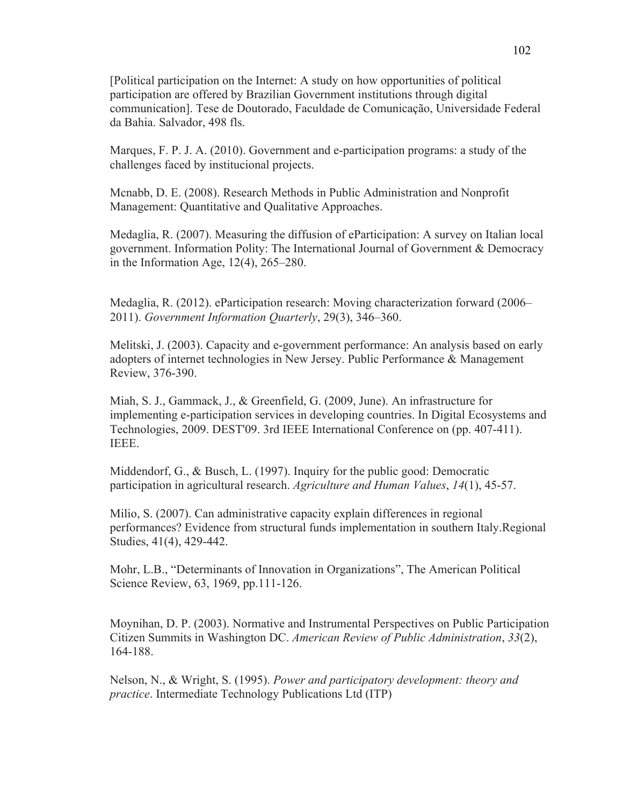[Political participation on the Internet: A study on how opportunities of political participation are offered by Brazilian Government institutions through digital communication]. Tese de Doutorado, Faculdade de Comunicação, Universidade Federal da Bahia. Salvador, 498 fls.

Marques, F. P. J. A. (2010). Government and e-participation programs: a study of the challenges faced by institucional projects.

Mcnabb, D. E. (2008). Research Methods in Public Administration and Nonprofit Management: Quantitative and Qualitative Approaches.

Medaglia, R. (2007). Measuring the diffusion of eParticipation: A survey on Italian local government. Information Polity: The International Journal of Government & Democracy in the Information Age, 12(4), 265–280.

Medaglia, R. (2012). eParticipation research: Moving characterization forward (2006– 2011). *Government Information Quarterly*, 29(3), 346–360.

Melitski, J. (2003). Capacity and e-government performance: An analysis based on early adopters of internet technologies in New Jersey. Public Performance & Management Review, 376-390.

Miah, S. J., Gammack, J., & Greenfield, G. (2009, June). An infrastructure for implementing e-participation services in developing countries. In Digital Ecosystems and Technologies, 2009. DEST'09. 3rd IEEE International Conference on (pp. 407-411). IEEE.

Middendorf, G., & Busch, L. (1997). Inquiry for the public good: Democratic participation in agricultural research. *Agriculture and Human Values*, *14*(1), 45-57.

Milio, S. (2007). Can administrative capacity explain differences in regional performances? Evidence from structural funds implementation in southern Italy.Regional Studies, 41(4), 429-442.

Mohr, L.B., "Determinants of Innovation in Organizations", The American Political Science Review, 63, 1969, pp.111-126.

Moynihan, D. P. (2003). Normative and Instrumental Perspectives on Public Participation Citizen Summits in Washington DC. *American Review of Public Administration*, *33*(2), 164-188.

Nelson, N., & Wright, S. (1995). *Power and participatory development: theory and practice*. Intermediate Technology Publications Ltd (ITP)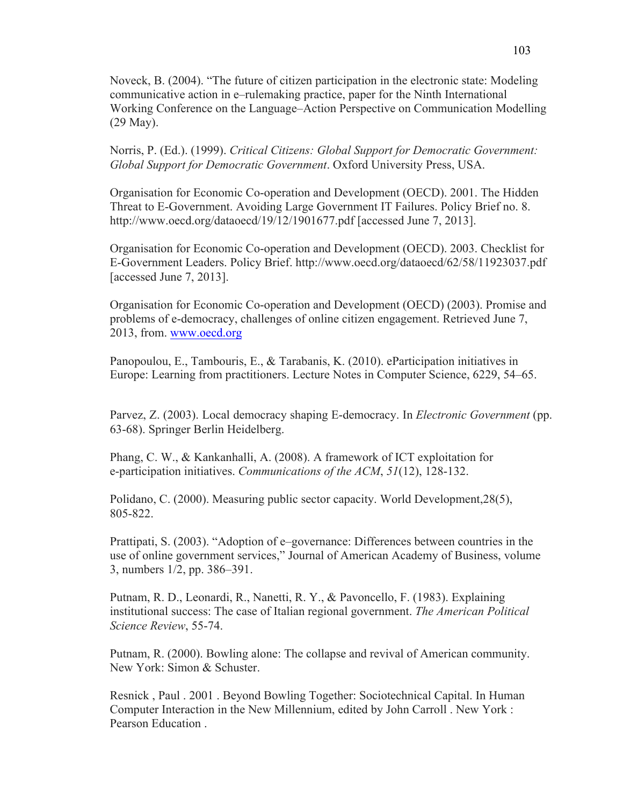Noveck, B. (2004). "The future of citizen participation in the electronic state: Modeling communicative action in e–rulemaking practice, paper for the Ninth International Working Conference on the Language–Action Perspective on Communication Modelling (29 May).

Norris, P. (Ed.). (1999). *Critical Citizens: Global Support for Democratic Government: Global Support for Democratic Government*. Oxford University Press, USA.

Organisation for Economic Co-operation and Development (OECD). 2001. The Hidden Threat to E-Government. Avoiding Large Government IT Failures. Policy Brief no. 8. http://www.oecd.org/dataoecd/19/12/1901677.pdf [accessed June 7, 2013].

Organisation for Economic Co-operation and Development (OECD). 2003. Checklist for E-Government Leaders. Policy Brief. http://www.oecd.org/dataoecd/62/58/11923037.pdf [accessed June 7, 2013].

Organisation for Economic Co-operation and Development (OECD) (2003). Promise and problems of e-democracy, challenges of online citizen engagement. Retrieved June 7, 2013, from. www.oecd.org

Panopoulou, E., Tambouris, E., & Tarabanis, K. (2010). eParticipation initiatives in Europe: Learning from practitioners. Lecture Notes in Computer Science, 6229, 54–65.

Parvez, Z. (2003). Local democracy shaping E-democracy. In *Electronic Government* (pp. 63-68). Springer Berlin Heidelberg.

Phang, C. W., & Kankanhalli, A. (2008). A framework of ICT exploitation for e-participation initiatives. *Communications of the ACM*, *51*(12), 128-132.

Polidano, C. (2000). Measuring public sector capacity. World Development,28(5), 805-822.

Prattipati, S. (2003). "Adoption of e–governance: Differences between countries in the use of online government services," Journal of American Academy of Business, volume 3, numbers 1/2, pp. 386–391.

Putnam, R. D., Leonardi, R., Nanetti, R. Y., & Pavoncello, F. (1983). Explaining institutional success: The case of Italian regional government. *The American Political Science Review*, 55-74.

Putnam, R. (2000). Bowling alone: The collapse and revival of American community. New York: Simon & Schuster.

Resnick , Paul . 2001 . Beyond Bowling Together: Sociotechnical Capital. In Human Computer Interaction in the New Millennium, edited by John Carroll . New York : Pearson Education .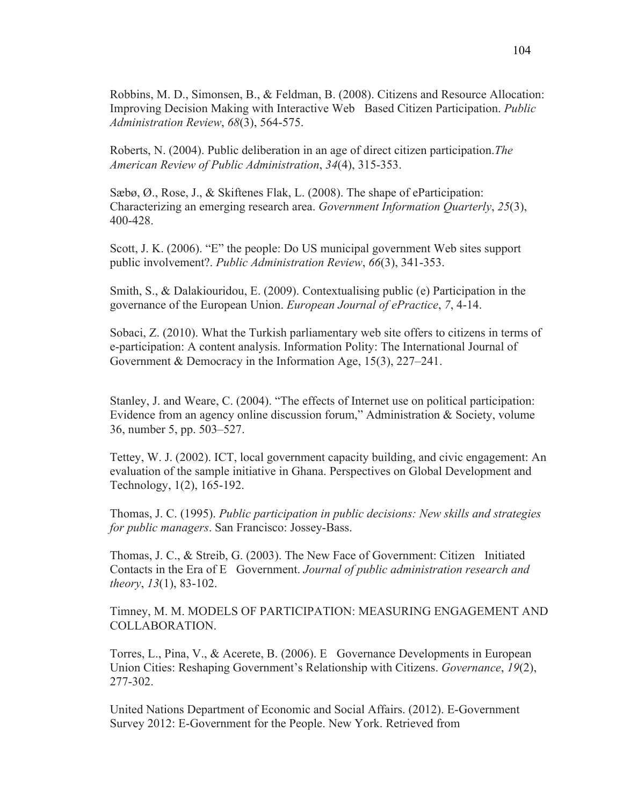Robbins, M. D., Simonsen, B., & Feldman, B. (2008). Citizens and Resource Allocation: Improving Decision Making with Interactive Web Based Citizen Participation. *Public Administration Review*, *68*(3), 564-575.

Roberts, N. (2004). Public deliberation in an age of direct citizen participation.*The American Review of Public Administration*, *34*(4), 315-353.

Sæbø, Ø., Rose, J., & Skiftenes Flak, L. (2008). The shape of eParticipation: Characterizing an emerging research area. *Government Information Quarterly*, *25*(3), 400-428.

Scott, J. K. (2006). "E" the people: Do US municipal government Web sites support public involvement?. *Public Administration Review*, *66*(3), 341-353.

Smith, S., & Dalakiouridou, E. (2009). Contextualising public (e) Participation in the governance of the European Union. *European Journal of ePractice*, *7*, 4-14.

Sobaci, Z. (2010). What the Turkish parliamentary web site offers to citizens in terms of e-participation: A content analysis. Information Polity: The International Journal of Government & Democracy in the Information Age, 15(3), 227–241.

Stanley, J. and Weare, C. (2004). "The effects of Internet use on political participation: Evidence from an agency online discussion forum," Administration & Society, volume 36, number 5, pp. 503–527.

Tettey, W. J. (2002). ICT, local government capacity building, and civic engagement: An evaluation of the sample initiative in Ghana. Perspectives on Global Development and Technology, 1(2), 165-192.

Thomas, J. C. (1995). *Public participation in public decisions: New skills and strategies for public managers*. San Francisco: Jossey-Bass.

Thomas, J. C., & Streib, G. (2003). The New Face of Government: Citizen Initiated Contacts in the Era of E Government. *Journal of public administration research and theory*, *13*(1), 83-102.

Timney, M. M. MODELS OF PARTICIPATION: MEASURING ENGAGEMENT AND COLLABORATION.

Torres, L., Pina, V., & Acerete, B. (2006). E Governance Developments in European Union Cities: Reshaping Government's Relationship with Citizens. *Governance*, *19*(2), 277-302.

United Nations Department of Economic and Social Affairs. (2012). E-Government Survey 2012: E-Government for the People. New York. Retrieved from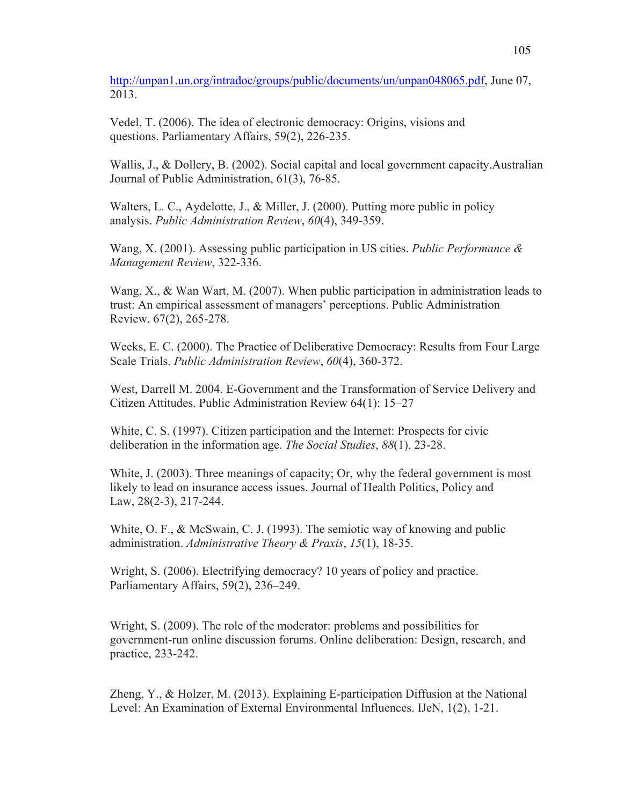http://unpan1.un.org/intradoc/groups/public/documents/un/unpan048065.pdf, June 07, 2013.

Vedel, T. (2006). The idea of electronic democracy: Origins, visions and questions. Parliamentary Affairs, 59(2), 226-235.

Wallis, J., & Dollery, B. (2002). Social capital and local government capacity. Australian Journal of Public Administration, 61(3), 76-85.

Walters, L. C., Aydelotte, J., & Miller, J. (2000). Putting more public in policy analysis. *Public Administration Review*, *60*(4), 349-359.

Wang, X. (2001). Assessing public participation in US cities. *Public Performance & Management Review*, 322-336.

Wang, X., & Wan Wart, M. (2007). When public participation in administration leads to trust: An empirical assessment of managers' perceptions. Public Administration Review, 67(2), 265-278.

Weeks, E. C. (2000). The Practice of Deliberative Democracy: Results from Four Large Scale Trials. *Public Administration Review*, *60*(4), 360-372.

West, Darrell M. 2004. E-Government and the Transformation of Service Delivery and Citizen Attitudes. Public Administration Review 64(1): 15–27

White, C. S. (1997). Citizen participation and the Internet: Prospects for civic deliberation in the information age. *The Social Studies*, *88*(1), 23-28.

White, J. (2003). Three meanings of capacity; Or, why the federal government is most likely to lead on insurance access issues. Journal of Health Politics, Policy and Law, 28(2-3), 217-244.

White, O. F., & McSwain, C. J. (1993). The semiotic way of knowing and public administration. *Administrative Theory & Praxis*, *15*(1), 18-35.

Wright, S. (2006). Electrifying democracy? 10 years of policy and practice. Parliamentary Affairs, 59(2), 236–249.

Wright, S. (2009). The role of the moderator: problems and possibilities for government-run online discussion forums. Online deliberation: Design, research, and practice, 233-242.

Zheng, Y., & Holzer, M. (2013). Explaining E-participation Diffusion at the National Level: An Examination of External Environmental Influences. IJeN, 1(2), 1-21.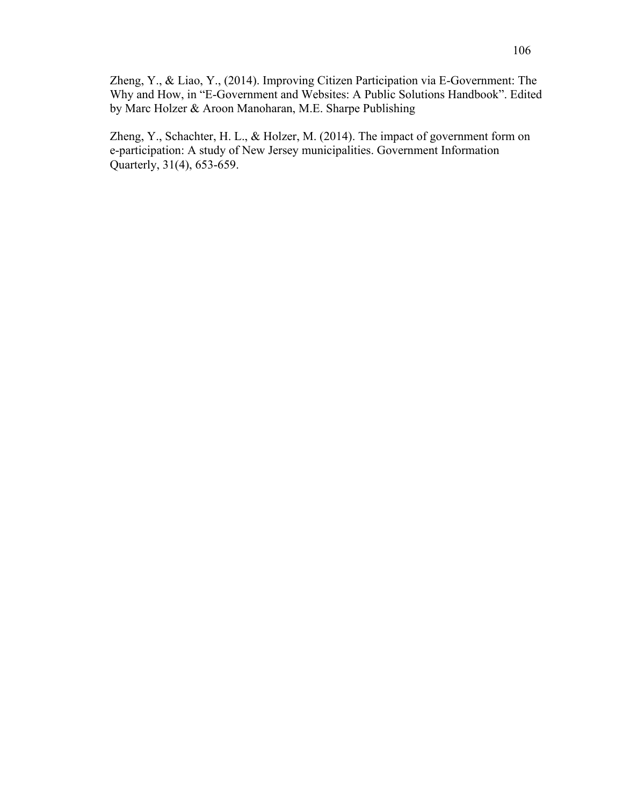Zheng, Y., & Liao, Y., (2014). Improving Citizen Participation via E-Government: The Why and How, in "E-Government and Websites: A Public Solutions Handbook". Edited by Marc Holzer & Aroon Manoharan, M.E. Sharpe Publishing

Zheng, Y., Schachter, H. L., & Holzer, M. (2014). The impact of government form on e-participation: A study of New Jersey municipalities. Government Information Quarterly, 31(4), 653-659.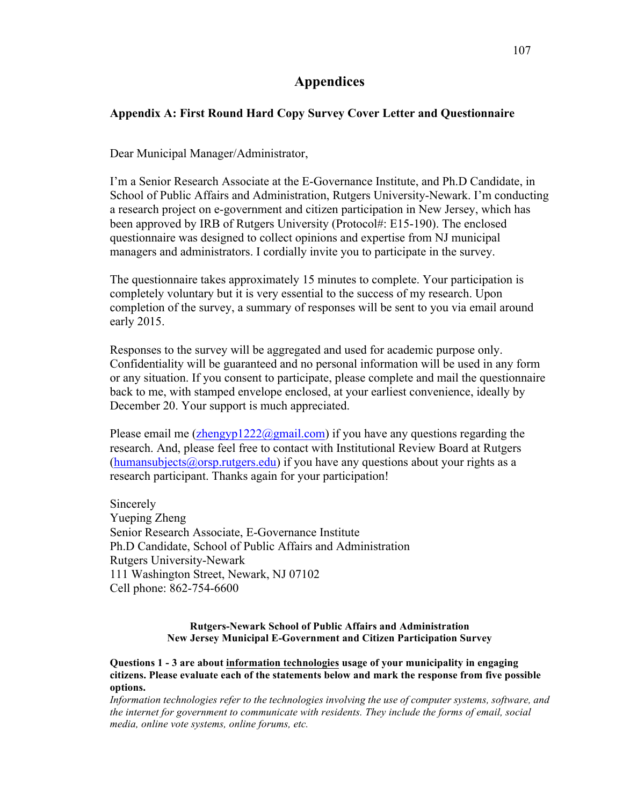# **Appendices**

## **Appendix A: First Round Hard Copy Survey Cover Letter and Questionnaire**

Dear Municipal Manager/Administrator,

I'm a Senior Research Associate at the E-Governance Institute, and Ph.D Candidate, in School of Public Affairs and Administration, Rutgers University-Newark. I'm conducting a research project on e-government and citizen participation in New Jersey, which has been approved by IRB of Rutgers University (Protocol#: E15-190). The enclosed questionnaire was designed to collect opinions and expertise from NJ municipal managers and administrators. I cordially invite you to participate in the survey.

The questionnaire takes approximately 15 minutes to complete. Your participation is completely voluntary but it is very essential to the success of my research. Upon completion of the survey, a summary of responses will be sent to you via email around early 2015.

Responses to the survey will be aggregated and used for academic purpose only. Confidentiality will be guaranteed and no personal information will be used in any form or any situation. If you consent to participate, please complete and mail the questionnaire back to me, with stamped envelope enclosed, at your earliest convenience, ideally by December 20. Your support is much appreciated.

Please email me  $(\text{zhengvp1222@gmail.com})$  if you have any questions regarding the research. And, please feel free to contact with Institutional Review Board at Rutgers (humansubjects@orsp.rutgers.edu) if you have any questions about your rights as a research participant. Thanks again for your participation!

Sincerely Yueping Zheng Senior Research Associate, E-Governance Institute Ph.D Candidate, School of Public Affairs and Administration Rutgers University-Newark 111 Washington Street, Newark, NJ 07102 Cell phone: 862-754-6600

#### **Rutgers-Newark School of Public Affairs and Administration New Jersey Municipal E-Government and Citizen Participation Survey**

**Questions 1 - 3 are about information technologies usage of your municipality in engaging citizens. Please evaluate each of the statements below and mark the response from five possible options.**

*Information technologies refer to the technologies involving the use of computer systems, software, and the internet for government to communicate with residents. They include the forms of email, social media, online vote systems, online forums, etc.*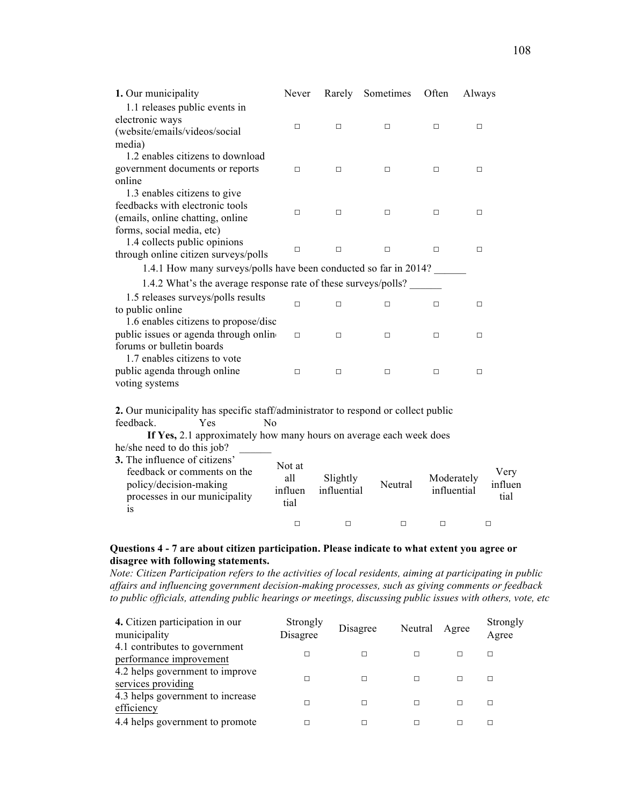| 1. Our municipality                                                                                         | Never   | Rarely      | Sometimes | Often       | Always |         |
|-------------------------------------------------------------------------------------------------------------|---------|-------------|-----------|-------------|--------|---------|
| 1.1 releases public events in                                                                               |         |             |           |             |        |         |
| electronic ways                                                                                             | □       | □           | □         | □           | □      |         |
| (website/emails/videos/social                                                                               |         |             |           |             |        |         |
| media)                                                                                                      |         |             |           |             |        |         |
| 1.2 enables citizens to download                                                                            |         |             |           |             |        |         |
| government documents or reports                                                                             | $\Box$  | □           | $\Box$    | $\Box$      | $\Box$ |         |
| online                                                                                                      |         |             |           |             |        |         |
| 1.3 enables citizens to give<br>feedbacks with electronic tools                                             |         |             |           |             |        |         |
| (emails, online chatting, online                                                                            | □       | □           | $\Box$    | □           | □      |         |
| forms, social media, etc)                                                                                   |         |             |           |             |        |         |
| 1.4 collects public opinions                                                                                |         |             |           |             |        |         |
| through online citizen surveys/polls                                                                        | ◻       | $\Box$      | □         | $\Box$      | □      |         |
| 1.4.1 How many surveys/polls have been conducted so far in 2014?                                            |         |             |           |             |        |         |
|                                                                                                             |         |             |           |             |        |         |
| 1.4.2 What's the average response rate of these surveys/polls?                                              |         |             |           |             |        |         |
| 1.5 releases surveys/polls results                                                                          | $\Box$  | □           | $\Box$    | □           | $\Box$ |         |
| to public online                                                                                            |         |             |           |             |        |         |
| 1.6 enables citizens to propose/disc                                                                        |         |             |           |             |        |         |
| public issues or agenda through online                                                                      | $\Box$  | □           | □         | □           | □      |         |
| forums or bulletin boards                                                                                   |         |             |           |             |        |         |
| 1.7 enables citizens to vote<br>public agenda through online                                                |         |             |           |             |        |         |
| voting systems                                                                                              | $\Box$  | □           | □         | $\Box$      | □      |         |
|                                                                                                             |         |             |           |             |        |         |
|                                                                                                             |         |             |           |             |        |         |
| 2. Our municipality has specific staff/administrator to respond or collect public<br>feedback.<br>Yes<br>No |         |             |           |             |        |         |
| If Yes, 2.1 approximately how many hours on average each week does                                          |         |             |           |             |        |         |
| he/she need to do this job?                                                                                 |         |             |           |             |        |         |
| 3. The influence of citizens'                                                                               |         |             |           |             |        |         |
| feedback or comments on the                                                                                 | Not at  |             |           |             |        | Very    |
| policy/decision-making                                                                                      | all     | Slightly    | Neutral   | Moderately  |        | influen |
| processes in our municipality                                                                               | influen | influential |           | influential |        | tial    |
| is                                                                                                          | tial    |             |           |             |        |         |

## **Questions 4 - 7 are about citizen participation. Please indicate to what extent you agree or disagree with following statements.**

*Note: Citizen Participation refers to the activities of local residents, aiming at participating in public affairs and influencing government decision-making processes, such as giving comments or feedback to public officials, attending public hearings or meetings, discussing public issues with others, vote, etc*

□ □ □ □ □

| 4. Citizen participation in our<br>municipality          | Strongly<br>Disagree | Disagree | Neutral | Agree | Strongly<br>Agree |
|----------------------------------------------------------|----------------------|----------|---------|-------|-------------------|
| 4.1 contributes to government<br>performance improvement |                      |          | г       |       | п                 |
| 4.2 helps government to improve<br>services providing    |                      |          | г       |       | П                 |
| 4.3 helps government to increase<br>efficiency           |                      |          | г       |       | П                 |
| 4.4 helps government to promote                          |                      |          |         |       |                   |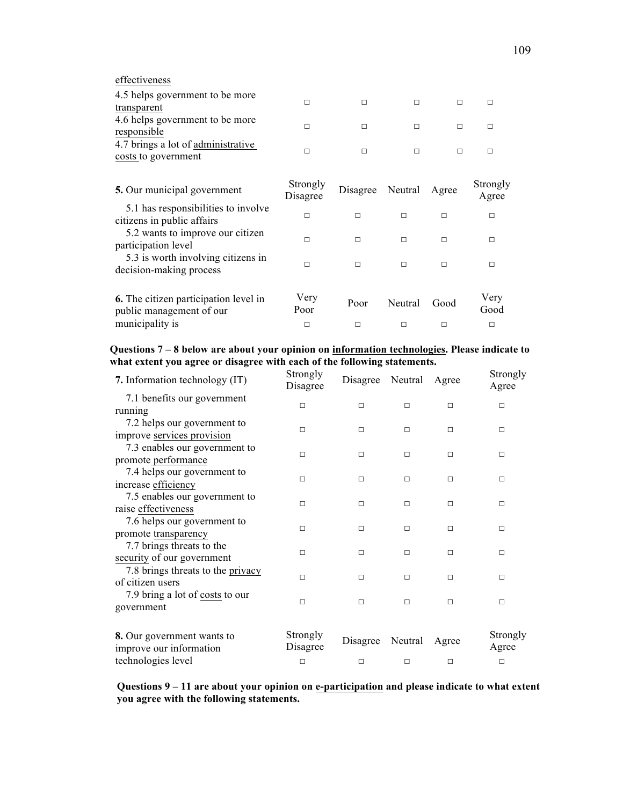| effectiveness |  |
|---------------|--|

| 4.5 helps government to be more<br>transparent            |  |  |  |
|-----------------------------------------------------------|--|--|--|
| 4.6 helps government to be more<br>responsible            |  |  |  |
| 4.7 brings a lot of administrative<br>costs to government |  |  |  |

| 5. Our municipal government                                              | Strongly<br>Disagree | Disagree | Neutral | Agree | Strongly<br>Agree |
|--------------------------------------------------------------------------|----------------------|----------|---------|-------|-------------------|
| 5.1 has responsibilities to involve<br>citizens in public affairs        | П                    | П        | П       | П     | П                 |
| 5.2 wants to improve our citizen<br>participation level                  | п                    | П        | п       | П     | П                 |
| 5.3 is worth involving citizens in<br>decision-making process            | п                    | П        | П       | П     | П                 |
| <b>6.</b> The citizen participation level in<br>public management of our | Very<br>Poor         | Poor     | Neutral | Good  | Very<br>Good      |
| municipality is                                                          | п                    | П        |         |       | П                 |

**Questions 7 – 8 below are about your opinion on information technologies. Please indicate to what extent you agree or disagree with each of the following statements.**

| 7. Information technology (IT)                        | Strongly<br>Disagree | Disagree | Neutral | Agree  | Strongly<br>Agree |
|-------------------------------------------------------|----------------------|----------|---------|--------|-------------------|
| 7.1 benefits our government                           |                      |          |         |        |                   |
| running                                               | П                    | $\Box$   | П       | $\Box$ | □                 |
| 7.2 helps our government to                           | $\Box$               | $\Box$   | п       |        |                   |
| improve services provision                            |                      |          |         | □      | □                 |
| 7.3 enables our government to                         | П                    | $\Box$   | $\Box$  | $\Box$ | $\Box$            |
| promote performance                                   |                      |          |         |        |                   |
| 7.4 helps our government to                           | $\Box$               | $\Box$   | $\Box$  | $\Box$ | □                 |
| increase efficiency                                   |                      |          |         |        |                   |
| 7.5 enables our government to                         | $\Box$               | $\Box$   | $\Box$  | $\Box$ | □                 |
| raise effectiveness                                   |                      |          |         |        |                   |
| 7.6 helps our government to                           | П                    | $\Box$   | $\Box$  | $\Box$ | $\Box$            |
| promote transparency                                  |                      |          |         |        |                   |
| 7.7 brings threats to the                             | П                    | $\Box$   | П       | $\Box$ | П                 |
| security of our government                            |                      |          |         |        |                   |
| 7.8 brings threats to the privacy                     | П                    | $\Box$   | П       | П      | П                 |
| of citizen users                                      |                      |          |         |        |                   |
| 7.9 bring a lot of costs to our                       | П                    | $\Box$   | П       | $\Box$ | □                 |
| government                                            |                      |          |         |        |                   |
| 8. Our government wants to<br>improve our information | Strongly<br>Disagree | Disagree | Neutral | Agree  | Strongly<br>Agree |
| technologies level                                    | $\Box$               | $\Box$   | □       | $\Box$ | $\Box$            |

**Questions 9 – 11 are about your opinion on e-participation and please indicate to what extent you agree with the following statements.**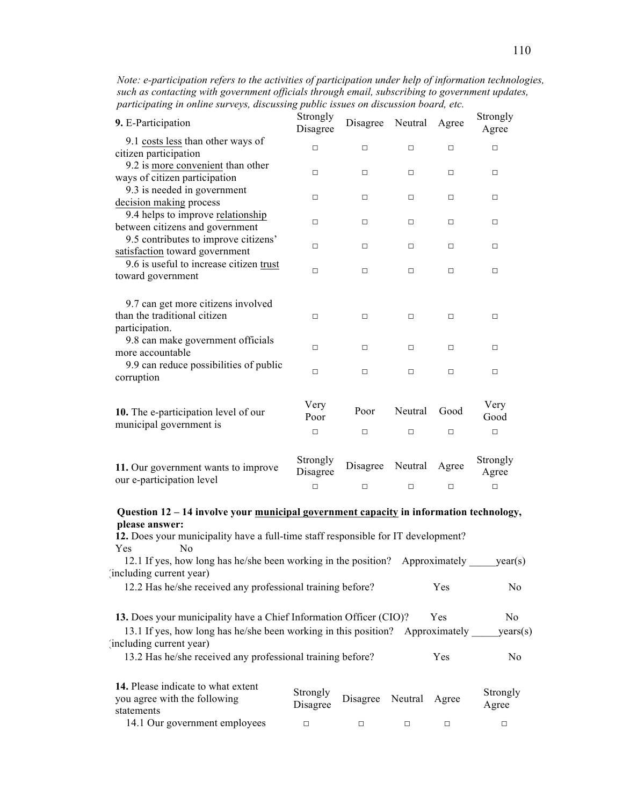| Note: e-participation refers to the activities of participation under help of information technologies, |
|---------------------------------------------------------------------------------------------------------|
| such as contacting with government officials through email, subscribing to government updates,          |
| participating in online surveys, discussing public issues on discussion board, etc.                     |

| 9. E-Participation                                                                                                                                                                                    | Strongly<br>Disagree           | Disagree           | Neutral      | Agree                      | Strongly<br>Agree           |
|-------------------------------------------------------------------------------------------------------------------------------------------------------------------------------------------------------|--------------------------------|--------------------|--------------|----------------------------|-----------------------------|
| 9.1 costs less than other ways of                                                                                                                                                                     |                                |                    |              |                            |                             |
| citizen participation                                                                                                                                                                                 | П                              | П                  | □            | $\Box$                     | □                           |
| 9.2 is more convenient than other                                                                                                                                                                     |                                |                    |              |                            |                             |
| ways of citizen participation                                                                                                                                                                         | $\Box$                         | ◻                  | □            | $\Box$                     | □                           |
| 9.3 is needed in government                                                                                                                                                                           |                                |                    |              |                            |                             |
| decision making process                                                                                                                                                                               | □                              | $\Box$             | □            | $\Box$                     | □                           |
| 9.4 helps to improve relationship                                                                                                                                                                     |                                |                    |              |                            |                             |
| between citizens and government                                                                                                                                                                       | П                              | ◻                  | п            | $\Box$                     | п                           |
| 9.5 contributes to improve citizens'                                                                                                                                                                  |                                |                    |              |                            |                             |
| satisfaction toward government                                                                                                                                                                        | □                              | $\Box$             | □            | $\Box$                     | □                           |
| 9.6 is useful to increase citizen trust                                                                                                                                                               |                                |                    | $\Box$       |                            |                             |
| toward government                                                                                                                                                                                     | □                              | $\Box$             |              | $\Box$                     | □                           |
| 9.7 can get more citizens involved<br>than the traditional citizen<br>participation.<br>9.8 can make government officials<br>more accountable<br>9.9 can reduce possibilities of public<br>corruption | $\Box$<br>П<br>□               | $\Box$<br>◻<br>П   | □<br>□<br>□  | $\Box$<br>$\Box$<br>$\Box$ | □<br>□<br>□                 |
| 10. The e-participation level of our<br>municipal government is                                                                                                                                       | Very<br>Poor                   | Poor               | Neutral      | Good                       | Very<br>Good                |
|                                                                                                                                                                                                       | $\Box$                         | $\Box$             | $\Box$       | $\Box$                     | $\Box$                      |
| 11. Our government wants to improve<br>our e-participation level                                                                                                                                      | Strongly<br>Disagree<br>$\Box$ | Disagree<br>$\Box$ | Neutral<br>□ | Agree<br>$\Box$            | Strongly<br>Agree<br>$\Box$ |
|                                                                                                                                                                                                       |                                |                    |              |                            |                             |

#### **Question 12 – 14 involve your municipal government capacity in information technology, please answer:**

| 12. Does your municipality have a full-time staff responsible for IT development?                                                                                                                                                            |                      |          |         |            |                                   |
|----------------------------------------------------------------------------------------------------------------------------------------------------------------------------------------------------------------------------------------------|----------------------|----------|---------|------------|-----------------------------------|
| <b>Yes</b><br>No.                                                                                                                                                                                                                            |                      |          |         |            |                                   |
| 12.1 If yes, how long has he/she been working in the position? Approximately                                                                                                                                                                 |                      |          |         |            | year(s)                           |
| including current year)                                                                                                                                                                                                                      |                      |          |         |            |                                   |
| 12.2 Has he/she received any professional training before?                                                                                                                                                                                   |                      |          |         | Yes        | N <sub>0</sub>                    |
| 13. Does your municipality have a Chief Information Officer (CIO)?<br>13.1 If yes, how long has he/she been working in this position? Approximately<br>including current year)<br>13.2 Has he/she received any professional training before? |                      |          |         | Yes<br>Yes | No.<br>years(s)<br>N <sub>0</sub> |
| 14. Please indicate to what extent<br>you agree with the following<br>statements                                                                                                                                                             | Strongly<br>Disagree | Disagree | Neutral | Agree      | Strongly<br>Agree                 |
| 14.1 Our government employees                                                                                                                                                                                                                |                      | □        | П       | □          | □                                 |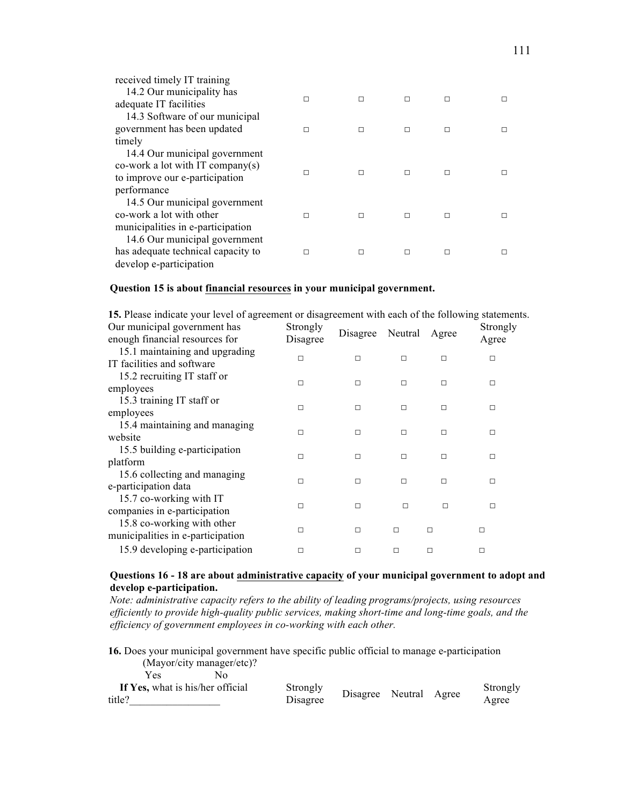| received timely IT training                         |   |   |   |   |  |
|-----------------------------------------------------|---|---|---|---|--|
| 14.2 Our municipality has<br>adequate IT facilities | П | П | П | П |  |
| 14.3 Software of our municipal                      |   |   |   |   |  |
| government has been updated                         | П | П | П | П |  |
| timely                                              |   |   |   |   |  |
| 14.4 Our municipal government                       |   |   |   |   |  |
| co-work a lot with IT company(s)                    | п | П | П | П |  |
| to improve our e-participation                      |   |   |   |   |  |
| performance                                         |   |   |   |   |  |
| 14.5 Our municipal government                       |   |   |   |   |  |
| co-work a lot with other                            | П | П | П | П |  |
| municipalities in e-participation                   |   |   |   |   |  |
| 14.6 Our municipal government                       |   |   |   |   |  |
| has adequate technical capacity to                  | п | П | П | П |  |
| develop e-participation                             |   |   |   |   |  |

#### **Question 15 is about financial resources in your municipal government.**

| 15. Please indicate your level of agreement or disagreement with each of the following statements. |          |          |         |        |          |  |  |
|----------------------------------------------------------------------------------------------------|----------|----------|---------|--------|----------|--|--|
| Our municipal government has                                                                       | Strongly | Disagree | Neutral | Agree  | Strongly |  |  |
| enough financial resources for                                                                     | Disagree |          |         |        | Agree    |  |  |
| 15.1 maintaining and upgrading                                                                     | $\Box$   | П        | П       | П      | п        |  |  |
| IT facilities and software                                                                         |          |          |         |        |          |  |  |
| 15.2 recruiting IT staff or                                                                        | $\Box$   | П        | $\Box$  | П      | $\Box$   |  |  |
| employees                                                                                          |          |          |         |        |          |  |  |
| 15.3 training IT staff or                                                                          | □        | П        | $\Box$  | $\Box$ | □        |  |  |
| employees                                                                                          |          |          |         |        |          |  |  |
| 15.4 maintaining and managing                                                                      | П        | П        | $\Box$  | П      | П        |  |  |
| website                                                                                            |          |          |         |        |          |  |  |
| 15.5 building e-participation                                                                      | П        | П        | П       | П      | $\Box$   |  |  |
| platform                                                                                           |          |          |         |        |          |  |  |
| 15.6 collecting and managing                                                                       | П        | П        | П       | П      | $\Box$   |  |  |
| e-participation data                                                                               |          |          |         |        |          |  |  |
| 15.7 co-working with IT                                                                            | □        | $\Box$   | $\Box$  | П      | □        |  |  |
| companies in e-participation                                                                       |          |          |         |        |          |  |  |
| 15.8 co-working with other                                                                         | П        | П        | П       | П      | П        |  |  |
| municipalities in e-participation                                                                  |          |          |         |        |          |  |  |
| 15.9 developing e-participation                                                                    | п        | п        |         | П      | п        |  |  |

#### **Questions 16 - 18 are about administrative capacity of your municipal government to adopt and develop e-participation.**

*Note: administrative capacity refers to the ability of leading programs/projects, using resources efficiently to provide high-quality public services, making short-time and long-time goals, and the efficiency of government employees in co-working with each other.*

**16.** Does your municipal government have specific public official to manage e-participation (Mayor/city manager/etc)? Yes

| If Yes, what is his/her official | Strongly | Disagree Neutral Agree |  | Strongly |
|----------------------------------|----------|------------------------|--|----------|
| title?                           | Disagree |                        |  | Agree    |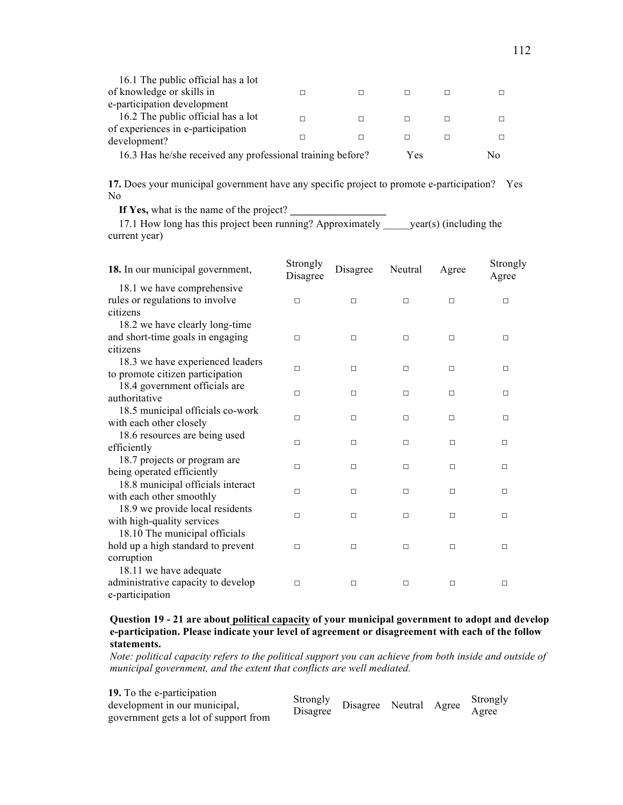| 16.3 Has he/she received any professional training before? |  |   | Yes | Nο |
|------------------------------------------------------------|--|---|-----|----|
| development?                                               |  | П |     |    |
| of experiences in e-participation                          |  |   |     |    |
| 16.2 The public official has a lot                         |  |   |     |    |
| e-participation development                                |  |   |     |    |
| of knowledge or skills in                                  |  | П |     |    |
| 16.1 The public official has a lot                         |  |   |     |    |

**17.** Does your municipal government have any specific project to promote e-participation? Yes No

If Yes, what is the name of the project?

17.1 How long has this project been running? Approximately \_\_\_\_\_\_year(s) (including the current year)

| 18. In our municipal government,   | Strongly<br>Disagree | Disagree | Neutral | Agree  | Strongly<br>Agree |
|------------------------------------|----------------------|----------|---------|--------|-------------------|
| 18.1 we have comprehensive         |                      |          |         |        |                   |
| rules or regulations to involve    | П                    | $\Box$   | $\Box$  | $\Box$ | $\Box$            |
| citizens                           |                      |          |         |        |                   |
| 18.2 we have clearly long-time     |                      |          |         |        |                   |
| and short-time goals in engaging   | $\Box$               | $\Box$   | $\Box$  | $\Box$ | $\Box$            |
| citizens                           |                      |          |         |        |                   |
| 18.3 we have experienced leaders   | $\Box$               | $\Box$   | $\Box$  | $\Box$ | $\Box$            |
| to promote citizen participation   |                      |          |         |        |                   |
| 18.4 government officials are      | П                    | П        | П       | $\Box$ | □                 |
| authoritative                      |                      |          |         |        |                   |
| 18.5 municipal officials co-work   | п                    | П        |         |        |                   |
| with each other closely            |                      |          | □       | □      | □                 |
| 18.6 resources are being used      | $\Box$               | $\Box$   | $\Box$  | $\Box$ | $\Box$            |
| efficiently                        |                      |          |         |        |                   |
| 18.7 projects or program are       | П                    | П        | П       | □      | $\Box$            |
| being operated efficiently         |                      |          |         |        |                   |
| 18.8 municipal officials interact  |                      |          |         |        |                   |
| with each other smoothly           | п                    | П        | □       | □      | □                 |
| 18.9 we provide local residents    | $\Box$               | $\Box$   | $\Box$  | $\Box$ | $\Box$            |
| with high-quality services         |                      |          |         |        |                   |
| 18.10 The municipal officials      |                      |          |         |        |                   |
| hold up a high standard to prevent | $\Box$               | □        | □       | □      | $\Box$            |
| corruption                         |                      |          |         |        |                   |
| 18.11 we have adequate             |                      |          |         |        |                   |
| administrative capacity to develop | П                    | $\Box$   | $\Box$  | □      | $\Box$            |
| e-participation                    |                      |          |         |        |                   |

#### **Question 19 - 21 are about political capacity of your municipal government to adopt and develop e-participation. Please indicate your level of agreement or disagreement with each of the follow statements.**

*Note: political capacity refers to the political support you can achieve from both inside and outside of municipal government, and the extent that conflicts are well mediated.*

| 19. To the e-participation<br>development in our municipal,<br>government gets a lot of support from | Strongly<br>Disagree | Disagree Neutral Agree |  |  | Strongly<br>Agree |
|------------------------------------------------------------------------------------------------------|----------------------|------------------------|--|--|-------------------|
|------------------------------------------------------------------------------------------------------|----------------------|------------------------|--|--|-------------------|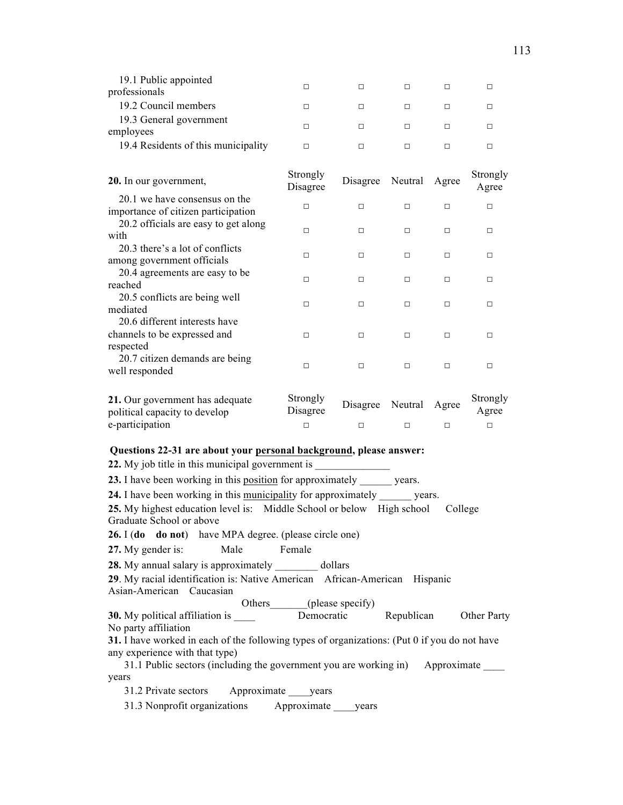| 19.1 Public appointed<br>professionals |  |  |  |
|----------------------------------------|--|--|--|
| 19.2 Council members                   |  |  |  |
| 19.3 General government<br>employees   |  |  |  |
| 19.4 Residents of this municipality    |  |  |  |
|                                        |  |  |  |

| 20. In our government,                                               | Strongly<br>Disagree | Disagree | Neutral | Agree | Strongly<br>Agree |
|----------------------------------------------------------------------|----------------------|----------|---------|-------|-------------------|
| 20.1 we have consensus on the<br>importance of citizen participation | П                    | П        | П       | П     | П                 |
| 20.2 officials are easy to get along<br>with                         | П                    | П        | $\Box$  | п     | п                 |
| 20.3 there's a lot of conflicts<br>among government officials        | П                    | п        | П       | П     | П                 |
| 20.4 agreements are easy to be<br>reached                            | П                    | п        | П       | П     | П                 |
| 20.5 conflicts are being well<br>mediated                            | П                    | П        | П       | п     | п                 |
| 20.6 different interests have<br>channels to be expressed and        | п                    | п        | П       | п     | п                 |
| respected<br>20.7 citizen demands are being<br>well responded        | П                    | П        | П       | П     | П                 |

| 21. Our government has adequate<br>political capacity to develop | Strongly<br>Disagree | Disagree Neutral Agree |  | Strongly<br>Agree |
|------------------------------------------------------------------|----------------------|------------------------|--|-------------------|
| e-participation                                                  |                      |                        |  |                   |

#### **Questions 22-31 are about your personal background, please answer:**

**22.** My job title in this municipal government is

**23.** I have been working in this position for approximately \_\_\_\_\_\_ years.

**24.** I have been working in this municipality for approximately \_\_\_\_\_\_ years.

**25.** My highest education level is: Middle School or below High school College Graduate School or above

**26.** I (**do do not**) have MPA degree. (please circle one)

27. My gender is: Male Female

**28.** My annual salary is approximately \_\_\_\_\_\_\_\_ dollars

**29**. My racial identification is: Native American African-American Hispanic Asian-American Caucasian

Others (please specify)

**30.** My political affiliation is **Democratic** Republican Other Party No party affiliation

**31.** I have worked in each of the following types of organizations: (Put 0 if you do not have any experience with that type)

31.1 Public sectors (including the government you are working in) Approximate years

31.2 Private sectors Approximate \_\_\_\_years

31.3 Nonprofit organizations Approximate \_\_\_\_years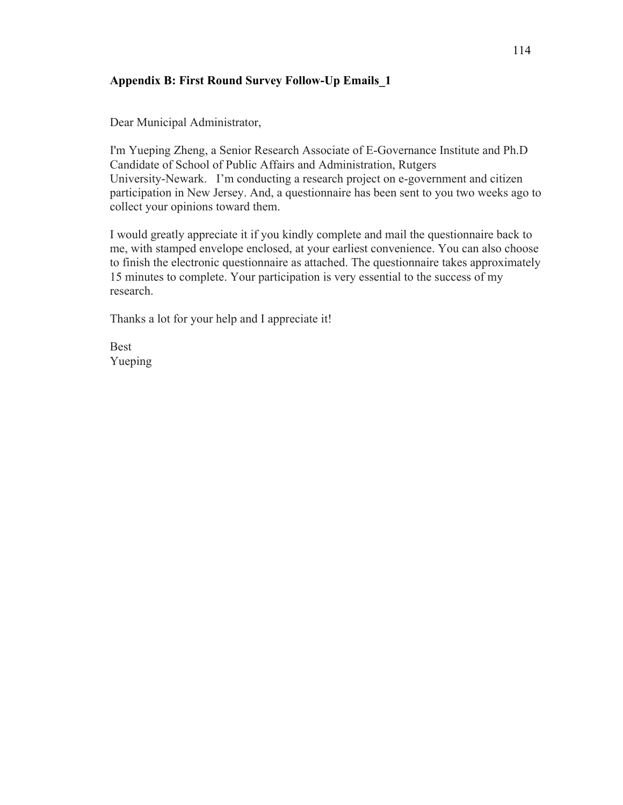# **Appendix B: First Round Survey Follow-Up Emails\_1**

Dear Municipal Administrator,

I'm Yueping Zheng, a Senior Research Associate of E-Governance Institute and Ph.D Candidate of School of Public Affairs and Administration, Rutgers University-Newark. I'm conducting a research project on e-government and citizen participation in New Jersey. And, a questionnaire has been sent to you two weeks ago to collect your opinions toward them.

I would greatly appreciate it if you kindly complete and mail the questionnaire back to me, with stamped envelope enclosed, at your earliest convenience. You can also choose to finish the electronic questionnaire as attached. The questionnaire takes approximately 15 minutes to complete. Your participation is very essential to the success of my research.

Thanks a lot for your help and I appreciate it!

**Best** Yueping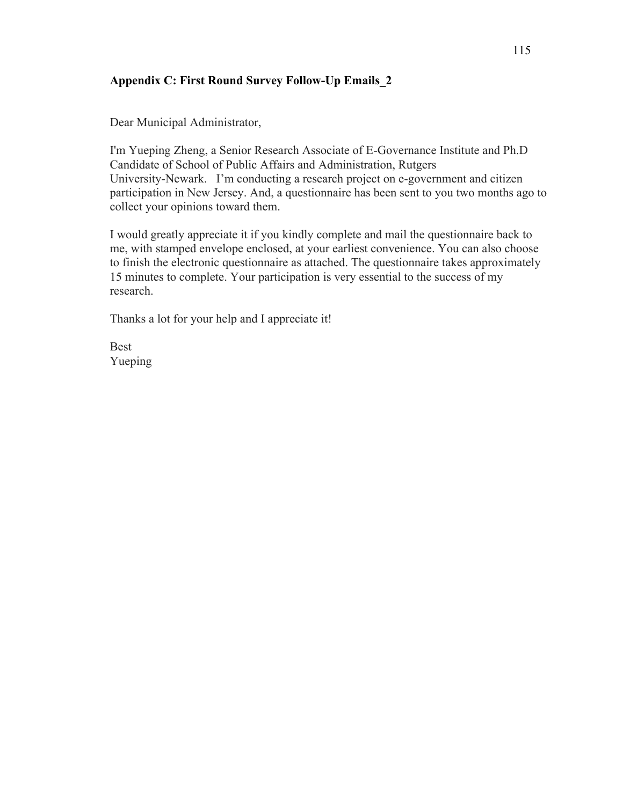# **Appendix C: First Round Survey Follow-Up Emails\_2**

Dear Municipal Administrator,

I'm Yueping Zheng, a Senior Research Associate of E-Governance Institute and Ph.D Candidate of School of Public Affairs and Administration, Rutgers University-Newark. I'm conducting a research project on e-government and citizen participation in New Jersey. And, a questionnaire has been sent to you two months ago to collect your opinions toward them.

I would greatly appreciate it if you kindly complete and mail the questionnaire back to me, with stamped envelope enclosed, at your earliest convenience. You can also choose to finish the electronic questionnaire as attached. The questionnaire takes approximately 15 minutes to complete. Your participation is very essential to the success of my research.

Thanks a lot for your help and I appreciate it!

**Best** Yueping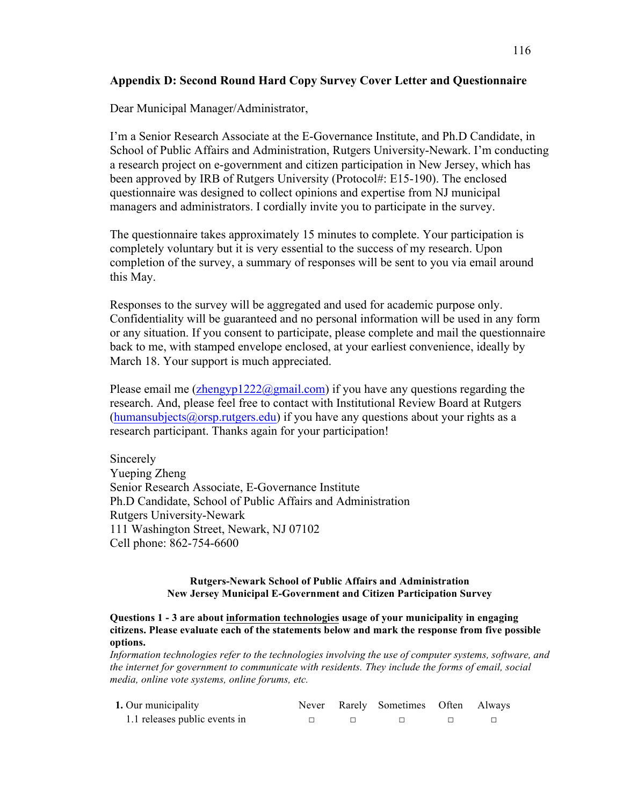# **Appendix D: Second Round Hard Copy Survey Cover Letter and Questionnaire**

Dear Municipal Manager/Administrator,

I'm a Senior Research Associate at the E-Governance Institute, and Ph.D Candidate, in School of Public Affairs and Administration, Rutgers University-Newark. I'm conducting a research project on e-government and citizen participation in New Jersey, which has been approved by IRB of Rutgers University (Protocol#: E15-190). The enclosed questionnaire was designed to collect opinions and expertise from NJ municipal managers and administrators. I cordially invite you to participate in the survey.

The questionnaire takes approximately 15 minutes to complete. Your participation is completely voluntary but it is very essential to the success of my research. Upon completion of the survey, a summary of responses will be sent to you via email around this May.

Responses to the survey will be aggregated and used for academic purpose only. Confidentiality will be guaranteed and no personal information will be used in any form or any situation. If you consent to participate, please complete and mail the questionnaire back to me, with stamped envelope enclosed, at your earliest convenience, ideally by March 18. Your support is much appreciated.

Please email me (zhengyp1222@gmail.com) if you have any questions regarding the research. And, please feel free to contact with Institutional Review Board at Rutgers  $(human subjects@orsp.rutgers.edu)$  if you have any questions about your rights as a research participant. Thanks again for your participation!

**Sincerely** Yueping Zheng Senior Research Associate, E-Governance Institute Ph.D Candidate, School of Public Affairs and Administration Rutgers University-Newark 111 Washington Street, Newark, NJ 07102 Cell phone: 862-754-6600

## **Rutgers-Newark School of Public Affairs and Administration New Jersey Municipal E-Government and Citizen Participation Survey**

#### **Questions 1 - 3 are about information technologies usage of your municipality in engaging citizens. Please evaluate each of the statements below and mark the response from five possible options.**

*Information technologies refer to the technologies involving the use of computer systems, software, and the internet for government to communicate with residents. They include the forms of email, social media, online vote systems, online forums, etc.*

| 1. Our municipality           |  | Never Rarely Sometimes Often Always |  |
|-------------------------------|--|-------------------------------------|--|
| 1.1 releases public events in |  |                                     |  |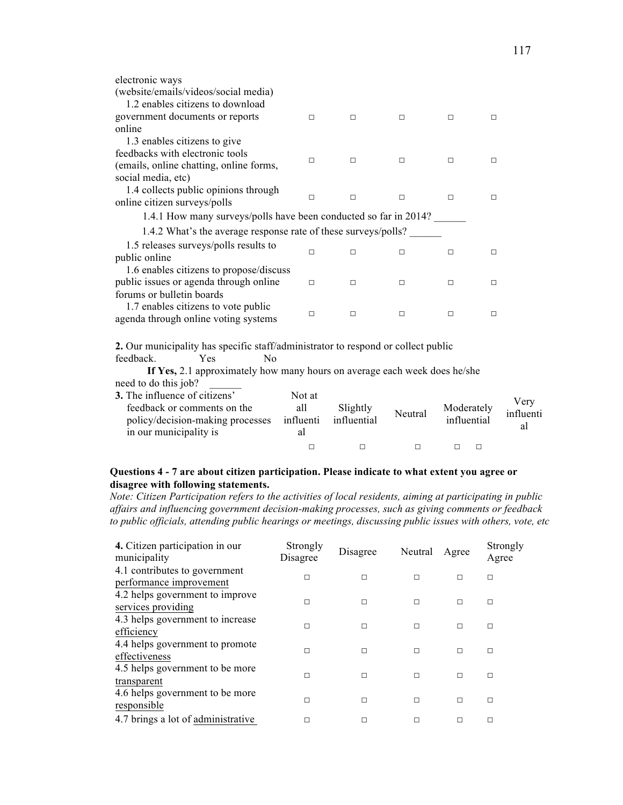| electronic ways                                                  |        |        |        |   |   |  |
|------------------------------------------------------------------|--------|--------|--------|---|---|--|
| (website/emails/videos/social media)                             |        |        |        |   |   |  |
| 1.2 enables citizens to download                                 |        |        |        |   |   |  |
| government documents or reports                                  | п      | $\Box$ | $\Box$ | П | П |  |
| online                                                           |        |        |        |   |   |  |
| 1.3 enables citizens to give                                     |        |        |        |   |   |  |
| feedbacks with electronic tools                                  | п      | $\Box$ | П      | П | П |  |
| (emails, online chatting, online forms,                          |        |        |        |   |   |  |
| social media, etc)                                               |        |        |        |   |   |  |
| 1.4 collects public opinions through                             | П      | $\Box$ | $\Box$ | П | П |  |
| online citizen surveys/polls                                     |        |        |        |   |   |  |
| 1.4.1 How many surveys/polls have been conducted so far in 2014? |        |        |        |   |   |  |
| 1.4.2 What's the average response rate of these surveys/polls?   |        |        |        |   |   |  |
| 1.5 releases surveys/polls results to                            |        |        |        |   |   |  |
| public online                                                    | П      | $\Box$ | П      | П | П |  |
| 1.6 enables citizens to propose/discuss                          |        |        |        |   |   |  |
| public issues or agenda through online                           | $\Box$ | П      | П      | П | п |  |
| forums or bulletin boards                                        |        |        |        |   |   |  |
| 1.7 enables citizens to vote public                              | п      | П      | П      | п | П |  |
|                                                                  |        |        |        |   |   |  |
| agenda through online voting systems                             |        |        |        |   |   |  |

**2.** Our municipality has specific staff/administrator to respond or collect public feedback. Yes No

feedback. Yes No

 **If Yes,** 2.1 approximately how many hours on average each week does he/she need to do this job?

| 3. The influence of citizens'<br>feedback or comments on the<br>policy/decision-making processes<br>in our municipality is | Not at<br>all<br>influenti<br>al | Slightly<br>influential | Neutral | Moderately<br>influential | Verv<br>influenti<br>al |
|----------------------------------------------------------------------------------------------------------------------------|----------------------------------|-------------------------|---------|---------------------------|-------------------------|
|                                                                                                                            |                                  |                         |         |                           |                         |

## **Questions 4 - 7 are about citizen participation. Please indicate to what extent you agree or disagree with following statements.**

*Note: Citizen Participation refers to the activities of local residents, aiming at participating in public affairs and influencing government decision-making processes, such as giving comments or feedback to public officials, attending public hearings or meetings, discussing public issues with others, vote, etc*

| 4. Citizen participation in our<br>municipality | Strongly<br>Disagree | Disagree | Neutral | Agree  | Strongly<br>Agree |
|-------------------------------------------------|----------------------|----------|---------|--------|-------------------|
| 4.1 contributes to government                   | П                    | П        | П       | П      | $\Box$            |
| performance improvement                         |                      |          |         |        |                   |
| 4.2 helps government to improve                 |                      |          |         |        |                   |
| services providing                              | п                    | $\Box$   | П       | $\Box$ | $\Box$            |
| 4.3 helps government to increase                |                      |          |         |        |                   |
| efficiency                                      | п                    | П        | п       | П      | □                 |
| 4.4 helps government to promote                 | П                    | П        | П       | П      |                   |
| effectiveness                                   |                      |          |         |        | п                 |
| 4.5 helps government to be more                 |                      | П        | П       | П      |                   |
| transparent                                     | П                    |          |         |        | □                 |
| 4.6 helps government to be more                 |                      |          |         |        |                   |
| responsible                                     | П                    | $\Box$   | П       | П      | П                 |
| 4.7 brings a lot of administrative              |                      | П        | П       | г      | П                 |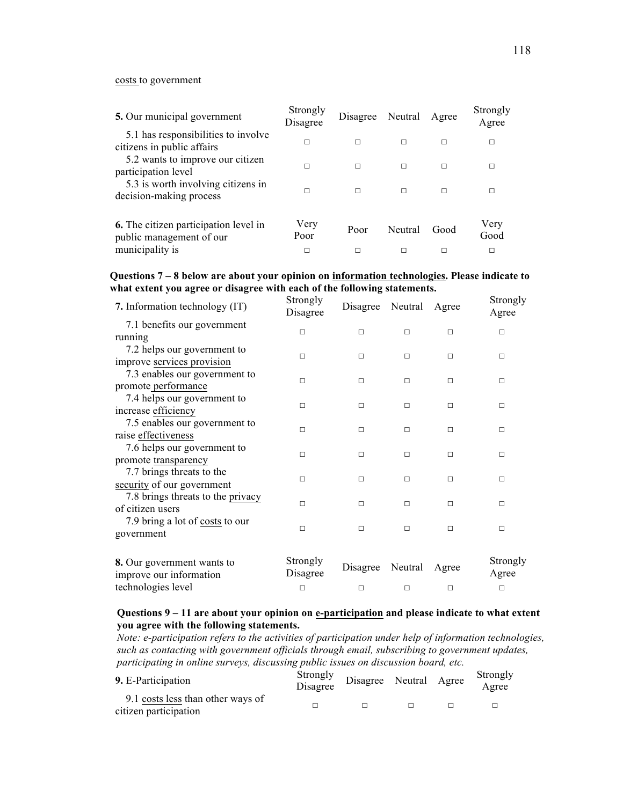#### costs to government

| 5. Our municipal government                                              | Strongly<br>Disagree | Disagree Neutral |         | Agree | Strongly<br>Agree |
|--------------------------------------------------------------------------|----------------------|------------------|---------|-------|-------------------|
| 5.1 has responsibilities to involve<br>citizens in public affairs        | П                    | п                | П       | п     | П                 |
| 5.2 wants to improve our citizen<br>participation level                  | П                    | п                | П       | П     | П                 |
| 5.3 is worth involving citizens in<br>decision-making process            | п                    | п                | п       | П     | П                 |
| <b>6.</b> The citizen participation level in<br>public management of our | Very<br>Poor         | Poor             | Neutral | Good  | Very<br>Good      |
| municipality is                                                          | П                    |                  |         | п     | П                 |

## **Questions 7 – 8 below are about your opinion on information technologies. Please indicate to what extent you agree or disagree with each of the following statements.**

| 7. Information technology (IT)                        | Strongly<br>Disagree | Disagree | Neutral | Agree  | Strongly<br>Agree |
|-------------------------------------------------------|----------------------|----------|---------|--------|-------------------|
| 7.1 benefits our government                           |                      |          |         |        |                   |
| running                                               | □                    | $\Box$   | $\Box$  | □      | □                 |
| 7.2 helps our government to                           | □                    | $\Box$   | $\Box$  | □      | □                 |
| improve services provision                            |                      |          |         |        |                   |
| 7.3 enables our government to                         | □                    | $\Box$   | $\Box$  | □      | □                 |
| promote performance                                   |                      |          |         |        |                   |
| 7.4 helps our government to                           | $\Box$               | $\Box$   | $\Box$  | □      | $\Box$            |
| increase efficiency                                   |                      |          |         |        |                   |
| 7.5 enables our government to                         | П                    | $\Box$   | $\Box$  | □      | П                 |
| raise effectiveness                                   |                      |          |         |        |                   |
| 7.6 helps our government to                           | $\Box$               | $\Box$   | $\Box$  | □      | $\Box$            |
| promote transparency                                  |                      |          |         |        |                   |
| 7.7 brings threats to the                             | $\Box$               | $\Box$   | П       | $\Box$ | $\Box$            |
| security of our government                            |                      |          |         |        |                   |
| 7.8 brings threats to the privacy                     | П                    | П        | $\Box$  | П      | П                 |
| of citizen users                                      |                      |          |         |        |                   |
| 7.9 bring a lot of costs to our                       | $\Box$               | П        | $\Box$  | П      | $\Box$            |
| government                                            |                      |          |         |        |                   |
| 8. Our government wants to<br>improve our information | Strongly<br>Disagree | Disagree | Neutral | Agree  | Strongly<br>Agree |
| technologies level                                    | $\Box$               | $\Box$   | $\Box$  | □      | П                 |

#### **Questions 9 – 11 are about your opinion on e-participation and please indicate to what extent you agree with the following statements.**

*Note: e-participation refers to the activities of participation under help of information technologies, such as contacting with government officials through email, subscribing to government updates, participating in online surveys, discussing public issues on discussion board, etc.*

| 9. E-Participation                                         | Strongly<br>Disagree | Disagree Neutral Agree |  | Strongly<br>Agree |
|------------------------------------------------------------|----------------------|------------------------|--|-------------------|
| 9.1 costs less than other ways of<br>citizen participation |                      |                        |  |                   |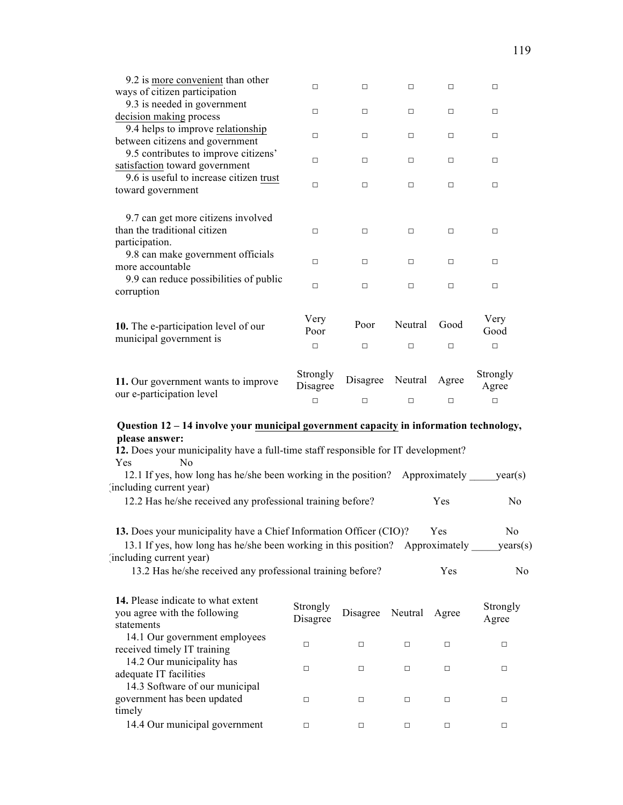| 9.2 is more convenient than other                                                                                                                                                                                                                                            |                      |          |         |               |                   |
|------------------------------------------------------------------------------------------------------------------------------------------------------------------------------------------------------------------------------------------------------------------------------|----------------------|----------|---------|---------------|-------------------|
| ways of citizen participation                                                                                                                                                                                                                                                | □                    | $\Box$   | $\Box$  | $\Box$        | $\Box$            |
| 9.3 is needed in government<br>decision making process                                                                                                                                                                                                                       | □                    | $\Box$   | $\Box$  | $\Box$        | $\Box$            |
| 9.4 helps to improve relationship<br>between citizens and government                                                                                                                                                                                                         | □                    | $\Box$   | $\Box$  | $\Box$        | $\Box$            |
| 9.5 contributes to improve citizens'<br>satisfaction toward government                                                                                                                                                                                                       | □                    | $\Box$   | $\Box$  | □             | □                 |
| 9.6 is useful to increase citizen trust<br>toward government                                                                                                                                                                                                                 | □                    | $\Box$   | $\Box$  | $\Box$        | □                 |
| 9.7 can get more citizens involved<br>than the traditional citizen<br>participation.                                                                                                                                                                                         | $\Box$               | $\Box$   | $\Box$  | $\Box$        | $\Box$            |
| 9.8 can make government officials<br>more accountable                                                                                                                                                                                                                        | П                    | $\Box$   | $\Box$  | $\Box$        | □                 |
| 9.9 can reduce possibilities of public<br>corruption                                                                                                                                                                                                                         | $\Box$               | $\Box$   | $\Box$  | $\Box$        | □                 |
| 10. The e-participation level of our                                                                                                                                                                                                                                         | Very<br>Poor         | Poor     | Neutral | Good          | Very<br>Good      |
| municipal government is                                                                                                                                                                                                                                                      | $\Box$               | $\Box$   | $\Box$  | $\Box$        | $\Box$            |
| 11. Our government wants to improve<br>our e-participation level                                                                                                                                                                                                             | Strongly<br>Disagree | Disagree | Neutral | Agree         | Strongly<br>Agree |
|                                                                                                                                                                                                                                                                              | $\Box$               | $\Box$   | $\Box$  | $\Box$        | $\Box$            |
| Question 12 - 14 involve your municipal government capacity in information technology,<br>please answer:<br>12. Does your municipality have a full-time staff responsible for IT development?<br>No<br>Yes<br>12.1 If yes, how long has he/she been working in the position? |                      |          |         | Approximately | year(s)           |
| including current year)<br>12.2 Has he/she received any professional training before?                                                                                                                                                                                        |                      |          |         | Yes           | N <sub>0</sub>    |
|                                                                                                                                                                                                                                                                              |                      |          |         |               |                   |

| <b>17.</b> Ticase muicate to what extent<br>you agree with the following<br>statements | Strongly<br>Disagree | Disagree Neutral |   | Agree | Strongly<br>Agree |
|----------------------------------------------------------------------------------------|----------------------|------------------|---|-------|-------------------|
| 14.1 Our government employees<br>received timely IT training                           | г                    | г                | п |       |                   |
| 14.2 Our municipality has<br>adequate IT facilities                                    | П                    | П                | п |       |                   |
| 14.3 Software of our municipal<br>government has been updated                          | П                    | П                | п |       |                   |
| timely<br>14.4 Our municipal government                                                |                      |                  |   |       |                   |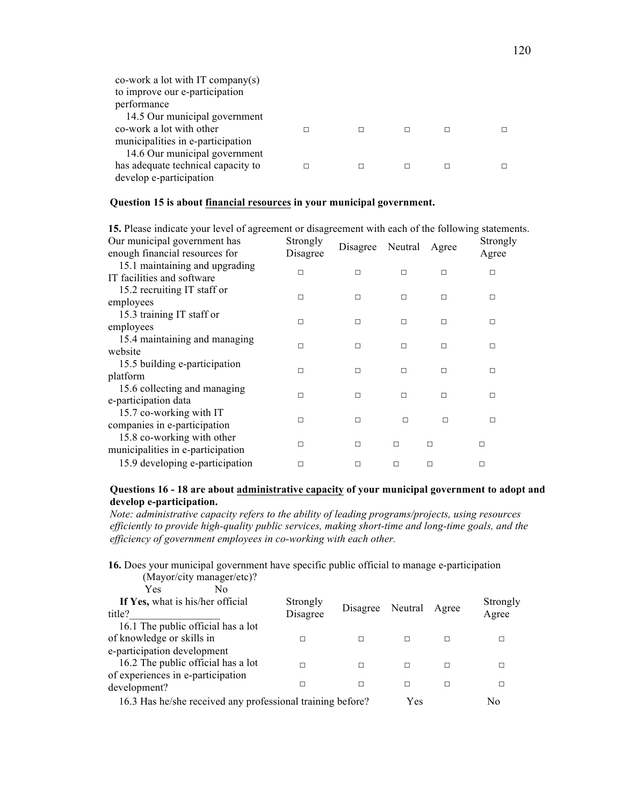| co-work a lot with IT company(s)<br>to improve our e-participation |   |   |  |
|--------------------------------------------------------------------|---|---|--|
| performance                                                        |   |   |  |
| 14.5 Our municipal government                                      |   |   |  |
| co-work a lot with other                                           |   | г |  |
| municipalities in e-participation                                  |   |   |  |
| 14.6 Our municipal government                                      |   |   |  |
| has adequate technical capacity to                                 | П | П |  |
| develop e-participation                                            |   |   |  |

## **Question 15 is about financial resources in your municipal government.**

**15.** Please indicate your level of agreement or disagreement with each of the following statements.

| Our municipal government has<br>enough financial resources for  | Strongly<br>Disagree | Disagree | Neutral | Agree  | Strongly<br>Agree |
|-----------------------------------------------------------------|----------------------|----------|---------|--------|-------------------|
| 15.1 maintaining and upgrading<br>IT facilities and software    | п                    | $\Box$   | $\Box$  | $\Box$ | □                 |
| 15.2 recruiting IT staff or                                     | П                    | $\Box$   | П       | П      | П                 |
| employees<br>15.3 training IT staff or                          | П                    | $\Box$   | п       | П      | □                 |
| employees<br>15.4 maintaining and managing                      |                      |          |         |        |                   |
| website                                                         | П                    | $\Box$   | П       | П      | п                 |
| 15.5 building e-participation<br>platform                       | П                    | $\Box$   | $\Box$  | П      | п                 |
| 15.6 collecting and managing<br>e-participation data            | П                    | $\Box$   | П       | П      | п                 |
| 15.7 co-working with IT<br>companies in e-participation         | П                    | $\Box$   | $\Box$  | П      | П                 |
| 15.8 co-working with other<br>municipalities in e-participation | П                    | $\Box$   | $\Box$  | П      | $\Box$            |
| 15.9 developing e-participation                                 | П                    | $\Box$   | $\Box$  | п      | $\Box$            |

## **Questions 16 - 18 are about administrative capacity of your municipal government to adopt and develop e-participation.**

*Note: administrative capacity refers to the ability of leading programs/projects, using resources efficiently to provide high-quality public services, making short-time and long-time goals, and the efficiency of government employees in co-working with each other.*

**16.** Does your municipal government have specific public official to manage e-participation (Mayor/city manager/etc)?

| $1.14$ , $0.17$ , $0.13$ , $1.14$ , $0.017$ , $0.00$ , $0.00$ |          |                        |     |   |          |
|---------------------------------------------------------------|----------|------------------------|-----|---|----------|
| Yes<br>No                                                     |          |                        |     |   |          |
| If Yes, what is his/her official                              | Strongly |                        |     |   | Strongly |
| title?                                                        | Disagree | Disagree Neutral Agree |     |   | Agree    |
| 16.1 The public official has a lot                            |          |                        |     |   |          |
| of knowledge or skills in                                     |          | П                      | п   | п |          |
| e-participation development                                   |          |                        |     |   |          |
| 16.2 The public official has a lot                            |          | П                      | п   | г |          |
| of experiences in e-participation                             |          |                        |     |   |          |
| development?                                                  | г        | П                      | п   | П | п        |
| 16.3 Has he/she received any professional training before?    |          |                        | Yes |   | No       |
|                                                               |          |                        |     |   |          |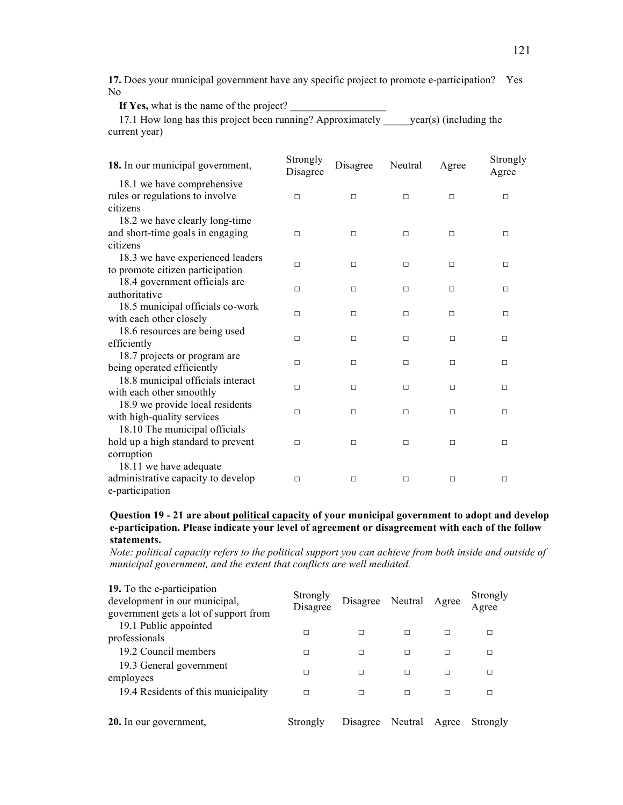**17.** Does your municipal government have any specific project to promote e-participation? Yes No

If Yes, what is the name of the project?

17.1 How long has this project been running? Approximately vear(s) (including the current year)

| 18. In our municipal government,   | Strongly<br>Disagree | Disagree | Neutral | Agree  | Strongly<br>Agree |
|------------------------------------|----------------------|----------|---------|--------|-------------------|
| 18.1 we have comprehensive         |                      |          |         |        |                   |
| rules or regulations to involve    | П                    | $\Box$   | $\Box$  | $\Box$ | $\Box$            |
| citizens                           |                      |          |         |        |                   |
| 18.2 we have clearly long-time     |                      |          |         |        |                   |
| and short-time goals in engaging   | $\Box$               | П        | $\Box$  | п      | $\Box$            |
| citizens                           |                      |          |         |        |                   |
| 18.3 we have experienced leaders   | П                    | П        | $\Box$  | $\Box$ | $\Box$            |
| to promote citizen participation   |                      |          |         |        |                   |
| 18.4 government officials are      | П                    | П        | $\Box$  | □      | $\Box$            |
| authoritative                      |                      |          |         |        |                   |
| 18.5 municipal officials co-work   | п                    | П        | $\Box$  | п      | $\Box$            |
| with each other closely            |                      |          |         |        |                   |
| 18.6 resources are being used      | $\Box$               | $\Box$   | $\Box$  | $\Box$ | $\Box$            |
| efficiently                        |                      |          |         |        |                   |
| 18.7 projects or program are       | п                    | П        | $\Box$  | $\Box$ | $\Box$            |
| being operated efficiently         |                      |          |         |        |                   |
| 18.8 municipal officials interact  | п                    | П        | □       | □      | □                 |
| with each other smoothly           |                      |          |         |        |                   |
| 18.9 we provide local residents    | П                    | $\Box$   | $\Box$  | $\Box$ | $\Box$            |
| with high-quality services         |                      |          |         |        |                   |
| 18.10 The municipal officials      |                      |          |         |        |                   |
| hold up a high standard to prevent | П                    | □        | $\Box$  | □      | □                 |
| corruption                         |                      |          |         |        |                   |
| 18.11 we have adequate             |                      |          |         |        |                   |
| administrative capacity to develop | □                    | □        | $\Box$  | $\Box$ | $\Box$            |
| e-participation                    |                      |          |         |        |                   |

## **Question 19 - 21 are about political capacity of your municipal government to adopt and develop e-participation. Please indicate your level of agreement or disagreement with each of the follow statements.**

*Note: political capacity refers to the political support you can achieve from both inside and outside of municipal government, and the extent that conflicts are well mediated.*

| 19. To the e-participation<br>development in our municipal,<br>government gets a lot of support from | Strongly<br>Disagree | Disagree | Neutral | Agree | Strongly<br>Agree |
|------------------------------------------------------------------------------------------------------|----------------------|----------|---------|-------|-------------------|
| 19.1 Public appointed<br>professionals                                                               | п                    | П        | П       | П     | П                 |
| 19.2 Council members                                                                                 | П                    | П        | П       | П     | г                 |
| 19.3 General government<br>employees                                                                 | П                    | П        | П       | П     | г                 |
| 19.4 Residents of this municipality                                                                  | П                    | П        | П       | П     | г                 |
| 20. In our government,                                                                               | Strongly             | Disagree | Neutral | Agree | Strongly          |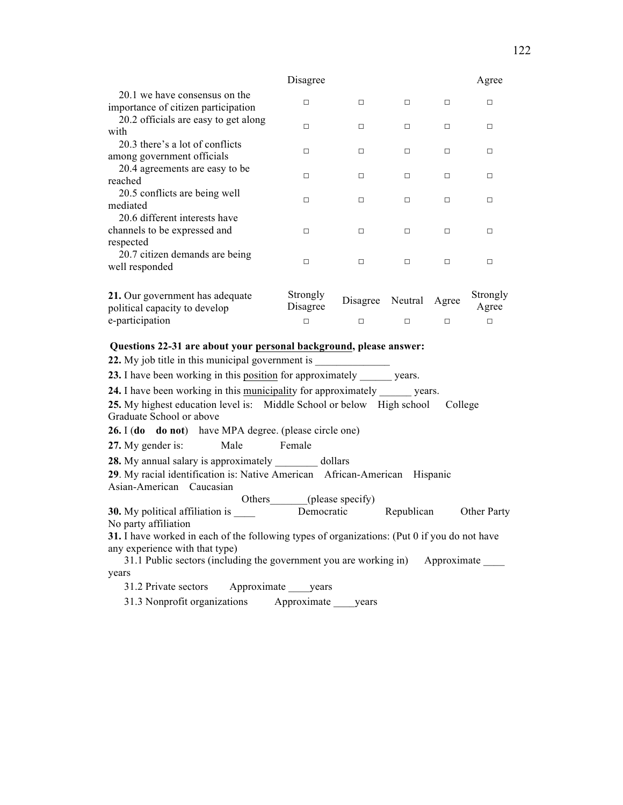|                                                                      | Disagree             |          |         |       | Agree             |
|----------------------------------------------------------------------|----------------------|----------|---------|-------|-------------------|
| 20.1 we have consensus on the<br>importance of citizen participation | $\Box$               | П        | $\Box$  | П     | п                 |
| 20.2 officials are easy to get along<br>with                         | п                    | П        | П       | п     | п                 |
| 20.3 there's a lot of conflicts<br>among government officials        | П                    | п        | П       | п     | п                 |
| 20.4 agreements are easy to be<br>reached                            | П                    | П        | П       | п     | П                 |
| 20.5 conflicts are being well<br>mediated                            | П                    | П        | П       | П     | п                 |
| 20.6 different interests have<br>channels to be expressed and        | П                    | П        | П       | п     | п                 |
| respected                                                            |                      |          |         |       |                   |
| 20.7 citizen demands are being<br>well responded                     | $\Box$               | П        | П       | П     | П                 |
| 21. Our government has adequate<br>political capacity to develop     | Strongly<br>Disagree | Disagree | Neutral | Agree | Strongly<br>Agree |
| e-participation                                                      | П                    | □        | □       | □     | □                 |

#### **Questions 22-31 are about your personal background, please answer:**

**22.** My job title in this municipal government is **23.** I have been working in this position for approximately years. **24.** I have been working in this municipality for approximately years. **25.** My highest education level is: Middle School or below High school College Graduate School or above **26.** I (**do do not**) have MPA degree. (please circle one) **27.** My gender is: Male Female **28.** My annual salary is approximately dollars **29**. My racial identification is: Native American African-American Hispanic Asian-American Caucasian Others (please specify) **30.** My political affiliation is \_\_\_\_\_ Democratic Republican Other Party No party affiliation **31.** I have worked in each of the following types of organizations: (Put 0 if you do not have any experience with that type) 31.1 Public sectors (including the government you are working in) Approximate \_\_\_\_ years 31.2 Private sectors Approximate years 31.3 Nonprofit organizations Approximate \_\_\_\_years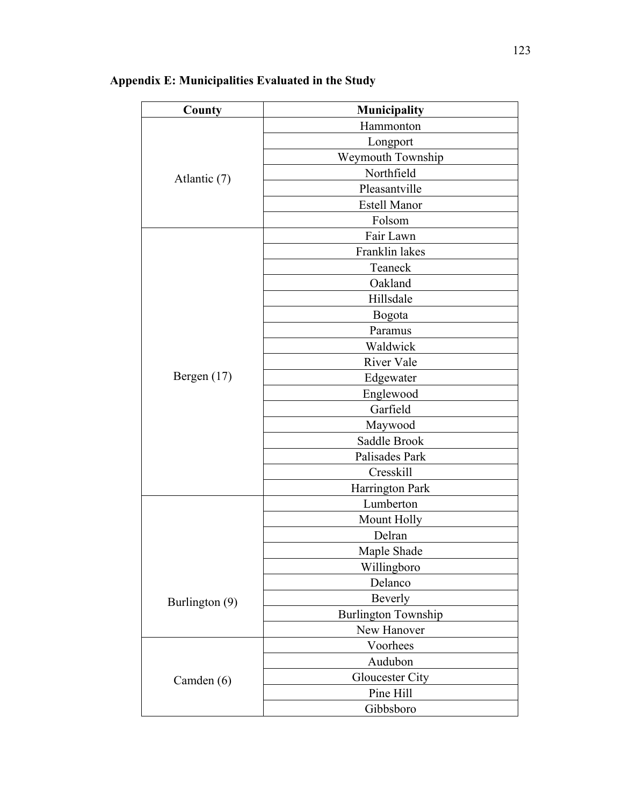| County         | Municipality               |  |  |  |  |
|----------------|----------------------------|--|--|--|--|
|                | Hammonton                  |  |  |  |  |
|                | Longport                   |  |  |  |  |
|                | Weymouth Township          |  |  |  |  |
| Atlantic (7)   | Northfield                 |  |  |  |  |
|                | Pleasantville              |  |  |  |  |
|                | <b>Estell Manor</b>        |  |  |  |  |
|                | Folsom                     |  |  |  |  |
|                | Fair Lawn                  |  |  |  |  |
|                | Franklin lakes             |  |  |  |  |
|                | Teaneck                    |  |  |  |  |
|                | Oakland                    |  |  |  |  |
|                | Hillsdale                  |  |  |  |  |
|                | Bogota                     |  |  |  |  |
|                | Paramus                    |  |  |  |  |
|                | Waldwick                   |  |  |  |  |
|                | River Vale                 |  |  |  |  |
| Bergen $(17)$  | Edgewater                  |  |  |  |  |
|                | Englewood                  |  |  |  |  |
|                | Garfield                   |  |  |  |  |
|                | Maywood                    |  |  |  |  |
|                | Saddle Brook               |  |  |  |  |
|                | Palisades Park             |  |  |  |  |
|                | Cresskill                  |  |  |  |  |
|                | Harrington Park            |  |  |  |  |
|                | Lumberton                  |  |  |  |  |
|                | Mount Holly                |  |  |  |  |
|                | Delran                     |  |  |  |  |
|                | Maple Shade                |  |  |  |  |
|                | Willingboro                |  |  |  |  |
|                | Delanco                    |  |  |  |  |
| Burlington (9) | Beverly                    |  |  |  |  |
|                | <b>Burlington Township</b> |  |  |  |  |
|                | New Hanover                |  |  |  |  |
|                | Voorhees                   |  |  |  |  |
|                | Audubon                    |  |  |  |  |
| Camden (6)     | Gloucester City            |  |  |  |  |
|                | Pine Hill                  |  |  |  |  |
|                | Gibbsboro                  |  |  |  |  |

# **Appendix E: Municipalities Evaluated in the Study**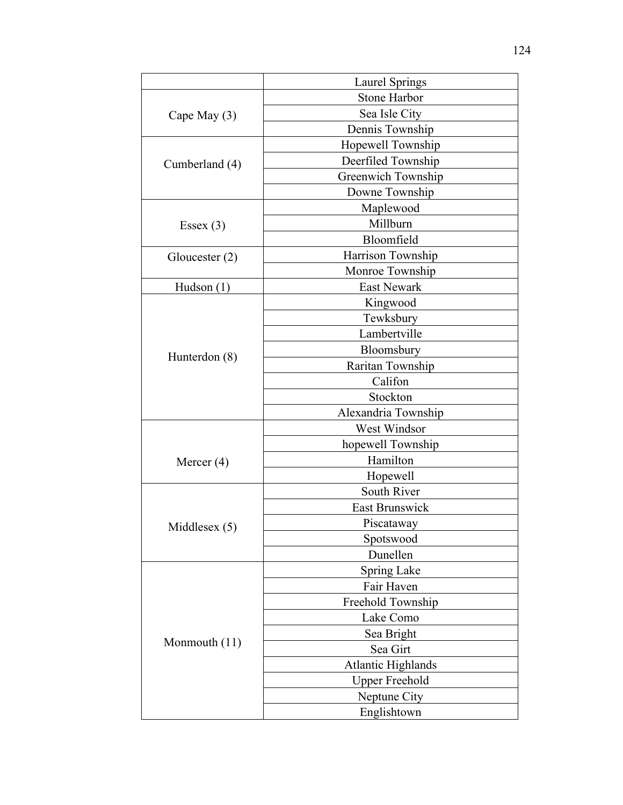|                  | <b>Laurel Springs</b>     |  |  |  |  |  |
|------------------|---------------------------|--|--|--|--|--|
|                  | <b>Stone Harbor</b>       |  |  |  |  |  |
| Cape May (3)     | Sea Isle City             |  |  |  |  |  |
|                  | Dennis Township           |  |  |  |  |  |
|                  | Hopewell Township         |  |  |  |  |  |
| Cumberland (4)   | Deerfiled Township        |  |  |  |  |  |
|                  | Greenwich Township        |  |  |  |  |  |
|                  | Downe Township            |  |  |  |  |  |
|                  | Maplewood                 |  |  |  |  |  |
| Essex $(3)$      | Millburn                  |  |  |  |  |  |
|                  | Bloomfield                |  |  |  |  |  |
| Gloucester $(2)$ | Harrison Township         |  |  |  |  |  |
|                  | Monroe Township           |  |  |  |  |  |
| Hudson $(1)$     | East Newark               |  |  |  |  |  |
|                  | Kingwood                  |  |  |  |  |  |
|                  | Tewksbury                 |  |  |  |  |  |
|                  | Lambertville              |  |  |  |  |  |
| Hunterdon (8)    | Bloomsbury                |  |  |  |  |  |
|                  | Raritan Township          |  |  |  |  |  |
|                  | Califon                   |  |  |  |  |  |
|                  | Stockton                  |  |  |  |  |  |
|                  | Alexandria Township       |  |  |  |  |  |
|                  | West Windsor              |  |  |  |  |  |
|                  | hopewell Township         |  |  |  |  |  |
| Mercer $(4)$     | Hamilton                  |  |  |  |  |  |
|                  | Hopewell                  |  |  |  |  |  |
|                  | South River               |  |  |  |  |  |
|                  | <b>East Brunswick</b>     |  |  |  |  |  |
| Middlesex $(5)$  | Piscataway                |  |  |  |  |  |
|                  | Spotswood                 |  |  |  |  |  |
|                  | Dunellen                  |  |  |  |  |  |
|                  | <b>Spring Lake</b>        |  |  |  |  |  |
|                  | Fair Haven                |  |  |  |  |  |
|                  | Freehold Township         |  |  |  |  |  |
|                  | Lake Como                 |  |  |  |  |  |
|                  | Sea Bright                |  |  |  |  |  |
| Monmouth $(11)$  | Sea Girt                  |  |  |  |  |  |
|                  | <b>Atlantic Highlands</b> |  |  |  |  |  |
|                  | <b>Upper Freehold</b>     |  |  |  |  |  |
|                  | Neptune City              |  |  |  |  |  |
|                  | Englishtown               |  |  |  |  |  |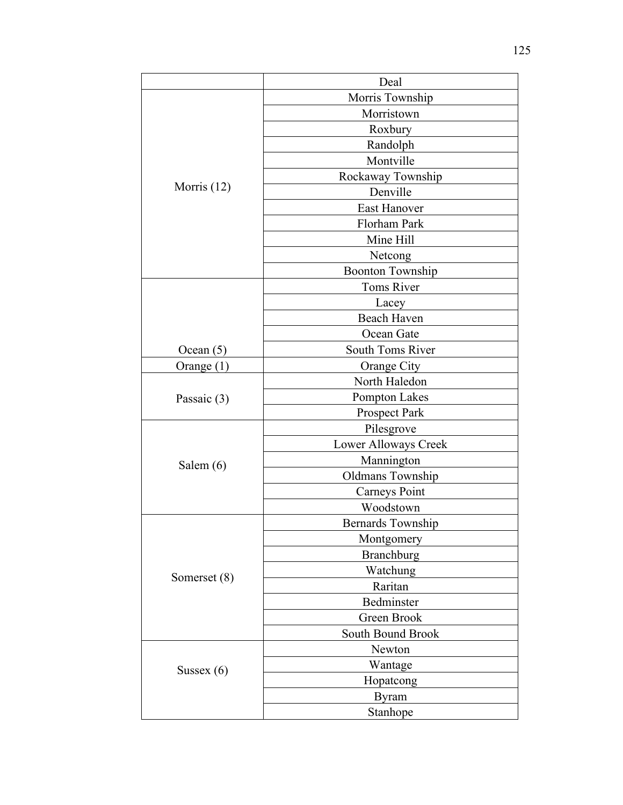|               | Deal                     |  |  |  |  |  |
|---------------|--------------------------|--|--|--|--|--|
|               | Morris Township          |  |  |  |  |  |
|               | Morristown               |  |  |  |  |  |
|               | Roxbury                  |  |  |  |  |  |
|               | Randolph                 |  |  |  |  |  |
|               | Montville                |  |  |  |  |  |
| Morris $(12)$ | Rockaway Township        |  |  |  |  |  |
|               | Denville                 |  |  |  |  |  |
|               | <b>East Hanover</b>      |  |  |  |  |  |
|               | Florham Park             |  |  |  |  |  |
|               | Mine Hill                |  |  |  |  |  |
|               | Netcong                  |  |  |  |  |  |
|               | <b>Boonton Township</b>  |  |  |  |  |  |
|               | <b>Toms River</b>        |  |  |  |  |  |
|               | Lacey                    |  |  |  |  |  |
|               | Beach Haven              |  |  |  |  |  |
|               | Ocean Gate               |  |  |  |  |  |
| Ocean $(5)$   | South Toms River         |  |  |  |  |  |
| Orange $(1)$  | Orange City              |  |  |  |  |  |
| Passaic (3)   | North Haledon            |  |  |  |  |  |
|               | Pompton Lakes            |  |  |  |  |  |
|               | Prospect Park            |  |  |  |  |  |
|               | Pilesgrove               |  |  |  |  |  |
|               | Lower Alloways Creek     |  |  |  |  |  |
| Salem $(6)$   | Mannington               |  |  |  |  |  |
|               | Oldmans Township         |  |  |  |  |  |
|               | <b>Carneys Point</b>     |  |  |  |  |  |
|               | Woodstown                |  |  |  |  |  |
|               | <b>Bernards Township</b> |  |  |  |  |  |
|               | Montgomery               |  |  |  |  |  |
|               | <b>Branchburg</b>        |  |  |  |  |  |
| Somerset (8)  | Watchung                 |  |  |  |  |  |
|               | Raritan                  |  |  |  |  |  |
|               | Bedminster               |  |  |  |  |  |
|               | Green Brook              |  |  |  |  |  |
|               | South Bound Brook        |  |  |  |  |  |
|               | Newton                   |  |  |  |  |  |
| Sussex $(6)$  | Wantage                  |  |  |  |  |  |
|               | Hopatcong                |  |  |  |  |  |
|               | <b>Byram</b>             |  |  |  |  |  |
|               | Stanhope                 |  |  |  |  |  |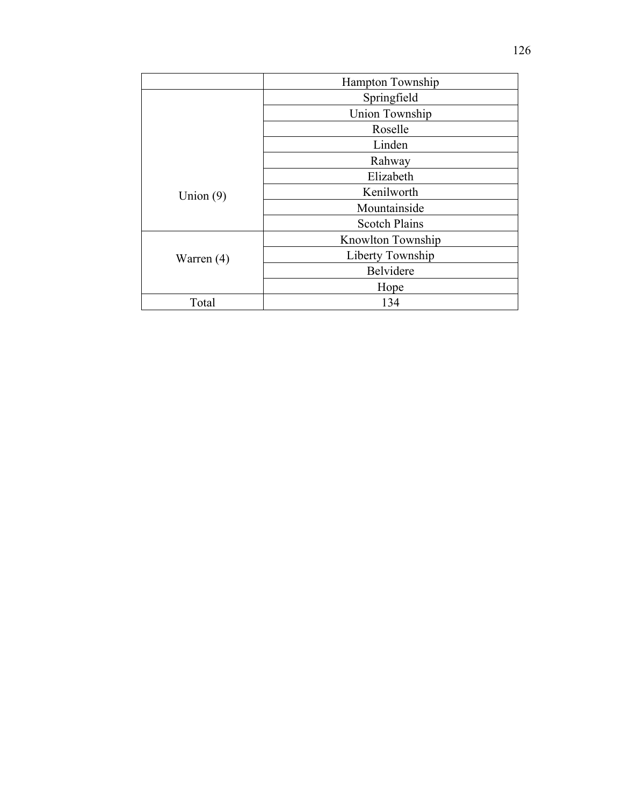|              | <b>Hampton Township</b> |  |  |
|--------------|-------------------------|--|--|
|              | Springfield             |  |  |
|              | <b>Union Township</b>   |  |  |
|              | Roselle                 |  |  |
|              | Linden                  |  |  |
|              | Rahway                  |  |  |
|              | Elizabeth               |  |  |
| Union $(9)$  | Kenilworth              |  |  |
|              | Mountainside            |  |  |
|              | <b>Scotch Plains</b>    |  |  |
|              | Knowlton Township       |  |  |
| Warren $(4)$ | Liberty Township        |  |  |
|              | Belvidere               |  |  |
|              | Hope                    |  |  |
| Total        | 134                     |  |  |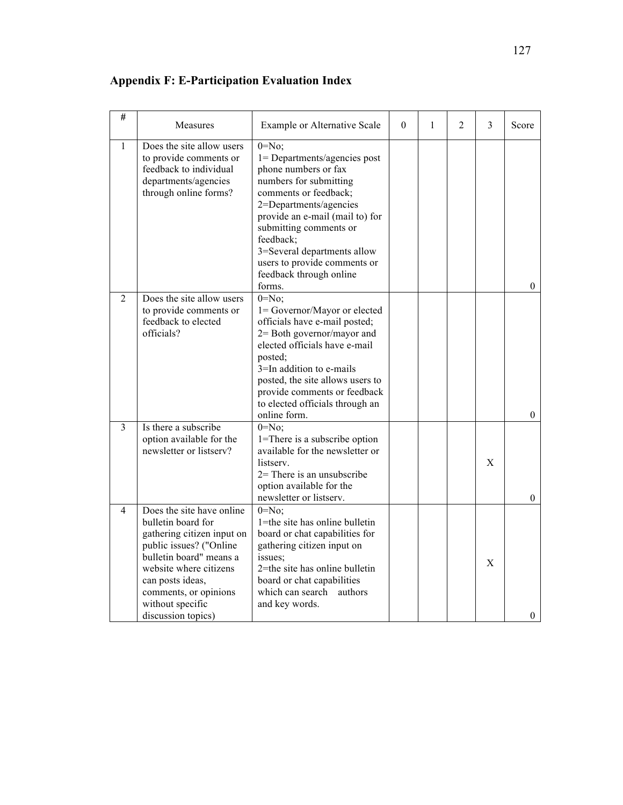| $\overline{\#}$ | Measures                                                                                                                                                                                                                                             | Example or Alternative Scale                                                                                                                                                                                                                                                                                                  | $\theta$ | 1 | 2 | 3           | Score            |
|-----------------|------------------------------------------------------------------------------------------------------------------------------------------------------------------------------------------------------------------------------------------------------|-------------------------------------------------------------------------------------------------------------------------------------------------------------------------------------------------------------------------------------------------------------------------------------------------------------------------------|----------|---|---|-------------|------------------|
| 1               | Does the site allow users<br>to provide comments or<br>feedback to individual<br>departments/agencies<br>through online forms?                                                                                                                       | $0 = No$ ;<br>1= Departments/agencies post<br>phone numbers or fax<br>numbers for submitting<br>comments or feedback;<br>2=Departments/agencies<br>provide an e-mail (mail to) for<br>submitting comments or<br>feedback;<br>3=Several departments allow<br>users to provide comments or<br>feedback through online<br>forms. |          |   |   |             | $\mathbf{0}$     |
| 2               | Does the site allow users<br>to provide comments or<br>feedback to elected<br>officials?                                                                                                                                                             | $0 = No$ ;<br>1= Governor/Mayor or elected<br>officials have e-mail posted;<br>2 = Both governor/mayor and<br>elected officials have e-mail<br>posted;<br>3=In addition to e-mails<br>posted, the site allows users to<br>provide comments or feedback<br>to elected officials through an<br>online form.                     |          |   |   |             | $\boldsymbol{0}$ |
| 3               | Is there a subscribe<br>option available for the<br>newsletter or listserv?                                                                                                                                                                          | $0 = No$ ;<br>1=There is a subscribe option<br>available for the newsletter or<br>listserv.<br>$2=$ There is an unsubscribe<br>option available for the<br>newsletter or listserv.                                                                                                                                            |          |   |   | $\mathbf X$ | $\boldsymbol{0}$ |
| $\overline{4}$  | Does the site have online<br>bulletin board for<br>gathering citizen input on<br>public issues? ("Online<br>bulletin board" means a<br>website where citizens<br>can posts ideas,<br>comments, or opinions<br>without specific<br>discussion topics) | $0 = No$ ;<br>1=the site has online bulletin<br>board or chat capabilities for<br>gathering citizen input on<br>issues;<br>2=the site has online bulletin<br>board or chat capabilities<br>which can search<br>authors<br>and key words.                                                                                      |          |   |   | $\mathbf X$ | $\theta$         |

**Appendix F: E-Participation Evaluation Index**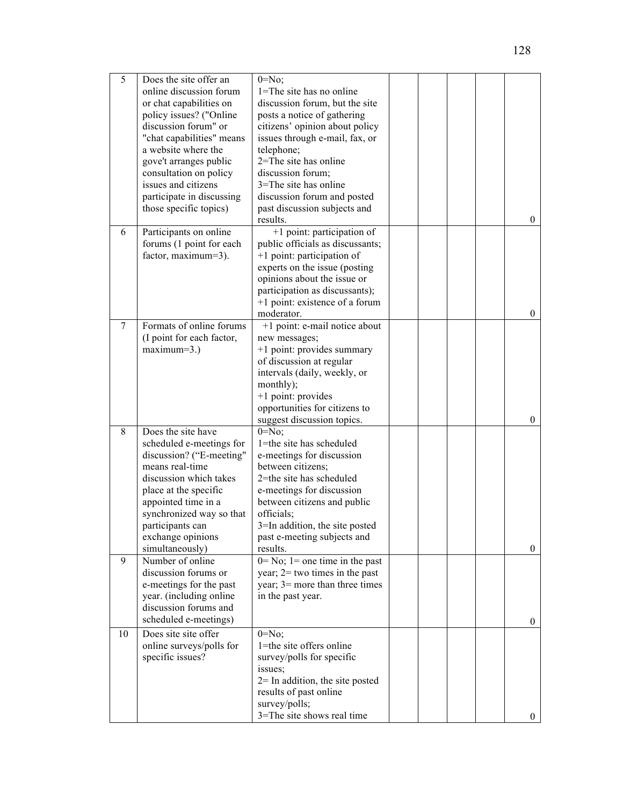| 5                                                                                                                                                                                                                                                                          | Does the site offer an<br>online discussion forum<br>or chat capabilities on<br>policy issues? ("Online<br>discussion forum" or<br>"chat capabilities" means<br>a website where the<br>gove't arranges public<br>consultation on policy<br>issues and citizens<br>participate in discussing<br>those specific topics) | $0 = No$ :<br>1=The site has no online<br>discussion forum, but the site<br>posts a notice of gathering<br>citizens' opinion about policy<br>issues through e-mail, fax, or<br>telephone;<br>2=The site has online<br>discussion forum;<br>$3 =$ The site has online<br>discussion forum and posted<br>past discussion subjects and<br>results. |  |          | $\overline{0}$   |
|----------------------------------------------------------------------------------------------------------------------------------------------------------------------------------------------------------------------------------------------------------------------------|-----------------------------------------------------------------------------------------------------------------------------------------------------------------------------------------------------------------------------------------------------------------------------------------------------------------------|-------------------------------------------------------------------------------------------------------------------------------------------------------------------------------------------------------------------------------------------------------------------------------------------------------------------------------------------------|--|----------|------------------|
| Participants on online<br>6<br>forums (1 point for each<br>factor, maximum=3).                                                                                                                                                                                             |                                                                                                                                                                                                                                                                                                                       | +1 point: participation of<br>public officials as discussants;<br>+1 point: participation of<br>experts on the issue (posting<br>opinions about the issue or<br>participation as discussants);<br>+1 point: existence of a forum<br>moderator.                                                                                                  |  |          | $\overline{0}$   |
| 7                                                                                                                                                                                                                                                                          | Formats of online forums<br>(I point for each factor,<br>$maximum=3.$ )                                                                                                                                                                                                                                               | +1 point: e-mail notice about<br>new messages;<br>+1 point: provides summary<br>of discussion at regular<br>intervals (daily, weekly, or<br>monthly);<br>+1 point: provides<br>opportunities for citizens to<br>suggest discussion topics.                                                                                                      |  |          | $\boldsymbol{0}$ |
| 8                                                                                                                                                                                                                                                                          | Does the site have<br>scheduled e-meetings for<br>discussion? ("E-meeting"<br>means real-time<br>discussion which takes<br>place at the specific<br>appointed time in a<br>synchronized way so that<br>participants can<br>exchange opinions<br>simultaneously)                                                       | $0 = No$ ;<br>1=the site has scheduled<br>e-meetings for discussion<br>between citizens;<br>2=the site has scheduled<br>e-meetings for discussion<br>between citizens and public<br>officials;<br>3=In addition, the site posted<br>past e-meeting subjects and<br>results.                                                                     |  |          | $\overline{0}$   |
| 9                                                                                                                                                                                                                                                                          | Number of online<br>discussion forums or<br>e-meetings for the past<br>year. (including online<br>discussion forums and<br>scheduled e-meetings)                                                                                                                                                                      | $0 = No$ ; 1 = one time in the past<br>year; $2=$ two times in the past<br>year; $3$ = more than three times<br>in the past year.                                                                                                                                                                                                               |  |          | $\overline{0}$   |
| Does site site offer<br>$0 = No$ ;<br>10<br>1=the site offers online<br>online surveys/polls for<br>specific issues?<br>survey/polls for specific<br>issues;<br>$2=$ In addition, the site posted<br>results of past online<br>survey/polls;<br>3=The site shows real time |                                                                                                                                                                                                                                                                                                                       |                                                                                                                                                                                                                                                                                                                                                 |  | $\theta$ |                  |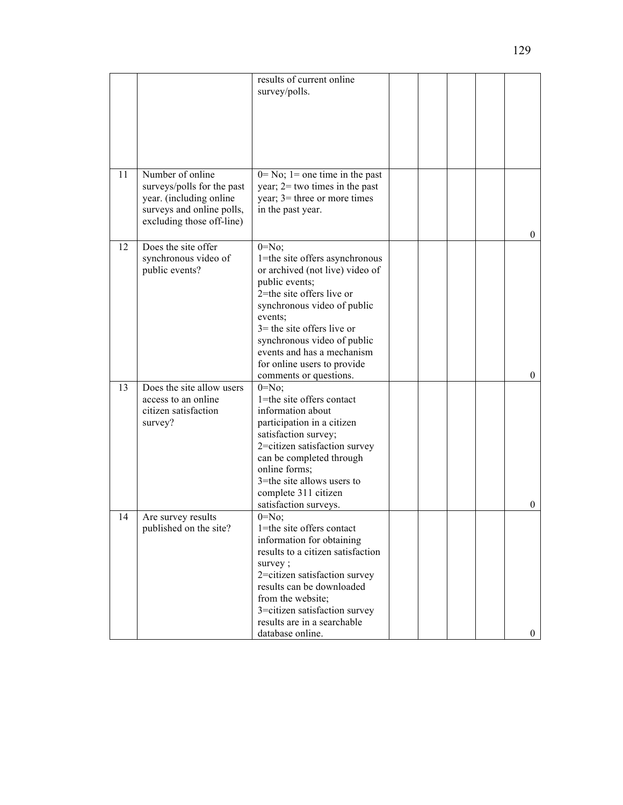|    |                                                                                                                                     | results of current online<br>survey/polls.                                                                                                                                                                                                                                                                                      |  |  |                |
|----|-------------------------------------------------------------------------------------------------------------------------------------|---------------------------------------------------------------------------------------------------------------------------------------------------------------------------------------------------------------------------------------------------------------------------------------------------------------------------------|--|--|----------------|
|    |                                                                                                                                     |                                                                                                                                                                                                                                                                                                                                 |  |  |                |
| 11 | Number of online<br>surveys/polls for the past<br>year. (including online<br>surveys and online polls,<br>excluding those off-line) | $0 = No$ ; 1 = one time in the past<br>year; $2 =$ two times in the past<br>year; $3$ = three or more times<br>in the past year.                                                                                                                                                                                                |  |  | $\overline{0}$ |
| 12 | Does the site offer<br>synchronous video of<br>public events?                                                                       | $0 = No$ ;<br>1=the site offers asynchronous<br>or archived (not live) video of<br>public events;<br>2=the site offers live or<br>synchronous video of public<br>events;<br>$3$ = the site offers live or<br>synchronous video of public<br>events and has a mechanism<br>for online users to provide<br>comments or questions. |  |  | $\overline{0}$ |
| 13 | Does the site allow users<br>access to an online<br>citizen satisfaction<br>survey?                                                 | $0 = No;$<br>1=the site offers contact<br>information about<br>participation in a citizen<br>satisfaction survey;<br>2=citizen satisfaction survey<br>can be completed through<br>online forms;<br>3=the site allows users to<br>complete 311 citizen<br>satisfaction surveys.                                                  |  |  | $\mathbf{0}$   |
| 14 | Are survey results<br>published on the site?                                                                                        | $0 = No;$<br>1=the site offers contact<br>information for obtaining<br>results to a citizen satisfaction<br>survey;<br>2=citizen satisfaction survey<br>results can be downloaded<br>from the website;<br>3=citizen satisfaction survey<br>results are in a searchable<br>database online.                                      |  |  | $\overline{0}$ |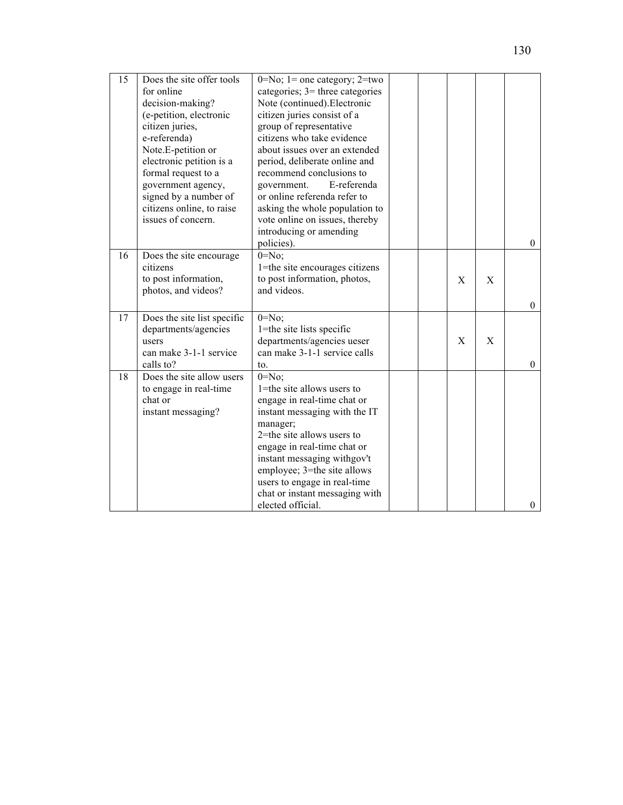| 15 | Does the site offer tools   | $0 = No$ ; 1 = one category; 2=two |  |             |   |                  |
|----|-----------------------------|------------------------------------|--|-------------|---|------------------|
|    | for online                  | categories; $3$ = three categories |  |             |   |                  |
|    | decision-making?            | Note (continued). Electronic       |  |             |   |                  |
|    | (e-petition, electronic     | citizen juries consist of a        |  |             |   |                  |
|    | citizen juries,             | group of representative            |  |             |   |                  |
|    | e-referenda)                | citizens who take evidence         |  |             |   |                  |
|    | Note.E-petition or          | about issues over an extended      |  |             |   |                  |
|    | electronic petition is a    | period, deliberate online and      |  |             |   |                  |
|    | formal request to a         | recommend conclusions to           |  |             |   |                  |
|    | government agency,          | E-referenda<br>government.         |  |             |   |                  |
|    | signed by a number of       | or online referenda refer to       |  |             |   |                  |
|    | citizens online, to raise   | asking the whole population to     |  |             |   |                  |
|    | issues of concern.          | vote online on issues, thereby     |  |             |   |                  |
|    |                             | introducing or amending            |  |             |   |                  |
|    |                             | policies).                         |  |             |   | $\boldsymbol{0}$ |
| 16 | Does the site encourage     | $0 = No$ ;                         |  |             |   |                  |
|    | citizens                    | 1=the site encourages citizens     |  |             |   |                  |
|    | to post information,        | to post information, photos,       |  | $\mathbf X$ | X |                  |
|    | photos, and videos?         | and videos.                        |  |             |   |                  |
|    |                             |                                    |  |             |   | $\boldsymbol{0}$ |
| 17 | Does the site list specific | $0 = No;$                          |  |             |   |                  |
|    | departments/agencies        | 1=the site lists specific          |  |             |   |                  |
|    | users                       | departments/agencies ueser         |  | X           | X |                  |
|    | can make 3-1-1 service      | can make 3-1-1 service calls       |  |             |   |                  |
|    | calls to?                   | to.                                |  |             |   | $\mathbf{0}$     |
| 18 | Does the site allow users   | $0 = No$ ;                         |  |             |   |                  |
|    | to engage in real-time      | 1=the site allows users to         |  |             |   |                  |
|    | chat or                     | engage in real-time chat or        |  |             |   |                  |
|    | instant messaging?          | instant messaging with the IT      |  |             |   |                  |
|    |                             | manager;                           |  |             |   |                  |
|    |                             | 2=the site allows users to         |  |             |   |                  |
|    |                             | engage in real-time chat or        |  |             |   |                  |
|    |                             | instant messaging withgov't        |  |             |   |                  |
|    |                             | employee; 3=the site allows        |  |             |   |                  |
|    |                             | users to engage in real-time       |  |             |   |                  |
|    |                             | chat or instant messaging with     |  |             |   |                  |
|    |                             | elected official.                  |  |             |   | $\boldsymbol{0}$ |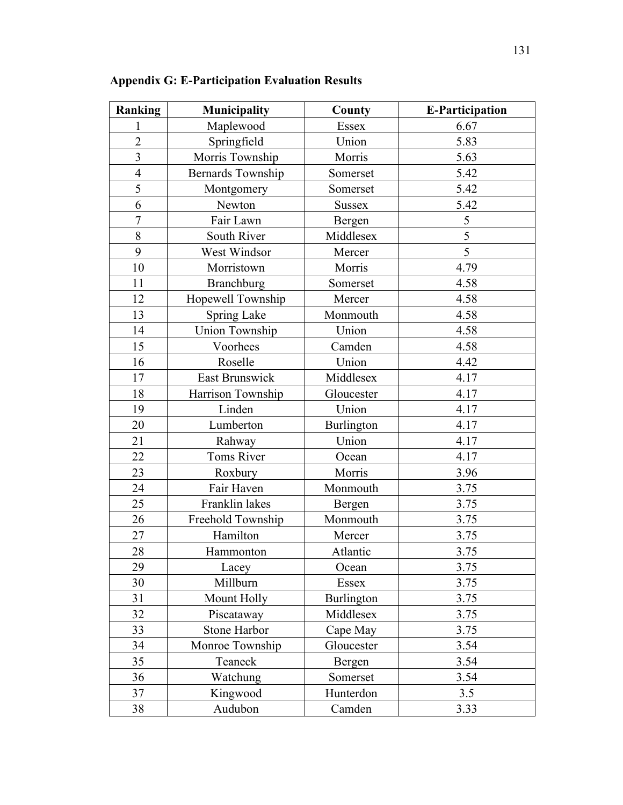| Ranking<br><b>Municipality</b> |                       | County        | <b>E-Participation</b> |
|--------------------------------|-----------------------|---------------|------------------------|
| 1                              | Maplewood             | Essex         | 6.67                   |
| $\overline{2}$                 | Springfield           | Union         | 5.83                   |
| $\overline{3}$                 | Morris Township       | Morris        | 5.63                   |
| $\overline{4}$                 | Bernards Township     | Somerset      | 5.42                   |
| 5                              | Montgomery            | Somerset      | 5.42                   |
| 6                              | Newton                | <b>Sussex</b> | 5.42                   |
| $\overline{7}$                 | Fair Lawn             | Bergen        | 5                      |
| 8                              | <b>South River</b>    | Middlesex     | 5                      |
| 9                              | West Windsor          | Mercer        | 5                      |
| 10                             | Morristown            | Morris        | 4.79                   |
| 11                             | <b>Branchburg</b>     | Somerset      | 4.58                   |
| 12                             | Hopewell Township     | Mercer        | 4.58                   |
| 13                             | <b>Spring Lake</b>    | Monmouth      | 4.58                   |
| 14                             | <b>Union Township</b> | Union         | 4.58                   |
| 15                             | Voorhees              | Camden        | 4.58                   |
| 16                             | Roselle               | Union         | 4.42                   |
| 17                             | East Brunswick        | Middlesex     | 4.17                   |
| 18                             | Harrison Township     | Gloucester    | 4.17                   |
| 19                             | Linden                | Union         | 4.17                   |
| 20                             | Lumberton             | Burlington    | 4.17                   |
| 21                             | Rahway                | Union         | 4.17                   |
| 22                             | <b>Toms River</b>     | Ocean         | 4.17                   |
| 23                             | Roxbury               | Morris        | 3.96                   |
| 24                             | Fair Haven            | Monmouth      | 3.75                   |
| 25                             | Franklin lakes        | Bergen        | 3.75                   |
| 26                             | Freehold Township     | Monmouth      | 3.75                   |
| 27                             | Hamilton              | Mercer        | 3.75                   |
| 28                             | Hammonton             | Atlantic      | 3.75                   |
| 29                             | Lacey                 | Ocean         | 3.75                   |
| 30                             | Millburn              | Essex         | 3.75                   |
| 31                             | Mount Holly           | Burlington    | 3.75                   |
| 32                             | Piscataway            | Middlesex     | 3.75                   |
| 33                             | Stone Harbor          | Cape May      | 3.75                   |
| 34                             | Monroe Township       | Gloucester    | 3.54                   |
| 35                             | Teaneck               | Bergen        | 3.54                   |
| 36                             | Watchung              | Somerset      | 3.54                   |
| 37                             | Kingwood              | Hunterdon     | 3.5                    |
| 38                             | Audubon               | Camden        | 3.33                   |

**Appendix G: E-Participation Evaluation Results**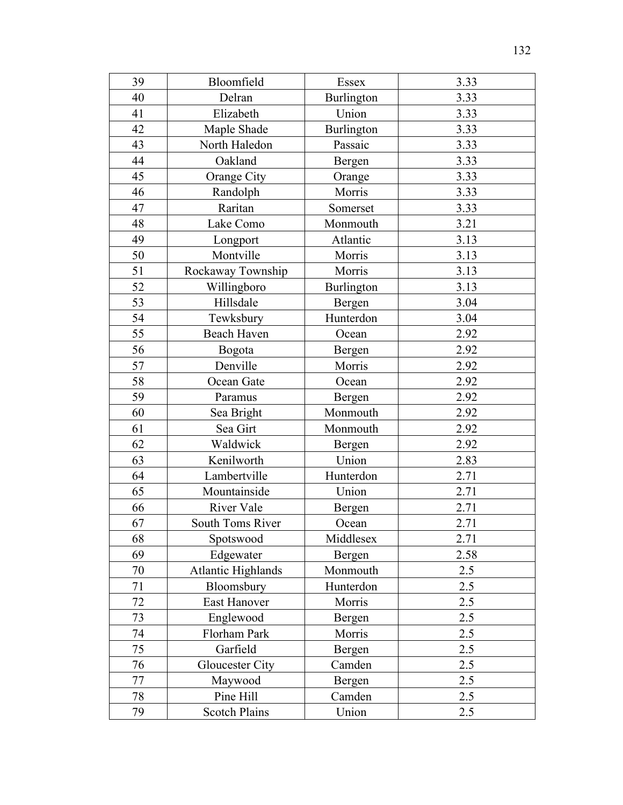| 39 | Bloomfield                | Essex      | 3.33 |
|----|---------------------------|------------|------|
| 40 | Delran                    | Burlington | 3.33 |
| 41 | Elizabeth                 | Union      | 3.33 |
| 42 | Maple Shade               | Burlington | 3.33 |
| 43 | North Haledon             | Passaic    | 3.33 |
| 44 | Oakland                   | Bergen     | 3.33 |
| 45 | Orange City               | Orange     | 3.33 |
| 46 | Randolph                  | Morris     | 3.33 |
| 47 | Raritan                   | Somerset   | 3.33 |
| 48 | Lake Como                 | Monmouth   | 3.21 |
| 49 | Longport                  | Atlantic   | 3.13 |
| 50 | Montville                 | Morris     | 3.13 |
| 51 | Rockaway Township         | Morris     | 3.13 |
| 52 | Willingboro               | Burlington | 3.13 |
| 53 | Hillsdale                 | Bergen     | 3.04 |
| 54 | Tewksbury                 | Hunterdon  | 3.04 |
| 55 | Beach Haven               | Ocean      | 2.92 |
| 56 | Bogota                    | Bergen     | 2.92 |
| 57 | Denville                  | Morris     | 2.92 |
| 58 | Ocean Gate                | Ocean      | 2.92 |
| 59 | Paramus                   | Bergen     | 2.92 |
| 60 | Sea Bright                | Monmouth   | 2.92 |
| 61 | Sea Girt                  | Monmouth   | 2.92 |
| 62 | Waldwick                  | Bergen     | 2.92 |
| 63 | Kenilworth                | Union      | 2.83 |
| 64 | Lambertville              | Hunterdon  | 2.71 |
| 65 | Mountainside              | Union      | 2.71 |
| 66 | River Vale                | Bergen     | 2.71 |
| 67 | South Toms River          | Ocean      | 2.71 |
| 68 | Spotswood                 | Middlesex  | 2.71 |
| 69 | Edgewater                 | Bergen     | 2.58 |
| 70 | <b>Atlantic Highlands</b> | Monmouth   | 2.5  |
| 71 | Bloomsbury                | Hunterdon  | 2.5  |
| 72 | <b>East Hanover</b>       | Morris     | 2.5  |
| 73 | Englewood                 | Bergen     | 2.5  |
| 74 | Florham Park              | Morris     | 2.5  |
| 75 | Garfield                  | Bergen     | 2.5  |
| 76 | Gloucester City           | Camden     | 2.5  |
| 77 | Maywood                   | Bergen     | 2.5  |
| 78 | Pine Hill                 | Camden     | 2.5  |
| 79 | <b>Scotch Plains</b>      | Union      | 2.5  |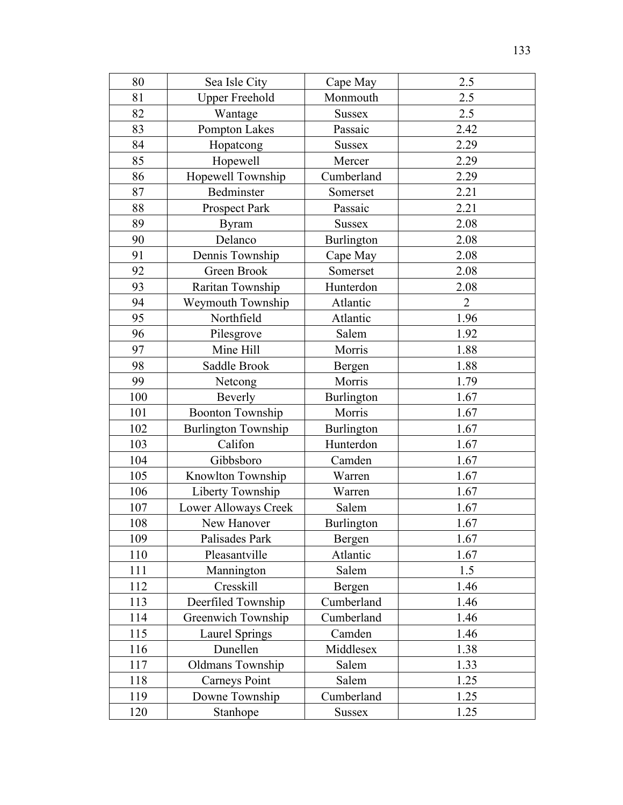| 80  | Sea Isle City              | Cape May          | 2.5            |
|-----|----------------------------|-------------------|----------------|
| 81  | <b>Upper Freehold</b>      | Monmouth          | 2.5            |
| 82  | Wantage                    | <b>Sussex</b>     | 2.5            |
| 83  | Pompton Lakes              | Passaic           | 2.42           |
| 84  | Hopatcong                  | <b>Sussex</b>     | 2.29           |
| 85  | Hopewell                   | Mercer            | 2.29           |
| 86  | Hopewell Township          | Cumberland        | 2.29           |
| 87  | Bedminster                 | Somerset          | 2.21           |
| 88  | Prospect Park              | Passaic           | 2.21           |
| 89  | <b>Byram</b>               | <b>Sussex</b>     | 2.08           |
| 90  | Delanco                    | <b>Burlington</b> | 2.08           |
| 91  | Dennis Township            | Cape May          | 2.08           |
| 92  | Green Brook                | Somerset          | 2.08           |
| 93  | Raritan Township           | Hunterdon         | 2.08           |
| 94  | Weymouth Township          | Atlantic          | $\overline{2}$ |
| 95  | Northfield                 | Atlantic          | 1.96           |
| 96  | Pilesgrove                 | Salem             | 1.92           |
| 97  | Mine Hill                  | Morris            | 1.88           |
| 98  | Saddle Brook               | Bergen            | 1.88           |
| 99  | Netcong                    | Morris            | 1.79           |
| 100 | Beverly                    | <b>Burlington</b> | 1.67           |
| 101 | <b>Boonton Township</b>    | Morris            | 1.67           |
| 102 | <b>Burlington Township</b> | <b>Burlington</b> | 1.67           |
| 103 | Califon                    | Hunterdon         | 1.67           |
| 104 | Gibbsboro                  | Camden            | 1.67           |
| 105 | Knowlton Township          | Warren            | 1.67           |
| 106 | Liberty Township           | Warren            | 1.67           |
| 107 | Lower Alloways Creek       | Salem             | 1.67           |
| 108 | New Hanover                | Burlington        | 1.67           |
| 109 | Palisades Park             | Bergen            | 1.67           |
| 110 | Pleasantville              | Atlantic          | 1.67           |
| 111 | Mannington                 | Salem             | 1.5            |
| 112 | Cresskill                  | Bergen            | 1.46           |
| 113 | Deerfiled Township         | Cumberland        | 1.46           |
| 114 | Greenwich Township         | Cumberland        | 1.46           |
| 115 | <b>Laurel Springs</b>      | Camden            | 1.46           |
| 116 | Dunellen                   | Middlesex         | 1.38           |
| 117 | <b>Oldmans Township</b>    | Salem             | 1.33           |
| 118 | <b>Carneys Point</b>       | Salem             | 1.25           |
| 119 | Downe Township             | Cumberland        | 1.25           |
| 120 | Stanhope                   | <b>Sussex</b>     | 1.25           |